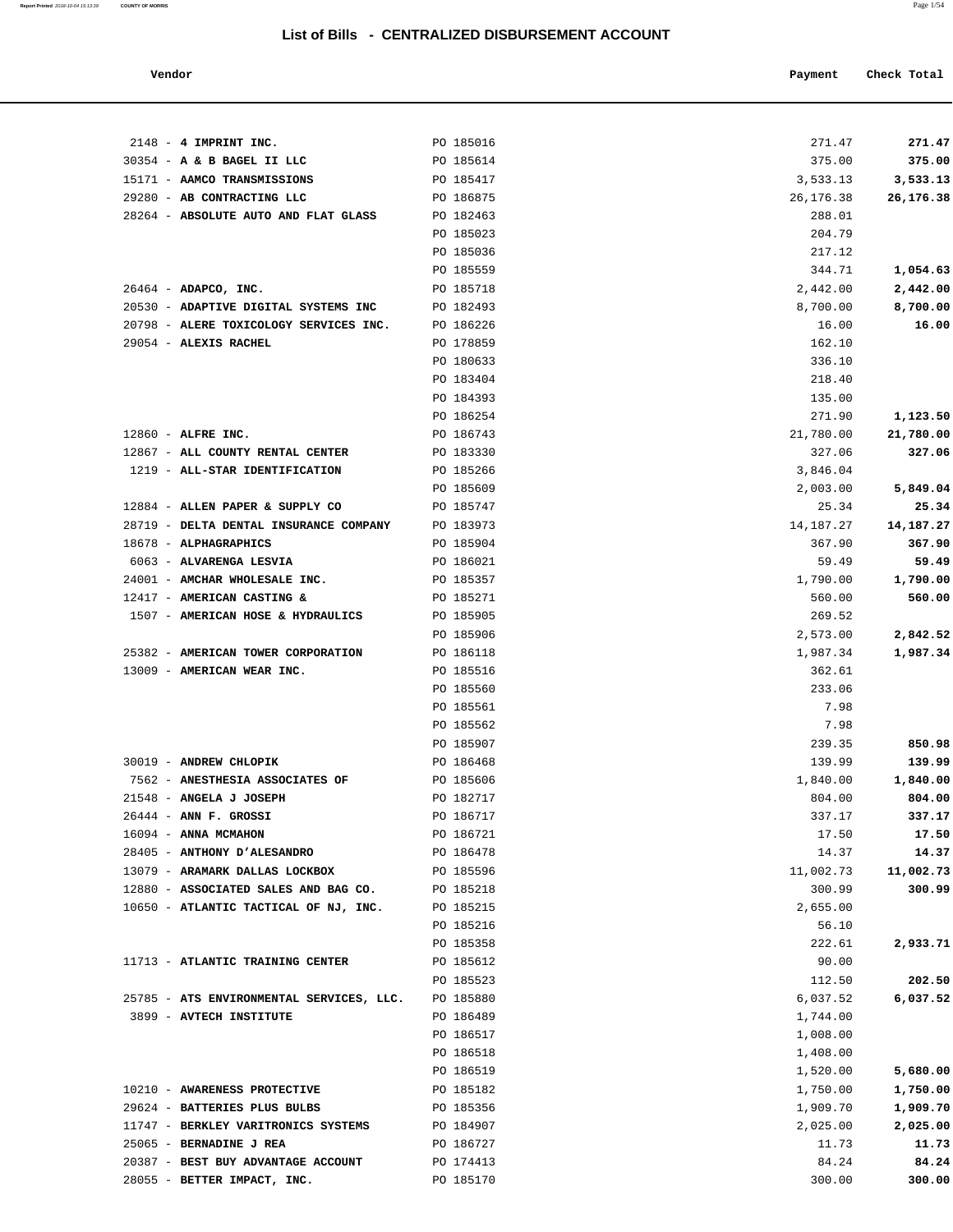**Report Printed** 2018-10-04 15:13:39 **COUNTY OF MORRIS** Page 1/54

#### **Vendor Payment** Check Total

| $2148 - 4$ IMPRINT INC.                                         | PO 185016              | 271.47          | 271.47          |
|-----------------------------------------------------------------|------------------------|-----------------|-----------------|
| 30354 - A & B BAGEL II LLC                                      | PO 185614              | 375.00          | 375.00          |
| 15171 - AAMCO TRANSMISSIONS                                     | PO 185417              | 3,533.13        | 3,533.13        |
| 29280 - AB CONTRACTING LLC                                      | PO 186875              | 26,176.38       | 26,176.38       |
| 28264 - ABSOLUTE AUTO AND FLAT GLASS                            | PO 182463              | 288.01          |                 |
|                                                                 | PO 185023              | 204.79          |                 |
|                                                                 | PO 185036              | 217.12          |                 |
|                                                                 | PO 185559              | 344.71          | 1,054.63        |
| 26464 - ADAPCO, INC.                                            | PO 185718              | 2,442.00        | 2,442.00        |
| 20530 - ADAPTIVE DIGITAL SYSTEMS INC                            | PO 182493              | 8,700.00        | 8,700.00        |
| 20798 - ALERE TOXICOLOGY SERVICES INC.                          | PO 186226              | 16.00           | 16.00           |
| 29054 - ALEXIS RACHEL                                           | PO 178859              | 162.10          |                 |
|                                                                 | PO 180633              | 336.10          |                 |
|                                                                 | PO 183404              | 218.40          |                 |
|                                                                 | PO 184393              | 135.00          |                 |
|                                                                 | PO 186254              | 271.90          | 1,123.50        |
| 12860 - ALFRE INC.                                              | PO 186743              | 21,780.00       | 21,780.00       |
| 12867 - ALL COUNTY RENTAL CENTER                                | PO 183330              | 327.06          | 327.06          |
| 1219 - ALL-STAR IDENTIFICATION                                  | PO 185266              | 3,846.04        |                 |
|                                                                 | PO 185609              | 2,003.00        | 5,849.04        |
| 12884 - ALLEN PAPER & SUPPLY CO                                 | PO 185747              | 25.34           | 25.34           |
| 28719 - DELTA DENTAL INSURANCE COMPANY<br>18678 - ALPHAGRAPHICS | PO 183973<br>PO 185904 | 14,187.27       | 14,187.27       |
| 6063 - ALVARENGA LESVIA                                         | PO 186021              | 367.90<br>59.49 | 367.90<br>59.49 |
| 24001 - AMCHAR WHOLESALE INC.                                   | PO 185357              | 1,790.00        | 1,790.00        |
| 12417 - AMERICAN CASTING &                                      | PO 185271              | 560.00          | 560.00          |
| 1507 - AMERICAN HOSE & HYDRAULICS                               | PO 185905              | 269.52          |                 |
|                                                                 | PO 185906              | 2,573.00        | 2,842.52        |
| 25382 - AMERICAN TOWER CORPORATION                              | PO 186118              | 1,987.34        | 1,987.34        |
| 13009 - AMERICAN WEAR INC.                                      | PO 185516              | 362.61          |                 |
|                                                                 | PO 185560              | 233.06          |                 |
|                                                                 | PO 185561              | 7.98            |                 |
|                                                                 | PO 185562              | 7.98            |                 |
|                                                                 | PO 185907              | 239.35          | 850.98          |
| 30019 - ANDREW CHLOPIK                                          | PO 186468              | 139.99          | 139.99          |
| 7562 - ANESTHESIA ASSOCIATES OF                                 | PO 185606              | 1,840.00        | 1,840.00        |
| 21548 - ANGELA J JOSEPH                                         | PO 182717              | 804.00          | 804.00          |
| 26444 - ANN F. GROSSI                                           | PO 186717              | 337.17          | 337.17          |
| 16094 - ANNA MCMAHON                                            | PO 186721              | 17.50           | 17.50           |
| 28405 - ANTHONY D'ALESANDRO                                     | PO 186478              | 14.37           | 14.37           |
| 13079 - ARAMARK DALLAS LOCKBOX                                  | PO 185596              | 11,002.73       | 11,002.73       |
| 12880 - ASSOCIATED SALES AND BAG CO.                            | PO 185218              | 300.99          | 300.99          |
| 10650 - ATLANTIC TACTICAL OF NJ, INC.                           | PO 185215              | 2,655.00        |                 |
|                                                                 | PO 185216              | 56.10           |                 |
|                                                                 | PO 185358              | 222.61          | 2,933.71        |
| 11713 - ATLANTIC TRAINING CENTER                                | PO 185612              | 90.00           |                 |
|                                                                 | PO 185523              | 112.50          | 202.50          |
| 25785 - ATS ENVIRONMENTAL SERVICES, LLC.                        | PO 185880              | 6,037.52        | 6,037.52        |
| 3899 - AVTECH INSTITUTE                                         | PO 186489              | 1,744.00        |                 |
|                                                                 | PO 186517              | 1,008.00        |                 |
|                                                                 | PO 186518              | 1,408.00        |                 |
|                                                                 | PO 186519              | 1,520.00        | 5,680.00        |
| 10210 - AWARENESS PROTECTIVE                                    | PO 185182              | 1,750.00        | 1,750.00        |
| 29624 - BATTERIES PLUS BULBS                                    | PO 185356              | 1,909.70        | 1,909.70        |
| 11747 - BERKLEY VARITRONICS SYSTEMS                             | PO 184907              | 2,025.00        | 2,025.00        |
| 25065 - BERNADINE J REA                                         | PO 186727              | 11.73           | 11.73           |
| 20387 - BEST BUY ADVANTAGE ACCOUNT                              | PO 174413              | 84.24           | 84.24           |

28055 - **BETTER IMPACT, INC.** PO 185170 300.00 **300.00**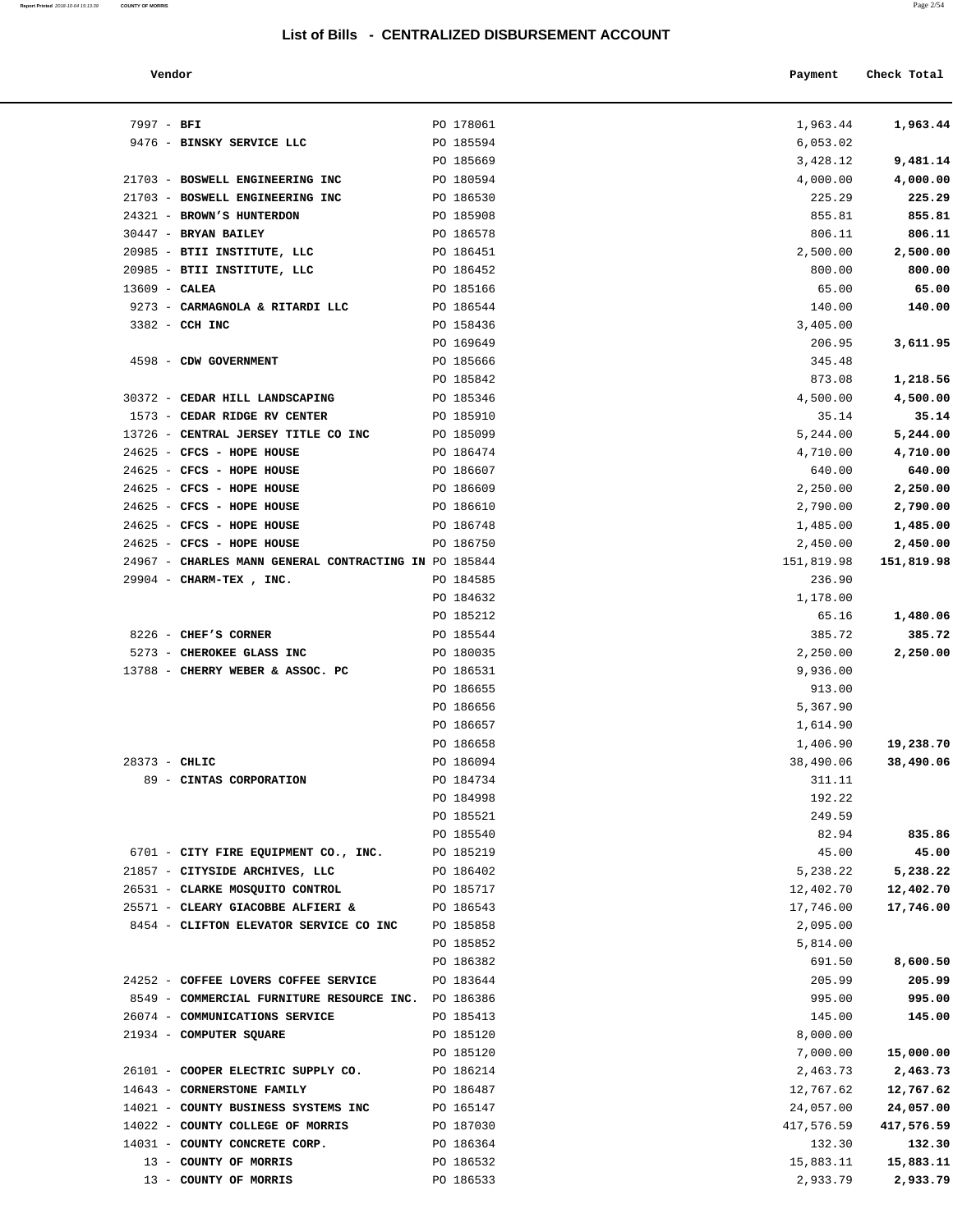| Report Printed 2018-10-04 15:13:39 | <b>COUNTY OF MORRIS</b> | Page $2/54$ |
|------------------------------------|-------------------------|-------------|
|                                    |                         |             |
|                                    |                         |             |

| Vendor                                                |           | Payment    | Check Total |
|-------------------------------------------------------|-----------|------------|-------------|
| $7997 - BFI$                                          | PO 178061 | 1,963.44   | 1,963.44    |
| 9476 - BINSKY SERVICE LLC                             | PO 185594 | 6,053.02   |             |
|                                                       | PO 185669 | 3,428.12   | 9,481.14    |
| 21703 - BOSWELL ENGINEERING INC                       | PO 180594 | 4,000.00   | 4,000.00    |
| 21703 - BOSWELL ENGINEERING INC                       | PO 186530 | 225.29     | 225.29      |
| 24321 - BROWN'S HUNTERDON                             | PO 185908 | 855.81     | 855.81      |
| 30447 - BRYAN BAILEY                                  | PO 186578 | 806.11     | 806.11      |
| 20985 - BTII INSTITUTE, LLC                           | PO 186451 | 2,500.00   | 2,500.00    |
| 20985 - BTII INSTITUTE, LLC                           | PO 186452 | 800.00     | 800.00      |
| $13609$ - CALEA                                       | PO 185166 | 65.00      | 65.00       |
| 9273 - CARMAGNOLA & RITARDI LLC                       | PO 186544 | 140.00     | 140.00      |
| 3382 - CCH INC                                        | PO 158436 | 3,405.00   |             |
|                                                       | PO 169649 | 206.95     | 3,611.95    |
| 4598 - CDW GOVERNMENT                                 | PO 185666 | 345.48     |             |
|                                                       | PO 185842 | 873.08     | 1,218.56    |
| 30372 - CEDAR HILL LANDSCAPING                        | PO 185346 | 4,500.00   | 4,500.00    |
| 1573 - CEDAR RIDGE RV CENTER                          | PO 185910 | 35.14      | 35.14       |
| 13726 - CENTRAL JERSEY TITLE CO INC                   | PO 185099 | 5,244.00   | 5,244.00    |
| 24625 - CFCS - HOPE HOUSE                             | PO 186474 | 4,710.00   | 4,710.00    |
| 24625 - CFCS - HOPE HOUSE                             | PO 186607 | 640.00     | 640.00      |
| 24625 - CFCS - HOPE HOUSE                             | PO 186609 | 2,250.00   | 2,250.00    |
| 24625 - CFCS - HOPE HOUSE                             | PO 186610 | 2,790.00   | 2,790.00    |
| 24625 - CFCS - HOPE HOUSE                             | PO 186748 | 1,485.00   | 1,485.00    |
| 24625 - CFCS - HOPE HOUSE                             | PO 186750 | 2,450.00   | 2,450.00    |
| 24967 - CHARLES MANN GENERAL CONTRACTING IN PO 185844 |           | 151,819.98 | 151,819.98  |
| 29904 - CHARM-TEX, INC.                               | PO 184585 | 236.90     |             |
|                                                       | PO 184632 | 1,178.00   |             |
|                                                       | PO 185212 | 65.16      | 1,480.06    |
| 8226 - CHEF'S CORNER                                  | PO 185544 | 385.72     | 385.72      |
| 5273 - CHEROKEE GLASS INC                             | PO 180035 | 2,250.00   | 2,250.00    |
| 13788 - CHERRY WEBER & ASSOC. PC                      | PO 186531 | 9,936.00   |             |
|                                                       | PO 186655 | 913.00     |             |
|                                                       | PO 186656 | 5,367.90   |             |
|                                                       | PO 186657 | 1,614.90   |             |
|                                                       | PO 186658 | 1,406.90   | 19,238.70   |
| 28373 - CHLIC                                         | PO 186094 | 38,490.06  | 38,490.06   |
| 89 - CINTAS CORPORATION                               | PO 184734 | 311.11     |             |
|                                                       | PO 184998 | 192.22     |             |
|                                                       | PO 185521 | 249.59     |             |
|                                                       | PO 185540 | 82.94      | 835.86      |
| 6701 - CITY FIRE EQUIPMENT CO., INC.                  | PO 185219 | 45.00      | 45.00       |
| 21857 - CITYSIDE ARCHIVES, LLC                        | PO 186402 | 5,238.22   | 5,238.22    |
| 26531 - CLARKE MOSQUITO CONTROL                       | PO 185717 | 12,402.70  | 12,402.70   |
| 25571 - CLEARY GIACOBBE ALFIERI &                     | PO 186543 | 17,746.00  | 17,746.00   |
| 8454 - CLIFTON ELEVATOR SERVICE CO INC                | PO 185858 | 2,095.00   |             |
|                                                       | PO 185852 | 5,814.00   |             |
|                                                       | PO 186382 | 691.50     | 8,600.50    |
| 24252 - COFFEE LOVERS COFFEE SERVICE                  | PO 183644 | 205.99     | 205.99      |
| 8549 - COMMERCIAL FURNITURE RESOURCE INC. PO 186386   |           | 995.00     | 995.00      |
| 26074 - COMMUNICATIONS SERVICE                        | PO 185413 | 145.00     | 145.00      |
| 21934 - COMPUTER SQUARE                               | PO 185120 | 8,000.00   |             |
|                                                       | PO 185120 | 7,000.00   | 15,000.00   |
| 26101 - COOPER ELECTRIC SUPPLY CO.                    | PO 186214 | 2,463.73   | 2,463.73    |
| 14643 - CORNERSTONE FAMILY                            | PO 186487 | 12,767.62  | 12,767.62   |
| 14021 - COUNTY BUSINESS SYSTEMS INC                   | PO 165147 | 24,057.00  | 24,057.00   |
| 14022 - COUNTY COLLEGE OF MORRIS                      | PO 187030 | 417,576.59 | 417,576.59  |
| 14031 - COUNTY CONCRETE CORP.                         | PO 186364 | 132.30     | 132.30      |
| 13 - COUNTY OF MORRIS                                 | PO 186532 | 15,883.11  | 15,883.11   |
| 13 - COUNTY OF MORRIS                                 | PO 186533 | 2,933.79   | 2,933.79    |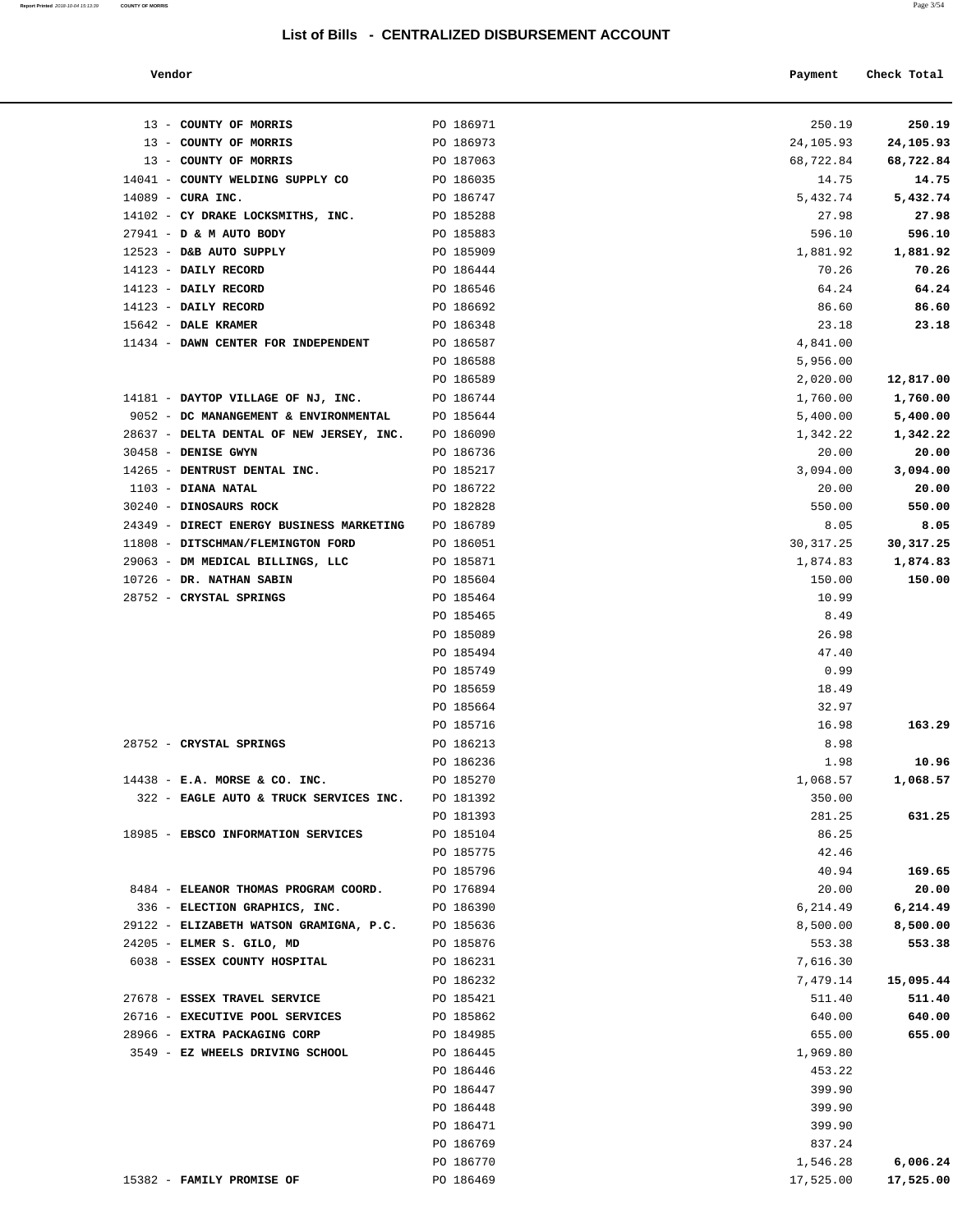**Report Printed** 2018-10-04 15:13:39 **COUNTY OF MORRIS** 

| Vendor | Payment | Check Total<br>. |
|--------|---------|------------------|
|        |         |                  |

| 13 - COUNTY OF MORRIS                                                       | PO 186971              | 250.19               | 250.19               |
|-----------------------------------------------------------------------------|------------------------|----------------------|----------------------|
| 13 - COUNTY OF MORRIS                                                       | PO 186973              | 24,105.93            | 24,105.93            |
| 13 - COUNTY OF MORRIS                                                       | PO 187063              | 68,722.84            | 68,722.84            |
| 14041 - COUNTY WELDING SUPPLY CO PO 186035                                  |                        | 14.75                | 14.75                |
| $14089$ - CURA INC.                                                         | PO 186747              | 5,432.74             | 5,432.74             |
| 14102 - CY DRAKE LOCKSMITHS, INC. PO 185288                                 |                        | 27.98                | 27.98                |
| 27941 - D & M AUTO BODY                                                     | PO 185883              | 596.10               | 596.10               |
| 12523 - D&B AUTO SUPPLY                                                     | PO 185909              | 1,881.92             | 1,881.92             |
| 14123 - DAILY RECORD                                                        | PO 186444              | 70.26                | 70.26                |
| 14123 - DAILY RECORD                                                        | PO 186546              | 64.24                | 64.24                |
| 14123 - DAILY RECORD                                                        | PO 186692              | 86.60                | 86.60                |
| 15642 - DALE KRAMER                                                         | PO 186348              | 23.18                | 23.18                |
| 11434 - DAWN CENTER FOR INDEPENDENT                                         | PO 186587              | 4,841.00             |                      |
|                                                                             | PO 186588              | 5,956.00             |                      |
|                                                                             | PO 186589<br>PO 186744 | 2,020.00             | 12,817.00            |
| 14181 - DAYTOP VILLAGE OF NJ, INC.<br>9052 - DC MANANGEMENT & ENVIRONMENTAL | PO 185644              | 1,760.00<br>5,400.00 | 1,760.00<br>5,400.00 |
| 28637 - DELTA DENTAL OF NEW JERSEY, INC. PO 186090                          |                        | 1,342.22             | 1,342.22             |
| 30458 - DENISE GWYN                                                         | PO 186736              | 20.00                | 20.00                |
| 14265 - DENTRUST DENTAL INC.                                                | PO 185217              | 3,094.00             | 3,094.00             |
| $1103$ - DIANA NATAL                                                        | PO 186722              | 20.00                | 20.00                |
| 30240 - DINOSAURS ROCK                                                      | PO 182828              | 550.00               | 550.00               |
| 24349 - DIRECT ENERGY BUSINESS MARKETING PO 186789                          |                        | 8.05                 | 8.05                 |
| 11808 - DITSCHMAN/FLEMINGTON FORD                                           | PO 186051              | 30, 317.25           | 30,317.25            |
| 29063 - DM MEDICAL BILLINGS, LLC                                            | PO 185871              | 1,874.83             | 1,874.83             |
| 10726 - DR. NATHAN SABIN                                                    | PO 185604              | 150.00               | 150.00               |
| 28752 - CRYSTAL SPRINGS                                                     | PO 185464              | 10.99                |                      |
|                                                                             | PO 185465              | 8.49                 |                      |
|                                                                             | PO 185089              | 26.98                |                      |
|                                                                             | PO 185494              | 47.40                |                      |
|                                                                             | PO 185749              | 0.99                 |                      |
|                                                                             | PO 185659              | 18.49                |                      |
|                                                                             | PO 185664              | 32.97                |                      |
|                                                                             | PO 185716              | 16.98                | 163.29               |
| 28752 - CRYSTAL SPRINGS                                                     | PO 186213              | 8.98                 |                      |
|                                                                             | PO 186236              | 1.98                 | 10.96                |
| 14438 - E.A. MORSE & CO. INC.                                               | PO 185270              | 1,068.57             | 1,068.57             |
| 322 - EAGLE AUTO & TRUCK SERVICES INC.                                      | PO 181392              | 350.00               |                      |
|                                                                             | PO 181393              | 281.25               | 631.25               |
| 18985 - EBSCO INFORMATION SERVICES                                          | PO 185104              | 86.25                |                      |
|                                                                             | PO 185775              | 42.46                |                      |
|                                                                             | PO 185796              | 40.94                | 169.65               |
| 8484 - ELEANOR THOMAS PROGRAM COORD.                                        | PO 176894              | 20.00                | 20.00                |
| 336 - ELECTION GRAPHICS, INC.                                               | PO 186390              | 6,214.49             | 6,214.49             |
| 29122 - ELIZABETH WATSON GRAMIGNA, P.C.                                     | PO 185636              | 8,500.00             | 8,500.00             |
| 24205 - ELMER S. GILO, MD                                                   | PO 185876              | 553.38               | 553.38               |
| 6038 - ESSEX COUNTY HOSPITAL                                                | PO 186231              | 7,616.30             |                      |
| 27678 - ESSEX TRAVEL SERVICE                                                | PO 186232              | 7,479.14             | 15,095.44            |
| 26716 - EXECUTIVE POOL SERVICES                                             | PO 185421<br>PO 185862 | 511.40<br>640.00     | 511.40<br>640.00     |
| 28966 - EXTRA PACKAGING CORP                                                | PO 184985              | 655.00               | 655.00               |
| 3549 - EZ WHEELS DRIVING SCHOOL                                             | PO 186445              | 1,969.80             |                      |
|                                                                             | PO 186446              | 453.22               |                      |
|                                                                             | PO 186447              | 399.90               |                      |
|                                                                             | PO 186448              | 399.90               |                      |
|                                                                             | PO 186471              | 399.90               |                      |
|                                                                             | PO 186769              | 837.24               |                      |
|                                                                             | PO 186770              | 1,546.28             | 6,006.24             |
| 15382 - FAMILY PROMISE OF                                                   | PO 186469              | 17,525.00            | 17,525.00            |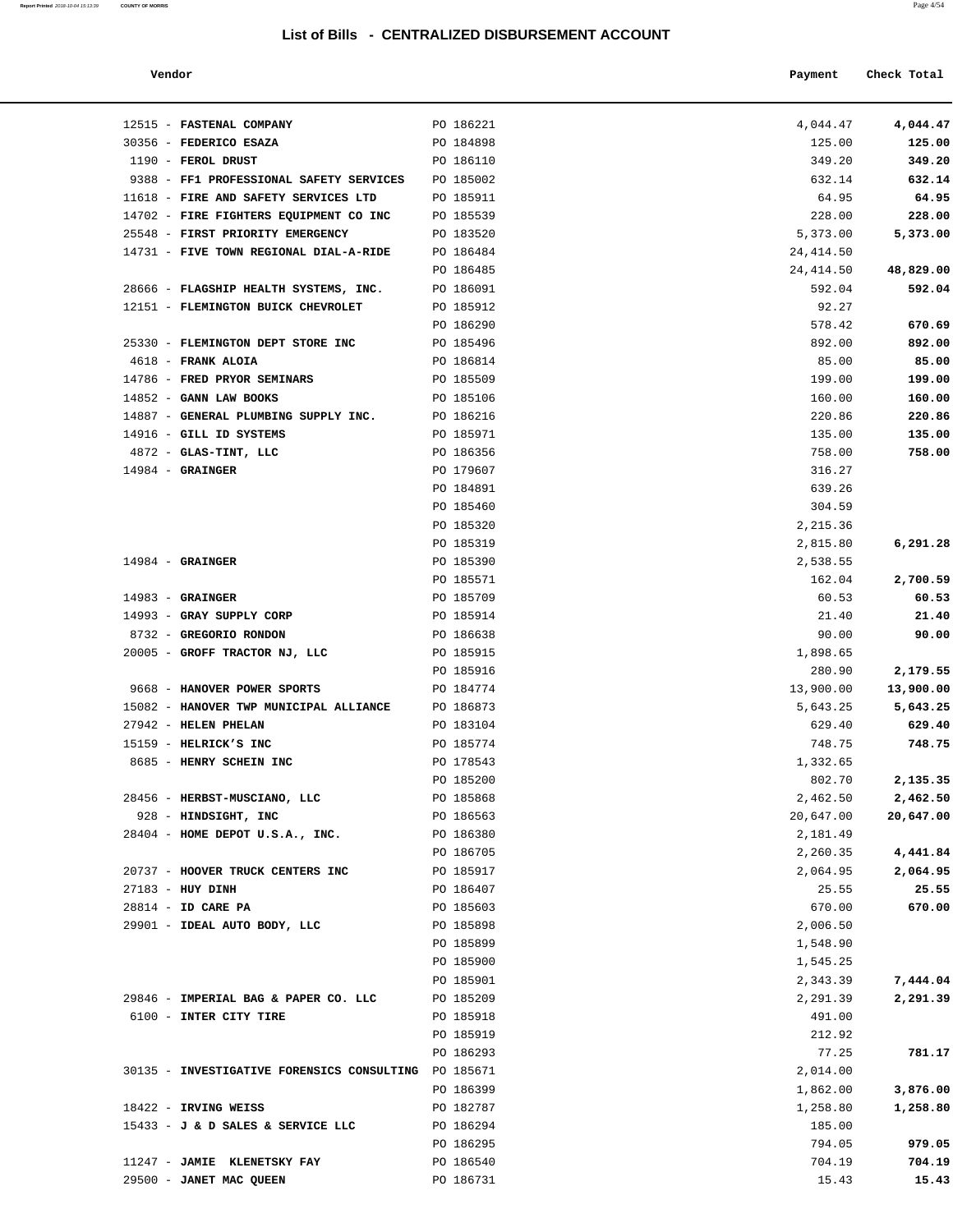**Report Printed** 2018-10-04 15:13:39 **COUNTY OF MORRIS** Page 4/54

| Vendor                                               |           | Payment   | Check Total |
|------------------------------------------------------|-----------|-----------|-------------|
| 12515 - FASTENAL COMPANY                             | PO 186221 | 4,044.47  | 4,044.47    |
| 30356 - FEDERICO ESAZA                               | PO 184898 | 125.00    | 125.00      |
| 1190 - FEROL DRUST                                   | PO 186110 | 349.20    | 349.20      |
| 9388 - FF1 PROFESSIONAL SAFETY SERVICES              | PO 185002 | 632.14    | 632.14      |
| 11618 - FIRE AND SAFETY SERVICES LTD                 | PO 185911 | 64.95     | 64.95       |
| 14702 - FIRE FIGHTERS EQUIPMENT CO INC               | PO 185539 | 228.00    | 228.00      |
| 25548 - FIRST PRIORITY EMERGENCY                     | PO 183520 | 5,373.00  | 5,373.00    |
| 14731 - FIVE TOWN REGIONAL DIAL-A-RIDE               | PO 186484 | 24,414.50 |             |
|                                                      | PO 186485 | 24,414.50 | 48,829.00   |
| 28666 - FLAGSHIP HEALTH SYSTEMS, INC.                | PO 186091 | 592.04    | 592.04      |
| 12151 - FLEMINGTON BUICK CHEVROLET                   | PO 185912 | 92.27     |             |
|                                                      | PO 186290 | 578.42    | 670.69      |
| 25330 - FLEMINGTON DEPT STORE INC                    | PO 185496 | 892.00    | 892.00      |
| 4618 - FRANK ALOIA                                   | PO 186814 | 85.00     | 85.00       |
| 14786 - FRED PRYOR SEMINARS                          | PO 185509 | 199.00    | 199.00      |
| 14852 - GANN LAW BOOKS                               | PO 185106 | 160.00    | 160.00      |
| 14887 - GENERAL PLUMBING SUPPLY INC.                 | PO 186216 | 220.86    | 220.86      |
| 14916 - GILL ID SYSTEMS                              | PO 185971 | 135.00    | 135.00      |
| 4872 - GLAS-TINT, LLC                                | PO 186356 | 758.00    | 758.00      |
| $14984$ - GRAINGER                                   | PO 179607 | 316.27    |             |
|                                                      | PO 184891 | 639.26    |             |
|                                                      | PO 185460 | 304.59    |             |
|                                                      | PO 185320 | 2,215.36  |             |
|                                                      | PO 185319 | 2,815.80  | 6,291.28    |
| $14984$ - GRAINGER                                   | PO 185390 | 2,538.55  |             |
|                                                      | PO 185571 | 162.04    | 2,700.59    |
| $14983$ - GRAINGER                                   | PO 185709 | 60.53     | 60.53       |
| 14993 - GRAY SUPPLY CORP                             | PO 185914 | 21.40     | 21.40       |
| 8732 - GREGORIO RONDON                               | PO 186638 | 90.00     | 90.00       |
| 20005 - GROFF TRACTOR NJ, LLC                        | PO 185915 | 1,898.65  |             |
|                                                      | PO 185916 | 280.90    | 2,179.55    |
| 9668 - HANOVER POWER SPORTS                          | PO 184774 | 13,900.00 | 13,900.00   |
| 15082 - HANOVER TWP MUNICIPAL ALLIANCE PO 186873     |           | 5,643.25  | 5,643.25    |
| 27942 - HELEN PHELAN                                 | PO 183104 | 629.40    | 629.40      |
| $15159$ - HELRICK'S INC                              | PO 185774 | 748.75    | 748.75      |
| 8685 - HENRY SCHEIN INC                              | PO 178543 | 1,332.65  |             |
|                                                      | PO 185200 | 802.70    | 2,135.35    |
| 28456 - HERBST-MUSCIANO, LLC                         | PO 185868 | 2,462.50  | 2,462.50    |
| 928 - HINDSIGHT, INC                                 | PO 186563 | 20,647.00 | 20,647.00   |
| 28404 - HOME DEPOT U.S.A., INC.                      | PO 186380 | 2,181.49  |             |
|                                                      | PO 186705 | 2,260.35  | 4,441.84    |
| 20737 - HOOVER TRUCK CENTERS INC                     | PO 185917 | 2,064.95  | 2,064.95    |
| $27183$ - HUY DINH                                   | PO 186407 | 25.55     | 25.55       |
| 28814 - ID CARE PA                                   | PO 185603 | 670.00    | 670.00      |
| 29901 - IDEAL AUTO BODY, LLC                         | PO 185898 | 2,006.50  |             |
|                                                      | PO 185899 | 1,548.90  |             |
|                                                      | PO 185900 | 1,545.25  |             |
|                                                      | PO 185901 | 2,343.39  | 7,444.04    |
| 29846 - IMPERIAL BAG & PAPER CO. LLC                 | PO 185209 | 2,291.39  | 2,291.39    |
| 6100 - INTER CITY TIRE                               | PO 185918 | 491.00    |             |
|                                                      | PO 185919 | 212.92    |             |
|                                                      | PO 186293 | 77.25     | 781.17      |
| 30135 - INVESTIGATIVE FORENSICS CONSULTING PO 185671 |           | 2,014.00  |             |
|                                                      | PO 186399 | 1,862.00  | 3,876.00    |
| 18422 - IRVING WEISS                                 | PO 182787 | 1,258.80  | 1,258.80    |
| 15433 - J & D SALES & SERVICE LLC                    | PO 186294 | 185.00    |             |
|                                                      | PO 186295 | 794.05    | 979.05      |
| 11247 - JAMIE KLENETSKY FAY                          | PO 186540 | 704.19    | 704.19      |
| 29500 - JANET MAC QUEEN                              | PO 186731 | 15.43     | 15.43       |
|                                                      |           |           |             |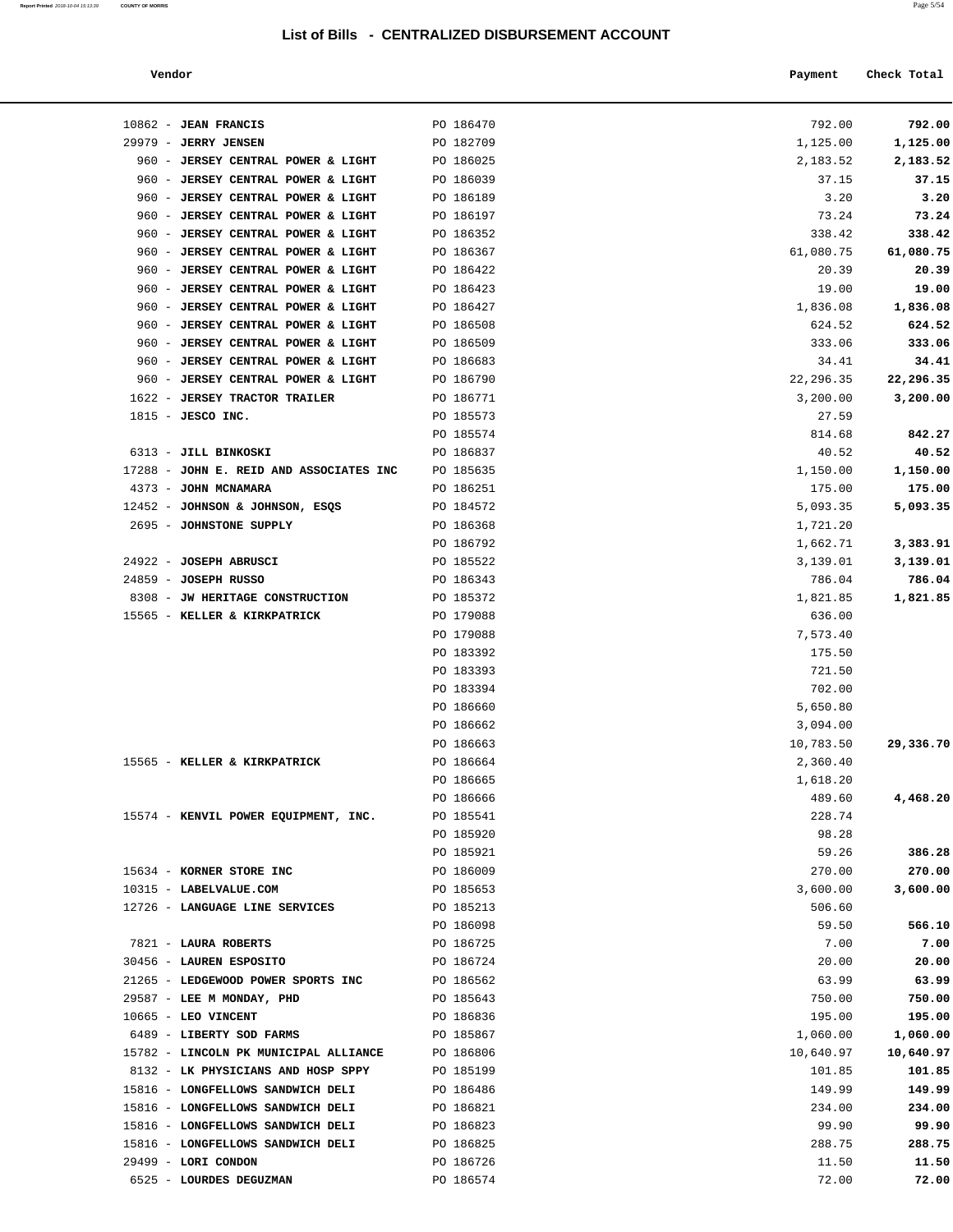#### **Vendor Payment** Check Total

| Report Printed 2018-10-04 15:13:39 COUNTY OF MORRIS | Page 5/54 |
|-----------------------------------------------------|-----------|
|                                                     |           |

| $10862$ - JEAN FRANCIS                                                   | PO 186470              | 792.00             | 792.00             |
|--------------------------------------------------------------------------|------------------------|--------------------|--------------------|
| 29979 - JERRY JENSEN                                                     | PO 182709              | 1,125.00           | 1,125.00           |
| 960 - JERSEY CENTRAL POWER & LIGHT                                       | PO 186025              | 2,183.52           | 2,183.52           |
| 960 - JERSEY CENTRAL POWER & LIGHT                                       | PO 186039              | 37.15              | 37.15              |
| 960 - JERSEY CENTRAL POWER & LIGHT                                       | PO 186189              | 3.20               | 3.20               |
| 960 - JERSEY CENTRAL POWER & LIGHT                                       | PO 186197              | 73.24              | 73.24              |
| 960 - JERSEY CENTRAL POWER & LIGHT                                       | PO 186352              | 338.42             | 338.42             |
| 960 - JERSEY CENTRAL POWER & LIGHT                                       | PO 186367              | 61,080.75          | 61,080.75          |
| 960 - JERSEY CENTRAL POWER & LIGHT                                       | PO 186422              | 20.39              | 20.39              |
| 960 - JERSEY CENTRAL POWER & LIGHT<br>960 - JERSEY CENTRAL POWER & LIGHT | PO 186423              | 19.00              | 19.00              |
| 960 - JERSEY CENTRAL POWER & LIGHT                                       | PO 186427<br>PO 186508 | 1,836.08<br>624.52 | 1,836.08<br>624.52 |
| 960 - JERSEY CENTRAL POWER & LIGHT                                       | PO 186509              | 333.06             | 333.06             |
| 960 - JERSEY CENTRAL POWER & LIGHT                                       | PO 186683              | 34.41              | 34.41              |
| 960 - JERSEY CENTRAL POWER & LIGHT                                       | PO 186790              | 22,296.35          | 22,296.35          |
| 1622 - JERSEY TRACTOR TRAILER                                            | PO 186771              | 3,200.00           | 3,200.00           |
| $1815$ - JESCO INC.                                                      | PO 185573              | 27.59              |                    |
|                                                                          | PO 185574              | 814.68             | 842.27             |
| 6313 - JILL BINKOSKI                                                     | PO 186837              | 40.52              | 40.52              |
| 17288 - JOHN E. REID AND ASSOCIATES INC                                  | PO 185635              | 1,150.00           | 1,150.00           |
| 4373 - JOHN MCNAMARA                                                     | PO 186251              | 175.00             | 175.00             |
| 12452 - JOHNSON & JOHNSON, ESQS                                          | PO 184572              | 5,093.35           | 5,093.35           |
| 2695 - JOHNSTONE SUPPLY                                                  | PO 186368              | 1,721.20           |                    |
|                                                                          | PO 186792              | 1,662.71           | 3,383.91           |
| 24922 - JOSEPH ABRUSCI                                                   | PO 185522              | 3,139.01           | 3,139.01           |
| 24859 - JOSEPH RUSSO                                                     | PO 186343              | 786.04             | 786.04             |
| 8308 - JW HERITAGE CONSTRUCTION                                          | PO 185372              | 1,821.85           | 1,821.85           |
| 15565 - KELLER & KIRKPATRICK                                             | PO 179088              | 636.00             |                    |
|                                                                          | PO 179088<br>PO 183392 | 7,573.40           |                    |
|                                                                          | PO 183393              | 175.50<br>721.50   |                    |
|                                                                          | PO 183394              | 702.00             |                    |
|                                                                          | PO 186660              | 5,650.80           |                    |
|                                                                          | PO 186662              | 3,094.00           |                    |
|                                                                          | PO 186663              | 10,783.50          | 29,336.70          |
| 15565 - KELLER & KIRKPATRICK                                             | PO 186664              | 2,360.40           |                    |
|                                                                          | PO 186665              | 1,618.20           |                    |
|                                                                          | PO 186666              | 489.60             | 4,468.20           |
| 15574 - KENVIL POWER EQUIPMENT, INC.                                     | PO 185541              | 228.74             |                    |
|                                                                          | PO 185920              | 98.28              |                    |
|                                                                          | PO 185921              | 59.26              | 386.28             |
| 15634 - KORNER STORE INC                                                 | PO 186009              | 270.00             | 270.00             |
| 10315 - LABELVALUE.COM                                                   | PO 185653              | 3,600.00           | 3,600.00           |
| 12726 - LANGUAGE LINE SERVICES                                           | PO 185213              | 506.60             |                    |
|                                                                          | PO 186098              | 59.50<br>7.00      | 566.10<br>7.00     |
| 7821 - LAURA ROBERTS<br>30456 - LAUREN ESPOSITO                          | PO 186725<br>PO 186724 | 20.00              | 20.00              |
| 21265 - LEDGEWOOD POWER SPORTS INC                                       | PO 186562              | 63.99              | 63.99              |
| 29587 - LEE M MONDAY, PHD                                                | PO 185643              | 750.00             | 750.00             |
| $10665$ - LEO VINCENT                                                    | PO 186836              | 195.00             | 195.00             |
| 6489 - LIBERTY SOD FARMS                                                 | PO 185867              | 1,060.00           | 1,060.00           |
| 15782 - LINCOLN PK MUNICIPAL ALLIANCE                                    | PO 186806              | 10,640.97          | 10,640.97          |
| 8132 - LK PHYSICIANS AND HOSP SPPY                                       | PO 185199              | 101.85             | 101.85             |
| 15816 - LONGFELLOWS SANDWICH DELI                                        | PO 186486              | 149.99             | 149.99             |
| 15816 - LONGFELLOWS SANDWICH DELI                                        | PO 186821              | 234.00             | 234.00             |
| 15816 - LONGFELLOWS SANDWICH DELI                                        | PO 186823              | 99.90              | 99.90              |
| 15816 - LONGFELLOWS SANDWICH DELI                                        | PO 186825              | 288.75             | 288.75             |
| 29499 - LORI CONDON                                                      | PO 186726              | 11.50              | 11.50              |
| 6525 - LOURDES DEGUZMAN                                                  | PO 186574              | 72.00              | 72.00              |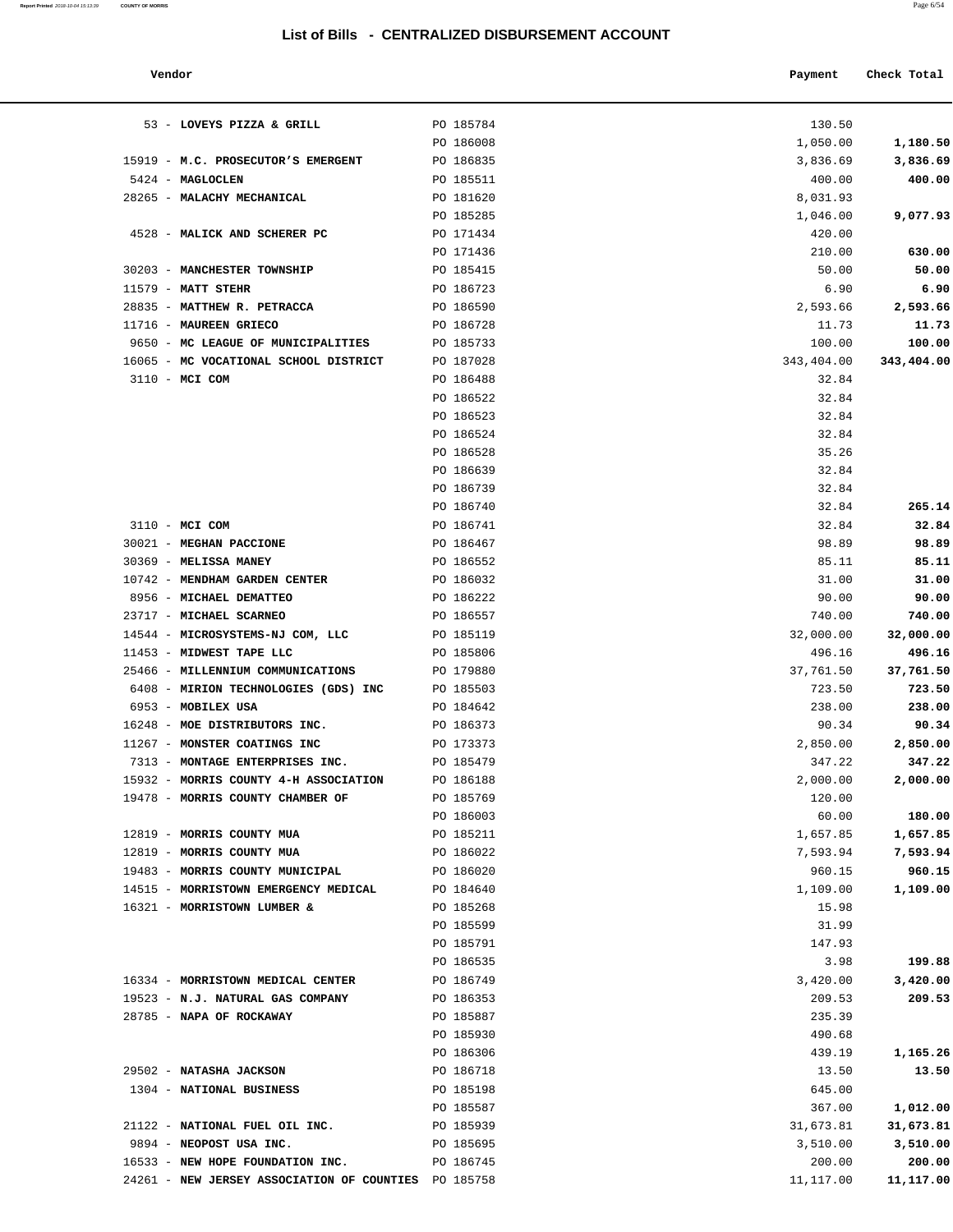| Report Printed 2018-10-04 15:13:39 COUNTY OF MORRIS<br>the contract of the contract of the contract of the contract of the contract of the contract of the contract of | Page $6/54$ |
|------------------------------------------------------------------------------------------------------------------------------------------------------------------------|-------------|
|                                                                                                                                                                        |             |

| Vendor                                            |           | Payment    | Check Total |
|---------------------------------------------------|-----------|------------|-------------|
| 53 - LOVEYS PIZZA & GRILL                         | PO 185784 | 130.50     |             |
|                                                   | PO 186008 | 1,050.00   | 1,180.50    |
| 19 - M.C. PROSECUTOR'S EMERGENT                   | PO 186835 | 3,836.69   | 3,836.69    |
| 24 - MAGLOCLEN                                    | PO 185511 | 400.00     | 400.00      |
| 65 - MALACHY MECHANICAL                           | PO 181620 | 8,031.93   |             |
|                                                   | PO 185285 | 1,046.00   | 9,077.93    |
| 28 - MALICK AND SCHERER PC                        | PO 171434 | 420.00     |             |
|                                                   | PO 171436 | 210.00     | 630.00      |
| 03 - MANCHESTER TOWNSHIP                          | PO 185415 | 50.00      | 50.00       |
| 79 - MATT STEHR                                   | PO 186723 | 6.90       | 6.90        |
| 35 - MATTHEW R. PETRACCA                          | PO 186590 | 2,593.66   | 2,593.66    |
| 16 - MAUREEN GRIECO                               | PO 186728 | 11.73      | 11.73       |
| 50 - MC LEAGUE OF MUNICIPALITIES                  | PO 185733 | 100.00     | 100.00      |
| 65 - MC VOCATIONAL SCHOOL DISTRICT                | PO 187028 | 343,404.00 |             |
| $10 - MCI$ COM                                    |           |            | 343,404.00  |
|                                                   | PO 186488 | 32.84      |             |
|                                                   | PO 186522 | 32.84      |             |
|                                                   | PO 186523 | 32.84      |             |
|                                                   | PO 186524 | 32.84      |             |
|                                                   | PO 186528 | 35.26      |             |
|                                                   | PO 186639 | 32.84      |             |
|                                                   | PO 186739 | 32.84      |             |
|                                                   | PO 186740 | 32.84      | 265.14      |
| 10 - MCI COM                                      | PO 186741 | 32.84      | 32.84       |
| 21 - MEGHAN PACCIONE                              | PO 186467 | 98.89      | 98.89       |
| 69 - MELISSA MANEY                                | PO 186552 | 85.11      | 85.11       |
| 42 - MENDHAM GARDEN CENTER                        | PO 186032 | 31.00      | 31.00       |
| 56 - MICHAEL DEMATTEO                             | PO 186222 | 90.00      | 90.00       |
|                                                   |           |            |             |
| 17 - MICHAEL SCARNEO                              | PO 186557 | 740.00     | 740.00      |
| 44 - MICROSYSTEMS-NJ COM, LLC                     | PO 185119 | 32,000.00  | 32,000.00   |
| 53 - MIDWEST TAPE LLC                             | PO 185806 | 496.16     | 496.16      |
| 66 - MILLENNIUM COMMUNICATIONS                    | PO 179880 | 37,761.50  | 37,761.50   |
| 08 - MIRION TECHNOLOGIES (GDS) INC                | PO 185503 | 723.50     | 723.50      |
| 53 - MOBILEX USA                                  | PO 184642 | 238.00     | 238.00      |
| 48 - MOE DISTRIBUTORS INC.                        | PO 186373 | 90.34      | 90.34       |
| 67 - MONSTER COATINGS INC                         | PO 173373 | 2,850.00   | 2,850.00    |
| 13 - MONTAGE ENTERPRISES INC.                     | PO 185479 | 347.22     | 347.22      |
| 32 - MORRIS COUNTY 4-H ASSOCIATION                | PO 186188 | 2,000.00   | 2,000.00    |
| 78 - MORRIS COUNTY CHAMBER OF                     | PO 185769 | 120.00     |             |
|                                                   | PO 186003 | 60.00      | 180.00      |
| 19 - MORRIS COUNTY MUA                            | PO 185211 | 1,657.85   | 1,657.85    |
| 19 - MORRIS COUNTY MUA                            | PO 186022 | 7,593.94   | 7,593.94    |
| 83 - MORRIS COUNTY MUNICIPAL                      | PO 186020 | 960.15     | 960.15      |
|                                                   |           |            |             |
| 15 - MORRISTOWN EMERGENCY MEDICAL                 | PO 184640 | 1,109.00   | 1,109.00    |
| 21 - MORRISTOWN LUMBER &                          | PO 185268 | 15.98      |             |
|                                                   | PO 185599 | 31.99      |             |
|                                                   | PO 185791 | 147.93     |             |
|                                                   | PO 186535 | 3.98       | 199.88      |
| 34 - MORRISTOWN MEDICAL CENTER                    | PO 186749 | 3,420.00   | 3,420.00    |
| 23 - N.J. NATURAL GAS COMPANY                     | PO 186353 | 209.53     | 209.53      |
| 85 - NAPA OF ROCKAWAY                             | PO 185887 | 235.39     |             |
|                                                   | PO 185930 | 490.68     |             |
|                                                   | PO 186306 | 439.19     | 1,165.26    |
| 02 - NATASHA JACKSON                              | PO 186718 | 13.50      | 13.50       |
| 04 - NATIONAL BUSINESS                            | PO 185198 | 645.00     |             |
|                                                   | PO 185587 | 367.00     | 1,012.00    |
| 22 - NATIONAL FUEL OIL INC.                       | PO 185939 | 31,673.81  | 31,673.81   |
|                                                   |           |            |             |
| 94 - NEOPOST USA INC.                             | PO 185695 | 3,510.00   | 3,510.00    |
| 33 - NEW HOPE FOUNDATION INC.                     | PO 186745 | 200.00     | 200.00      |
| 61 - NEW JERSEY ASSOCIATION OF COUNTIES PO 185758 |           | 11,117.00  | 11,117.00   |

| 53 - LOVEYS PIZZA & GRILL             | PO 185784 | 130.50     |            |
|---------------------------------------|-----------|------------|------------|
|                                       | PO 186008 | 1,050.00   | 1,180.50   |
| 15919 - M.C. PROSECUTOR'S EMERGENT    | PO 186835 | 3,836.69   | 3,836.69   |
| 5424 - MAGLOCLEN                      | PO 185511 | 400.00     | 400.00     |
| 28265 - MALACHY MECHANICAL            | PO 181620 | 8,031.93   |            |
|                                       | PO 185285 | 1,046.00   | 9,077.93   |
| 4528 - MALICK AND SCHERER PC          | PO 171434 | 420.00     |            |
|                                       | PO 171436 | 210.00     | 630.00     |
| 30203 - MANCHESTER TOWNSHIP           | PO 185415 | 50.00      | 50.00      |
| $11579$ - MATT STEHR                  | PO 186723 | 6.90       | 6.90       |
| 28835 - MATTHEW R. PETRACCA           | PO 186590 | 2,593.66   | 2,593.66   |
| 11716 - MAUREEN GRIECO                | PO 186728 | 11.73      | 11.73      |
| 9650 - MC LEAGUE OF MUNICIPALITIES    | PO 185733 | 100.00     | 100.00     |
| 16065 - MC VOCATIONAL SCHOOL DISTRICT | PO 187028 | 343,404.00 | 343,404.00 |
| 3110 - MCI COM                        | PO 186488 | 32.84      |            |
|                                       | PO 186522 | 32.84      |            |
|                                       | PO 186523 | 32.84      |            |
|                                       | PO 186524 | 32.84      |            |
|                                       | PO 186528 | 35.26      |            |
|                                       | PO 186639 | 32.84      |            |
|                                       | PO 186739 | 32.84      |            |
|                                       | PO 186740 | 32.84      | 265.14     |
| 3110 - MCI COM                        | PO 186741 | 32.84      | 32.84      |
| 30021 - MEGHAN PACCIONE               | PO 186467 | 98.89      | 98.89      |
| 30369 - MELISSA MANEY                 | PO 186552 | 85.11      | 85.11      |
| 10742 - MENDHAM GARDEN CENTER         | PO 186032 | 31.00      | 31.00      |
| 8956 - MICHAEL DEMATTEO               | PO 186222 | 90.00      | 90.00      |
| 23717 - MICHAEL SCARNEO               | PO 186557 | 740.00     | 740.00     |
| 14544 - MICROSYSTEMS-NJ COM, LLC      | PO 185119 | 32,000.00  | 32,000.00  |
| 11453 - MIDWEST TAPE LLC              | PO 185806 | 496.16     | 496.16     |
| 25466 - MILLENNIUM COMMUNICATIONS     | PO 179880 | 37,761.50  | 37,761.50  |
| 6408 - MIRION TECHNOLOGIES (GDS) INC  | PO 185503 | 723.50     | 723.50     |
| 6953 - MOBILEX USA                    | PO 184642 | 238.00     | 238.00     |
| 16248 - MOE DISTRIBUTORS INC.         | PO 186373 | 90.34      | 90.34      |
| 11267 - MONSTER COATINGS INC          | PO 173373 | 2,850.00   | 2,850.00   |
| 7313 - MONTAGE ENTERPRISES INC.       | PO 185479 | 347.22     | 347.22     |
| 15932 - MORRIS COUNTY 4-H ASSOCIATION | PO 186188 | 2,000.00   | 2,000.00   |
| 19478 - MORRIS COUNTY CHAMBER OF      | PO 185769 | 120.00     |            |
|                                       | PO 186003 | 60.00      | 180.00     |
| 12819 - MORRIS COUNTY MUA             | PO 185211 | 1,657.85   | 1,657.85   |
| 12819 - MORRIS COUNTY MUA             | PO 186022 | 7,593.94   | 7,593.94   |
| 19483 - MORRIS COUNTY MUNICIPAL       | PO 186020 | 960.15     | 960.15     |
| 14515 - MORRISTOWN EMERGENCY MEDICAL  | PO 184640 | 1,109.00   | 1,109.00   |
| 16321 - MORRISTOWN LUMBER &           | PO 185268 | 15.98      |            |
|                                       | PO 185599 | 31.99      |            |
|                                       | PO 185791 | 147.93     |            |
|                                       | PO 186535 | 3.98       | 199.88     |
| 16334 - MORRISTOWN MEDICAL CENTER     | PO 186749 | 3,420.00   | 3,420.00   |
| 19523 - N.J. NATURAL GAS COMPANY      | PO 186353 | 209.53     | 209.53     |
| 28785 - NAPA OF ROCKAWAY              | PO 185887 | 235.39     |            |
|                                       | PO 185930 | 490.68     |            |
|                                       | PO 186306 | 439.19     | 1,165.26   |
| 29502 - NATASHA JACKSON               | PO 186718 | 13.50      | 13.50      |
| 1304 - NATIONAL BUSINESS              | PO 185198 | 645.00     |            |
|                                       | PO 185587 | 367.00     | 1,012.00   |
| 21122 - NATIONAL FUEL OIL INC.        | PO 185939 | 31,673.81  | 31,673.81  |
| 9894 - NEOPOST USA INC.               | PO 185695 | 3,510.00   | 3,510.00   |
| 16533 - NEW HOPE FOUNDATION INC.      | PO 186745 | 200.00     | 200.00     |
|                                       |           |            |            |

24261 - **NEW JERSEY ASSOCIATION OF COUNTIES** PO 185758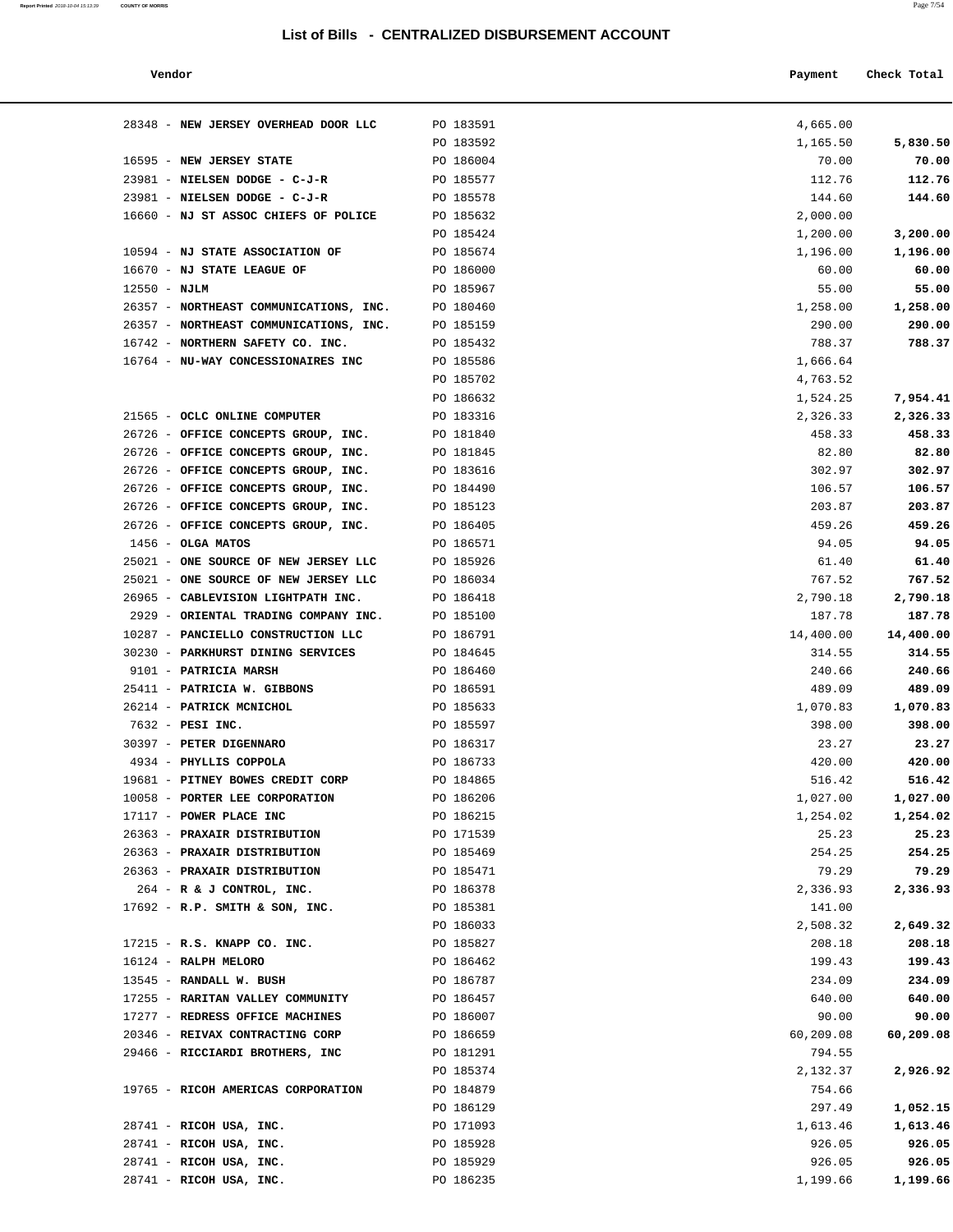**Report Printed** 2018-10-04 15:13:39 **COUNTY OF MORRIS** Page 7/54

| Vendor                              |           | Payment  | Check Total |
|-------------------------------------|-----------|----------|-------------|
| 48 - NEW JERSEY OVERHEAD DOOR LLC   | PO 183591 | 4,665.00 |             |
|                                     | PO 183592 | 1,165.50 | 5,830.50    |
| 95 - NEW JERSEY STATE               | PO 186004 | 70.00    | 70.00       |
| 81 - NIELSEN DODGE - C-J-R          | PO 185577 | 112.76   | 112.76      |
| 81 - NIELSEN DODGE - C-J-R          | PO 185578 | 144.60   | 144.60      |
| 60 - NJ ST ASSOC CHIEFS OF POLICE   | PO 185632 | 2,000.00 |             |
|                                     | PO 185424 | 1,200.00 | 3,200.00    |
| 94 - NJ STATE ASSOCIATION OF        | PO 185674 | 1,196.00 | 1,196.00    |
| 70 - NJ STATE LEAGUE OF             | PO 186000 | 60.00    | 60.00       |
| 50 - NJLM                           | PO 185967 | 55.00    | 55.00       |
| 57 - NORTHEAST COMMUNICATIONS, INC. | PO 180460 | 1,258.00 | 1,258.00    |
| 57 - NORTHEAST COMMUNICATIONS, INC. | PO 185159 | 290.00   | 290.00      |
| 42 - NORTHERN SAFETY CO. INC.       | PO 185432 | 788.37   | 788.37      |
| 64 - NU-WAY CONCESSIONAIRES INC     | PO 185586 | 1,666.64 |             |
|                                     |           |          |             |

| 28348 - NEW JERSEY OVERHEAD DOOR LLC                               | PO 183591              | 4,665.00             |                      |
|--------------------------------------------------------------------|------------------------|----------------------|----------------------|
|                                                                    | PO 183592              | 1,165.50             | 5,830.50             |
| 16595 - NEW JERSEY STATE                                           | PO 186004              | 70.00                | 70.00                |
| 23981 - NIELSEN DODGE - C-J-R                                      | PO 185577              | 112.76               | 112.76               |
| 23981 - NIELSEN DODGE - C-J-R                                      | PO 185578              | 144.60               | 144.60               |
| 16660 - NJ ST ASSOC CHIEFS OF POLICE PO 185632                     |                        | 2,000.00             |                      |
|                                                                    | PO 185424              | 1,200.00             | 3,200.00             |
| 10594 - NJ STATE ASSOCIATION OF                                    | PO 185674              | 1,196.00             | 1,196.00             |
| 16670 - NJ STATE LEAGUE OF                                         | PO 186000              | 60.00                | 60.00                |
| $12550 - NJLM$                                                     | PO 185967              | 55.00                | 55.00                |
| 26357 - NORTHEAST COMMUNICATIONS, INC.                             | PO 180460              | 1,258.00             | 1,258.00             |
| 26357 - NORTHEAST COMMUNICATIONS, INC. PO 185159                   |                        | 290.00               | 290.00               |
| 16742 - NORTHERN SAFETY CO. INC.                                   | PO 185432              | 788.37               | 788.37               |
| 16764 - NU-WAY CONCESSIONAIRES INC PO 185586                       | PO 185702              | 1,666.64<br>4,763.52 |                      |
|                                                                    | PO 186632              | 1,524.25             | 7,954.41             |
| 21565 - OCLC ONLINE COMPUTER                                       | PO 183316              | 2,326.33             | 2,326.33             |
| 26726 - OFFICE CONCEPTS GROUP, INC.                                | PO 181840              | 458.33               | 458.33               |
| 26726 - OFFICE CONCEPTS GROUP, INC.                                | PO 181845              | 82.80                | 82.80                |
| 26726 - OFFICE CONCEPTS GROUP, INC.                                | PO 183616              | 302.97               | 302.97               |
| 26726 - OFFICE CONCEPTS GROUP, INC.                                | PO 184490              | 106.57               | 106.57               |
| 26726 - OFFICE CONCEPTS GROUP, INC.                                | PO 185123              | 203.87               | 203.87               |
| 26726 - OFFICE CONCEPTS GROUP, INC.                                | PO 186405              | 459.26               | 459.26               |
| $1456 - OLGA$ MATOS                                                | PO 186571              | 94.05                | 94.05                |
| 25021 - ONE SOURCE OF NEW JERSEY LLC                               | PO 185926              | 61.40                | 61.40                |
| 25021 - ONE SOURCE OF NEW JERSEY LLC                               | PO 186034              | 767.52               | 767.52               |
| 26965 - CABLEVISION LIGHTPATH INC.                                 | PO 186418              | 2,790.18             | 2,790.18             |
| 2929 - ORIENTAL TRADING COMPANY INC.                               | PO 185100              | 187.78               | 187.78               |
| 10287 - PANCIELLO CONSTRUCTION LLC                                 | PO 186791              | 14,400.00            | 14,400.00            |
| 30230 - PARKHURST DINING SERVICES                                  | PO 184645              | 314.55               | 314.55               |
| 9101 - PATRICIA MARSH                                              | PO 186460              | 240.66               | 240.66               |
| 25411 - PATRICIA W. GIBBONS                                        | PO 186591              | 489.09               | 489.09               |
| 26214 - PATRICK MCNICHOL                                           | PO 185633              | 1,070.83             | 1,070.83             |
| 7632 - PESI INC.                                                   | PO 185597              | 398.00               | 398.00               |
| 30397 - PETER DIGENNARO                                            | PO 186317              | 23.27                | 23.27                |
| 4934 - PHYLLIS COPPOLA                                             | PO 186733              | 420.00               | 420.00               |
| 19681 - PITNEY BOWES CREDIT CORP<br>10058 - PORTER LEE CORPORATION | PO 184865<br>PO 186206 | 516.42               | 516.42               |
| 17117 - POWER PLACE INC                                            | PO 186215              | 1,027.00<br>1,254.02 | 1,027.00<br>1,254.02 |
| 26363 - PRAXAIR DISTRIBUTION                                       | PO 171539              | 25.23                | 25.23                |
| 26363 - PRAXAIR DISTRIBUTION                                       | PO 185469              | 254.25               | 254.25               |
| 26363 - PRAXAIR DISTRIBUTION                                       | PO 185471              | 79.29                | 79.29                |
| 264 - R & J CONTROL, INC.                                          | PO 186378              | 2,336.93             | 2,336.93             |
| 17692 - R.P. SMITH & SON, INC.                                     | PO 185381              | 141.00               |                      |
|                                                                    | PO 186033              | 2,508.32             | 2,649.32             |
| 17215 - R.S. KNAPP CO. INC.                                        | PO 185827              | 208.18               | 208.18               |
| 16124 - RALPH MELORO                                               | PO 186462              | 199.43               | 199.43               |
| 13545 - RANDALL W. BUSH                                            | PO 186787              | 234.09               | 234.09               |
| 17255 - RARITAN VALLEY COMMUNITY                                   | PO 186457              | 640.00               | 640.00               |
| 17277 - REDRESS OFFICE MACHINES                                    | PO 186007              | 90.00                | 90.00                |
| 20346 - REIVAX CONTRACTING CORP                                    | PO 186659              | 60,209.08            | 60,209.08            |
| 29466 - RICCIARDI BROTHERS, INC                                    | PO 181291              | 794.55               |                      |
|                                                                    | PO 185374              | 2,132.37             | 2,926.92             |
| 19765 - RICOH AMERICAS CORPORATION                                 | PO 184879              | 754.66               |                      |
|                                                                    | PO 186129              | 297.49               | 1,052.15             |
| 28741 - RICOH USA, INC.                                            | PO 171093              | 1,613.46             | 1,613.46             |
| 28741 - RICOH USA, INC.                                            | PO 185928              | 926.05               | 926.05               |
| 28741 - RICOH USA, INC.                                            | PO 185929              | 926.05               | 926.05               |
| 28741 - RICOH USA, INC.                                            | PO 186235              | 1,199.66             | 1,199.66             |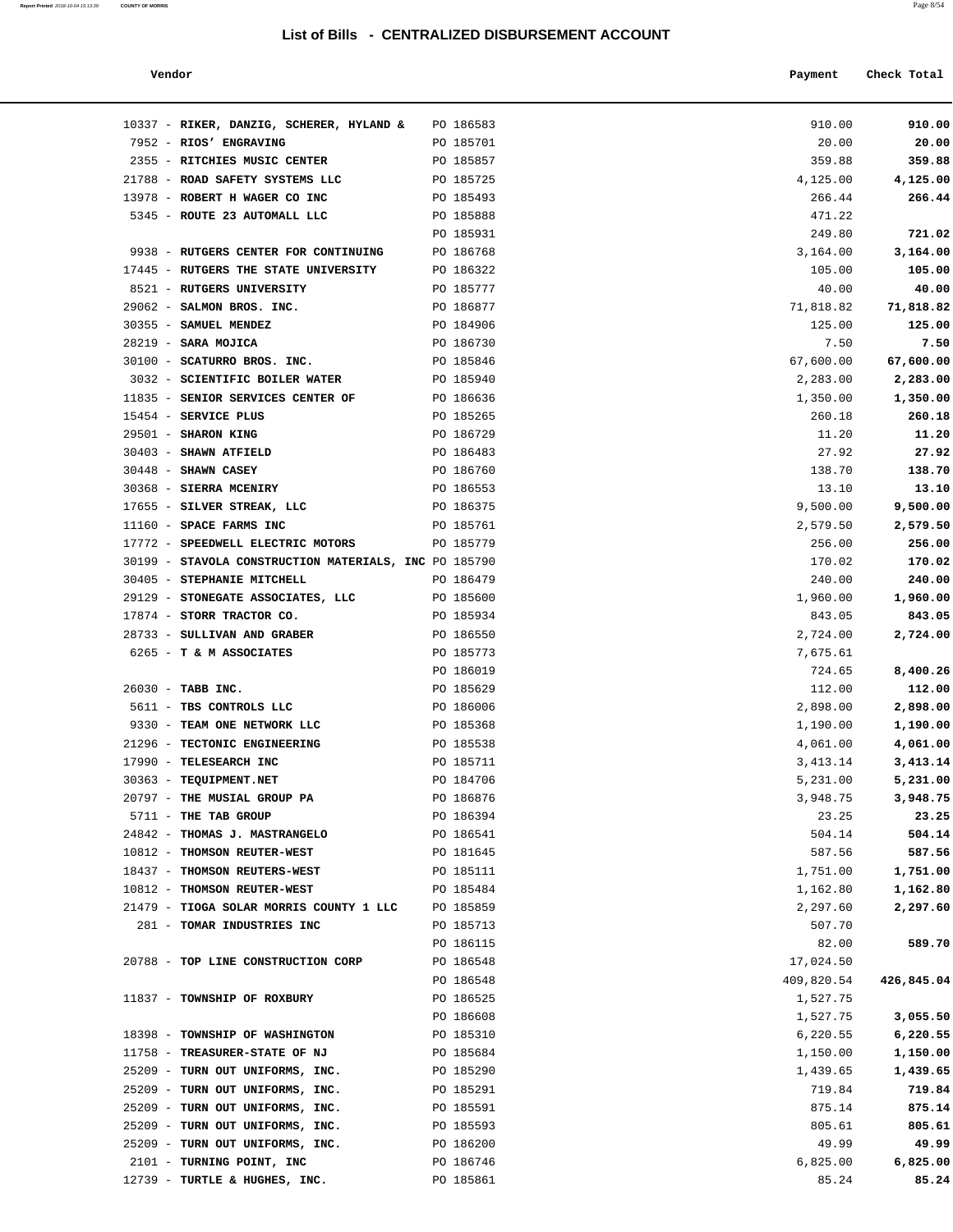#### **Vendor Payment Check Total**

| Report Printed 2018-10-04 15:13:39 | <b>COUNTY OF MORRIS</b> |  |  | Page 8/54 |
|------------------------------------|-------------------------|--|--|-----------|
|                                    |                         |  |  |           |

| 10337 - RIKER, DANZIG, SCHERER, HYLAND &              | PO 186583 |  |  |  |  |  |  |  |  |  |  |  |  |  |  |  |  |  |  |  |  |  |  |  |  |  |  |            |  | 910.00    |  |  |  |  | 910.00     |  |
|-------------------------------------------------------|-----------|--|--|--|--|--|--|--|--|--|--|--|--|--|--|--|--|--|--|--|--|--|--|--|--|--|--|------------|--|-----------|--|--|--|--|------------|--|
| 7952 - RIOS' ENGRAVING                                | PO 185701 |  |  |  |  |  |  |  |  |  |  |  |  |  |  |  |  |  |  |  |  |  |  |  |  |  |  |            |  | 20.00     |  |  |  |  | 20.00      |  |
| 2355 - RITCHIES MUSIC CENTER                          | PO 185857 |  |  |  |  |  |  |  |  |  |  |  |  |  |  |  |  |  |  |  |  |  |  |  |  |  |  |            |  | 359.88    |  |  |  |  | 359.88     |  |
| 21788 - ROAD SAFETY SYSTEMS LLC                       | PO 185725 |  |  |  |  |  |  |  |  |  |  |  |  |  |  |  |  |  |  |  |  |  |  |  |  |  |  |            |  | 4,125.00  |  |  |  |  | 4,125.00   |  |
| 13978 - ROBERT H WAGER CO INC                         | PO 185493 |  |  |  |  |  |  |  |  |  |  |  |  |  |  |  |  |  |  |  |  |  |  |  |  |  |  |            |  | 266.44    |  |  |  |  | 266.44     |  |
| 5345 - ROUTE 23 AUTOMALL LLC                          | PO 185888 |  |  |  |  |  |  |  |  |  |  |  |  |  |  |  |  |  |  |  |  |  |  |  |  |  |  |            |  | 471.22    |  |  |  |  |            |  |
|                                                       | PO 185931 |  |  |  |  |  |  |  |  |  |  |  |  |  |  |  |  |  |  |  |  |  |  |  |  |  |  |            |  | 249.80    |  |  |  |  | 721.02     |  |
| 9938 - RUTGERS CENTER FOR CONTINUING                  | PO 186768 |  |  |  |  |  |  |  |  |  |  |  |  |  |  |  |  |  |  |  |  |  |  |  |  |  |  |            |  | 3,164.00  |  |  |  |  | 3,164.00   |  |
| 17445 - RUTGERS THE STATE UNIVERSITY                  | PO 186322 |  |  |  |  |  |  |  |  |  |  |  |  |  |  |  |  |  |  |  |  |  |  |  |  |  |  |            |  | 105.00    |  |  |  |  | 105.00     |  |
| 8521 - RUTGERS UNIVERSITY                             | PO 185777 |  |  |  |  |  |  |  |  |  |  |  |  |  |  |  |  |  |  |  |  |  |  |  |  |  |  |            |  | 40.00     |  |  |  |  | 40.00      |  |
| 29062 - SALMON BROS. INC.                             | PO 186877 |  |  |  |  |  |  |  |  |  |  |  |  |  |  |  |  |  |  |  |  |  |  |  |  |  |  |            |  | 71,818.82 |  |  |  |  | 71,818.82  |  |
| 30355 - SAMUEL MENDEZ                                 | PO 184906 |  |  |  |  |  |  |  |  |  |  |  |  |  |  |  |  |  |  |  |  |  |  |  |  |  |  |            |  | 125.00    |  |  |  |  | 125.00     |  |
| 28219 - SARA MOJICA                                   | PO 186730 |  |  |  |  |  |  |  |  |  |  |  |  |  |  |  |  |  |  |  |  |  |  |  |  |  |  |            |  | 7.50      |  |  |  |  | 7.50       |  |
| 30100 - SCATURRO BROS. INC.                           | PO 185846 |  |  |  |  |  |  |  |  |  |  |  |  |  |  |  |  |  |  |  |  |  |  |  |  |  |  |            |  | 67,600.00 |  |  |  |  | 67,600.00  |  |
| 3032 - SCIENTIFIC BOILER WATER                        | PO 185940 |  |  |  |  |  |  |  |  |  |  |  |  |  |  |  |  |  |  |  |  |  |  |  |  |  |  |            |  | 2,283.00  |  |  |  |  | 2,283.00   |  |
| 11835 - SENIOR SERVICES CENTER OF                     | PO 186636 |  |  |  |  |  |  |  |  |  |  |  |  |  |  |  |  |  |  |  |  |  |  |  |  |  |  |            |  | 1,350.00  |  |  |  |  | 1,350.00   |  |
| 15454 - SERVICE PLUS                                  | PO 185265 |  |  |  |  |  |  |  |  |  |  |  |  |  |  |  |  |  |  |  |  |  |  |  |  |  |  |            |  | 260.18    |  |  |  |  | 260.18     |  |
| 29501 - SHARON KING                                   | PO 186729 |  |  |  |  |  |  |  |  |  |  |  |  |  |  |  |  |  |  |  |  |  |  |  |  |  |  |            |  | 11.20     |  |  |  |  | 11.20      |  |
| $30403$ - SHAWN ATFIELD                               | PO 186483 |  |  |  |  |  |  |  |  |  |  |  |  |  |  |  |  |  |  |  |  |  |  |  |  |  |  |            |  | 27.92     |  |  |  |  | 27.92      |  |
| $30448$ - SHAWN CASEY                                 | PO 186760 |  |  |  |  |  |  |  |  |  |  |  |  |  |  |  |  |  |  |  |  |  |  |  |  |  |  |            |  | 138.70    |  |  |  |  | 138.70     |  |
| 30368 - SIERRA MCENIRY                                | PO 186553 |  |  |  |  |  |  |  |  |  |  |  |  |  |  |  |  |  |  |  |  |  |  |  |  |  |  |            |  | 13.10     |  |  |  |  | 13.10      |  |
| 17655 - SILVER STREAK, LLC                            | PO 186375 |  |  |  |  |  |  |  |  |  |  |  |  |  |  |  |  |  |  |  |  |  |  |  |  |  |  |            |  | 9,500.00  |  |  |  |  | 9,500.00   |  |
| 11160 - SPACE FARMS INC                               | PO 185761 |  |  |  |  |  |  |  |  |  |  |  |  |  |  |  |  |  |  |  |  |  |  |  |  |  |  |            |  | 2,579.50  |  |  |  |  | 2,579.50   |  |
| 17772 - SPEEDWELL ELECTRIC MOTORS                     | PO 185779 |  |  |  |  |  |  |  |  |  |  |  |  |  |  |  |  |  |  |  |  |  |  |  |  |  |  |            |  | 256.00    |  |  |  |  | 256.00     |  |
| 30199 - STAVOLA CONSTRUCTION MATERIALS, INC PO 185790 |           |  |  |  |  |  |  |  |  |  |  |  |  |  |  |  |  |  |  |  |  |  |  |  |  |  |  |            |  | 170.02    |  |  |  |  | 170.02     |  |
| 30405 - STEPHANIE MITCHELL                            | PO 186479 |  |  |  |  |  |  |  |  |  |  |  |  |  |  |  |  |  |  |  |  |  |  |  |  |  |  |            |  | 240.00    |  |  |  |  | 240.00     |  |
| 29129 - STONEGATE ASSOCIATES, LLC PO 185600           |           |  |  |  |  |  |  |  |  |  |  |  |  |  |  |  |  |  |  |  |  |  |  |  |  |  |  |            |  | 1,960.00  |  |  |  |  | 1,960.00   |  |
| 17874 - STORR TRACTOR CO.                             | PO 185934 |  |  |  |  |  |  |  |  |  |  |  |  |  |  |  |  |  |  |  |  |  |  |  |  |  |  |            |  | 843.05    |  |  |  |  | 843.05     |  |
| 28733 - SULLIVAN AND GRABER                           | PO 186550 |  |  |  |  |  |  |  |  |  |  |  |  |  |  |  |  |  |  |  |  |  |  |  |  |  |  |            |  | 2,724.00  |  |  |  |  | 2,724.00   |  |
| $6265$ - T & M ASSOCIATES                             | PO 185773 |  |  |  |  |  |  |  |  |  |  |  |  |  |  |  |  |  |  |  |  |  |  |  |  |  |  |            |  | 7,675.61  |  |  |  |  |            |  |
|                                                       | PO 186019 |  |  |  |  |  |  |  |  |  |  |  |  |  |  |  |  |  |  |  |  |  |  |  |  |  |  |            |  | 724.65    |  |  |  |  | 8,400.26   |  |
| 26030 - TABB INC.                                     | PO 185629 |  |  |  |  |  |  |  |  |  |  |  |  |  |  |  |  |  |  |  |  |  |  |  |  |  |  |            |  | 112.00    |  |  |  |  | 112.00     |  |
| 5611 - TBS CONTROLS LLC                               | PO 186006 |  |  |  |  |  |  |  |  |  |  |  |  |  |  |  |  |  |  |  |  |  |  |  |  |  |  |            |  | 2,898.00  |  |  |  |  | 2,898.00   |  |
| 9330 - TEAM ONE NETWORK LLC                           | PO 185368 |  |  |  |  |  |  |  |  |  |  |  |  |  |  |  |  |  |  |  |  |  |  |  |  |  |  |            |  | 1,190.00  |  |  |  |  | 1,190.00   |  |
| 21296 - TECTONIC ENGINEERING                          | PO 185538 |  |  |  |  |  |  |  |  |  |  |  |  |  |  |  |  |  |  |  |  |  |  |  |  |  |  |            |  | 4,061.00  |  |  |  |  | 4,061.00   |  |
| 17990 - TELESEARCH INC                                | PO 185711 |  |  |  |  |  |  |  |  |  |  |  |  |  |  |  |  |  |  |  |  |  |  |  |  |  |  |            |  | 3,413.14  |  |  |  |  | 3,413.14   |  |
| 30363 - TEQUIPMENT.NET                                | PO 184706 |  |  |  |  |  |  |  |  |  |  |  |  |  |  |  |  |  |  |  |  |  |  |  |  |  |  |            |  | 5,231.00  |  |  |  |  | 5,231.00   |  |
| 20797 - THE MUSIAL GROUP PA                           | PO 186876 |  |  |  |  |  |  |  |  |  |  |  |  |  |  |  |  |  |  |  |  |  |  |  |  |  |  |            |  | 3,948.75  |  |  |  |  | 3,948.75   |  |
| 5711 - THE TAB GROUP                                  | PO 186394 |  |  |  |  |  |  |  |  |  |  |  |  |  |  |  |  |  |  |  |  |  |  |  |  |  |  |            |  | 23.25     |  |  |  |  | 23.25      |  |
| 24842 - THOMAS J. MASTRANGELO                         | PO 186541 |  |  |  |  |  |  |  |  |  |  |  |  |  |  |  |  |  |  |  |  |  |  |  |  |  |  |            |  | 504.14    |  |  |  |  | 504.14     |  |
| 10812 - THOMSON REUTER-WEST                           | PO 181645 |  |  |  |  |  |  |  |  |  |  |  |  |  |  |  |  |  |  |  |  |  |  |  |  |  |  |            |  | 587.56    |  |  |  |  | 587.56     |  |
| 18437 - THOMSON REUTERS-WEST                          | PO 185111 |  |  |  |  |  |  |  |  |  |  |  |  |  |  |  |  |  |  |  |  |  |  |  |  |  |  |            |  | 1,751.00  |  |  |  |  | 1,751.00   |  |
| 10812 - THOMSON REUTER-WEST                           | PO 185484 |  |  |  |  |  |  |  |  |  |  |  |  |  |  |  |  |  |  |  |  |  |  |  |  |  |  |            |  | 1,162.80  |  |  |  |  | 1,162.80   |  |
| 21479 - TIOGA SOLAR MORRIS COUNTY 1 LLC PO 185859     |           |  |  |  |  |  |  |  |  |  |  |  |  |  |  |  |  |  |  |  |  |  |  |  |  |  |  |            |  | 2,297.60  |  |  |  |  | 2,297.60   |  |
| 281 - TOMAR INDUSTRIES INC                            | PO 185713 |  |  |  |  |  |  |  |  |  |  |  |  |  |  |  |  |  |  |  |  |  |  |  |  |  |  |            |  | 507.70    |  |  |  |  |            |  |
|                                                       | PO 186115 |  |  |  |  |  |  |  |  |  |  |  |  |  |  |  |  |  |  |  |  |  |  |  |  |  |  |            |  | 82.00     |  |  |  |  | 589.70     |  |
| 20788 - TOP LINE CONSTRUCTION CORP                    | PO 186548 |  |  |  |  |  |  |  |  |  |  |  |  |  |  |  |  |  |  |  |  |  |  |  |  |  |  |            |  | 17,024.50 |  |  |  |  |            |  |
|                                                       | PO 186548 |  |  |  |  |  |  |  |  |  |  |  |  |  |  |  |  |  |  |  |  |  |  |  |  |  |  | 409,820.54 |  |           |  |  |  |  | 426,845.04 |  |
| 11837 - TOWNSHIP OF ROXBURY                           | PO 186525 |  |  |  |  |  |  |  |  |  |  |  |  |  |  |  |  |  |  |  |  |  |  |  |  |  |  |            |  | 1,527.75  |  |  |  |  |            |  |
|                                                       | PO 186608 |  |  |  |  |  |  |  |  |  |  |  |  |  |  |  |  |  |  |  |  |  |  |  |  |  |  |            |  | 1,527.75  |  |  |  |  | 3,055.50   |  |
| 18398 - TOWNSHIP OF WASHINGTON                        | PO 185310 |  |  |  |  |  |  |  |  |  |  |  |  |  |  |  |  |  |  |  |  |  |  |  |  |  |  |            |  | 6,220.55  |  |  |  |  | 6,220.55   |  |
| 11758 - TREASURER-STATE OF NJ                         | PO 185684 |  |  |  |  |  |  |  |  |  |  |  |  |  |  |  |  |  |  |  |  |  |  |  |  |  |  |            |  | 1,150.00  |  |  |  |  | 1,150.00   |  |
| 25209 - TURN OUT UNIFORMS, INC.                       | PO 185290 |  |  |  |  |  |  |  |  |  |  |  |  |  |  |  |  |  |  |  |  |  |  |  |  |  |  |            |  | 1,439.65  |  |  |  |  | 1,439.65   |  |
| 25209 - TURN OUT UNIFORMS, INC.                       | PO 185291 |  |  |  |  |  |  |  |  |  |  |  |  |  |  |  |  |  |  |  |  |  |  |  |  |  |  |            |  | 719.84    |  |  |  |  | 719.84     |  |
| 25209 - TURN OUT UNIFORMS, INC.                       | PO 185591 |  |  |  |  |  |  |  |  |  |  |  |  |  |  |  |  |  |  |  |  |  |  |  |  |  |  |            |  | 875.14    |  |  |  |  | 875.14     |  |
| 25209 - TURN OUT UNIFORMS, INC.                       | PO 185593 |  |  |  |  |  |  |  |  |  |  |  |  |  |  |  |  |  |  |  |  |  |  |  |  |  |  |            |  | 805.61    |  |  |  |  | 805.61     |  |
| 25209 - TURN OUT UNIFORMS, INC.                       | PO 186200 |  |  |  |  |  |  |  |  |  |  |  |  |  |  |  |  |  |  |  |  |  |  |  |  |  |  |            |  | 49.99     |  |  |  |  | 49.99      |  |
| 2101 - TURNING POINT, INC                             | PO 186746 |  |  |  |  |  |  |  |  |  |  |  |  |  |  |  |  |  |  |  |  |  |  |  |  |  |  |            |  | 6,825.00  |  |  |  |  | 6,825.00   |  |
|                                                       |           |  |  |  |  |  |  |  |  |  |  |  |  |  |  |  |  |  |  |  |  |  |  |  |  |  |  |            |  |           |  |  |  |  |            |  |

12739 - **TURTLE & HUGHES, INC. PO 185861 85.24 85.24 85.24**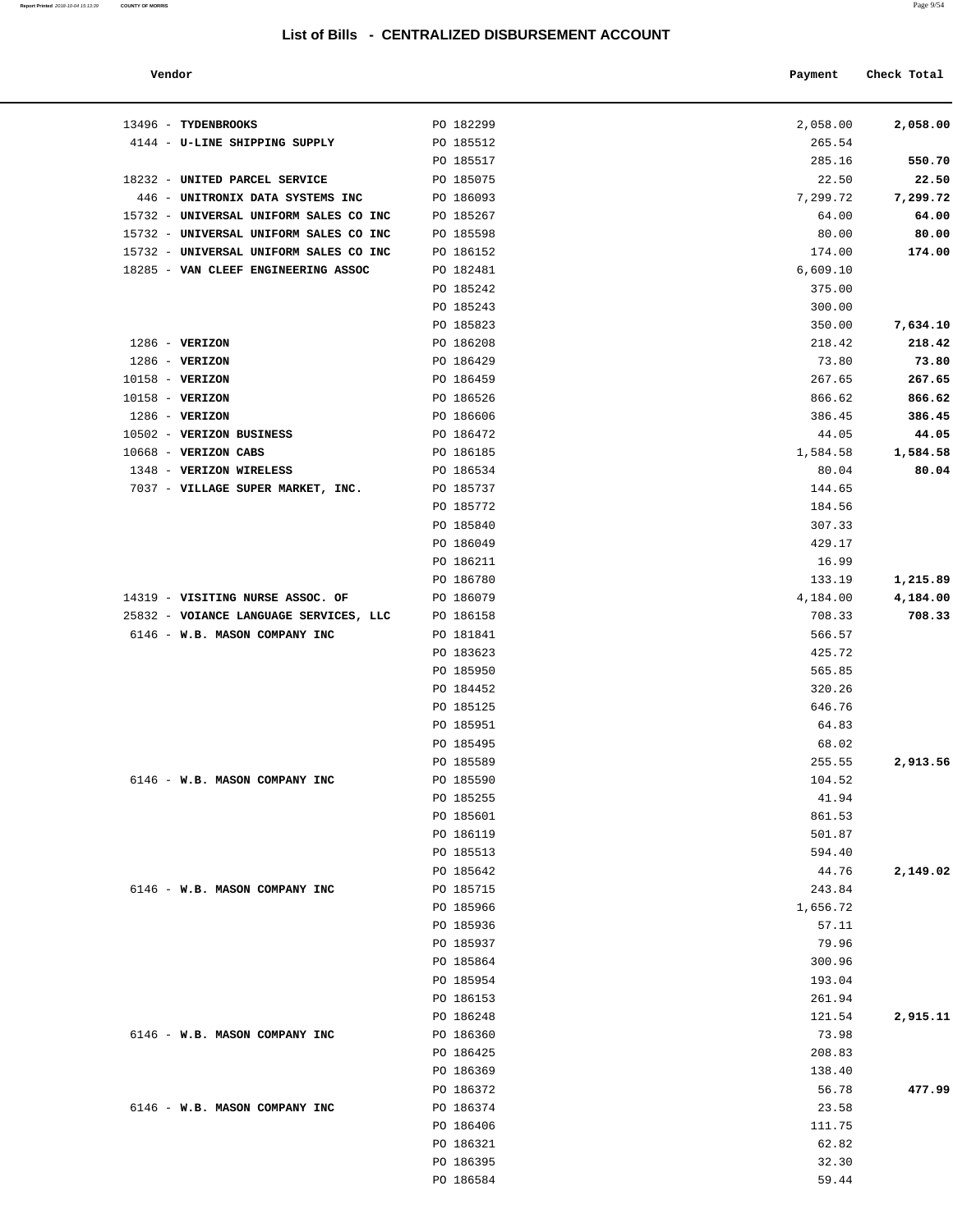| Vendor                                 |           | Payment  | Check Total |
|----------------------------------------|-----------|----------|-------------|
| 13496 - TYDENBROOKS                    | PO 182299 | 2,058.00 | 2,058.00    |
| 4144 - U-LINE SHIPPING SUPPLY          | PO 185512 | 265.54   |             |
|                                        | PO 185517 | 285.16   | 550.70      |
| 18232 - UNITED PARCEL SERVICE          | PO 185075 | 22.50    | 22.50       |
| 446 - UNITRONIX DATA SYSTEMS INC       | PO 186093 | 7,299.72 | 7,299.72    |
| 15732 - UNIVERSAL UNIFORM SALES CO INC | PO 185267 | 64.00    | 64.00       |
| 15732 - UNIVERSAL UNIFORM SALES CO INC | PO 185598 | 80.00    | 80.00       |
| 15732 - UNIVERSAL UNIFORM SALES CO INC | PO 186152 | 174.00   | 174.00      |
| 18285 - VAN CLEEF ENGINEERING ASSOC    | PO 182481 | 6,609.10 |             |
|                                        | PO 185242 | 375.00   |             |
|                                        | PO 185243 | 300.00   |             |
|                                        | PO 185823 | 350.00   | 7,634.10    |
| $1286$ - VERIZON                       | PO 186208 | 218.42   | 218.42      |
| $1286$ - VERIZON                       | PO 186429 | 73.80    | 73.80       |
| 10158 - VERIZON                        | PO 186459 | 267.65   | 267.65      |
| 10158 - VERIZON                        | PO 186526 | 866.62   | 866.62      |
| $1286$ - VERIZON                       | PO 186606 | 386.45   | 386.45      |
| 10502 - VERIZON BUSINESS               | PO 186472 | 44.05    | 44.05       |
| $10668$ - VERIZON CABS                 | PO 186185 | 1,584.58 | 1,584.58    |
| 1348 - VERIZON WIRELESS                | PO 186534 | 80.04    | 80.04       |
| 7037 - VILLAGE SUPER MARKET, INC.      | PO 185737 | 144.65   |             |
|                                        | PO 185772 | 184.56   |             |
|                                        | PO 185840 | 307.33   |             |
|                                        | PO 186049 | 429.17   |             |
|                                        | PO 186211 | 16.99    |             |
|                                        | PO 186780 | 133.19   | 1,215.89    |
| 14319 - VISITING NURSE ASSOC. OF       | PO 186079 | 4,184.00 | 4,184.00    |
| 25832 - VOIANCE LANGUAGE SERVICES, LLC | PO 186158 | 708.33   | 708.33      |
| 6146 - W.B. MASON COMPANY INC          | PO 181841 | 566.57   |             |
|                                        | PO 183623 | 425.72   |             |
|                                        | PO 185950 | 565.85   |             |
|                                        | PO 184452 | 320.26   |             |
|                                        | PO 185125 | 646.76   |             |
|                                        | PO 185951 | 64.83    |             |
|                                        | PO 185495 | 68.02    |             |
|                                        | PO 185589 | 255.55   | 2,913.56    |
| 6146 - W.B. MASON COMPANY INC          | PO 185590 | 104.52   |             |
|                                        | PO 185255 | 41.94    |             |
|                                        | PO 185601 | 861.53   |             |
|                                        | PO 186119 | 501.87   |             |
|                                        | PO 185513 | 594.40   |             |
|                                        | PO 185642 | 44.76    | 2,149.02    |

PO 185966 1,656.72 PO 185936 57.11 PO 185937 79.96 PO 185864 300.96 PO 185954 193.04 PO 186153 261.94

PO 186425 208.83 PO 186369 138.40

PO 186406 111.75 PO 186321 62.82 PO 186395 32.30 PO 186584 59.44

6146 - **W.B. MASON COMPANY INC** PO 186360 73.98

PO 186248 121.54 **2,915.11**

PO 186372 56.78 **477.99**

6146 - **W.B. MASON COMPANY INC** PO 185715 243.84

6146 - **W.B. MASON COMPANY INC** PO 186374 23.58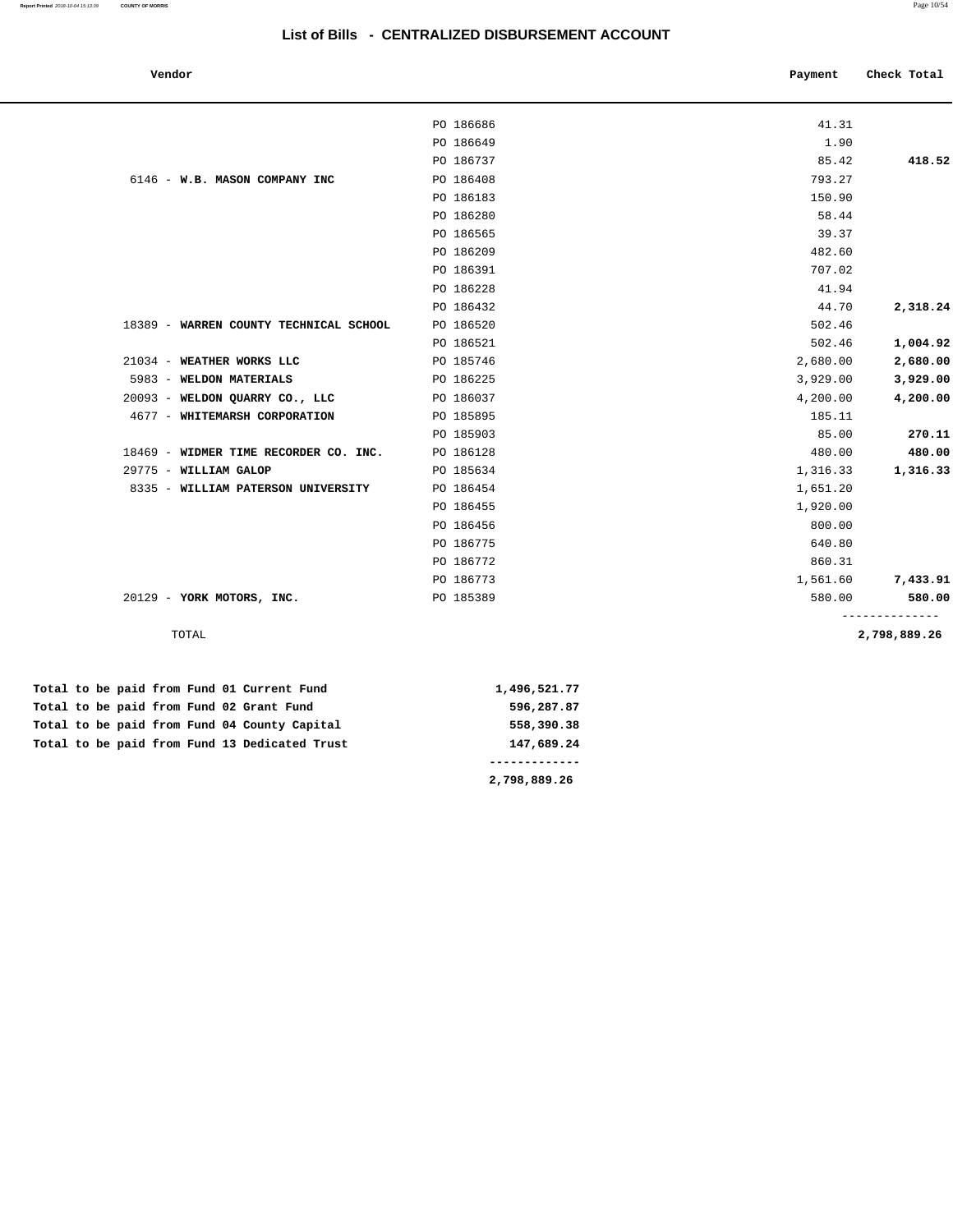|           | Payment                                          | Check Total                      |
|-----------|--------------------------------------------------|----------------------------------|
|           |                                                  |                                  |
|           |                                                  |                                  |
|           |                                                  | 418.52                           |
|           |                                                  |                                  |
| PO 186183 | 150.90                                           |                                  |
| PO 186280 | 58.44                                            |                                  |
| PO 186565 | 39.37                                            |                                  |
| PO 186209 | 482.60                                           |                                  |
| PO 186391 | 707.02                                           |                                  |
| PO 186228 | 41.94                                            |                                  |
| PO 186432 | 44.70                                            | 2,318.24                         |
| PO 186520 | 502.46                                           |                                  |
| PO 186521 | 502.46                                           | 1,004.92                         |
| PO 185746 | 2,680.00                                         | 2,680.00                         |
| PO 186225 | 3,929.00                                         | 3,929.00                         |
| PO 186037 | 4,200.00                                         | 4,200.00                         |
| PO 185895 | 185.11                                           |                                  |
| PO 185903 | 85.00                                            | 270.11                           |
| PO 186128 | 480.00                                           | 480.00                           |
| PO 185634 | 1,316.33                                         | 1,316.33                         |
| PO 186454 | 1,651.20                                         |                                  |
| PO 186455 | 1,920.00                                         |                                  |
| PO 186456 | 800.00                                           |                                  |
| PO 186775 | 640.80                                           |                                  |
| PO 186772 | 860.31                                           |                                  |
| PO 186773 | 1,561.60                                         | 7,433.91                         |
| PO 185389 | 580.00                                           | 580.00                           |
|           |                                                  | ------------<br>2,798,889.26     |
|           | PO 186686<br>PO 186649<br>PO 186737<br>PO 186408 | 41.31<br>1.90<br>85.42<br>793.27 |

|  |  |  |  | Total to be paid from Fund 01 Current Fund    | 1,496,521.77 |
|--|--|--|--|-----------------------------------------------|--------------|
|  |  |  |  | Total to be paid from Fund 02 Grant Fund      | 596,287.87   |
|  |  |  |  | Total to be paid from Fund 04 County Capital  | 558,390.38   |
|  |  |  |  | Total to be paid from Fund 13 Dedicated Trust | 147,689.24   |
|  |  |  |  |                                               |              |
|  |  |  |  |                                               | 2,798,889.26 |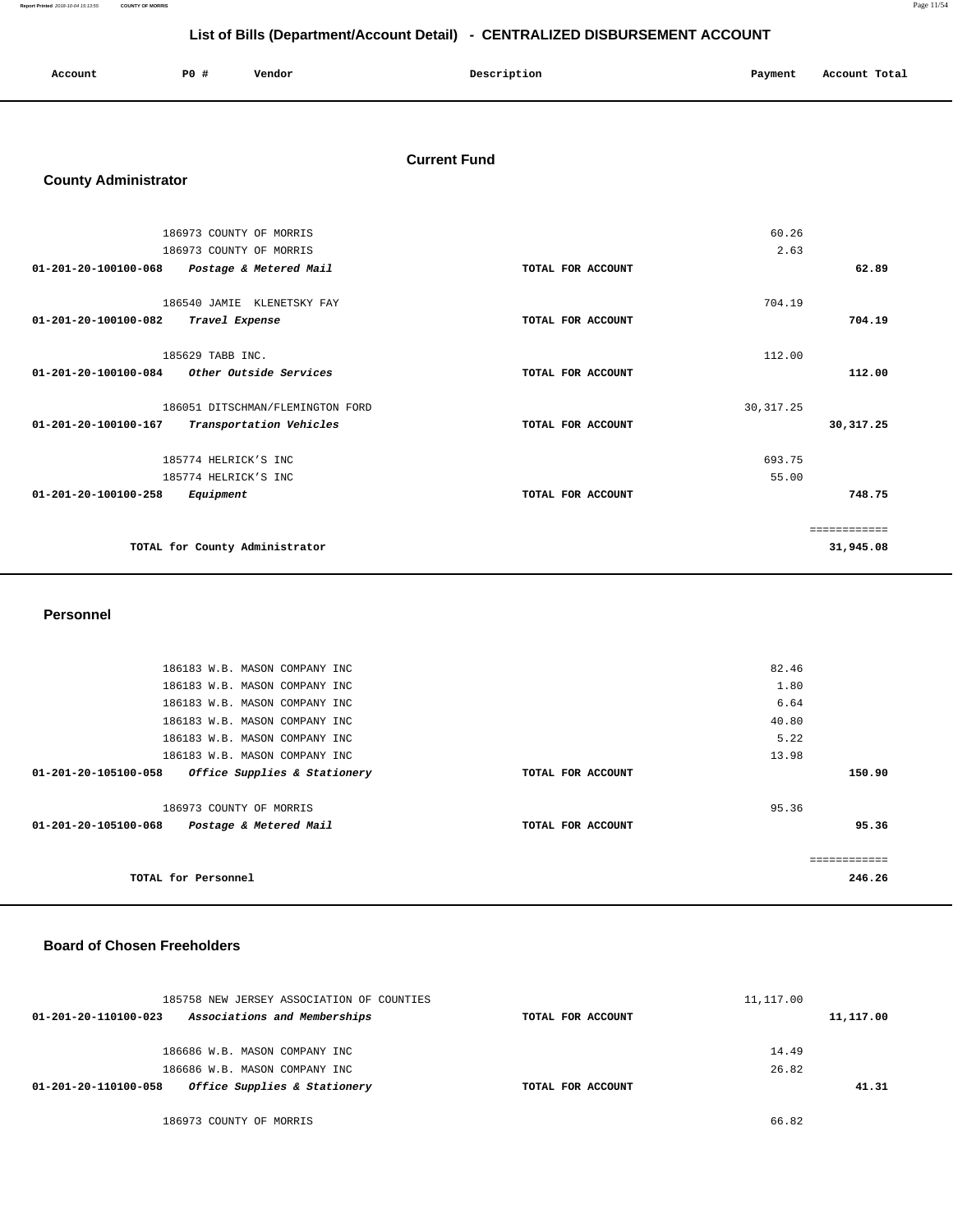**Report Printed** 2018-10-04 15:13:55 **COUNTY OF MORRIS** Page 11/54

# **List of Bills (Department/Account Detail) - CENTRALIZED DISBURSEMENT ACCOUNT**

| Account | <b>PO #</b> | Vendor<br>. | Description | Payment<br>___ | Account Total |
|---------|-------------|-------------|-------------|----------------|---------------|
|         |             |             |             |                |               |

#### **Current Fund**

# **County Administrator**

| 186973 COUNTY OF MORRIS                                  | 60.26             |              |
|----------------------------------------------------------|-------------------|--------------|
| 186973 COUNTY OF MORRIS                                  | 2.63              |              |
| $01 - 201 - 20 - 100100 - 068$<br>Postage & Metered Mail | TOTAL FOR ACCOUNT | 62.89        |
|                                                          |                   |              |
| 186540 JAMIE KLENETSKY FAY                               | 704.19            |              |
| 01-201-20-100100-082<br>Travel Expense                   | TOTAL FOR ACCOUNT | 704.19       |
| 185629 TABB INC.                                         | 112.00            |              |
| 01-201-20-100100-084<br>Other Outside Services           | TOTAL FOR ACCOUNT | 112.00       |
| 186051 DITSCHMAN/FLEMINGTON FORD                         | 30, 317.25        |              |
| 01-201-20-100100-167<br>Transportation Vehicles          | TOTAL FOR ACCOUNT | 30, 317.25   |
| 185774 HELRICK'S INC                                     | 693.75            |              |
| 185774 HELRICK'S INC                                     | 55.00             |              |
| 01-201-20-100100-258<br>Equipment                        | TOTAL FOR ACCOUNT | 748.75       |
|                                                          |                   | ============ |
| TOTAL for County Administrator                           |                   | 31,945.08    |

#### **Personnel**

| 186183 W.B. MASON COMPANY INC                        | 82.46             |        |
|------------------------------------------------------|-------------------|--------|
| 186183 W.B. MASON COMPANY INC                        | 1.80              |        |
| 186183 W.B. MASON COMPANY INC                        | 6.64              |        |
| 186183 W.B. MASON COMPANY INC                        | 40.80             |        |
| 186183 W.B. MASON COMPANY INC                        | 5.22              |        |
| 186183 W.B. MASON COMPANY INC                        | 13.98             |        |
| 01-201-20-105100-058<br>Office Supplies & Stationery | TOTAL FOR ACCOUNT | 150.90 |
|                                                      |                   |        |
| 186973 COUNTY OF MORRIS                              | 95.36             |        |
| 01-201-20-105100-068<br>Postage & Metered Mail       | TOTAL FOR ACCOUNT | 95.36  |
|                                                      |                   |        |
|                                                      |                   |        |
| TOTAL for Personnel                                  |                   | 246.26 |
|                                                      |                   |        |

#### **Board of Chosen Freeholders**

| 185758 NEW JERSEY ASSOCIATION OF COUNTIES            |                   | 11,117.00 |
|------------------------------------------------------|-------------------|-----------|
| Associations and Memberships<br>01-201-20-110100-023 | TOTAL FOR ACCOUNT | 11,117.00 |
| 186686 W.B. MASON COMPANY INC                        |                   | 14.49     |
| 186686 W.B. MASON COMPANY INC                        |                   | 26.82     |
| Office Supplies & Stationery<br>01-201-20-110100-058 | TOTAL FOR ACCOUNT | 41.31     |
| 186973 COUNTY OF MORRIS                              |                   | 66.82     |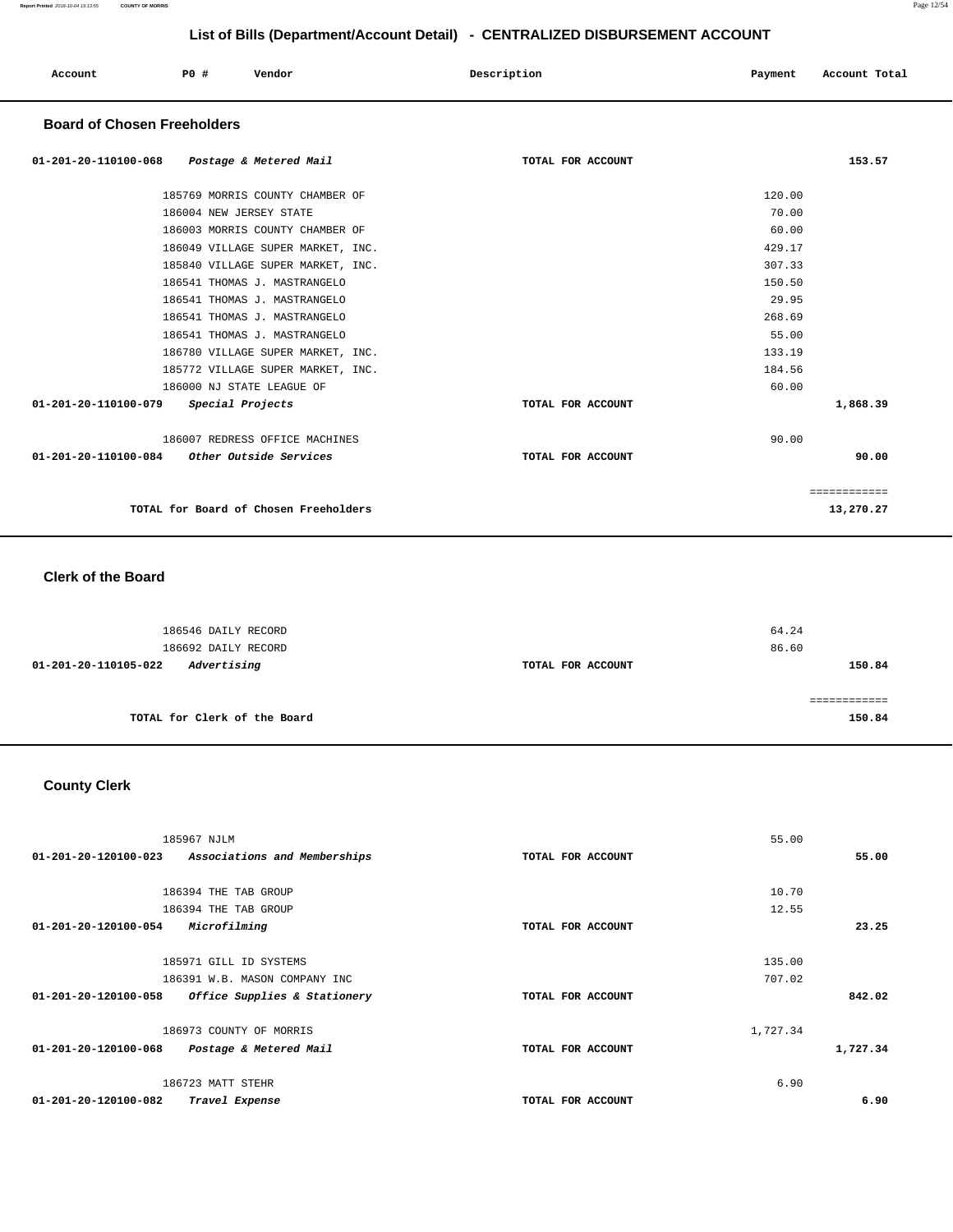| Account | P0 # | Vendor | Description | Payment | Account Total |
|---------|------|--------|-------------|---------|---------------|
|         |      |        |             |         |               |

#### **Board of Chosen Freeholders**

| 01-201-20-110100-068 Postage & Metered Mail    | TOTAL FOR ACCOUNT | 153.57       |
|------------------------------------------------|-------------------|--------------|
| 185769 MORRIS COUNTY CHAMBER OF                |                   | 120.00       |
| 186004 NEW JERSEY STATE                        |                   | 70.00        |
| 186003 MORRIS COUNTY CHAMBER OF                |                   | 60.00        |
| 186049 VILLAGE SUPER MARKET, INC.              |                   | 429.17       |
| 185840 VILLAGE SUPER MARKET, INC.              |                   | 307.33       |
| 186541 THOMAS J. MASTRANGELO                   |                   | 150.50       |
| 186541 THOMAS J. MASTRANGELO                   |                   | 29.95        |
| 186541 THOMAS J. MASTRANGELO                   |                   | 268.69       |
| 186541 THOMAS J. MASTRANGELO                   |                   | 55.00        |
| 186780 VILLAGE SUPER MARKET, INC.              |                   | 133.19       |
| 185772 VILLAGE SUPER MARKET, INC.              |                   | 184.56       |
| 186000 NJ STATE LEAGUE OF                      |                   | 60.00        |
| 01-201-20-110100-079<br>Special Projects       | TOTAL FOR ACCOUNT | 1,868.39     |
| 186007 REDRESS OFFICE MACHINES                 |                   | 90.00        |
| 01-201-20-110100-084<br>Other Outside Services | TOTAL FOR ACCOUNT | 90.00        |
|                                                |                   | ============ |
| TOTAL for Board of Chosen Freeholders          |                   | 13,270.27    |

#### **Clerk of the Board**

| 186546 DAILY RECORD<br>186692 DAILY RECORD |                   | 64.24<br>86.60 |
|--------------------------------------------|-------------------|----------------|
| Advertising<br>01-201-20-110105-022        | TOTAL FOR ACCOUNT | 150.84         |
| TOTAL for Clerk of the Board               |                   | 150.84         |

# **County Clerk**

| 185967 NJLM                                          | 55.00             |          |
|------------------------------------------------------|-------------------|----------|
| Associations and Memberships<br>01-201-20-120100-023 | TOTAL FOR ACCOUNT | 55.00    |
|                                                      |                   |          |
| 186394 THE TAB GROUP                                 | 10.70             |          |
| 186394 THE TAB GROUP                                 | 12.55             |          |
| Microfilming<br>01-201-20-120100-054                 | TOTAL FOR ACCOUNT | 23.25    |
|                                                      |                   |          |
| 185971 GILL ID SYSTEMS                               | 135.00            |          |
| 186391 W.B. MASON COMPANY INC                        | 707.02            |          |
| 01-201-20-120100-058<br>Office Supplies & Stationery | TOTAL FOR ACCOUNT | 842.02   |
|                                                      |                   |          |
| 186973 COUNTY OF MORRIS                              | 1,727.34          |          |
| 01-201-20-120100-068<br>Postage & Metered Mail       | TOTAL FOR ACCOUNT | 1,727.34 |
|                                                      |                   |          |
| 186723 MATT STEHR                                    | 6.90              |          |
| 01-201-20-120100-082<br>Travel Expense               | TOTAL FOR ACCOUNT | 6.90     |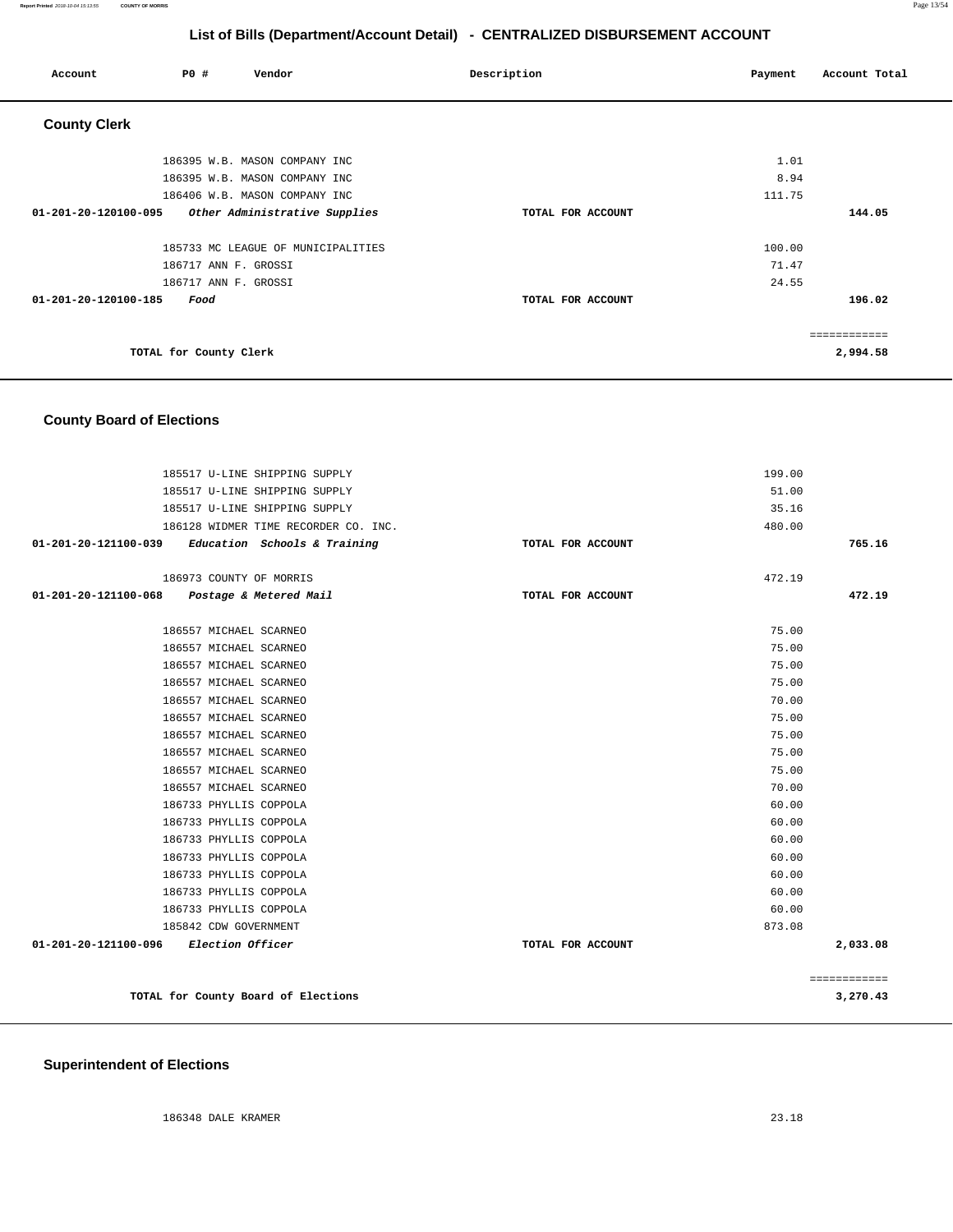| Account              | P0 #                   | Vendor                             | Description       | Payment | Account Total |
|----------------------|------------------------|------------------------------------|-------------------|---------|---------------|
| <b>County Clerk</b>  |                        |                                    |                   |         |               |
|                      |                        | 186395 W.B. MASON COMPANY INC      |                   | 1.01    |               |
|                      |                        | 186395 W.B. MASON COMPANY INC      |                   | 8.94    |               |
|                      |                        | 186406 W.B. MASON COMPANY INC      |                   | 111.75  |               |
| 01-201-20-120100-095 |                        | Other Administrative Supplies      | TOTAL FOR ACCOUNT |         | 144.05        |
|                      |                        | 185733 MC LEAGUE OF MUNICIPALITIES |                   | 100.00  |               |
|                      | 186717 ANN F. GROSSI   |                                    |                   | 71.47   |               |
|                      | 186717 ANN F. GROSSI   |                                    |                   | 24.55   |               |
| 01-201-20-120100-185 | Food                   |                                    | TOTAL FOR ACCOUNT |         | 196.02        |
|                      |                        |                                    |                   |         | ------------  |
|                      | TOTAL for County Clerk |                                    |                   |         | 2,994.58      |

### **County Board of Elections**

| 185517 U-LINE SHIPPING SUPPLY                       |                   | 199.00 |                          |
|-----------------------------------------------------|-------------------|--------|--------------------------|
| 185517 U-LINE SHIPPING SUPPLY                       |                   | 51.00  |                          |
| 185517 U-LINE SHIPPING SUPPLY                       |                   | 35.16  |                          |
| 186128 WIDMER TIME RECORDER CO. INC.                |                   | 480.00 |                          |
| $01-201-20-121100-039$ Education Schools & Training | TOTAL FOR ACCOUNT |        | 765.16                   |
|                                                     |                   |        |                          |
| 186973 COUNTY OF MORRIS                             |                   | 472.19 |                          |
| 01-201-20-121100-068 Postage & Metered Mail         | TOTAL FOR ACCOUNT |        | 472.19                   |
| 186557 MICHAEL SCARNEO                              |                   | 75.00  |                          |
| 186557 MICHAEL SCARNEO                              |                   | 75.00  |                          |
| 186557 MICHAEL SCARNEO                              |                   | 75.00  |                          |
| 186557 MICHAEL SCARNEO                              |                   | 75.00  |                          |
| 186557 MICHAEL SCARNEO                              |                   | 70.00  |                          |
| 186557 MICHAEL SCARNEO                              |                   | 75.00  |                          |
| 186557 MICHAEL SCARNEO                              |                   | 75.00  |                          |
| 186557 MICHAEL SCARNEO                              |                   | 75.00  |                          |
| 186557 MICHAEL SCARNEO                              |                   | 75.00  |                          |
| 186557 MICHAEL SCARNEO                              |                   | 70.00  |                          |
| 186733 PHYLLIS COPPOLA                              |                   | 60.00  |                          |
| 186733 PHYLLIS COPPOLA                              |                   | 60.00  |                          |
| 186733 PHYLLIS COPPOLA                              |                   | 60.00  |                          |
| 186733 PHYLLIS COPPOLA                              |                   | 60.00  |                          |
| 186733 PHYLLIS COPPOLA                              |                   | 60.00  |                          |
| 186733 PHYLLIS COPPOLA                              |                   | 60.00  |                          |
| 186733 PHYLLIS COPPOLA                              |                   | 60.00  |                          |
| 185842 CDW GOVERNMENT                               |                   | 873.08 |                          |
| 01-201-20-121100-096 Election Officer               | TOTAL FOR ACCOUNT |        | 2,033.08                 |
|                                                     |                   |        |                          |
| TOTAL for County Board of Elections                 |                   |        | ============<br>3,270.43 |
|                                                     |                   |        |                          |

### **Superintendent of Elections**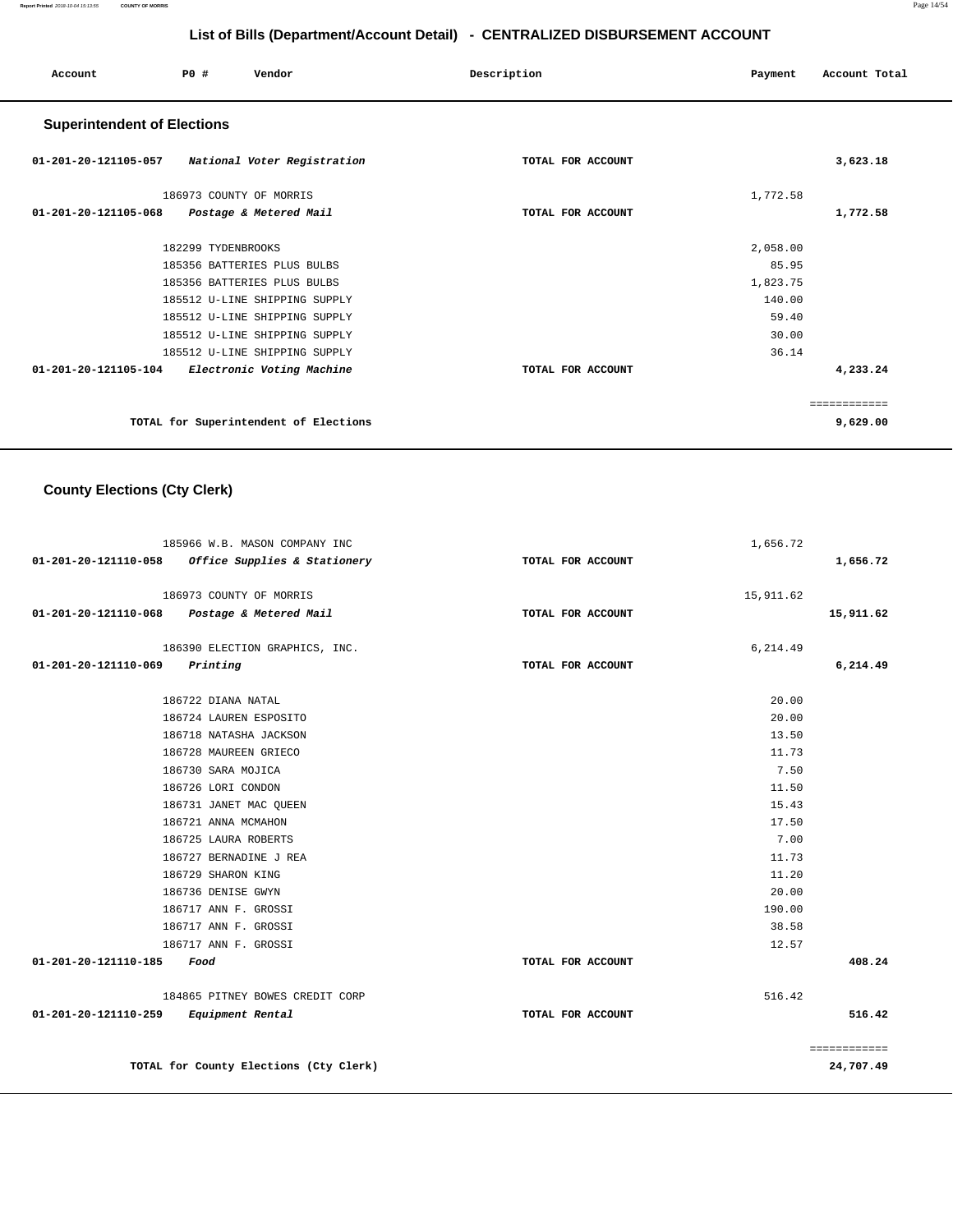**Report Printed** 2018-10-04 15:13:55 **COUNTY OF MORRIS** Page 14/54

# **List of Bills (Department/Account Detail) - CENTRALIZED DISBURSEMENT ACCOUNT**

| Account                                          | PO#                     | Vendor                                | Description       | Payment  | Account Total |
|--------------------------------------------------|-------------------------|---------------------------------------|-------------------|----------|---------------|
| <b>Superintendent of Elections</b>               |                         |                                       |                   |          |               |
| 01-201-20-121105-057 National Voter Registration |                         |                                       | TOTAL FOR ACCOUNT |          | 3,623.18      |
|                                                  | 186973 COUNTY OF MORRIS |                                       |                   | 1,772.58 |               |
| $01 - 201 - 20 - 121105 - 068$                   |                         | Postage & Metered Mail                | TOTAL FOR ACCOUNT |          | 1,772.58      |
|                                                  | 182299 TYDENBROOKS      |                                       |                   | 2,058.00 |               |
|                                                  |                         | 185356 BATTERIES PLUS BULBS           |                   | 85.95    |               |
|                                                  |                         | 185356 BATTERIES PLUS BULBS           |                   | 1,823.75 |               |
|                                                  |                         | 185512 U-LINE SHIPPING SUPPLY         |                   | 140.00   |               |
|                                                  |                         | 185512 U-LINE SHIPPING SUPPLY         |                   | 59.40    |               |
|                                                  |                         | 185512 U-LINE SHIPPING SUPPLY         |                   | 30.00    |               |
|                                                  |                         | 185512 U-LINE SHIPPING SUPPLY         |                   | 36.14    |               |
| 01-201-20-121105-104                             |                         | Electronic Voting Machine             | TOTAL FOR ACCOUNT |          | 4,233.24      |
|                                                  |                         |                                       |                   |          | ============  |
|                                                  |                         | TOTAL for Superintendent of Elections |                   |          | 9,629.00      |

# **County Elections (Cty Clerk)**

|                                         | 185966 W.B. MASON COMPANY INC                     |                   | 1,656.72  |              |
|-----------------------------------------|---------------------------------------------------|-------------------|-----------|--------------|
|                                         | 01-201-20-121110-058 Office Supplies & Stationery | TOTAL FOR ACCOUNT |           | 1,656.72     |
|                                         | 186973 COUNTY OF MORRIS                           |                   | 15,911.62 |              |
|                                         | 01-201-20-121110-068 Postage & Metered Mail       | TOTAL FOR ACCOUNT |           | 15,911.62    |
|                                         |                                                   |                   |           |              |
|                                         | 186390 ELECTION GRAPHICS, INC.                    |                   | 6,214.49  |              |
| $01 - 201 - 20 - 121110 - 069$ Printing |                                                   | TOTAL FOR ACCOUNT |           | 6,214.49     |
|                                         | 186722 DIANA NATAL                                |                   | 20.00     |              |
|                                         | 186724 LAUREN ESPOSITO                            |                   | 20.00     |              |
|                                         | 186718 NATASHA JACKSON                            |                   | 13.50     |              |
|                                         | 186728 MAUREEN GRIECO                             |                   | 11.73     |              |
|                                         | 186730 SARA MOJICA                                |                   | 7.50      |              |
|                                         | 186726 LORI CONDON                                |                   | 11.50     |              |
|                                         | 186731 JANET MAC OUEEN                            |                   | 15.43     |              |
|                                         | 186721 ANNA MCMAHON                               |                   | 17.50     |              |
|                                         | 186725 LAURA ROBERTS                              |                   | 7.00      |              |
|                                         | 186727 BERNADINE J REA                            |                   | 11.73     |              |
|                                         | 186729 SHARON KING                                |                   | 11.20     |              |
|                                         | 186736 DENISE GWYN                                |                   | 20.00     |              |
|                                         | 186717 ANN F. GROSSI                              |                   | 190.00    |              |
|                                         | 186717 ANN F. GROSSI                              |                   | 38.58     |              |
|                                         | 186717 ANN F. GROSSI                              |                   | 12.57     |              |
| 01-201-20-121110-185                    | Food                                              | TOTAL FOR ACCOUNT |           | 408.24       |
|                                         | 184865 PITNEY BOWES CREDIT CORP                   |                   | 516.42    |              |
| 01-201-20-121110-259 Equipment Rental   |                                                   | TOTAL FOR ACCOUNT |           | 516.42       |
|                                         |                                                   |                   |           | ============ |
|                                         | TOTAL for County Elections (Cty Clerk)            |                   |           | 24,707.49    |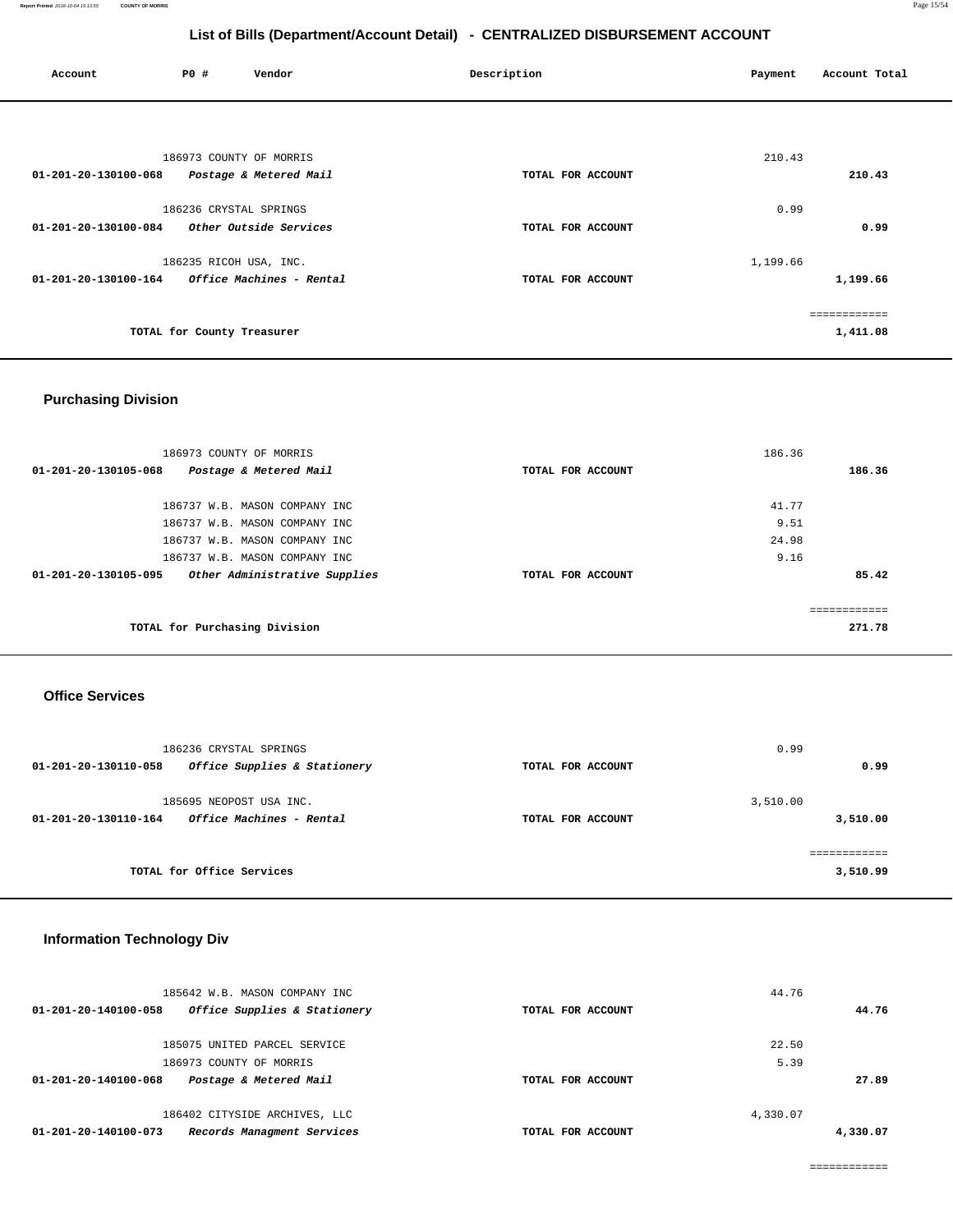| Account              | P0 #                       | Vendor                          | Description       | Payment  | Account Total |
|----------------------|----------------------------|---------------------------------|-------------------|----------|---------------|
|                      |                            |                                 |                   |          |               |
|                      | 186973 COUNTY OF MORRIS    |                                 |                   | 210.43   |               |
| 01-201-20-130100-068 |                            | Postage & Metered Mail          | TOTAL FOR ACCOUNT |          | 210.43        |
|                      | 186236 CRYSTAL SPRINGS     |                                 |                   | 0.99     |               |
| 01-201-20-130100-084 |                            | <i>Other Outside Services</i>   | TOTAL FOR ACCOUNT |          | 0.99          |
|                      | 186235 RICOH USA, INC.     |                                 |                   | 1,199.66 |               |
| 01-201-20-130100-164 |                            | <i>Office Machines - Rental</i> | TOTAL FOR ACCOUNT |          | 1,199.66      |
|                      |                            |                                 |                   |          | ------------  |
|                      | TOTAL for County Treasurer |                                 |                   |          | 1,411.08      |

# **Purchasing Division**

| 186973 COUNTY OF MORRIS                               |                   | 186.36     |
|-------------------------------------------------------|-------------------|------------|
| 01-201-20-130105-068<br>Postage & Metered Mail        | TOTAL FOR ACCOUNT | 186.36     |
|                                                       |                   |            |
| 186737 W.B. MASON COMPANY INC                         |                   | 41.77      |
| 186737 W.B. MASON COMPANY INC                         |                   | 9.51       |
| 186737 W.B. MASON COMPANY INC                         |                   | 24.98      |
| 186737 W.B. MASON COMPANY INC                         |                   | 9.16       |
| Other Administrative Supplies<br>01-201-20-130105-095 | TOTAL FOR ACCOUNT | 85.42      |
|                                                       |                   |            |
|                                                       |                   | eeeeeeeeee |
| TOTAL for Purchasing Division                         |                   | 271.78     |
|                                                       |                   |            |

### **Office Services**

| 186236 CRYSTAL SPRINGS                               | 0.99              |          |
|------------------------------------------------------|-------------------|----------|
| Office Supplies & Stationery<br>01-201-20-130110-058 | TOTAL FOR ACCOUNT | 0.99     |
| 185695 NEOPOST USA INC.                              | 3,510.00          |          |
| Office Machines - Rental<br>01-201-20-130110-164     | TOTAL FOR ACCOUNT | 3,510.00 |
|                                                      |                   |          |
| TOTAL for Office Services                            |                   | 3,510.99 |

# **Information Technology Div**

| 185642 W.B. MASON COMPANY INC<br>Office Supplies & Stationery<br>01-201-20-140100-058 | TOTAL FOR ACCOUNT | 44.76<br>44.76 |
|---------------------------------------------------------------------------------------|-------------------|----------------|
| 185075 UNITED PARCEL SERVICE                                                          |                   | 22.50          |
| 186973 COUNTY OF MORRIS                                                               |                   | 5.39           |
| Postage & Metered Mail<br>01-201-20-140100-068                                        | TOTAL FOR ACCOUNT | 27.89          |
| 186402 CITYSIDE ARCHIVES, LLC                                                         |                   | 4,330.07       |
| Records Managment Services<br>01-201-20-140100-073                                    | TOTAL FOR ACCOUNT | 4,330.07       |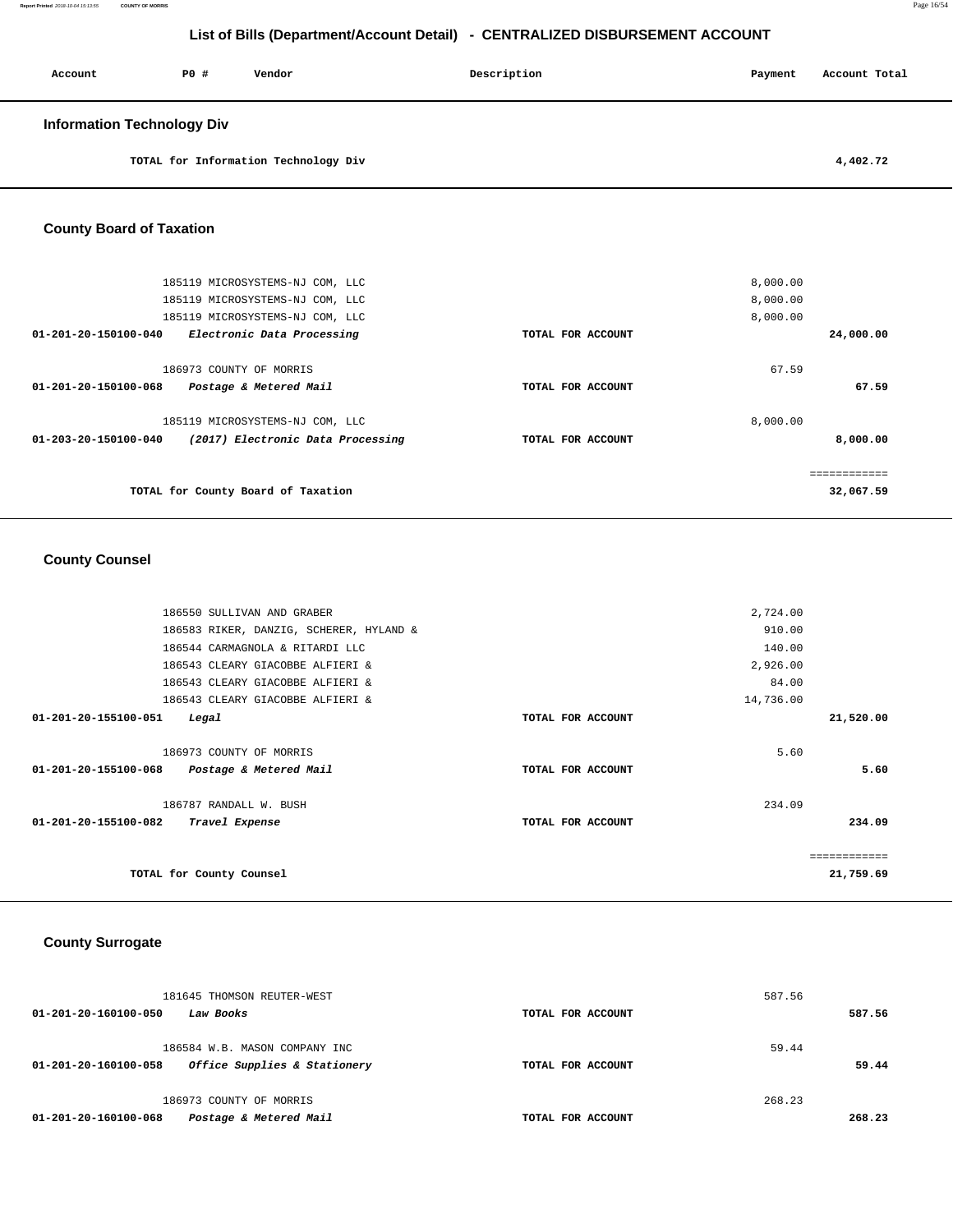| Account                           | PO# | Vendor | Description | Payment | Account Total |
|-----------------------------------|-----|--------|-------------|---------|---------------|
| <b>Information Technology Div</b> |     |        |             |         |               |

**TOTAL for Information Technology Div 4,402.72** 

### **County Board of Taxation**

| 185119 MICROSYSTEMS-NJ COM, LLC                           | 8,000.00          |           |
|-----------------------------------------------------------|-------------------|-----------|
| 185119 MICROSYSTEMS-NJ COM, LLC                           | 8,000.00          |           |
| 185119 MICROSYSTEMS-NJ COM, LLC                           | 8,000.00          |           |
| 01-201-20-150100-040<br>Electronic Data Processing        | TOTAL FOR ACCOUNT | 24,000.00 |
| 186973 COUNTY OF MORRIS                                   | 67.59             |           |
| 01-201-20-150100-068<br>Postage & Metered Mail            | TOTAL FOR ACCOUNT | 67.59     |
| 185119 MICROSYSTEMS-NJ COM, LLC                           | 8,000.00          |           |
| 01-203-20-150100-040<br>(2017) Electronic Data Processing | TOTAL FOR ACCOUNT | 8,000.00  |
|                                                           |                   |           |
| TOTAL for County Board of Taxation                        |                   | 32,067.59 |

### **County Counsel**

| 186550 SULLIVAN AND GRABER                                       | 2,724.00                    |              |
|------------------------------------------------------------------|-----------------------------|--------------|
| 186583 RIKER, DANZIG, SCHERER, HYLAND &                          | 910.00                      |              |
| 186544 CARMAGNOLA & RITARDI LLC                                  | 140.00                      |              |
| 186543 CLEARY GIACOBBE ALFIERI &                                 | 2,926.00                    |              |
| 186543 CLEARY GIACOBBE ALFIERI &                                 | 84.00                       |              |
| 186543 CLEARY GIACOBBE ALFIERI &                                 | 14,736.00                   |              |
| 01-201-20-155100-051<br>Legal                                    | TOTAL FOR ACCOUNT           | 21,520.00    |
|                                                                  |                             |              |
| 186973 COUNTY OF MORRIS                                          | 5.60                        |              |
| 01-201-20-155100-068<br>Postage & Metered Mail                   | TOTAL FOR ACCOUNT           | 5.60         |
| 186787 RANDALL W. BUSH<br>01-201-20-155100-082<br>Travel Expense | 234.09<br>TOTAL FOR ACCOUNT | 234.09       |
|                                                                  |                             | ============ |
| TOTAL for County Counsel                                         |                             | 21,759.69    |

### **County Surrogate**

| 268.23<br>186973 COUNTY OF MORRIS                                                                                   |        |
|---------------------------------------------------------------------------------------------------------------------|--------|
| 59.44<br>186584 W.B. MASON COMPANY INC<br>Office Supplies & Stationery<br>01-201-20-160100-058<br>TOTAL FOR ACCOUNT | 59.44  |
| 587.56<br>181645 THOMSON REUTER-WEST<br>01-201-20-160100-050<br>Law Books<br>TOTAL FOR ACCOUNT                      | 587.56 |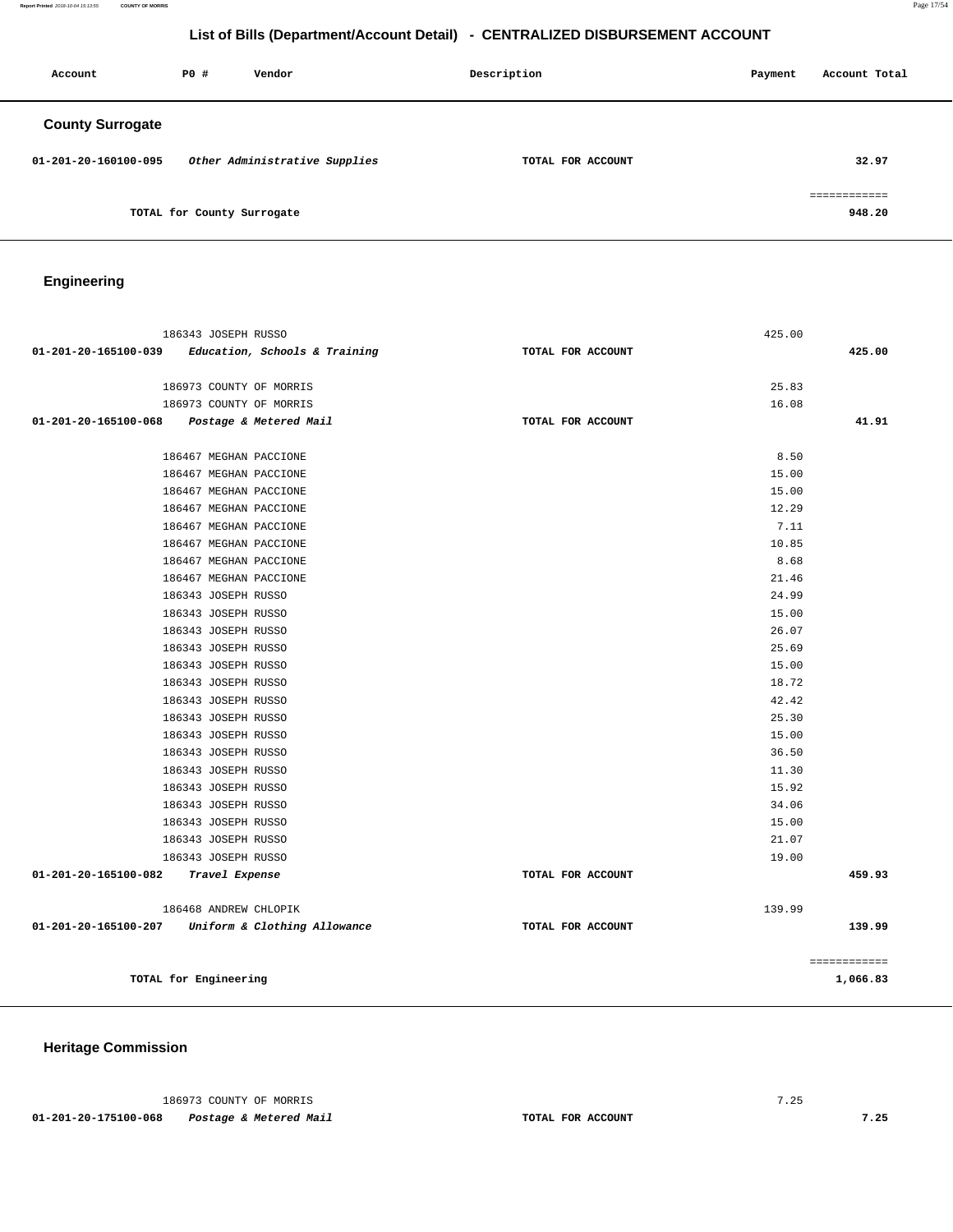**Report Printed** 2018-10-04 15:13:55 **COUNTY OF MORRIS** Page 17/54

# **List of Bills (Department/Account Detail) - CENTRALIZED DISBURSEMENT ACCOUNT**

| Account                 | PO#                        | Vendor                        | Description |                   | Payment | Account Total          |
|-------------------------|----------------------------|-------------------------------|-------------|-------------------|---------|------------------------|
| <b>County Surrogate</b> |                            |                               |             |                   |         |                        |
| 01-201-20-160100-095    |                            | Other Administrative Supplies |             | TOTAL FOR ACCOUNT |         | 32.97                  |
|                         | TOTAL for County Surrogate |                               |             |                   |         | ============<br>948.20 |

# **Engineering**

| 186343 JOSEPH RUSSO                               |                               | 425.00            |              |
|---------------------------------------------------|-------------------------------|-------------------|--------------|
| 01-201-20-165100-039                              | Education, Schools & Training | TOTAL FOR ACCOUNT | 425.00       |
|                                                   |                               |                   |              |
| 186973 COUNTY OF MORRIS                           |                               | 25.83             |              |
| 186973 COUNTY OF MORRIS                           |                               | 16.08             |              |
| 01-201-20-165100-068 Postage & Metered Mail       |                               | TOTAL FOR ACCOUNT | 41.91        |
|                                                   |                               |                   |              |
| 186467 MEGHAN PACCIONE                            |                               | 8.50              |              |
| 186467 MEGHAN PACCIONE                            |                               | 15.00             |              |
| 186467 MEGHAN PACCIONE                            |                               | 15.00             |              |
| 186467 MEGHAN PACCIONE                            |                               | 12.29             |              |
| 186467 MEGHAN PACCIONE                            |                               | 7.11              |              |
| 186467 MEGHAN PACCIONE                            |                               | 10.85             |              |
| 186467 MEGHAN PACCIONE                            |                               | 8.68              |              |
| 186467 MEGHAN PACCIONE                            |                               | 21.46             |              |
| 186343 JOSEPH RUSSO                               |                               | 24.99             |              |
| 186343 JOSEPH RUSSO                               |                               | 15.00             |              |
| 186343 JOSEPH RUSSO                               |                               | 26.07             |              |
| 186343 JOSEPH RUSSO                               |                               | 25.69             |              |
| 186343 JOSEPH RUSSO                               |                               | 15.00             |              |
| 186343 JOSEPH RUSSO                               |                               | 18.72             |              |
| 186343 JOSEPH RUSSO                               |                               | 42.42             |              |
| 186343 JOSEPH RUSSO                               |                               | 25.30             |              |
| 186343 JOSEPH RUSSO                               |                               | 15.00             |              |
| 186343 JOSEPH RUSSO                               |                               | 36.50             |              |
| 186343 JOSEPH RUSSO                               |                               | 11.30             |              |
| 186343 JOSEPH RUSSO                               |                               | 15.92             |              |
| 186343 JOSEPH RUSSO                               |                               | 34.06             |              |
| 186343 JOSEPH RUSSO                               |                               | 15.00             |              |
| 186343 JOSEPH RUSSO                               |                               | 21.07             |              |
| 186343 JOSEPH RUSSO                               |                               | 19.00             |              |
| 01-201-20-165100-082<br>Travel Expense            |                               | TOTAL FOR ACCOUNT | 459.93       |
|                                                   |                               |                   |              |
| 186468 ANDREW CHLOPIK                             |                               | 139.99            |              |
| 01-201-20-165100-207 Uniform & Clothing Allowance |                               | TOTAL FOR ACCOUNT | 139.99       |
|                                                   |                               |                   |              |
|                                                   |                               |                   | ============ |
| TOTAL for Engineering                             |                               |                   | 1,066.83     |
|                                                   |                               |                   |              |

**Heritage Commission** 

186973 COUNTY OF MORRIS 7.25

 **01-201-20-175100-068 Postage & Metered Mail TOTAL FOR ACCOUNT 7.25**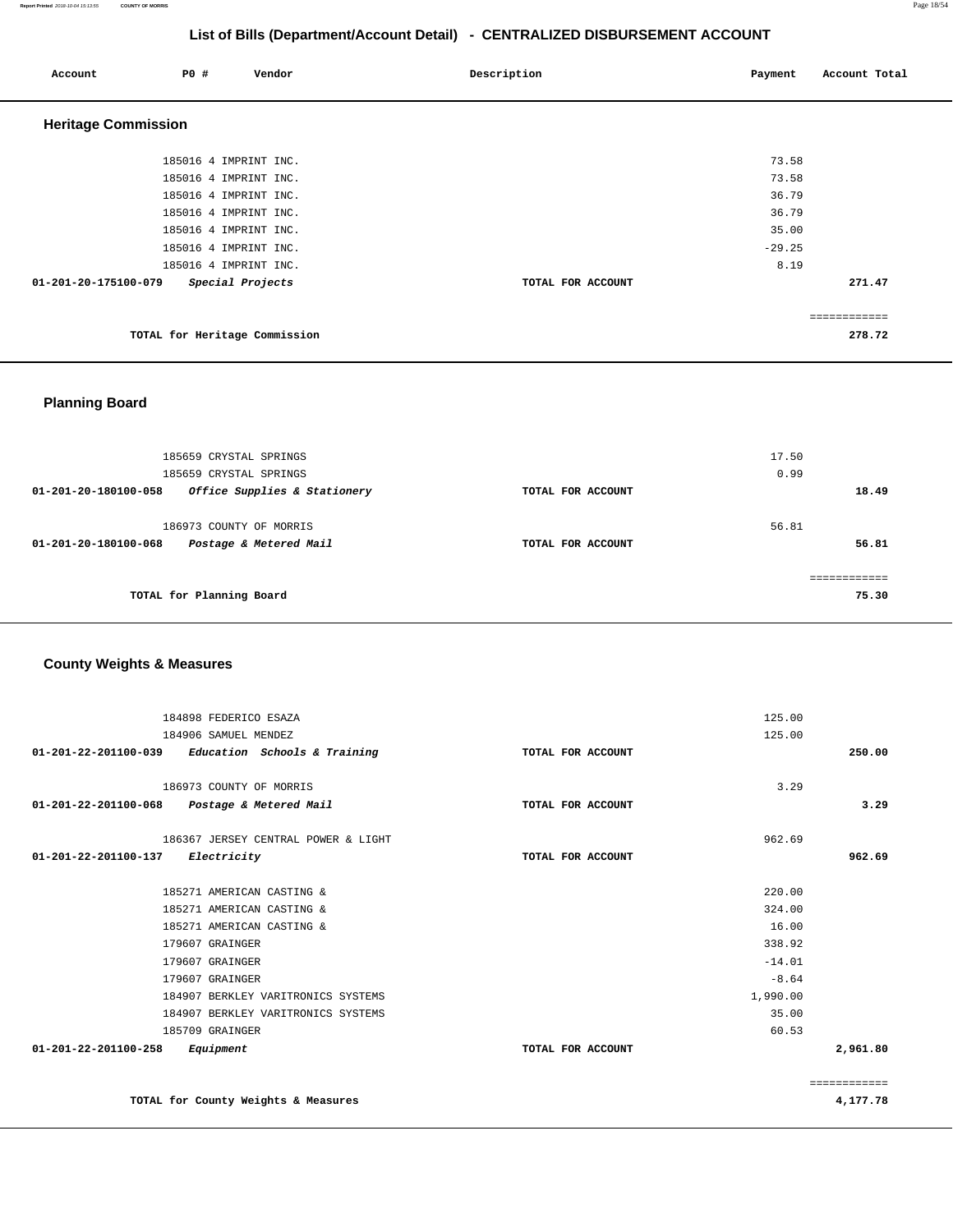**Report Printed** 2018-10-04 15:13:55 **COUNTY OF MORRIS** Page 18/54

# **List of Bills (Department/Account Detail) - CENTRALIZED DISBURSEMENT ACCOUNT**

| Account                    | P0 # | Vendor                        | Description       | Payment  | Account Total |
|----------------------------|------|-------------------------------|-------------------|----------|---------------|
| <b>Heritage Commission</b> |      |                               |                   |          |               |
|                            |      | 185016 4 IMPRINT INC.         |                   | 73.58    |               |
|                            |      | 185016 4 IMPRINT INC.         |                   | 73.58    |               |
|                            |      | 185016 4 IMPRINT INC.         |                   | 36.79    |               |
|                            |      | 185016 4 IMPRINT INC.         |                   | 36.79    |               |
|                            |      | 185016 4 IMPRINT INC.         |                   | 35.00    |               |
|                            |      | 185016 4 IMPRINT INC.         |                   | $-29.25$ |               |
|                            |      | 185016 4 IMPRINT INC.         |                   | 8.19     |               |
| 01-201-20-175100-079       |      | Special Projects              | TOTAL FOR ACCOUNT |          | 271.47        |
|                            |      |                               |                   |          | ============  |
|                            |      | TOTAL for Heritage Commission |                   |          | 278.72        |

### **Planning Board**

|                      | 185659 CRYSTAL SPRINGS       |                   | 17.50 |       |
|----------------------|------------------------------|-------------------|-------|-------|
|                      | 185659 CRYSTAL SPRINGS       |                   | 0.99  |       |
| 01-201-20-180100-058 | Office Supplies & Stationery | TOTAL FOR ACCOUNT |       | 18.49 |
|                      |                              |                   |       |       |
|                      | 186973 COUNTY OF MORRIS      |                   | 56.81 |       |
| 01-201-20-180100-068 | Postage & Metered Mail       | TOTAL FOR ACCOUNT |       | 56.81 |
|                      |                              |                   |       |       |
|                      |                              |                   |       |       |
|                      | TOTAL for Planning Board     |                   |       | 75.30 |
|                      |                              |                   |       |       |

# **County Weights & Measures**

| 184898 FEDERICO ESAZA                               |                   | 125.00       |
|-----------------------------------------------------|-------------------|--------------|
| 184906 SAMUEL MENDEZ                                |                   | 125.00       |
| $01-201-22-201100-039$ Education Schools & Training | TOTAL FOR ACCOUNT | 250.00       |
|                                                     |                   |              |
| 186973 COUNTY OF MORRIS                             |                   | 3.29         |
| 01-201-22-201100-068 Postage & Metered Mail         | TOTAL FOR ACCOUNT | 3.29         |
| 186367 JERSEY CENTRAL POWER & LIGHT                 |                   | 962.69       |
| 01-201-22-201100-137<br>Electricity                 | TOTAL FOR ACCOUNT | 962.69       |
| 185271 AMERICAN CASTING &                           |                   | 220.00       |
| 185271 AMERICAN CASTING &                           |                   | 324.00       |
| 185271 AMERICAN CASTING &                           |                   | 16.00        |
| 179607 GRAINGER                                     |                   | 338.92       |
| 179607 GRAINGER                                     |                   | $-14.01$     |
| 179607 GRAINGER                                     |                   | $-8.64$      |
| 184907 BERKLEY VARITRONICS SYSTEMS                  |                   | 1,990.00     |
| 184907 BERKLEY VARITRONICS SYSTEMS                  |                   | 35.00        |
| 185709 GRAINGER                                     |                   | 60.53        |
| 01-201-22-201100-258<br>Equipment                   | TOTAL FOR ACCOUNT | 2,961.80     |
|                                                     |                   | ============ |
| TOTAL for County Weights & Measures                 |                   | 4,177.78     |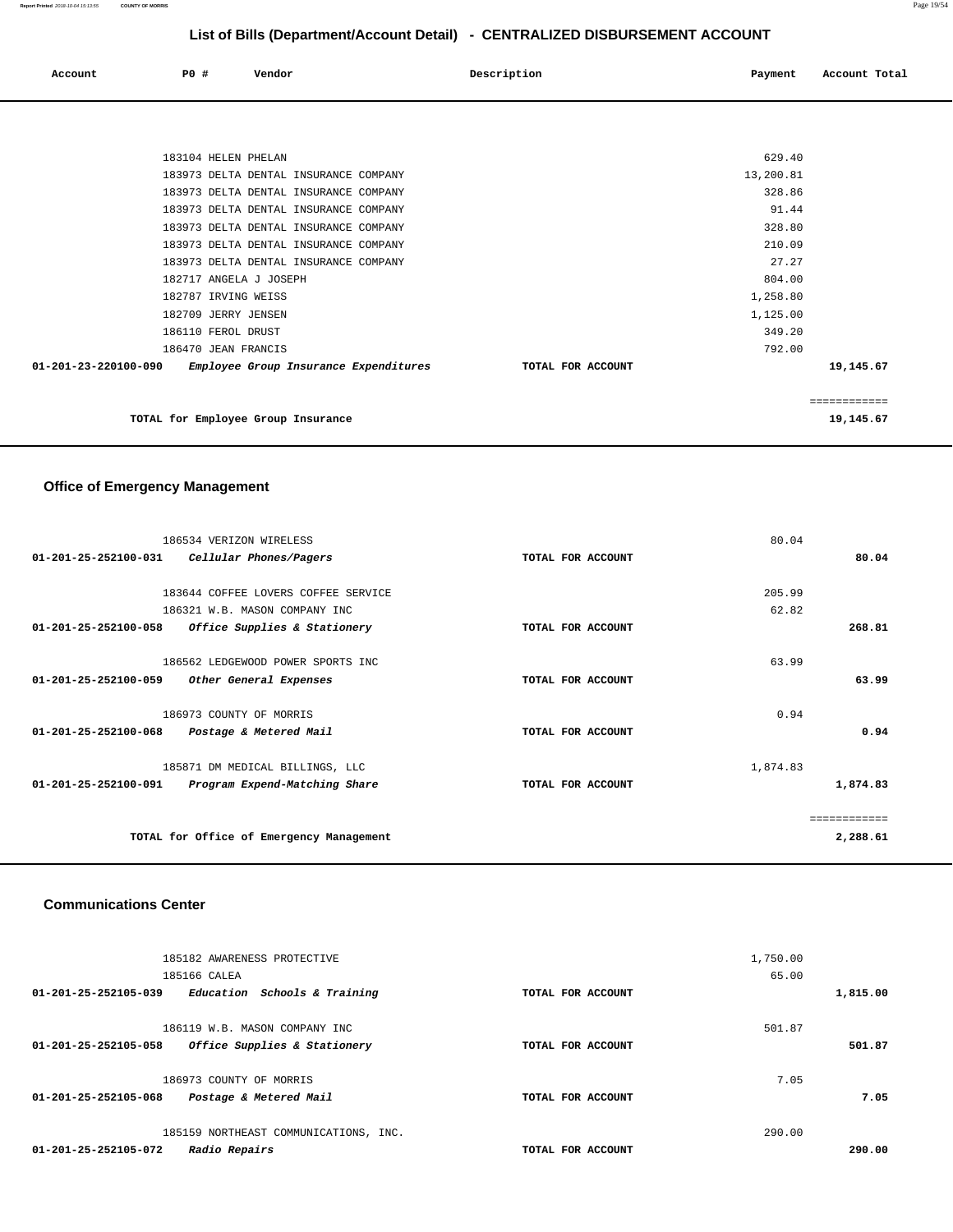| Account                        | <b>PO #</b>                                | Vendor                                                                         | Description       | Payment              | Account Total |
|--------------------------------|--------------------------------------------|--------------------------------------------------------------------------------|-------------------|----------------------|---------------|
|                                |                                            |                                                                                |                   |                      |               |
|                                | 183104 HELEN PHELAN                        | 183973 DELTA DENTAL INSURANCE COMPANY                                          |                   | 629.40<br>13,200.81  |               |
|                                |                                            | 183973 DELTA DENTAL INSURANCE COMPANY<br>183973 DELTA DENTAL INSURANCE COMPANY |                   | 328.86<br>91.44      |               |
|                                |                                            | 183973 DELTA DENTAL INSURANCE COMPANY<br>183973 DELTA DENTAL INSURANCE COMPANY |                   | 328.80<br>210.09     |               |
|                                | 182717 ANGELA J JOSEPH                     | 183973 DELTA DENTAL INSURANCE COMPANY                                          |                   | 27.27<br>804.00      |               |
|                                | 182787 IRVING WEISS<br>182709 JERRY JENSEN |                                                                                |                   | 1,258.80<br>1,125.00 |               |
| $01 - 201 - 23 - 220100 - 090$ | 186110 FEROL DRUST<br>186470 JEAN FRANCIS  | Employee Group Insurance Expenditures                                          | TOTAL FOR ACCOUNT | 349.20<br>792.00     | 19,145.67     |
|                                |                                            |                                                                                |                   |                      | ============  |
|                                |                                            | TOTAL for Employee Group Insurance                                             |                   |                      | 19,145.67     |

# **Office of Emergency Management**

| 186534 VERIZON WIRELESS                                         |                   | 80.04    |          |
|-----------------------------------------------------------------|-------------------|----------|----------|
| 01-201-25-252100-031<br>Cellular Phones/Pagers                  | TOTAL FOR ACCOUNT |          | 80.04    |
|                                                                 |                   |          |          |
| 183644 COFFEE LOVERS COFFEE SERVICE                             |                   | 205.99   |          |
| 186321 W.B. MASON COMPANY INC                                   |                   | 62.82    |          |
| 01-201-25-252100-058<br>Office Supplies & Stationery            | TOTAL FOR ACCOUNT |          | 268.81   |
| 186562 LEDGEWOOD POWER SPORTS INC                               |                   | 63.99    |          |
| $01 - 201 - 25 - 252100 - 059$<br>Other General Expenses        | TOTAL FOR ACCOUNT |          | 63.99    |
| 186973 COUNTY OF MORRIS                                         |                   | 0.94     |          |
| $01 - 201 - 25 - 252100 - 068$<br>Postage & Metered Mail        | TOTAL FOR ACCOUNT |          | 0.94     |
| 185871 DM MEDICAL BILLINGS, LLC                                 |                   | 1,874.83 |          |
| $01 - 201 - 25 - 252100 - 091$<br>Program Expend-Matching Share | TOTAL FOR ACCOUNT |          | 1,874.83 |
|                                                                 |                   |          |          |
| TOTAL for Office of Emergency Management                        |                   |          | 2,288.61 |
|                                                                 |                   |          |          |

#### **Communications Center**

| 185182 AWARENESS PROTECTIVE<br>185166 CALEA          |                   | 1,750.00<br>65.00 |          |
|------------------------------------------------------|-------------------|-------------------|----------|
| Education Schools & Training<br>01-201-25-252105-039 | TOTAL FOR ACCOUNT |                   | 1,815.00 |
| 186119 W.B. MASON COMPANY INC                        |                   | 501.87            |          |
| 01-201-25-252105-058<br>Office Supplies & Stationery | TOTAL FOR ACCOUNT |                   | 501.87   |
| 186973 COUNTY OF MORRIS                              |                   | 7.05              |          |
| Postage & Metered Mail<br>01-201-25-252105-068       | TOTAL FOR ACCOUNT |                   | 7.05     |
| 185159 NORTHEAST COMMUNICATIONS, INC.                |                   | 290.00            |          |
| 01-201-25-252105-072<br>Radio Repairs                | TOTAL FOR ACCOUNT |                   | 290.00   |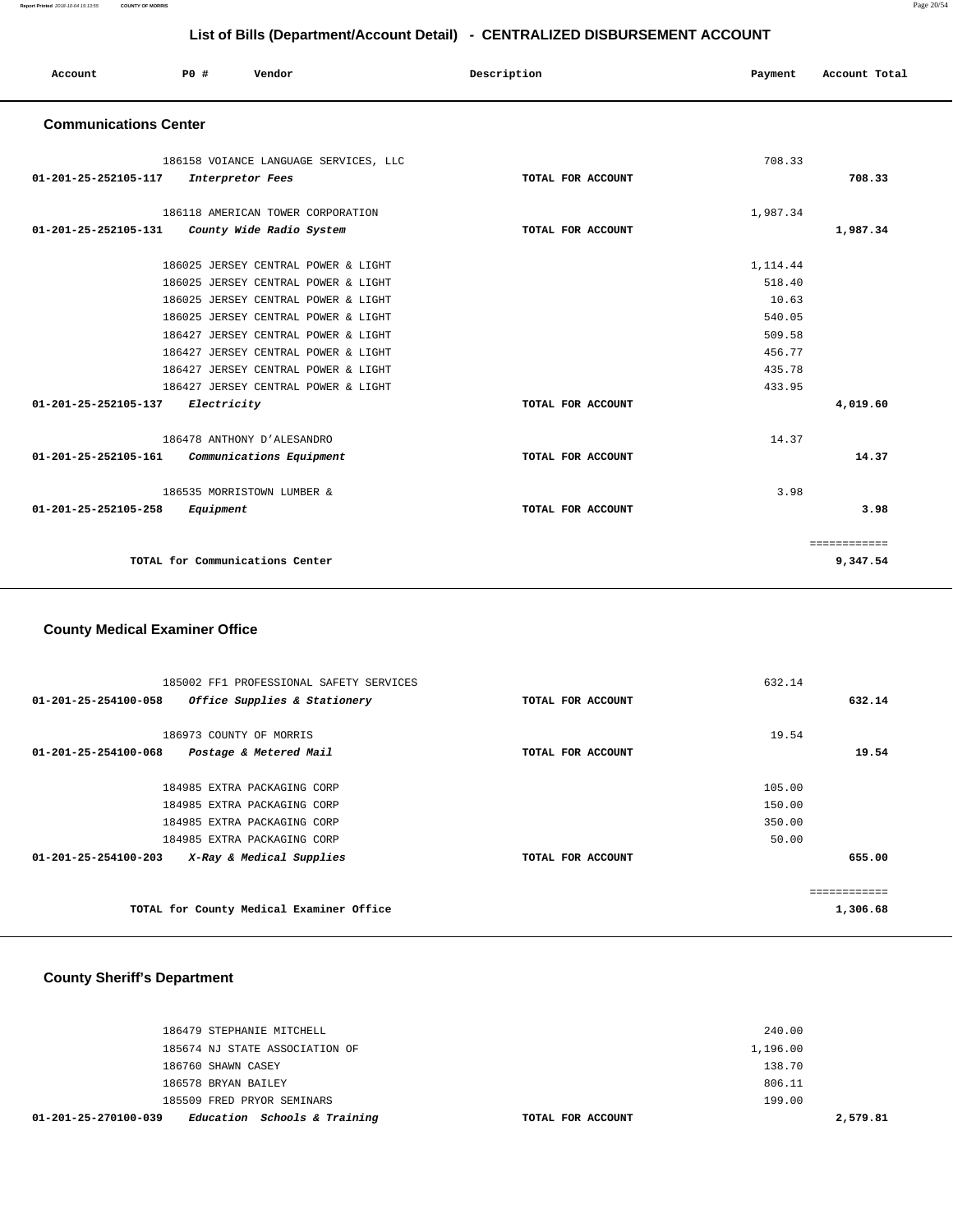**Report Printed** 2018-10-04 15:13:55 **COUNTY OF MORRIS** Page 20/54

# **List of Bills (Department/Account Detail) - CENTRALIZED DISBURSEMENT ACCOUNT**

| Account                      | PO#         | Vendor                                | Description       | Payment  | Account Total |
|------------------------------|-------------|---------------------------------------|-------------------|----------|---------------|
| <b>Communications Center</b> |             |                                       |                   |          |               |
|                              |             | 186158 VOIANCE LANGUAGE SERVICES, LLC |                   | 708.33   |               |
| 01-201-25-252105-117         |             | Interpretor Fees                      | TOTAL FOR ACCOUNT |          | 708.33        |
|                              |             | 186118 AMERICAN TOWER CORPORATION     |                   | 1,987.34 |               |
| 01-201-25-252105-131         |             | County Wide Radio System              | TOTAL FOR ACCOUNT |          | 1,987.34      |
|                              |             | 186025 JERSEY CENTRAL POWER & LIGHT   |                   | 1,114.44 |               |
|                              |             | 186025 JERSEY CENTRAL POWER & LIGHT   |                   | 518.40   |               |
|                              |             | 186025 JERSEY CENTRAL POWER & LIGHT   |                   | 10.63    |               |
|                              |             | 186025 JERSEY CENTRAL POWER & LIGHT   |                   | 540.05   |               |
|                              |             | 186427 JERSEY CENTRAL POWER & LIGHT   |                   | 509.58   |               |
|                              |             | 186427 JERSEY CENTRAL POWER & LIGHT   |                   | 456.77   |               |
|                              |             | 186427 JERSEY CENTRAL POWER & LIGHT   |                   | 435.78   |               |
|                              |             | 186427 JERSEY CENTRAL POWER & LIGHT   |                   | 433.95   |               |
| 01-201-25-252105-137         | Electricity |                                       | TOTAL FOR ACCOUNT |          | 4,019.60      |
|                              |             | 186478 ANTHONY D'ALESANDRO            |                   | 14.37    |               |
| 01-201-25-252105-161         |             | Communications Equipment              | TOTAL FOR ACCOUNT |          | 14.37         |
|                              |             | 186535 MORRISTOWN LUMBER &            |                   | 3.98     |               |
| 01-201-25-252105-258         | Equipment   |                                       | TOTAL FOR ACCOUNT |          | 3.98          |
|                              |             |                                       |                   |          | ============  |
|                              |             | TOTAL for Communications Center       |                   |          | 9,347.54      |

### **County Medical Examiner Office**

| 185002 FF1 PROFESSIONAL SAFETY SERVICES              |                   | 632.14       |
|------------------------------------------------------|-------------------|--------------|
| 01-201-25-254100-058<br>Office Supplies & Stationery | TOTAL FOR ACCOUNT | 632.14       |
|                                                      |                   |              |
| 186973 COUNTY OF MORRIS                              |                   | 19.54        |
| 01-201-25-254100-068<br>Postage & Metered Mail       | TOTAL FOR ACCOUNT | 19.54        |
|                                                      |                   |              |
| 184985 EXTRA PACKAGING CORP                          |                   | 105.00       |
| 184985 EXTRA PACKAGING CORP                          |                   | 150.00       |
| 184985 EXTRA PACKAGING CORP                          |                   | 350.00       |
| 184985 EXTRA PACKAGING CORP                          |                   | 50.00        |
| 01-201-25-254100-203<br>X-Ray & Medical Supplies     | TOTAL FOR ACCOUNT | 655.00       |
|                                                      |                   |              |
|                                                      |                   | ============ |
| TOTAL for County Medical Examiner Office             |                   | 1,306.68     |

# **County Sheriff's Department**

| Education Schools & Training<br>01-201-25-270100-039 | TOTAL FOR ACCOUNT |          | 2,579.81 |
|------------------------------------------------------|-------------------|----------|----------|
| 185509 FRED PRYOR SEMINARS                           |                   | 199.00   |          |
| 186578 BRYAN BAILEY                                  |                   | 806.11   |          |
| 186760 SHAWN CASEY                                   |                   | 138.70   |          |
| 185674 NJ STATE ASSOCIATION OF                       |                   | 1,196.00 |          |
| 186479 STEPHANIE MITCHELL                            |                   | 240.00   |          |
|                                                      |                   |          |          |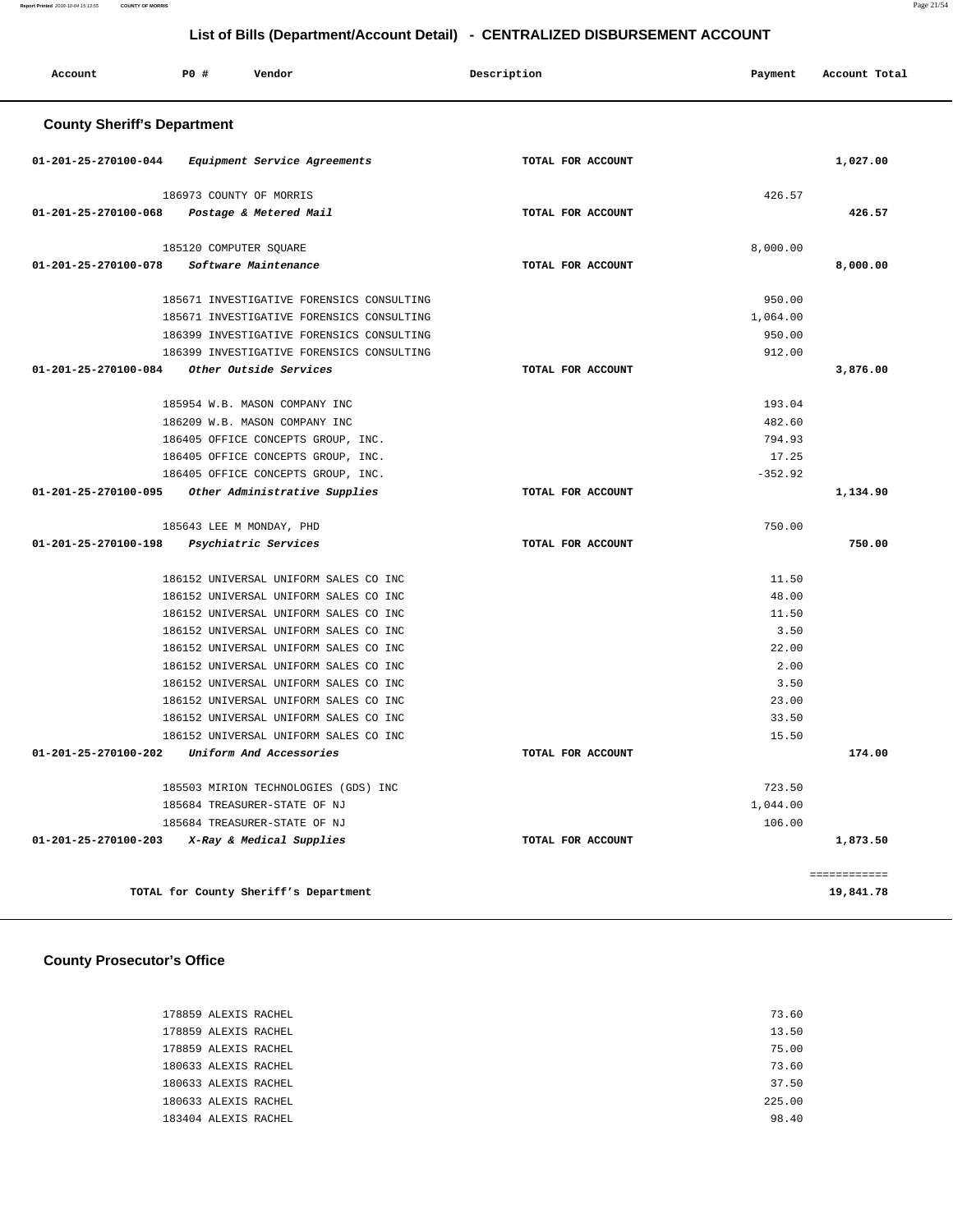| Account                            | <b>PO #</b>              | Vendor                                |                                           | Description       | Payment   | Account Total |
|------------------------------------|--------------------------|---------------------------------------|-------------------------------------------|-------------------|-----------|---------------|
| <b>County Sheriff's Department</b> |                          |                                       |                                           |                   |           |               |
| 01-201-25-270100-044               |                          | Equipment Service Agreements          |                                           | TOTAL FOR ACCOUNT |           | 1,027.00      |
|                                    | 186973 COUNTY OF MORRIS  |                                       |                                           |                   | 426.57    |               |
| 01-201-25-270100-068               |                          | Postage & Metered Mail                |                                           | TOTAL FOR ACCOUNT |           | 426.57        |
|                                    | 185120 COMPUTER SQUARE   |                                       |                                           |                   | 8,000.00  |               |
| 01-201-25-270100-078               |                          | Software Maintenance                  |                                           | TOTAL FOR ACCOUNT |           | 8,000.00      |
|                                    |                          |                                       | 185671 INVESTIGATIVE FORENSICS CONSULTING |                   | 950.00    |               |
|                                    |                          |                                       | 185671 INVESTIGATIVE FORENSICS CONSULTING |                   | 1,064.00  |               |
|                                    |                          |                                       | 186399 INVESTIGATIVE FORENSICS CONSULTING |                   | 950.00    |               |
|                                    |                          |                                       | 186399 INVESTIGATIVE FORENSICS CONSULTING |                   | 912.00    |               |
| 01-201-25-270100-084               |                          | Other Outside Services                |                                           | TOTAL FOR ACCOUNT |           | 3,876.00      |
|                                    |                          | 185954 W.B. MASON COMPANY INC         |                                           |                   | 193.04    |               |
|                                    |                          | 186209 W.B. MASON COMPANY INC         |                                           |                   | 482.60    |               |
|                                    |                          | 186405 OFFICE CONCEPTS GROUP, INC.    |                                           |                   | 794.93    |               |
|                                    |                          | 186405 OFFICE CONCEPTS GROUP, INC.    |                                           |                   | 17.25     |               |
|                                    |                          | 186405 OFFICE CONCEPTS GROUP, INC.    |                                           |                   | $-352.92$ |               |
| 01-201-25-270100-095               |                          | Other Administrative Supplies         |                                           | TOTAL FOR ACCOUNT |           | 1,134.90      |
|                                    | 185643 LEE M MONDAY, PHD |                                       |                                           |                   | 750.00    |               |
| 01-201-25-270100-198               |                          | Psychiatric Services                  |                                           | TOTAL FOR ACCOUNT |           | 750.00        |
|                                    |                          | 186152 UNIVERSAL UNIFORM SALES CO INC |                                           |                   | 11.50     |               |
|                                    |                          | 186152 UNIVERSAL UNIFORM SALES CO INC |                                           |                   | 48.00     |               |
|                                    |                          | 186152 UNIVERSAL UNIFORM SALES CO INC |                                           |                   | 11.50     |               |
|                                    |                          | 186152 UNIVERSAL UNIFORM SALES CO INC |                                           |                   | 3.50      |               |
|                                    |                          | 186152 UNIVERSAL UNIFORM SALES CO INC |                                           |                   | 22.00     |               |
|                                    |                          | 186152 UNIVERSAL UNIFORM SALES CO INC |                                           |                   | 2.00      |               |
|                                    |                          | 186152 UNIVERSAL UNIFORM SALES CO INC |                                           |                   | 3.50      |               |
|                                    |                          | 186152 UNIVERSAL UNIFORM SALES CO INC |                                           |                   | 23.00     |               |
|                                    |                          | 186152 UNIVERSAL UNIFORM SALES CO INC |                                           |                   | 33.50     |               |
|                                    |                          | 186152 UNIVERSAL UNIFORM SALES CO INC |                                           |                   | 15.50     |               |
| 01-201-25-270100-202               |                          | Uniform And Accessories               |                                           | TOTAL FOR ACCOUNT |           | 174.00        |
|                                    |                          | 185503 MIRION TECHNOLOGIES (GDS) INC  |                                           |                   | 723.50    |               |
|                                    |                          | 185684 TREASURER-STATE OF NJ          |                                           |                   | 1,044.00  |               |
|                                    |                          | 185684 TREASURER-STATE OF NJ          |                                           |                   | 106.00    |               |
| 01-201-25-270100-203               |                          | X-Ray & Medical Supplies              |                                           | TOTAL FOR ACCOUNT |           | 1,873.50      |
|                                    |                          |                                       |                                           |                   |           | ============  |
|                                    |                          | TOTAL for County Sheriff's Department |                                           |                   |           | 19,841.78     |

# **County Prosecutor's Office**

| 178859 ALEXIS RACHEL | 73.60  |
|----------------------|--------|
| 178859 ALEXIS RACHEL | 13.50  |
| 178859 ALEXIS RACHEL | 75.00  |
| 180633 ALEXIS RACHEL | 73.60  |
| 180633 ALEXIS RACHEL | 37.50  |
| 180633 ALEXIS RACHEL | 225.00 |
| 183404 ALEXIS RACHEL | 98.40  |
|                      |        |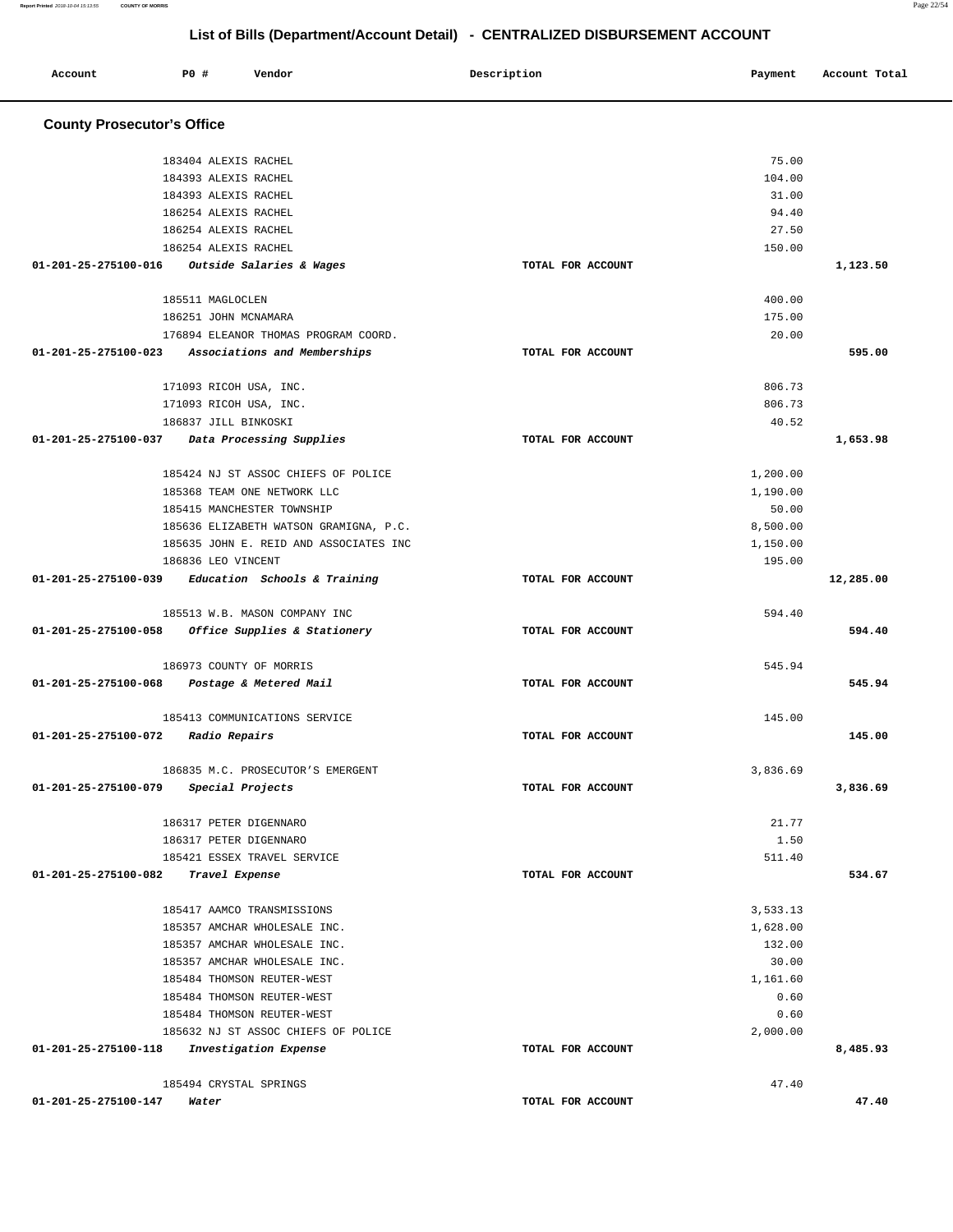**Report Printed** 2018-10-04 15:13:55 **COUNTY OF MORRIS** Page 22/54

# **List of Bills (Department/Account Detail) - CENTRALIZED DISBURSEMENT ACCOUNT**

| Account                           | <b>PO #</b><br>Vendor                  | Description       | Payment  | Account Total |
|-----------------------------------|----------------------------------------|-------------------|----------|---------------|
| <b>County Prosecutor's Office</b> |                                        |                   |          |               |
|                                   | 183404 ALEXIS RACHEL                   |                   | 75.00    |               |
|                                   | 184393 ALEXIS RACHEL                   |                   | 104.00   |               |
|                                   | 184393 ALEXIS RACHEL                   |                   | 31.00    |               |
|                                   | 186254 ALEXIS RACHEL                   |                   | 94.40    |               |
|                                   | 186254 ALEXIS RACHEL                   |                   | 27.50    |               |
|                                   | 186254 ALEXIS RACHEL                   |                   | 150.00   |               |
| 01-201-25-275100-016              | Outside Salaries & Wages               | TOTAL FOR ACCOUNT |          | 1,123.50      |
|                                   | 185511 MAGLOCLEN                       |                   | 400.00   |               |
|                                   | 186251 JOHN MCNAMARA                   |                   | 175.00   |               |
|                                   | 176894 ELEANOR THOMAS PROGRAM COORD.   |                   | 20.00    |               |
| 01-201-25-275100-023              | Associations and Memberships           | TOTAL FOR ACCOUNT |          | 595.00        |
|                                   | 171093 RICOH USA, INC.                 |                   | 806.73   |               |
|                                   | 171093 RICOH USA, INC.                 |                   | 806.73   |               |
|                                   | 186837 JILL BINKOSKI                   |                   | 40.52    |               |
| 01-201-25-275100-037              | Data Processing Supplies               | TOTAL FOR ACCOUNT |          | 1,653.98      |
|                                   | 185424 NJ ST ASSOC CHIEFS OF POLICE    |                   | 1,200.00 |               |
|                                   | 185368 TEAM ONE NETWORK LLC            |                   | 1,190.00 |               |
|                                   | 185415 MANCHESTER TOWNSHIP             |                   | 50.00    |               |
|                                   | 185636 ELIZABETH WATSON GRAMIGNA, P.C. |                   | 8,500.00 |               |
|                                   | 185635 JOHN E. REID AND ASSOCIATES INC |                   | 1,150.00 |               |
|                                   | 186836 LEO VINCENT                     |                   | 195.00   |               |
| 01-201-25-275100-039              | Education Schools & Training           | TOTAL FOR ACCOUNT |          | 12,285.00     |
|                                   | 185513 W.B. MASON COMPANY INC          |                   | 594.40   |               |
| 01-201-25-275100-058              | Office Supplies & Stationery           | TOTAL FOR ACCOUNT |          | 594.40        |
|                                   | 186973 COUNTY OF MORRIS                |                   | 545.94   |               |
| 01-201-25-275100-068              | Postage & Metered Mail                 | TOTAL FOR ACCOUNT |          | 545.94        |
|                                   | 185413 COMMUNICATIONS SERVICE          |                   | 145.00   |               |
| 01-201-25-275100-072              | <i><b>Radio Repairs</b></i>            | TOTAL FOR ACCOUNT |          | 145.00        |
|                                   | 186835 M.C. PROSECUTOR'S EMERGENT      |                   | 3,836.69 |               |
| 01-201-25-275100-079              | Special Projects                       | TOTAL FOR ACCOUNT |          | 3,836.69      |
|                                   | 186317 PETER DIGENNARO                 |                   | 21.77    |               |
|                                   | 186317 PETER DIGENNARO                 |                   | 1.50     |               |
|                                   | 185421 ESSEX TRAVEL SERVICE            |                   | 511.40   |               |
| 01-201-25-275100-082              | Travel Expense                         | TOTAL FOR ACCOUNT |          | 534.67        |
|                                   | 185417 AAMCO TRANSMISSIONS             |                   | 3,533.13 |               |
|                                   | 185357 AMCHAR WHOLESALE INC.           |                   | 1,628.00 |               |
|                                   | 185357 AMCHAR WHOLESALE INC.           |                   | 132.00   |               |
|                                   | 185357 AMCHAR WHOLESALE INC.           |                   | 30.00    |               |
|                                   | 185484 THOMSON REUTER-WEST             |                   | 1,161.60 |               |
|                                   | 185484 THOMSON REUTER-WEST             |                   | 0.60     |               |
|                                   | 185484 THOMSON REUTER-WEST             |                   | 0.60     |               |
|                                   | 185632 NJ ST ASSOC CHIEFS OF POLICE    |                   | 2,000.00 |               |
| 01-201-25-275100-118              | Investigation Expense                  | TOTAL FOR ACCOUNT |          | 8,485.93      |
|                                   | 185494 CRYSTAL SPRINGS                 |                   | 47.40    |               |
| 01-201-25-275100-147              | Water                                  | TOTAL FOR ACCOUNT |          | 47.40         |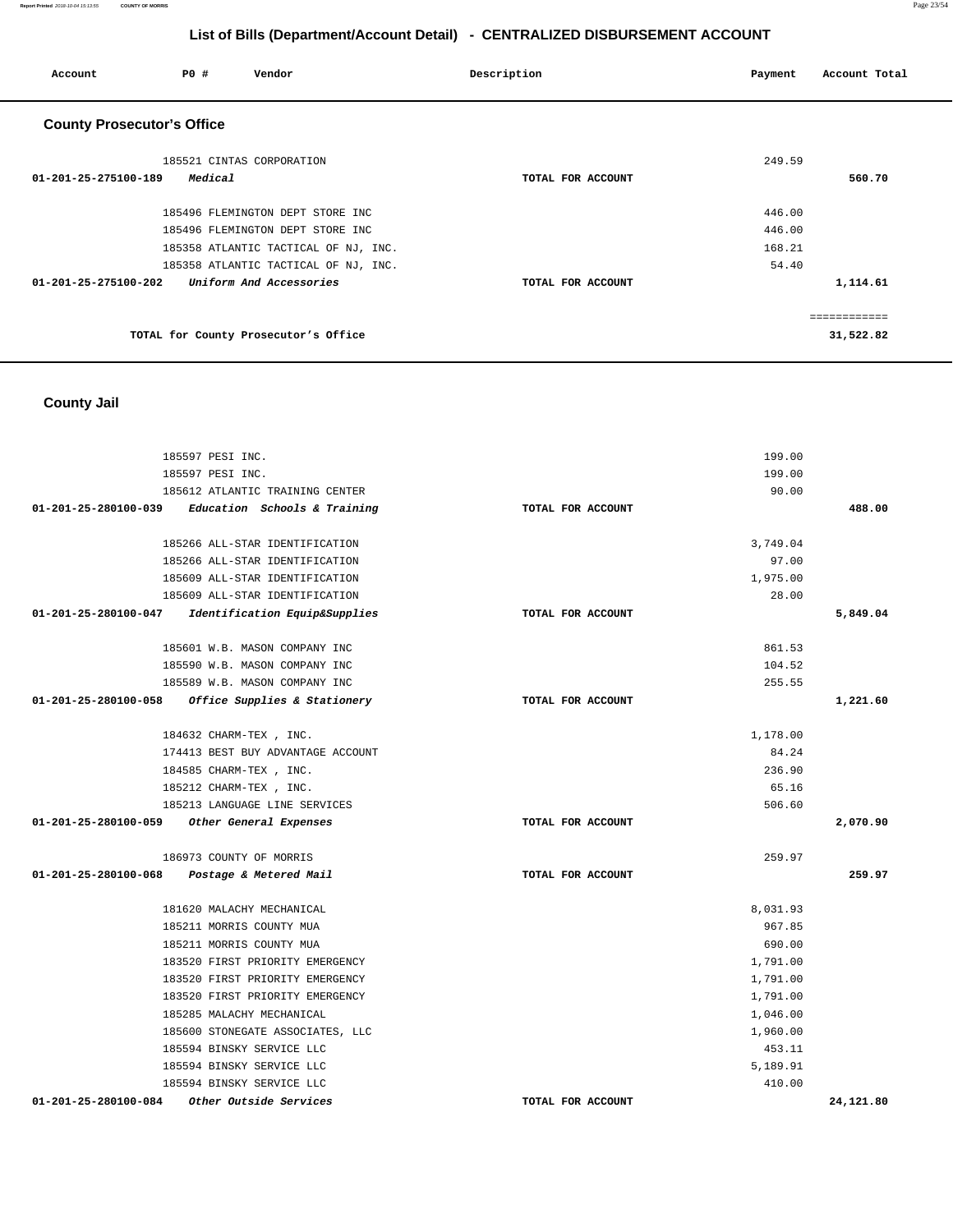**Report Printed** 2018-10-04 15:13:55 **COUNTY OF MORRIS** Page 23/54

# **List of Bills (Department/Account Detail) - CENTRALIZED DISBURSEMENT ACCOUNT**

| Account                           | <b>PO #</b>               | Vendor                               | Description       | Payment | Account Total |
|-----------------------------------|---------------------------|--------------------------------------|-------------------|---------|---------------|
| <b>County Prosecutor's Office</b> |                           |                                      |                   |         |               |
|                                   | 185521 CINTAS CORPORATION |                                      |                   | 249.59  |               |
| 01-201-25-275100-189              | Medical                   |                                      | TOTAL FOR ACCOUNT |         | 560.70        |
|                                   |                           | 185496 FLEMINGTON DEPT STORE INC     |                   | 446.00  |               |
|                                   |                           | 185496 FLEMINGTON DEPT STORE INC     |                   | 446.00  |               |
|                                   |                           | 185358 ATLANTIC TACTICAL OF NJ, INC. |                   | 168.21  |               |
|                                   |                           | 185358 ATLANTIC TACTICAL OF NJ, INC. |                   | 54.40   |               |
| 01-201-25-275100-202              |                           | Uniform And Accessories              | TOTAL FOR ACCOUNT |         | 1,114.61      |
|                                   |                           |                                      |                   |         | ============  |
|                                   |                           | TOTAL for County Prosecutor's Office |                   |         | 31,522.82     |

# **County Jail**

| 185597 PESI INC.                                      |                   | 199.00   |           |
|-------------------------------------------------------|-------------------|----------|-----------|
| 185597 PESI INC.                                      |                   | 199.00   |           |
| 185612 ATLANTIC TRAINING CENTER                       |                   | 90.00    |           |
| $01-201-25-280100-039$ Education Schools & Training   | TOTAL FOR ACCOUNT |          | 488.00    |
|                                                       |                   |          |           |
| 185266 ALL-STAR IDENTIFICATION                        |                   | 3,749.04 |           |
| 185266 ALL-STAR IDENTIFICATION                        |                   | 97.00    |           |
| 185609 ALL-STAR IDENTIFICATION                        |                   | 1,975.00 |           |
| 185609 ALL-STAR IDENTIFICATION                        |                   | 28.00    |           |
| 01-201-25-280100-047<br>Identification Equip&Supplies | TOTAL FOR ACCOUNT |          | 5,849.04  |
| 185601 W.B. MASON COMPANY INC                         |                   | 861.53   |           |
| 185590 W.B. MASON COMPANY INC                         |                   | 104.52   |           |
| 185589 W.B. MASON COMPANY INC                         |                   | 255.55   |           |
| Office Supplies & Stationery<br>01-201-25-280100-058  | TOTAL FOR ACCOUNT |          | 1,221.60  |
| 184632 CHARM-TEX , INC.                               |                   | 1,178.00 |           |
| 174413 BEST BUY ADVANTAGE ACCOUNT                     |                   | 84.24    |           |
| 184585 CHARM-TEX, INC.                                |                   | 236.90   |           |
| 185212 CHARM-TEX, INC.                                |                   | 65.16    |           |
| 185213 LANGUAGE LINE SERVICES                         |                   | 506.60   |           |
| 01-201-25-280100-059<br>Other General Expenses        | TOTAL FOR ACCOUNT |          | 2,070.90  |
| 186973 COUNTY OF MORRIS                               |                   | 259.97   |           |
| 01-201-25-280100-068 Postage & Metered Mail           | TOTAL FOR ACCOUNT |          | 259.97    |
| 181620 MALACHY MECHANICAL                             |                   | 8,031.93 |           |
| 185211 MORRIS COUNTY MUA                              |                   | 967.85   |           |
| 185211 MORRIS COUNTY MUA                              |                   | 690.00   |           |
| 183520 FIRST PRIORITY EMERGENCY                       |                   | 1,791.00 |           |
| 183520 FIRST PRIORITY EMERGENCY                       |                   | 1,791.00 |           |
| 183520 FIRST PRIORITY EMERGENCY                       |                   | 1,791.00 |           |
| 185285 MALACHY MECHANICAL                             |                   | 1,046.00 |           |
| 185600 STONEGATE ASSOCIATES, LLC                      |                   | 1,960.00 |           |
| 185594 BINSKY SERVICE LLC                             |                   | 453.11   |           |
| 185594 BINSKY SERVICE LLC                             |                   | 5,189.91 |           |
| 185594 BINSKY SERVICE LLC                             |                   | 410.00   |           |
| 01-201-25-280100-084<br>Other Outside Services        | TOTAL FOR ACCOUNT |          | 24,121.80 |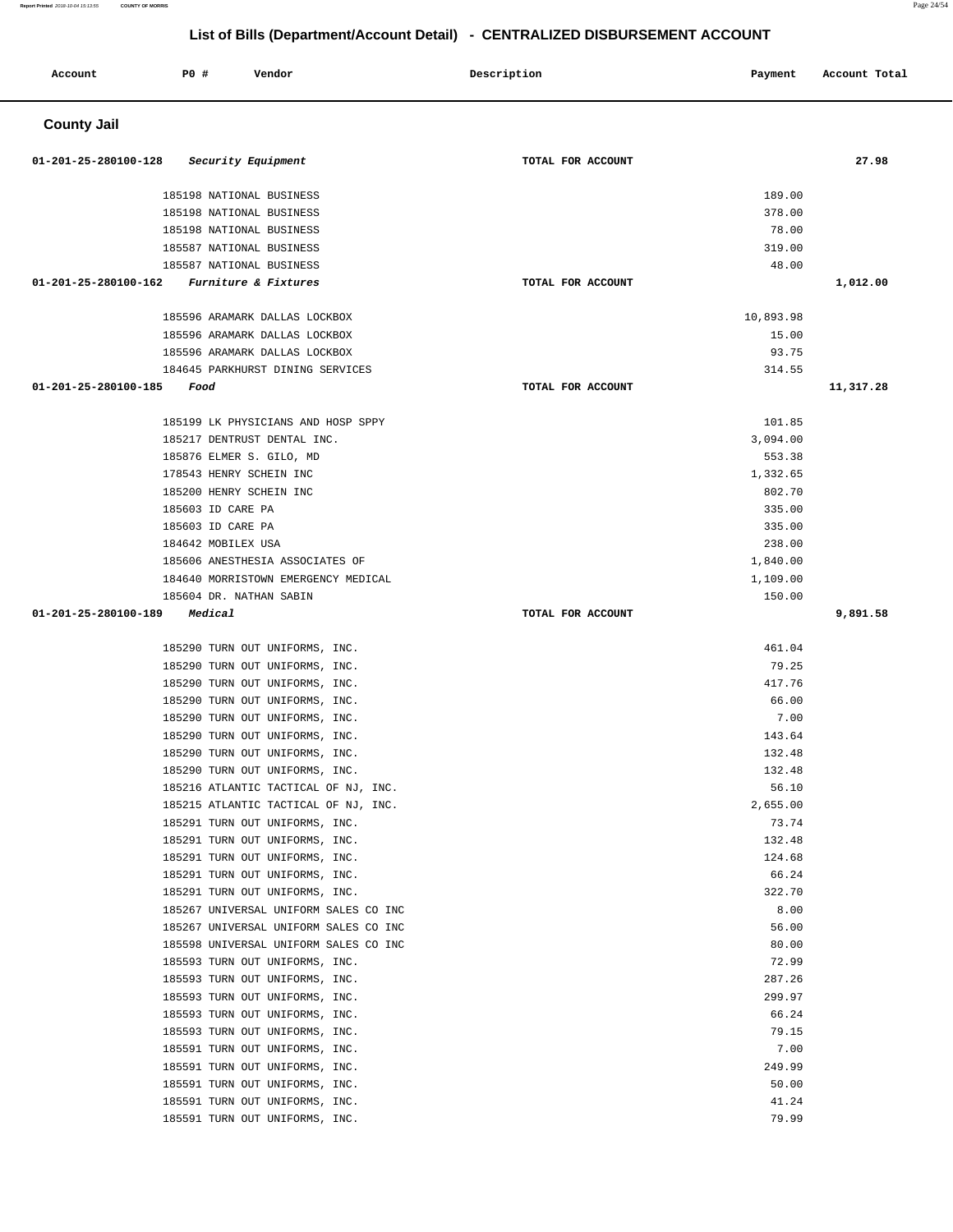**Report Printed** 2018-10-04 15:13:55 **COUNTY OF MORRIS** Page 24/54

# **List of Bills (Department/Account Detail) - CENTRALIZED DISBURSEMENT ACCOUNT**

| Account              | <b>PO #</b>        | Vendor                                                                 | Description<br>Payment | Account Total |
|----------------------|--------------------|------------------------------------------------------------------------|------------------------|---------------|
| <b>County Jail</b>   |                    |                                                                        |                        |               |
| 01-201-25-280100-128 |                    | Security Equipment                                                     | TOTAL FOR ACCOUNT      | 27.98         |
|                      |                    | 185198 NATIONAL BUSINESS                                               | 189.00                 |               |
|                      |                    | 185198 NATIONAL BUSINESS                                               | 378.00                 |               |
|                      |                    | 185198 NATIONAL BUSINESS                                               | 78.00                  |               |
|                      |                    | 185587 NATIONAL BUSINESS                                               | 319.00                 |               |
|                      |                    | 185587 NATIONAL BUSINESS                                               | 48.00                  |               |
| 01-201-25-280100-162 |                    | Furniture & Fixtures                                                   | TOTAL FOR ACCOUNT      | 1,012.00      |
|                      |                    | 185596 ARAMARK DALLAS LOCKBOX                                          | 10,893.98              |               |
|                      |                    | 185596 ARAMARK DALLAS LOCKBOX                                          | 15.00                  |               |
|                      |                    | 185596 ARAMARK DALLAS LOCKBOX                                          | 93.75                  |               |
|                      |                    | 184645 PARKHURST DINING SERVICES                                       | 314.55                 |               |
| 01-201-25-280100-185 | Food               |                                                                        | TOTAL FOR ACCOUNT      | 11,317.28     |
|                      |                    | 185199 LK PHYSICIANS AND HOSP SPPY                                     | 101.85                 |               |
|                      |                    | 185217 DENTRUST DENTAL INC.                                            | 3,094.00               |               |
|                      |                    | 185876 ELMER S. GILO, MD                                               | 553.38                 |               |
|                      |                    | 178543 HENRY SCHEIN INC                                                | 1,332.65               |               |
|                      |                    | 185200 HENRY SCHEIN INC                                                | 802.70                 |               |
|                      | 185603 ID CARE PA  |                                                                        | 335.00                 |               |
|                      | 185603 ID CARE PA  |                                                                        | 335.00                 |               |
|                      | 184642 MOBILEX USA |                                                                        | 238.00                 |               |
|                      |                    | 185606 ANESTHESIA ASSOCIATES OF                                        | 1,840.00               |               |
|                      |                    | 184640 MORRISTOWN EMERGENCY MEDICAL                                    | 1,109.00               |               |
|                      |                    | 185604 DR. NATHAN SABIN                                                | 150.00                 |               |
| 01-201-25-280100-189 | Medical            |                                                                        | TOTAL FOR ACCOUNT      | 9,891.58      |
|                      |                    | 185290 TURN OUT UNIFORMS, INC.                                         | 461.04                 |               |
|                      |                    | 185290 TURN OUT UNIFORMS, INC.                                         | 79.25                  |               |
|                      |                    | 185290 TURN OUT UNIFORMS, INC.                                         | 417.76                 |               |
|                      |                    | 185290 TURN OUT UNIFORMS, INC.                                         | 66.00                  |               |
|                      |                    | 185290 TURN OUT UNIFORMS, INC.                                         | 7.00                   |               |
|                      |                    | 185290 TURN OUT UNIFORMS, INC.                                         | 143.64                 |               |
|                      |                    | 185290 TURN OUT UNIFORMS, INC.                                         | 132.48                 |               |
|                      |                    | 185290 TURN OUT UNIFORMS, INC.                                         | 132.48                 |               |
|                      |                    | 185216 ATLANTIC TACTICAL OF NJ, INC.                                   | 56.10                  |               |
|                      |                    | 185215 ATLANTIC TACTICAL OF NJ, INC.<br>185291 TURN OUT UNIFORMS, INC. | 2,655.00<br>73.74      |               |
|                      |                    | 185291 TURN OUT UNIFORMS, INC.                                         | 132.48                 |               |
|                      |                    | 185291 TURN OUT UNIFORMS, INC.                                         | 124.68                 |               |
|                      |                    | 185291 TURN OUT UNIFORMS, INC.                                         | 66.24                  |               |
|                      |                    | 185291 TURN OUT UNIFORMS, INC.                                         | 322.70                 |               |
|                      |                    | 185267 UNIVERSAL UNIFORM SALES CO INC                                  | 8.00                   |               |
|                      |                    | 185267 UNIVERSAL UNIFORM SALES CO INC                                  | 56.00                  |               |
|                      |                    | 185598 UNIVERSAL UNIFORM SALES CO INC                                  | 80.00                  |               |
|                      |                    | 185593 TURN OUT UNIFORMS, INC.                                         | 72.99                  |               |
|                      |                    | 185593 TURN OUT UNIFORMS, INC.                                         | 287.26                 |               |
|                      |                    | 185593 TURN OUT UNIFORMS, INC.                                         | 299.97                 |               |
|                      |                    | 185593 TURN OUT UNIFORMS, INC.                                         | 66.24                  |               |
|                      |                    | 185593 TURN OUT UNIFORMS, INC.                                         | 79.15                  |               |
|                      |                    | 185591 TURN OUT UNIFORMS, INC.                                         | 7.00                   |               |
|                      |                    | 185591 TURN OUT UNIFORMS, INC.                                         | 249.99                 |               |
|                      |                    | 185591 TURN OUT UNIFORMS, INC.                                         | 50.00<br>41.24         |               |
|                      |                    | 185591 TURN OUT UNIFORMS, INC.<br>185591 TURN OUT UNIFORMS, INC.       | 79.99                  |               |
|                      |                    |                                                                        |                        |               |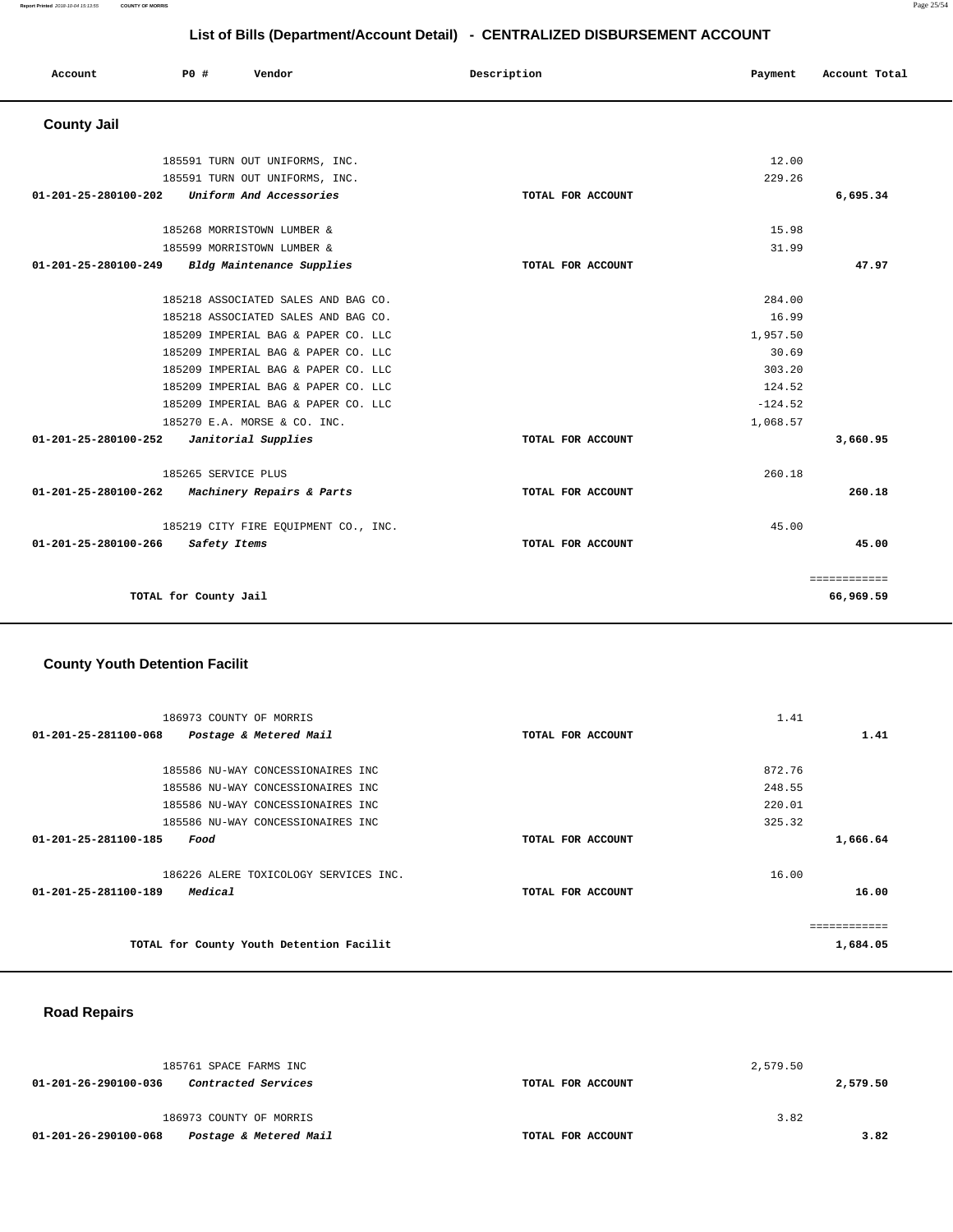============ **66,969.59** 

|                                              | List of Bills (Department/Account Detail) - CENTRALIZED DISBURSEMENT ACCOUNT |                                      |                   |           |               |  |  |
|----------------------------------------------|------------------------------------------------------------------------------|--------------------------------------|-------------------|-----------|---------------|--|--|
| Account                                      | PO#                                                                          | Vendor                               | Description       | Payment   | Account Total |  |  |
| <b>County Jail</b>                           |                                                                              |                                      |                   |           |               |  |  |
|                                              |                                                                              | 185591 TURN OUT UNIFORMS, INC.       |                   | 12.00     |               |  |  |
|                                              |                                                                              | 185591 TURN OUT UNIFORMS, INC.       |                   | 229.26    |               |  |  |
| 01-201-25-280100-202 Uniform And Accessories |                                                                              |                                      | TOTAL FOR ACCOUNT |           | 6,695.34      |  |  |
|                                              |                                                                              | 185268 MORRISTOWN LUMBER &           |                   | 15.98     |               |  |  |
|                                              |                                                                              | 185599 MORRISTOWN LUMBER &           |                   | 31.99     |               |  |  |
| 01-201-25-280100-249                         |                                                                              | Bldg Maintenance Supplies            | TOTAL FOR ACCOUNT |           | 47.97         |  |  |
|                                              |                                                                              | 185218 ASSOCIATED SALES AND BAG CO.  |                   | 284.00    |               |  |  |
|                                              |                                                                              | 185218 ASSOCIATED SALES AND BAG CO.  |                   | 16.99     |               |  |  |
|                                              |                                                                              | 185209 IMPERIAL BAG & PAPER CO. LLC  |                   | 1,957.50  |               |  |  |
|                                              |                                                                              | 185209 IMPERIAL BAG & PAPER CO. LLC  |                   | 30.69     |               |  |  |
|                                              |                                                                              | 185209 IMPERIAL BAG & PAPER CO. LLC  |                   | 303.20    |               |  |  |
|                                              |                                                                              | 185209 IMPERIAL BAG & PAPER CO. LLC  |                   | 124.52    |               |  |  |
|                                              |                                                                              | 185209 IMPERIAL BAG & PAPER CO. LLC  |                   | $-124.52$ |               |  |  |
|                                              |                                                                              | 185270 E.A. MORSE & CO. INC.         |                   | 1,068.57  |               |  |  |
| 01-201-25-280100-252                         |                                                                              | Janitorial Supplies                  | TOTAL FOR ACCOUNT |           | 3,660.95      |  |  |
|                                              | 185265 SERVICE PLUS                                                          |                                      |                   | 260.18    |               |  |  |
| 01-201-25-280100-262                         |                                                                              | Machinery Repairs & Parts            | TOTAL FOR ACCOUNT |           | 260.18        |  |  |
|                                              |                                                                              | 185219 CITY FIRE EQUIPMENT CO., INC. |                   | 45.00     |               |  |  |
| 01-201-25-280100-266                         | Safety Items                                                                 |                                      | TOTAL FOR ACCOUNT |           | 45.00         |  |  |

**TOTAL for County Jail** 

# **County Youth Detention Facilit**

| 186973 COUNTY OF MORRIS                        |                                       |                   | 1.41   |          |
|------------------------------------------------|---------------------------------------|-------------------|--------|----------|
| 01-201-25-281100-068<br>Postage & Metered Mail |                                       | TOTAL FOR ACCOUNT |        | 1.41     |
|                                                |                                       |                   |        |          |
|                                                | 185586 NU-WAY CONCESSIONAIRES INC     |                   | 872.76 |          |
|                                                | 185586 NU-WAY CONCESSIONAIRES INC     |                   | 248.55 |          |
|                                                | 185586 NU-WAY CONCESSIONAIRES INC     |                   | 220.01 |          |
|                                                | 185586 NU-WAY CONCESSIONAIRES INC     |                   | 325.32 |          |
| 01-201-25-281100-185<br>Food                   |                                       | TOTAL FOR ACCOUNT |        | 1,666.64 |
|                                                |                                       |                   |        |          |
|                                                | 186226 ALERE TOXICOLOGY SERVICES INC. |                   | 16.00  |          |
| 01-201-25-281100-189<br>Medical                |                                       | TOTAL FOR ACCOUNT |        | 16.00    |
|                                                |                                       |                   |        |          |
|                                                |                                       |                   |        |          |
| TOTAL for County Youth Detention Facilit       |                                       |                   |        | 1,684.05 |

### **Road Repairs**

| 185761 SPACE FARMS INC                             |                   | 2,579.50 |      |
|----------------------------------------------------|-------------------|----------|------|
| 01-201-26-290100-036<br><i>Contracted Services</i> | TOTAL FOR ACCOUNT | 2,579.50 |      |
| 186973 COUNTY OF MORRIS                            |                   | 3.82     |      |
| Postage & Metered Mail<br>01-201-26-290100-068     | TOTAL FOR ACCOUNT |          | 3.82 |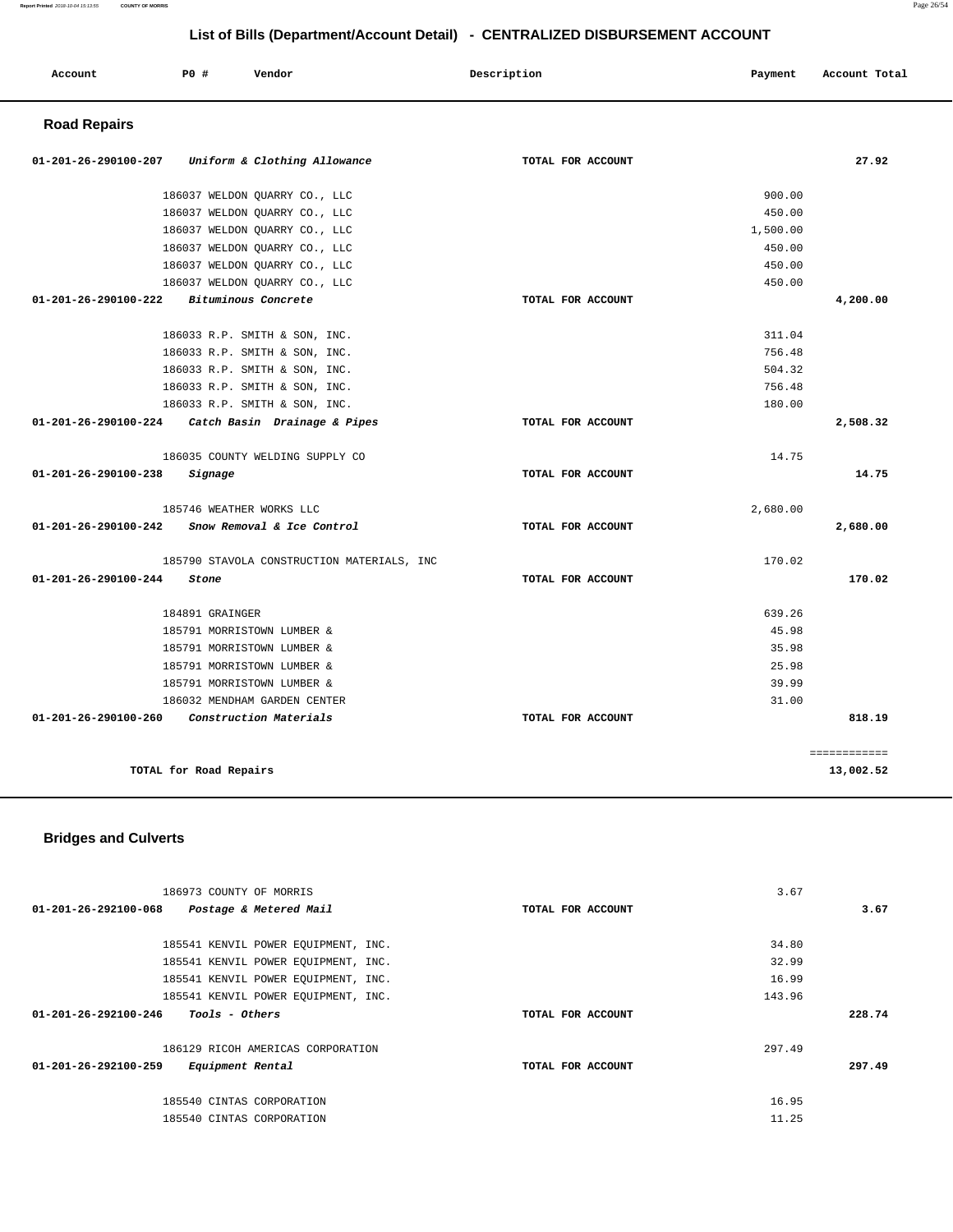#### **Report Printed** 2018-10-04 15:13:55 **COUNTY OF MORRIS** Page 26/54

# **List of Bills (Department/Account Detail) - CENTRALIZED DISBURSEMENT ACCOUNT**

| Account<br>. | P0 # | Vendor<br>. | Description<br>. | Payment | Account Total |
|--------------|------|-------------|------------------|---------|---------------|
|              |      |             |                  |         |               |

# **Road Repairs**

| 01-201-26-290100-207           | Uniform & Clothing Allowance               | TOTAL FOR ACCOUNT |          | 27.92        |
|--------------------------------|--------------------------------------------|-------------------|----------|--------------|
|                                | 186037 WELDON QUARRY CO., LLC              |                   | 900.00   |              |
|                                | 186037 WELDON QUARRY CO., LLC              |                   | 450.00   |              |
|                                | 186037 WELDON QUARRY CO., LLC              |                   | 1,500.00 |              |
|                                | 186037 WELDON QUARRY CO., LLC              |                   | 450.00   |              |
|                                | 186037 WELDON QUARRY CO., LLC              |                   | 450.00   |              |
|                                | 186037 WELDON QUARRY CO., LLC              |                   | 450.00   |              |
| 01-201-26-290100-222           | Bituminous Concrete                        | TOTAL FOR ACCOUNT |          | 4,200.00     |
|                                | 186033 R.P. SMITH & SON, INC.              |                   | 311.04   |              |
|                                | 186033 R.P. SMITH & SON, INC.              |                   | 756.48   |              |
|                                | 186033 R.P. SMITH & SON, INC.              |                   | 504.32   |              |
|                                | 186033 R.P. SMITH & SON, INC.              |                   | 756.48   |              |
|                                | 186033 R.P. SMITH & SON, INC.              |                   | 180.00   |              |
| 01-201-26-290100-224           | Catch Basin Drainage & Pipes               | TOTAL FOR ACCOUNT |          | 2,508.32     |
|                                | 186035 COUNTY WELDING SUPPLY CO            |                   | 14.75    |              |
| 01-201-26-290100-238           | Signage                                    | TOTAL FOR ACCOUNT |          | 14.75        |
|                                | 185746 WEATHER WORKS LLC                   |                   | 2,680.00 |              |
| 01-201-26-290100-242           | Snow Removal & Ice Control                 | TOTAL FOR ACCOUNT |          | 2,680.00     |
|                                | 185790 STAVOLA CONSTRUCTION MATERIALS, INC |                   | 170.02   |              |
| $01 - 201 - 26 - 290100 - 244$ | Stone                                      | TOTAL FOR ACCOUNT |          | 170.02       |
|                                | 184891 GRAINGER                            |                   | 639.26   |              |
|                                | 185791 MORRISTOWN LUMBER &                 |                   | 45.98    |              |
|                                | 185791 MORRISTOWN LUMBER &                 |                   | 35.98    |              |
|                                | 185791 MORRISTOWN LUMBER &                 |                   | 25.98    |              |
|                                | 185791 MORRISTOWN LUMBER &                 |                   | 39.99    |              |
|                                | 186032 MENDHAM GARDEN CENTER               |                   | 31.00    |              |
| 01-201-26-290100-260           | Construction Materials                     | TOTAL FOR ACCOUNT |          | 818.19       |
|                                |                                            |                   |          | ============ |
|                                | TOTAL for Road Repairs                     |                   |          | 13,002.52    |

# **Bridges and Culverts**

| 186973 COUNTY OF MORRIS                                 |                   | 3.67   |
|---------------------------------------------------------|-------------------|--------|
| 01-201-26-292100-068<br>Postage & Metered Mail          | TOTAL FOR ACCOUNT | 3.67   |
|                                                         |                   |        |
| 185541 KENVIL POWER EQUIPMENT, INC.                     |                   | 34.80  |
| 185541 KENVIL POWER EQUIPMENT, INC.                     |                   | 32.99  |
| 185541 KENVIL POWER EQUIPMENT, INC.                     |                   | 16.99  |
| 185541 KENVIL POWER EOUIPMENT, INC.                     |                   | 143.96 |
| $01 - 201 - 26 - 292100 - 246$<br><i>Tools - Others</i> | TOTAL FOR ACCOUNT | 228.74 |
|                                                         |                   |        |
| 186129 RICOH AMERICAS CORPORATION                       |                   | 297.49 |
| 01-201-26-292100-259<br>Equipment Rental                | TOTAL FOR ACCOUNT | 297.49 |
|                                                         |                   |        |
| 185540 CINTAS CORPORATION                               |                   | 16.95  |
| 185540 CINTAS CORPORATION                               |                   | 11.25  |
|                                                         |                   |        |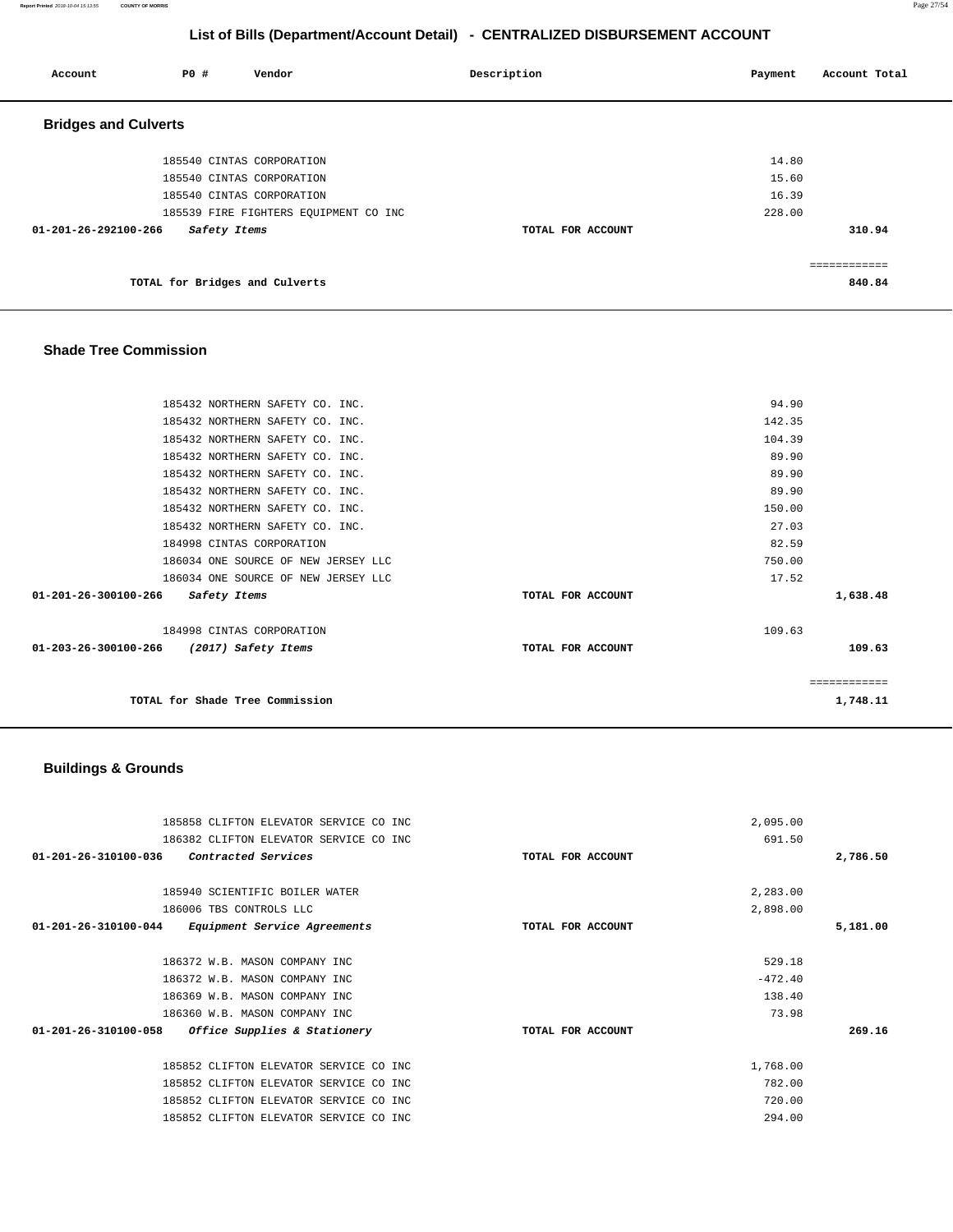**Report Printed** 2018-10-04 15:13:55 **COUNTY OF MORRIS** Page 27/54

# **List of Bills (Department/Account Detail) - CENTRALIZED DISBURSEMENT ACCOUNT**

| Account                        | <b>PO #</b>                    | Vendor                                | Description       | Account Total<br>Payment |  |
|--------------------------------|--------------------------------|---------------------------------------|-------------------|--------------------------|--|
| <b>Bridges and Culverts</b>    |                                |                                       |                   |                          |  |
|                                |                                | 185540 CINTAS CORPORATION             |                   | 14.80                    |  |
|                                |                                | 185540 CINTAS CORPORATION             |                   | 15.60                    |  |
|                                |                                | 185540 CINTAS CORPORATION             |                   | 16.39                    |  |
|                                |                                | 185539 FIRE FIGHTERS EQUIPMENT CO INC |                   | 228.00                   |  |
| $01 - 201 - 26 - 292100 - 266$ | Safety Items                   |                                       | TOTAL FOR ACCOUNT | 310.94                   |  |
|                                |                                |                                       |                   | ============             |  |
|                                | TOTAL for Bridges and Culverts |                                       |                   | 840.84                   |  |

### **Shade Tree Commission**

|              | 94.90  |                   | 185432 NORTHERN SAFETY CO. INC.             |
|--------------|--------|-------------------|---------------------------------------------|
|              | 142.35 |                   | 185432 NORTHERN SAFETY CO. INC.             |
|              | 104.39 |                   | 185432 NORTHERN SAFETY CO. INC.             |
|              | 89.90  |                   | 185432 NORTHERN SAFETY CO. INC.             |
|              | 89.90  |                   | 185432 NORTHERN SAFETY CO. INC.             |
|              | 89.90  |                   | 185432 NORTHERN SAFETY CO. INC.             |
|              | 150.00 |                   | 185432 NORTHERN SAFETY CO. INC.             |
|              | 27.03  |                   | 185432 NORTHERN SAFETY CO. INC.             |
|              | 82.59  |                   | 184998 CINTAS CORPORATION                   |
|              | 750.00 |                   | 186034 ONE SOURCE OF NEW JERSEY LLC         |
|              | 17.52  |                   | 186034 ONE SOURCE OF NEW JERSEY LLC         |
| 1,638.48     |        | TOTAL FOR ACCOUNT | 01-201-26-300100-266<br>Safety Items        |
|              | 109.63 |                   | 184998 CINTAS CORPORATION                   |
| 109.63       |        | TOTAL FOR ACCOUNT | 01-203-26-300100-266<br>(2017) Safety Items |
| ============ |        |                   |                                             |
| 1,748.11     |        |                   | TOTAL for Shade Tree Commission             |

# **Buildings & Grounds**

| 185858 CLIFTON ELEVATOR SERVICE CO INC                         |                   | 2,095.00  |          |
|----------------------------------------------------------------|-------------------|-----------|----------|
| 186382 CLIFTON ELEVATOR SERVICE CO INC                         |                   | 691.50    |          |
| 01-201-26-310100-036<br>Contracted Services                    | TOTAL FOR ACCOUNT |           | 2,786.50 |
| 185940 SCIENTIFIC BOILER WATER                                 |                   | 2,283.00  |          |
| 186006 TBS CONTROLS LLC                                        |                   | 2,898.00  |          |
| $01 - 201 - 26 - 310100 - 044$<br>Equipment Service Agreements | TOTAL FOR ACCOUNT |           | 5,181.00 |
| 186372 W.B. MASON COMPANY INC                                  |                   | 529.18    |          |
| 186372 W.B. MASON COMPANY INC                                  |                   | $-472.40$ |          |
| 186369 W.B. MASON COMPANY INC                                  |                   | 138.40    |          |
| 186360 W.B. MASON COMPANY INC                                  |                   | 73.98     |          |
| $01 - 201 - 26 - 310100 - 058$<br>Office Supplies & Stationery | TOTAL FOR ACCOUNT |           | 269.16   |
| 185852 CLIFTON ELEVATOR SERVICE CO INC                         |                   | 1,768.00  |          |
| 185852 CLIFTON ELEVATOR SERVICE CO INC                         |                   | 782.00    |          |
| 185852 CLIFTON ELEVATOR SERVICE CO INC                         |                   | 720.00    |          |
| 185852 CLIFTON ELEVATOR SERVICE CO INC                         |                   | 294.00    |          |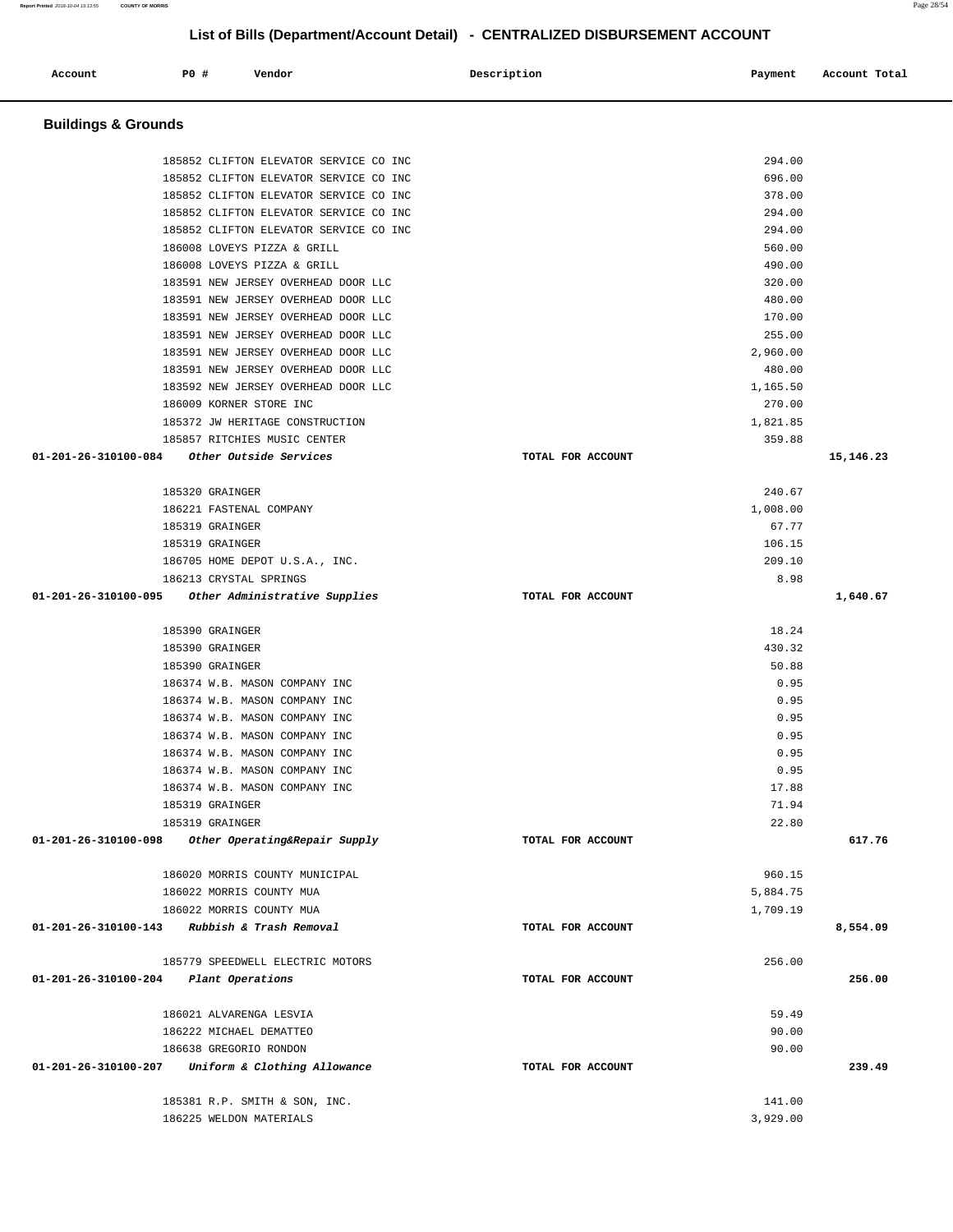185852 CLIFTON ELEVATOR SERVICE CO INC 294.00 185852 CLIFTON ELEVATOR SERVICE CO INC 696.00 185852 CLIFTON ELEVATOR SERVICE CO INC 378.00 185852 CLIFTON ELEVATOR SERVICE CO INC 294.00 185852 CLIFTON ELEVATOR SERVICE CO INC 294.00 186008 LOVEYS PIZZA & GRILL 560.00 186008 LOVEYS PIZZA & GRILL 490.00 183591 NEW JERSEY OVERHEAD DOOR LLC 320.00 183591 NEW JERSEY OVERHEAD DOOR LLC 480.00 183591 NEW JERSEY OVERHEAD DOOR LLC 170.00 183591 NEW JERSEY OVERHEAD DOOR LLC 255.00 183591 NEW JERSEY OVERHEAD DOOR LLC 2,960.00 183591 NEW JERSEY OVERHEAD DOOR LLC 480.00 183592 NEW JERSEY OVERHEAD DOOR LLC 1,165.50 186009 KORNER STORE INC 270.00 185372 JW HERITAGE CONSTRUCTION 1,821.85 185857 RITCHIES MUSIC CENTER 359.88  **01-201-26-310100-084 Other Outside Services TOTAL FOR ACCOUNT 15,146.23** 185320 GRAINGER 240.67 186221 FASTENAL COMPANY 1,008.00 185319 GRAINGER 67.77 185319 GRAINGER 106.15 186705 HOME DEPOT U.S.A., INC. 209.10 186213 CRYSTAL SPRINGS 8.98  **01-201-26-310100-095 Other Administrative Supplies TOTAL FOR ACCOUNT 1,640.67** 185390 GRAINGER 18.24 185390 GRAINGER 430.32 185390 GRAINGER 50.88 186374 W.B. MASON COMPANY INC 0.95 186374 W.B. MASON COMPANY INC 0.95 186374 W.B. MASON COMPANY INC 0.95 186374 W.B. MASON COMPANY INC 0.95 186374 W.B. MASON COMPANY INC 0.95 186374 W.B. MASON COMPANY INC 0.95 186374 W.B. MASON COMPANY INC 17.88 185319 GRAINGER 71.94 185319 GRAINGER 22.80  **01-201-26-310100-098 Other Operating&Repair Supply TOTAL FOR ACCOUNT 617.76** 186020 MORRIS COUNTY MUNICIPAL 960.15 186022 MORRIS COUNTY MUA 5,884.75 186022 MORRIS COUNTY MUA 1,709.19  **01-201-26-310100-143 Rubbish & Trash Removal TOTAL FOR ACCOUNT 8,554.09** 185779 SPEEDWELL ELECTRIC MOTORS 256.00  **01-201-26-310100-204 Plant Operations TOTAL FOR ACCOUNT 256.00** 186021 ALVARENGA LESVIA 59.49 186222 MICHAEL DEMATTEO 90.00 186638 GREGORIO RONDON 90.00  **01-201-26-310100-207 Uniform & Clothing Allowance TOTAL FOR ACCOUNT 239.49** 185381 R.P. SMITH & SON, INC. 141.00 186225 WELDON MATERIALS 3,929.00

**List of Bills (Department/Account Detail) - CENTRALIZED DISBURSEMENT ACCOUNT**

 **Account P0 # Vendor Description Payment Account Total** 

**Buildings & Grounds**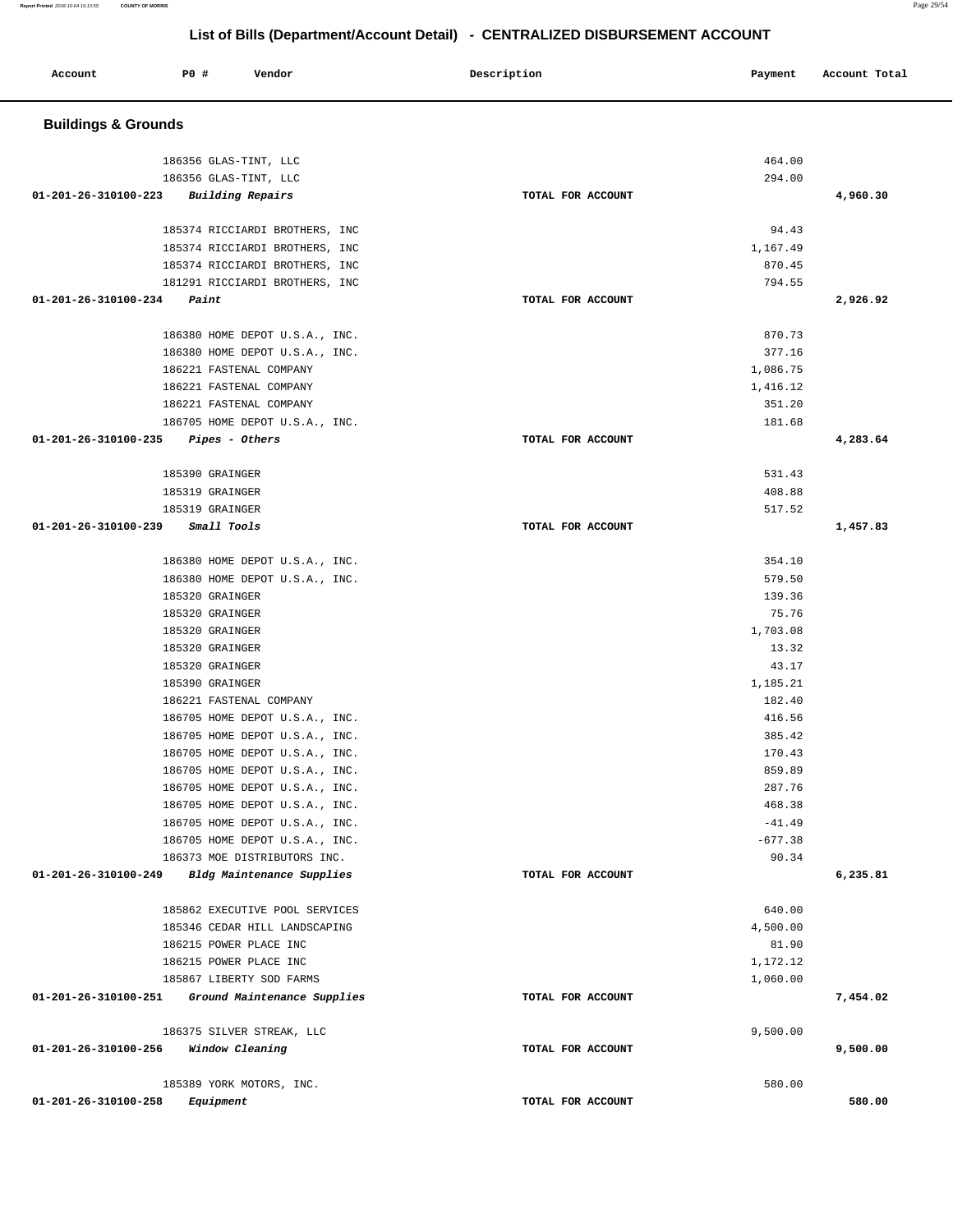| Account                        | PO# | Vendor | Description | Payment | Account Total |
|--------------------------------|-----|--------|-------------|---------|---------------|
| <b>Buildings &amp; Grounds</b> |     |        |             |         |               |

| 186356 GLAS-TINT, LLC                               |                   | 464.00               |          |
|-----------------------------------------------------|-------------------|----------------------|----------|
| 186356 GLAS-TINT, LLC                               |                   | 294.00               |          |
| 01-201-26-310100-223 Building Repairs               | TOTAL FOR ACCOUNT |                      | 4,960.30 |
|                                                     |                   |                      |          |
| 185374 RICCIARDI BROTHERS, INC                      |                   | 94.43                |          |
| 185374 RICCIARDI BROTHERS, INC                      |                   | 1,167.49             |          |
| 185374 RICCIARDI BROTHERS, INC                      |                   | 870.45               |          |
| 181291 RICCIARDI BROTHERS, INC                      |                   | 794.55               |          |
| $01 - 201 - 26 - 310100 - 234$ Paint                | TOTAL FOR ACCOUNT |                      | 2,926.92 |
|                                                     |                   |                      |          |
| 186380 HOME DEPOT U.S.A., INC.                      |                   | 870.73               |          |
| 186380 HOME DEPOT U.S.A., INC.                      |                   | 377.16               |          |
| 186221 FASTENAL COMPANY                             |                   | 1,086.75             |          |
| 186221 FASTENAL COMPANY                             |                   | 1,416.12             |          |
| 186221 FASTENAL COMPANY                             |                   | 351.20               |          |
| 186705 HOME DEPOT U.S.A., INC.                      |                   | 181.68               |          |
| $01-201-26-310100-235$ Pipes - Others               | TOTAL FOR ACCOUNT |                      | 4,283.64 |
| 185390 GRAINGER                                     |                   | 531.43               |          |
| 185319 GRAINGER                                     |                   | 408.88               |          |
| 185319 GRAINGER                                     |                   | 517.52               |          |
| 01-201-26-310100-239 Small Tools                    | TOTAL FOR ACCOUNT |                      | 1,457.83 |
|                                                     |                   |                      |          |
| 186380 HOME DEPOT U.S.A., INC.                      |                   | 354.10               |          |
| 186380 HOME DEPOT U.S.A., INC.                      |                   | 579.50               |          |
| 185320 GRAINGER                                     |                   | 139.36               |          |
| 185320 GRAINGER                                     |                   | 75.76                |          |
| 185320 GRAINGER                                     |                   | 1,703.08             |          |
| 185320 GRAINGER                                     |                   | 13.32                |          |
| 185320 GRAINGER                                     |                   | 43.17                |          |
| 185390 GRAINGER                                     |                   | 1,185.21             |          |
| 186221 FASTENAL COMPANY                             |                   | 182.40               |          |
| 186705 HOME DEPOT U.S.A., INC.                      |                   | 416.56               |          |
| 186705 HOME DEPOT U.S.A., INC.                      |                   | 385.42               |          |
| 186705 HOME DEPOT U.S.A., INC.                      |                   | 170.43               |          |
| 186705 HOME DEPOT U.S.A., INC.                      |                   | 859.89               |          |
| 186705 HOME DEPOT U.S.A., INC.                      |                   | 287.76               |          |
| 186705 HOME DEPOT U.S.A., INC.                      |                   | 468.38               |          |
| 186705 HOME DEPOT U.S.A., INC.                      |                   | $-41.49$             |          |
| 186705 HOME DEPOT U.S.A., INC.                      |                   | $-677.38$            |          |
| 186373 MOE DISTRIBUTORS INC.                        |                   | 90.34                |          |
| 01-201-26-310100-249<br>Bldg Maintenance Supplies   | TOTAL FOR ACCOUNT |                      | 6,235.81 |
|                                                     |                   |                      |          |
| 185862 EXECUTIVE POOL SERVICES                      |                   | 640.00               |          |
| 185346 CEDAR HILL LANDSCAPING                       |                   | 4,500.00             |          |
| 186215 POWER PLACE INC<br>186215 POWER PLACE INC    |                   | 81.90                |          |
| 185867 LIBERTY SOD FARMS                            |                   | 1,172.12<br>1,060.00 |          |
| 01-201-26-310100-251<br>Ground Maintenance Supplies | TOTAL FOR ACCOUNT |                      | 7,454.02 |
|                                                     |                   |                      |          |
| 186375 SILVER STREAK, LLC                           |                   | 9,500.00             |          |
| 01-201-26-310100-256<br>Window Cleaning             | TOTAL FOR ACCOUNT |                      | 9,500.00 |
|                                                     |                   |                      |          |
| 185389 YORK MOTORS, INC.                            |                   | 580.00               |          |
| 01-201-26-310100-258<br>Equipment                   | TOTAL FOR ACCOUNT |                      | 580.00   |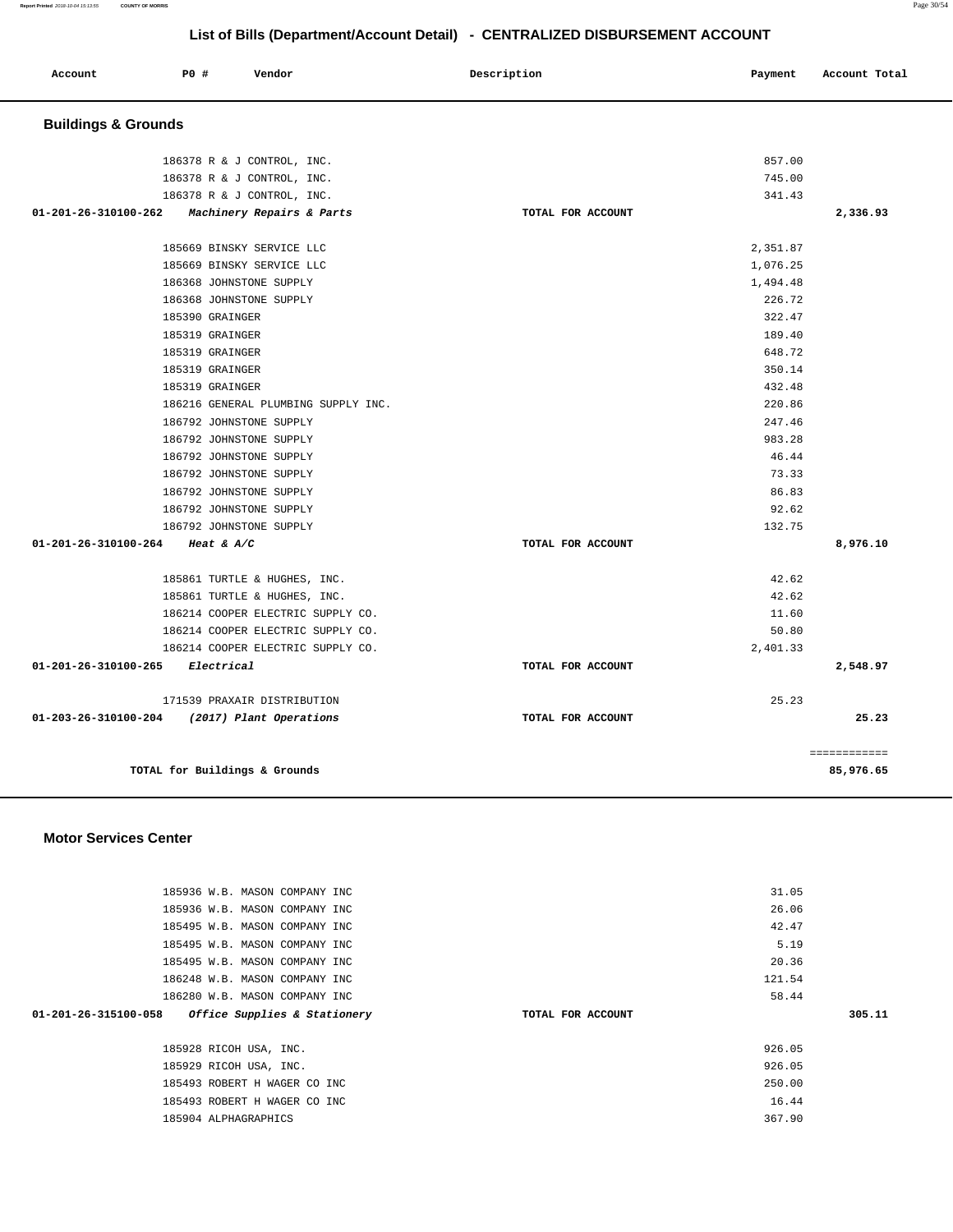**Report Printed** 2018-10-04 15:13:55 **COUNTY OF MORRIS** Page 30/54

# **List of Bills (Department/Account Detail) - CENTRALIZED DISBURSEMENT ACCOUNT**

| Account<br>. | P0 # | Vendor<br>. | Description | Payment | Account Total |
|--------------|------|-------------|-------------|---------|---------------|
|              |      |             |             |         |               |

# **Buildings & Grounds**

| 186378 R & J CONTROL, INC.                       |                   | 857.00   |              |
|--------------------------------------------------|-------------------|----------|--------------|
| 186378 R & J CONTROL, INC.                       |                   | 745.00   |              |
| 186378 R & J CONTROL, INC.                       |                   | 341.43   |              |
| $01-201-26-310100-262$ Machinery Repairs & Parts | TOTAL FOR ACCOUNT |          | 2,336.93     |
|                                                  |                   |          |              |
| 185669 BINSKY SERVICE LLC                        |                   | 2,351.87 |              |
| 185669 BINSKY SERVICE LLC                        |                   | 1,076.25 |              |
| 186368 JOHNSTONE SUPPLY                          |                   | 1,494.48 |              |
| 186368 JOHNSTONE SUPPLY                          |                   | 226.72   |              |
| 185390 GRAINGER                                  |                   | 322.47   |              |
| 185319 GRAINGER                                  |                   | 189.40   |              |
| 185319 GRAINGER                                  |                   | 648.72   |              |
| 185319 GRAINGER                                  |                   | 350.14   |              |
| 185319 GRAINGER                                  |                   | 432.48   |              |
| 186216 GENERAL PLUMBING SUPPLY INC.              |                   | 220.86   |              |
| 186792 JOHNSTONE SUPPLY                          |                   | 247.46   |              |
| 186792 JOHNSTONE SUPPLY                          |                   | 983.28   |              |
| 186792 JOHNSTONE SUPPLY                          |                   | 46.44    |              |
| 186792 JOHNSTONE SUPPLY                          |                   | 73.33    |              |
| 186792 JOHNSTONE SUPPLY                          |                   | 86.83    |              |
| 186792 JOHNSTONE SUPPLY                          |                   | 92.62    |              |
| 186792 JOHNSTONE SUPPLY                          |                   | 132.75   |              |
| 01-201-26-310100-264 Heat & A/C                  | TOTAL FOR ACCOUNT |          | 8,976.10     |
| 185861 TURTLE & HUGHES, INC.                     |                   | 42.62    |              |
| 185861 TURTLE & HUGHES, INC.                     |                   | 42.62    |              |
| 186214 COOPER ELECTRIC SUPPLY CO.                |                   | 11.60    |              |
| 186214 COOPER ELECTRIC SUPPLY CO.                |                   | 50.80    |              |
| 186214 COOPER ELECTRIC SUPPLY CO.                |                   | 2,401.33 |              |
| $01 - 201 - 26 - 310100 - 265$ Electrical        | TOTAL FOR ACCOUNT |          | 2,548.97     |
|                                                  |                   |          |              |
| 171539 PRAXAIR DISTRIBUTION                      |                   | 25.23    |              |
| 01-203-26-310100-204 (2017) Plant Operations     | TOTAL FOR ACCOUNT |          | 25.23        |
|                                                  |                   |          | ============ |
| TOTAL for Buildings & Grounds                    |                   |          | 85,976.65    |

### **Motor Services Center**

| 185936 W.B. MASON COMPANY INC                        |                   | 31.05  |        |
|------------------------------------------------------|-------------------|--------|--------|
| 185936 W.B. MASON COMPANY INC                        |                   | 26.06  |        |
| 185495 W.B. MASON COMPANY INC                        |                   | 42.47  |        |
| 185495 W.B. MASON COMPANY INC                        |                   | 5.19   |        |
| 185495 W.B. MASON COMPANY INC                        |                   | 20.36  |        |
| 186248 W.B. MASON COMPANY INC                        |                   | 121.54 |        |
| 186280 W.B. MASON COMPANY INC                        |                   | 58.44  |        |
| Office Supplies & Stationery<br>01-201-26-315100-058 | TOTAL FOR ACCOUNT |        | 305.11 |
|                                                      |                   |        |        |
| 185928 RICOH USA, INC.                               |                   | 926.05 |        |
| 185929 RICOH USA, INC.                               |                   | 926.05 |        |
| 185493 ROBERT H WAGER CO INC                         |                   | 250.00 |        |
| 185493 ROBERT H WAGER CO INC                         |                   | 16.44  |        |
| 185904 ALPHAGRAPHICS                                 |                   | 367.90 |        |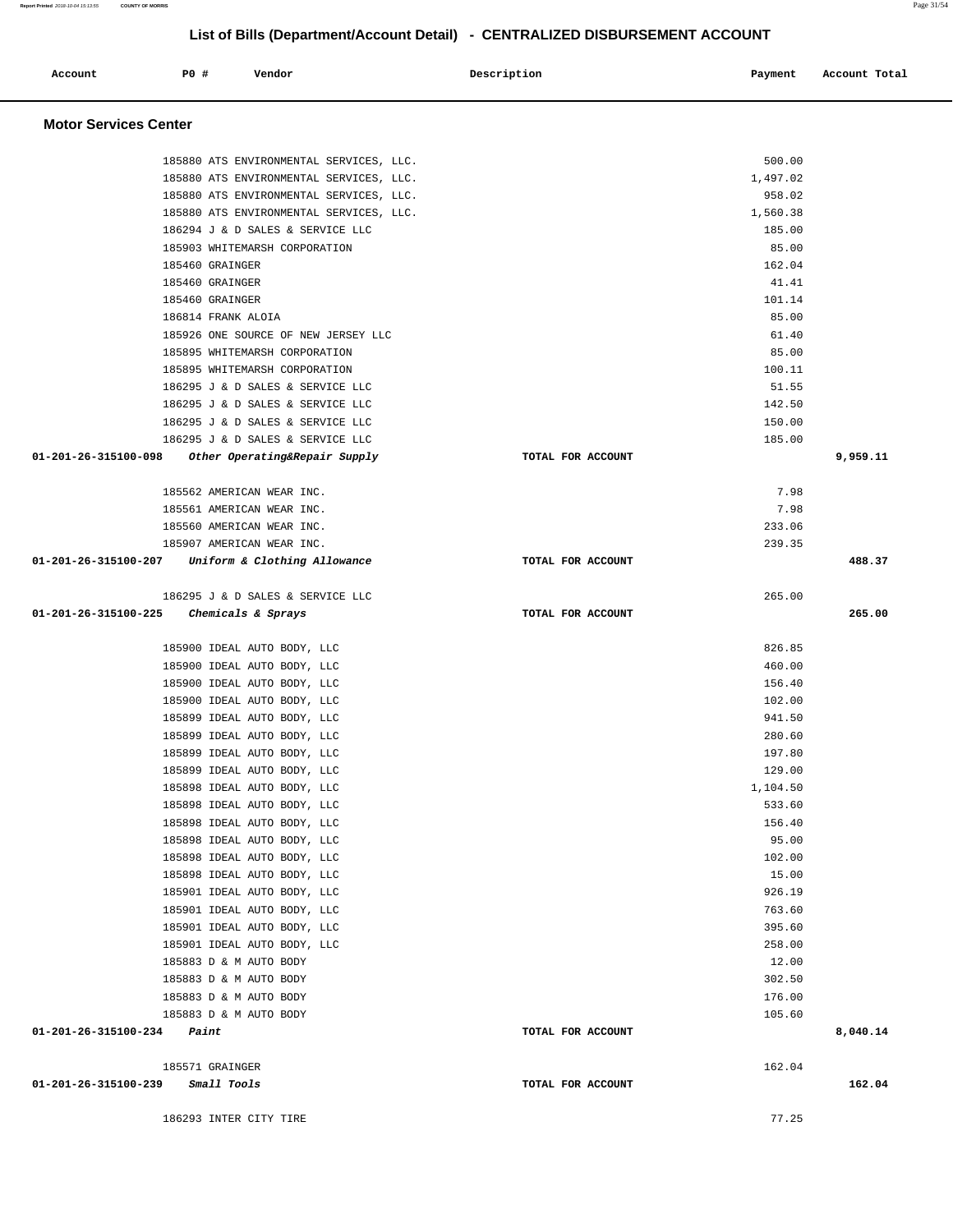| 185895 WHITEMARSH CORPORATION                      |                   | 85.00    |          |
|----------------------------------------------------|-------------------|----------|----------|
| 185895 WHITEMARSH CORPORATION                      |                   | 100.11   |          |
| 186295 J & D SALES & SERVICE LLC                   |                   | 51.55    |          |
| 186295 J & D SALES & SERVICE LLC                   |                   | 142.50   |          |
| 186295 J & D SALES & SERVICE LLC                   |                   | 150.00   |          |
| 186295 J & D SALES & SERVICE LLC                   |                   | 185.00   |          |
| 01-201-26-315100-098 Other Operating&Repair Supply | TOTAL FOR ACCOUNT |          | 9,959.11 |
| 185562 AMERICAN WEAR INC.                          |                   | 7.98     |          |
| 185561 AMERICAN WEAR INC.                          |                   | 7.98     |          |
| 185560 AMERICAN WEAR INC.                          |                   | 233.06   |          |
| 185907 AMERICAN WEAR INC.                          |                   | 239.35   |          |
| 01-201-26-315100-207 Uniform & Clothing Allowance  | TOTAL FOR ACCOUNT |          | 488.37   |
| 186295 J & D SALES & SERVICE LLC                   |                   | 265.00   |          |
| 01-201-26-315100-225<br>Chemicals & Sprays         | TOTAL FOR ACCOUNT |          | 265.00   |
| 185900 IDEAL AUTO BODY, LLC                        |                   | 826.85   |          |
| 185900 IDEAL AUTO BODY, LLC                        |                   | 460.00   |          |
| 185900 IDEAL AUTO BODY, LLC                        |                   | 156.40   |          |
| 185900 IDEAL AUTO BODY, LLC                        |                   | 102.00   |          |
| 185899 IDEAL AUTO BODY, LLC                        |                   | 941.50   |          |
| 185899 IDEAL AUTO BODY, LLC                        |                   | 280.60   |          |
| 185899 IDEAL AUTO BODY, LLC                        |                   | 197.80   |          |
| 185899 IDEAL AUTO BODY, LLC                        |                   | 129.00   |          |
| 185898 IDEAL AUTO BODY, LLC                        |                   | 1,104.50 |          |
| 185898 IDEAL AUTO BODY, LLC                        |                   | 533.60   |          |
| 185898 IDEAL AUTO BODY, LLC                        |                   | 156.40   |          |
| 185898 IDEAL AUTO BODY, LLC                        |                   | 95.00    |          |
| 185898 IDEAL AUTO BODY, LLC                        |                   | 102.00   |          |
| 185898 IDEAL AUTO BODY, LLC                        |                   | 15.00    |          |
| 185901 IDEAL AUTO BODY, LLC                        |                   | 926.19   |          |
| 185901 IDEAL AUTO BODY, LLC                        |                   | 763.60   |          |
| 185901 IDEAL AUTO BODY, LLC                        |                   | 395.60   |          |
| 185901 IDEAL AUTO BODY, LLC                        |                   | 258.00   |          |
| 185883 D & M AUTO BODY                             |                   | 12.00    |          |
| 185883 D & M AUTO BODY                             |                   | 302.50   |          |
| 185883 D & M AUTO BODY                             |                   | 176.00   |          |
| 185883 D & M AUTO BODY                             |                   | 105.60   |          |
| $01 - 201 - 26 - 315100 - 234$ Paint               | TOTAL FOR ACCOUNT |          | 8,040.14 |
| 185571 GRAINGER                                    |                   | 162.04   |          |
| 01-201-26-315100-239 Small Tools                   | TOTAL FOR ACCOUNT |          | 162.04   |
| 186293 INTER CITY TIRE                             |                   | 77.25    |          |

Account **PO #** Vendor **Description Description Payment** Account Total **Payment** 

185880 ATS ENVIRONMENTAL SERVICES, LLC. 500.00 185880 ATS ENVIRONMENTAL SERVICES, LLC. 1,497.02 185880 ATS ENVIRONMENTAL SERVICES, LLC. 958.02 185880 ATS ENVIRONMENTAL SERVICES, LLC. 1,560.38 186294 J & D SALES & SERVICE LLC 185.00 185903 WHITEMARSH CORPORATION 85.00 185460 GRAINGER 162.04 185460 GRAINGER 41.41 185460 GRAINGER 101.14 186814 FRANK ALOIA 85.00 185926 ONE SOURCE OF NEW JERSEY LLC 61.40

**List of Bills (Department/Account Detail) - CENTRALIZED DISBURSEMENT ACCOUNT**

**Motor Services Center**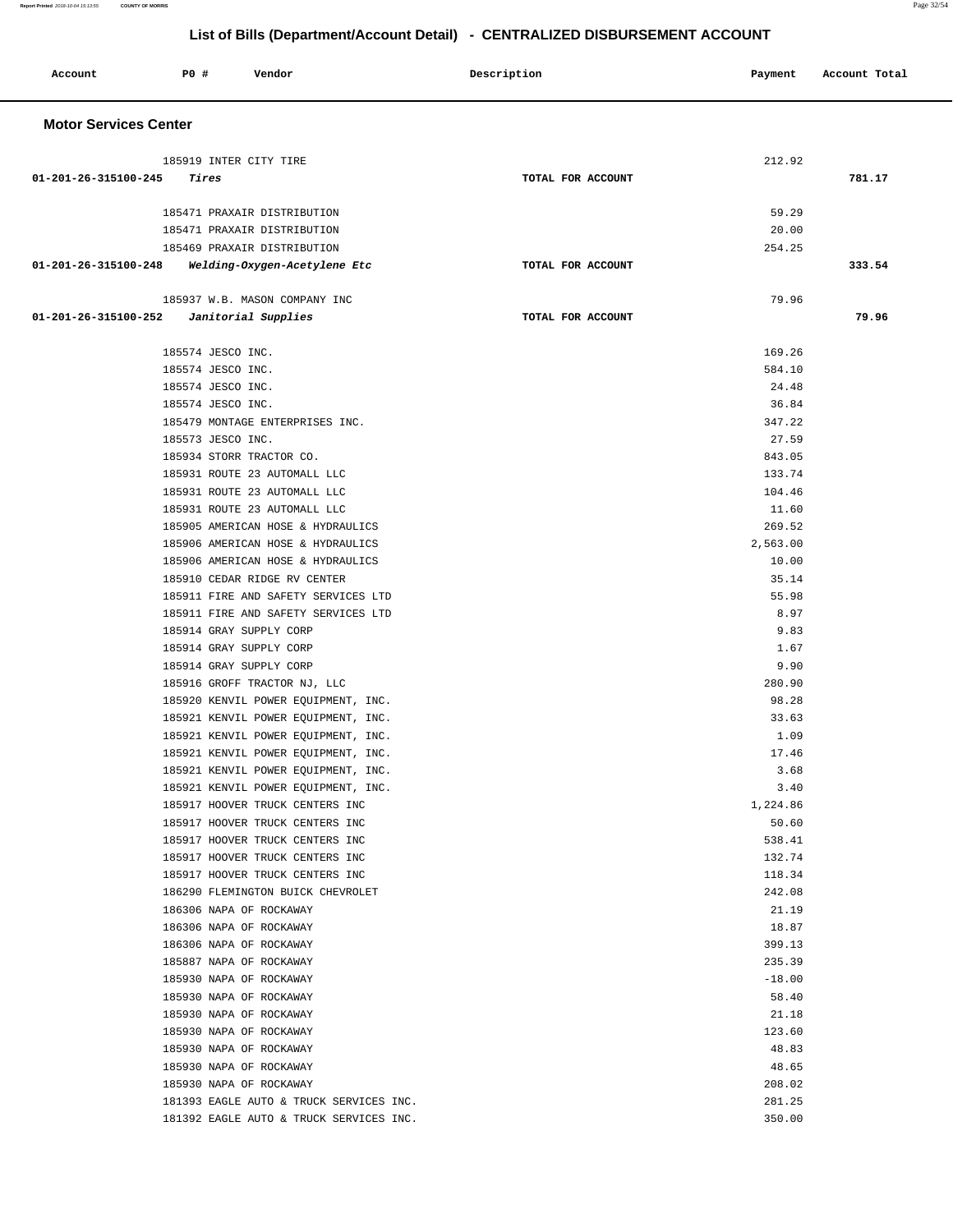| Account                      | <b>PO #</b>            | Vendor                                                              | Description       | Payment           | Account Total |
|------------------------------|------------------------|---------------------------------------------------------------------|-------------------|-------------------|---------------|
| <b>Motor Services Center</b> |                        |                                                                     |                   |                   |               |
|                              | 185919 INTER CITY TIRE |                                                                     |                   | 212.92            |               |
| 01-201-26-315100-245         | Tires                  |                                                                     | TOTAL FOR ACCOUNT |                   | 781.17        |
|                              |                        |                                                                     |                   |                   |               |
|                              |                        | 185471 PRAXAIR DISTRIBUTION<br>185471 PRAXAIR DISTRIBUTION          |                   | 59.29<br>20.00    |               |
|                              |                        | 185469 PRAXAIR DISTRIBUTION                                         |                   | 254.25            |               |
| 01-201-26-315100-248         |                        | Welding-Oxygen-Acetylene Etc                                        | TOTAL FOR ACCOUNT |                   | 333.54        |
|                              |                        | 185937 W.B. MASON COMPANY INC                                       |                   | 79.96             |               |
| 01-201-26-315100-252         |                        | Janitorial Supplies                                                 | TOTAL FOR ACCOUNT |                   | 79.96         |
|                              |                        |                                                                     |                   |                   |               |
|                              | 185574 JESCO INC.      |                                                                     |                   | 169.26            |               |
|                              | 185574 JESCO INC.      |                                                                     |                   | 584.10            |               |
|                              | 185574 JESCO INC.      |                                                                     |                   | 24.48             |               |
|                              | 185574 JESCO INC.      |                                                                     |                   | 36.84             |               |
|                              |                        | 185479 MONTAGE ENTERPRISES INC.                                     |                   | 347.22            |               |
|                              | 185573 JESCO INC.      |                                                                     |                   | 27.59             |               |
|                              |                        | 185934 STORR TRACTOR CO.                                            |                   | 843.05            |               |
|                              |                        | 185931 ROUTE 23 AUTOMALL LLC                                        |                   | 133.74            |               |
|                              |                        | 185931 ROUTE 23 AUTOMALL LLC                                        |                   | 104.46            |               |
|                              |                        | 185931 ROUTE 23 AUTOMALL LLC                                        |                   | 11.60             |               |
|                              |                        | 185905 AMERICAN HOSE & HYDRAULICS                                   |                   | 269.52            |               |
|                              |                        | 185906 AMERICAN HOSE & HYDRAULICS                                   |                   | 2,563.00          |               |
|                              |                        | 185906 AMERICAN HOSE & HYDRAULICS                                   |                   | 10.00             |               |
|                              |                        | 185910 CEDAR RIDGE RV CENTER<br>185911 FIRE AND SAFETY SERVICES LTD |                   | 35.14<br>55.98    |               |
|                              |                        | 185911 FIRE AND SAFETY SERVICES LTD                                 |                   | 8.97              |               |
|                              |                        | 185914 GRAY SUPPLY CORP                                             |                   | 9.83              |               |
|                              |                        | 185914 GRAY SUPPLY CORP                                             |                   | 1.67              |               |
|                              |                        | 185914 GRAY SUPPLY CORP                                             |                   | 9.90              |               |
|                              |                        | 185916 GROFF TRACTOR NJ, LLC                                        |                   | 280.90            |               |
|                              |                        | 185920 KENVIL POWER EQUIPMENT, INC.                                 |                   | 98.28             |               |
|                              |                        | 185921 KENVIL POWER EQUIPMENT, INC.                                 |                   | 33.63             |               |
|                              |                        | 185921 KENVIL POWER EQUIPMENT, INC.                                 |                   | 1.09              |               |
|                              |                        | 185921 KENVIL POWER EQUIPMENT, INC.                                 |                   | 17.46             |               |
|                              |                        | 185921 KENVIL POWER EQUIPMENT, INC.                                 |                   | 3.68              |               |
|                              |                        | 185921 KENVIL POWER EOUIPMENT, INC.                                 |                   | 3.40              |               |
|                              |                        | 185917 HOOVER TRUCK CENTERS INC                                     |                   | 1,224.86          |               |
|                              |                        | 185917 HOOVER TRUCK CENTERS INC                                     |                   | 50.60             |               |
|                              |                        | 185917 HOOVER TRUCK CENTERS INC                                     |                   | 538.41            |               |
|                              |                        | 185917 HOOVER TRUCK CENTERS INC                                     |                   | 132.74            |               |
|                              |                        | 185917 HOOVER TRUCK CENTERS INC                                     |                   | 118.34            |               |
|                              |                        | 186290 FLEMINGTON BUICK CHEVROLET                                   |                   | 242.08            |               |
|                              |                        | 186306 NAPA OF ROCKAWAY                                             |                   | 21.19             |               |
|                              |                        | 186306 NAPA OF ROCKAWAY                                             |                   | 18.87             |               |
|                              |                        | 186306 NAPA OF ROCKAWAY                                             |                   | 399.13            |               |
|                              |                        | 185887 NAPA OF ROCKAWAY                                             |                   | 235.39            |               |
|                              |                        | 185930 NAPA OF ROCKAWAY                                             |                   | $-18.00$<br>58.40 |               |
|                              |                        | 185930 NAPA OF ROCKAWAY<br>185930 NAPA OF ROCKAWAY                  |                   | 21.18             |               |
|                              |                        | 185930 NAPA OF ROCKAWAY                                             |                   | 123.60            |               |
|                              |                        | 185930 NAPA OF ROCKAWAY                                             |                   | 48.83             |               |
|                              |                        | 185930 NAPA OF ROCKAWAY                                             |                   | 48.65             |               |
|                              |                        | 185930 NAPA OF ROCKAWAY                                             |                   | 208.02            |               |
|                              |                        | 181393 EAGLE AUTO & TRUCK SERVICES INC.                             |                   | 281.25            |               |
|                              |                        | 181392 EAGLE AUTO & TRUCK SERVICES INC.                             |                   | 350.00            |               |
|                              |                        |                                                                     |                   |                   |               |

**Report Printed** 2018-10-04 15:13:55 **COUNTY OF MORRIS** Page 32/54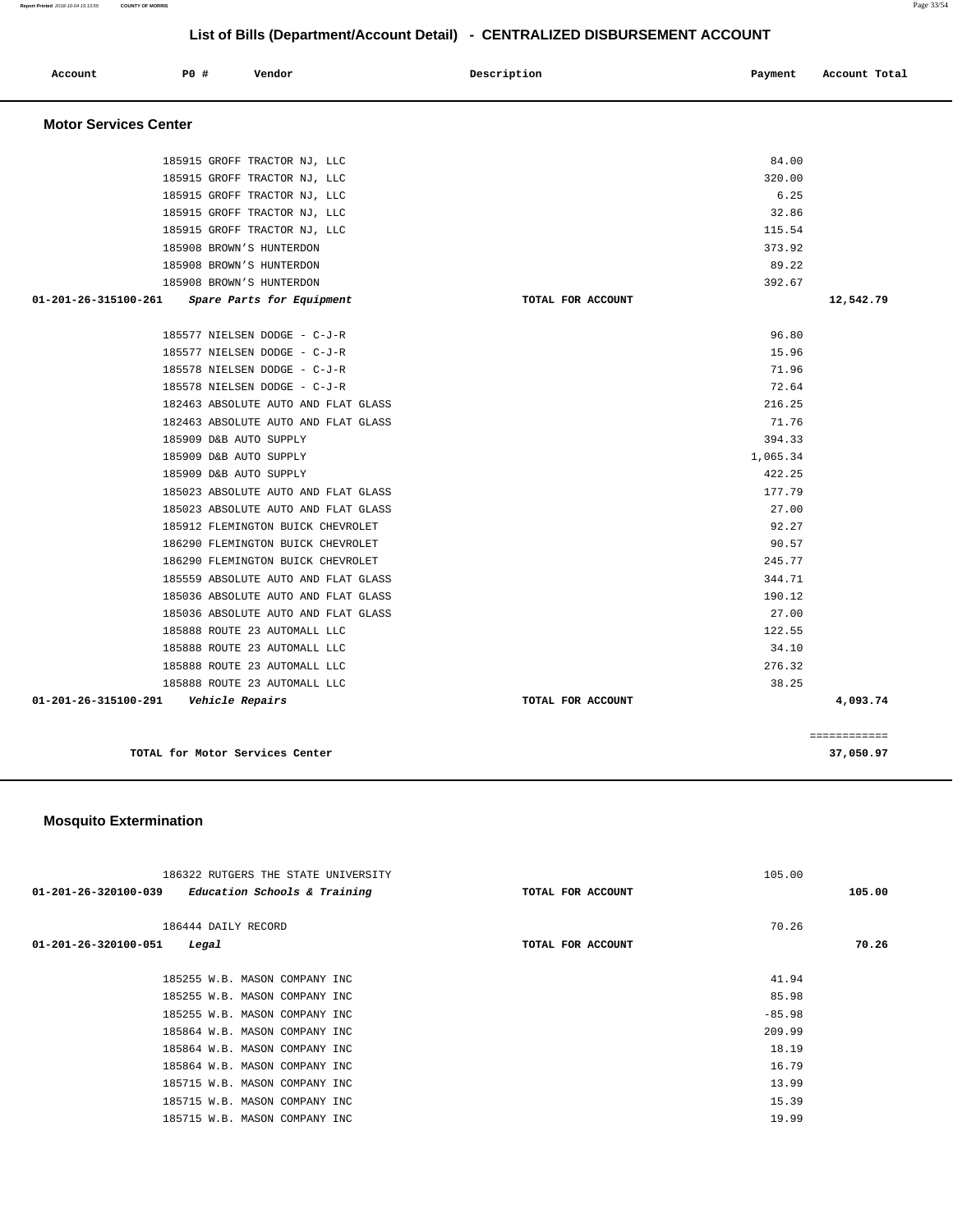| Account                      | PO#                             | Vendor                              | Description       | Payment  | Account Total |
|------------------------------|---------------------------------|-------------------------------------|-------------------|----------|---------------|
| <b>Motor Services Center</b> |                                 |                                     |                   |          |               |
|                              |                                 | 185915 GROFF TRACTOR NJ, LLC        |                   | 84.00    |               |
|                              |                                 | 185915 GROFF TRACTOR NJ, LLC        |                   | 320.00   |               |
|                              |                                 | 185915 GROFF TRACTOR NJ, LLC        |                   | 6.25     |               |
|                              |                                 | 185915 GROFF TRACTOR NJ, LLC        |                   | 32.86    |               |
|                              |                                 | 185915 GROFF TRACTOR NJ, LLC        |                   | 115.54   |               |
|                              | 185908 BROWN'S HUNTERDON        |                                     |                   | 373.92   |               |
|                              | 185908 BROWN'S HUNTERDON        |                                     |                   | 89.22    |               |
|                              | 185908 BROWN'S HUNTERDON        |                                     |                   | 392.67   |               |
| 01-201-26-315100-261         |                                 | Spare Parts for Equipment           | TOTAL FOR ACCOUNT |          | 12,542.79     |
|                              |                                 | 185577 NIELSEN DODGE - C-J-R        |                   | 96.80    |               |
|                              |                                 | 185577 NIELSEN DODGE - C-J-R        |                   | 15.96    |               |
|                              |                                 | 185578 NIELSEN DODGE - C-J-R        |                   | 71.96    |               |
|                              |                                 | 185578 NIELSEN DODGE - C-J-R        |                   | 72.64    |               |
|                              |                                 | 182463 ABSOLUTE AUTO AND FLAT GLASS |                   | 216.25   |               |
|                              |                                 | 182463 ABSOLUTE AUTO AND FLAT GLASS |                   | 71.76    |               |
|                              | 185909 D&B AUTO SUPPLY          |                                     |                   | 394.33   |               |
|                              | 185909 D&B AUTO SUPPLY          |                                     |                   | 1,065.34 |               |
|                              | 185909 D&B AUTO SUPPLY          |                                     |                   | 422.25   |               |
|                              |                                 | 185023 ABSOLUTE AUTO AND FLAT GLASS |                   | 177.79   |               |
|                              |                                 | 185023 ABSOLUTE AUTO AND FLAT GLASS |                   | 27.00    |               |
|                              |                                 | 185912 FLEMINGTON BUICK CHEVROLET   |                   | 92.27    |               |
|                              |                                 | 186290 FLEMINGTON BUICK CHEVROLET   |                   | 90.57    |               |
|                              |                                 | 186290 FLEMINGTON BUICK CHEVROLET   |                   | 245.77   |               |
|                              |                                 | 185559 ABSOLUTE AUTO AND FLAT GLASS |                   | 344.71   |               |
|                              |                                 | 185036 ABSOLUTE AUTO AND FLAT GLASS |                   | 190.12   |               |
|                              |                                 | 185036 ABSOLUTE AUTO AND FLAT GLASS |                   | 27.00    |               |
|                              |                                 | 185888 ROUTE 23 AUTOMALL LLC        |                   | 122.55   |               |
|                              |                                 | 185888 ROUTE 23 AUTOMALL LLC        |                   | 34.10    |               |
|                              |                                 | 185888 ROUTE 23 AUTOMALL LLC        |                   | 276.32   |               |
|                              |                                 | 185888 ROUTE 23 AUTOMALL LLC        |                   | 38.25    |               |
| 01-201-26-315100-291         | Vehicle Repairs                 |                                     | TOTAL FOR ACCOUNT |          | 4,093.74      |
|                              |                                 |                                     |                   |          | ============  |
|                              | TOTAL for Motor Services Center |                                     |                   |          | 37,050.97     |

# **Mosquito Extermination**

| 186322 RUTGERS THE STATE UNIVERSITY<br>$01 - 201 - 26 - 320100 - 039$<br>Education Schools & Training | TOTAL FOR ACCOUNT | 105.00<br>105.00 |
|-------------------------------------------------------------------------------------------------------|-------------------|------------------|
| 186444 DAILY RECORD<br>01-201-26-320100-051<br>Legal                                                  | TOTAL FOR ACCOUNT | 70.26<br>70.26   |
| 185255 W.B. MASON COMPANY INC                                                                         |                   | 41.94            |
| 185255 W.B. MASON COMPANY INC                                                                         |                   | 85.98            |
|                                                                                                       |                   |                  |
| 185255 W.B. MASON COMPANY INC                                                                         |                   | $-85.98$         |
| 185864 W.B. MASON COMPANY INC                                                                         |                   | 209.99           |
| 185864 W.B. MASON COMPANY INC                                                                         |                   | 18.19            |
| 185864 W.B. MASON COMPANY INC                                                                         |                   | 16.79            |
| 185715 W.B. MASON COMPANY INC                                                                         |                   | 13.99            |
| 185715 W.B. MASON COMPANY INC                                                                         |                   | 15.39            |
| 185715 W.B. MASON COMPANY INC                                                                         |                   | 19.99            |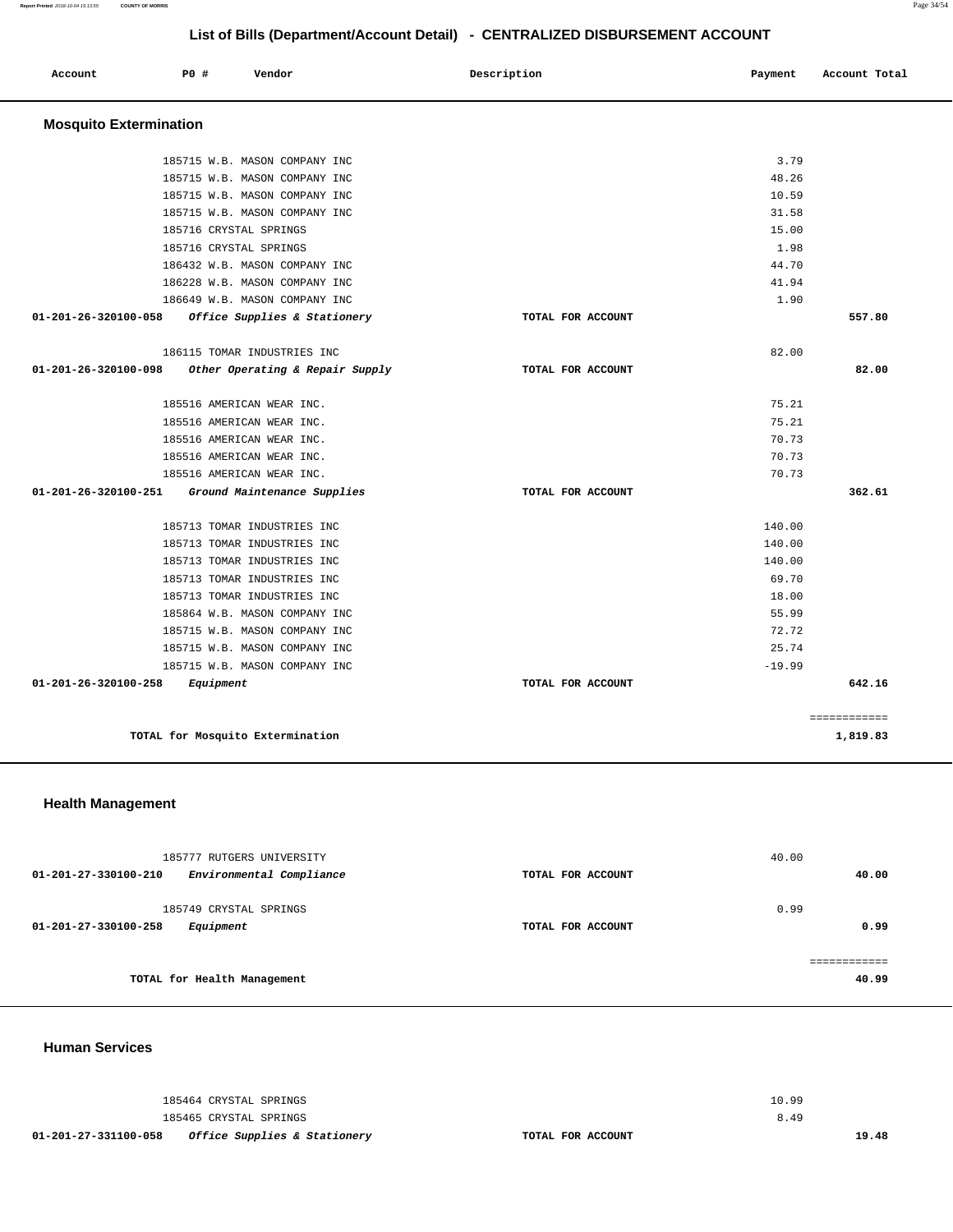**Report Printed** 2018-10-04 15:13:55 **COUNTY OF MORRIS** Page 34/54

# **List of Bills (Department/Account Detail) - CENTRALIZED DISBURSEMENT ACCOUNT**

| Account                       | P0 #<br>Vendor                   | Description       | Payment  | Account Total |
|-------------------------------|----------------------------------|-------------------|----------|---------------|
| <b>Mosquito Extermination</b> |                                  |                   |          |               |
|                               | 185715 W.B. MASON COMPANY INC    |                   | 3.79     |               |
|                               | 185715 W.B. MASON COMPANY INC    |                   | 48.26    |               |
|                               | 185715 W.B. MASON COMPANY INC    |                   | 10.59    |               |
|                               | 185715 W.B. MASON COMPANY INC    |                   | 31.58    |               |
|                               | 185716 CRYSTAL SPRINGS           |                   | 15.00    |               |
|                               | 185716 CRYSTAL SPRINGS           |                   | 1.98     |               |
|                               | 186432 W.B. MASON COMPANY INC    |                   | 44.70    |               |
|                               | 186228 W.B. MASON COMPANY INC    |                   | 41.94    |               |
|                               | 186649 W.B. MASON COMPANY INC    |                   | 1.90     |               |
| 01-201-26-320100-058          | Office Supplies & Stationery     | TOTAL FOR ACCOUNT |          | 557.80        |
|                               | 186115 TOMAR INDUSTRIES INC      |                   | 82.00    |               |
| 01-201-26-320100-098          | Other Operating & Repair Supply  | TOTAL FOR ACCOUNT |          | 82.00         |
|                               | 185516 AMERICAN WEAR INC.        |                   | 75.21    |               |
|                               | 185516 AMERICAN WEAR INC.        |                   | 75.21    |               |
|                               | 185516 AMERICAN WEAR INC.        |                   | 70.73    |               |
|                               | 185516 AMERICAN WEAR INC.        |                   | 70.73    |               |
|                               | 185516 AMERICAN WEAR INC.        |                   | 70.73    |               |
| 01-201-26-320100-251          | Ground Maintenance Supplies      | TOTAL FOR ACCOUNT |          | 362.61        |
|                               | 185713 TOMAR INDUSTRIES INC      |                   | 140.00   |               |
|                               | 185713 TOMAR INDUSTRIES INC      |                   | 140.00   |               |
|                               | 185713 TOMAR INDUSTRIES INC      |                   | 140.00   |               |
|                               | 185713 TOMAR INDUSTRIES INC      |                   | 69.70    |               |
|                               | 185713 TOMAR INDUSTRIES INC      |                   | 18.00    |               |
|                               | 185864 W.B. MASON COMPANY INC    |                   | 55.99    |               |
|                               | 185715 W.B. MASON COMPANY INC    |                   | 72.72    |               |
|                               | 185715 W.B. MASON COMPANY INC    |                   | 25.74    |               |
|                               | 185715 W.B. MASON COMPANY INC    |                   | $-19.99$ |               |
| 01-201-26-320100-258          | Equipment                        | TOTAL FOR ACCOUNT |          | 642.16        |
|                               |                                  |                   |          | ============  |
|                               | TOTAL for Mosquito Extermination |                   |          | 1,819.83      |

# **Health Management**

| 185777 RUTGERS UNIVERSITY                                   |                   | 40.00                 |
|-------------------------------------------------------------|-------------------|-----------------------|
| Environmental Compliance<br>01-201-27-330100-210            | TOTAL FOR ACCOUNT | 40.00                 |
| 185749 CRYSTAL SPRINGS<br>01-201-27-330100-258<br>Equipment | TOTAL FOR ACCOUNT | 0.99<br>0.99          |
| TOTAL for Health Management                                 |                   | ------------<br>40.99 |

**Human Services** 

|                      | 185464 CRYSTAL SPRINGS                  |                   | 10.99 |       |
|----------------------|-----------------------------------------|-------------------|-------|-------|
|                      | 185465 CRYSTAL SPRINGS                  |                   | 8.49  |       |
| 01-201-27-331100-058 | <i>Office Supplies &amp; Stationery</i> | TOTAL FOR ACCOUNT |       | 19.48 |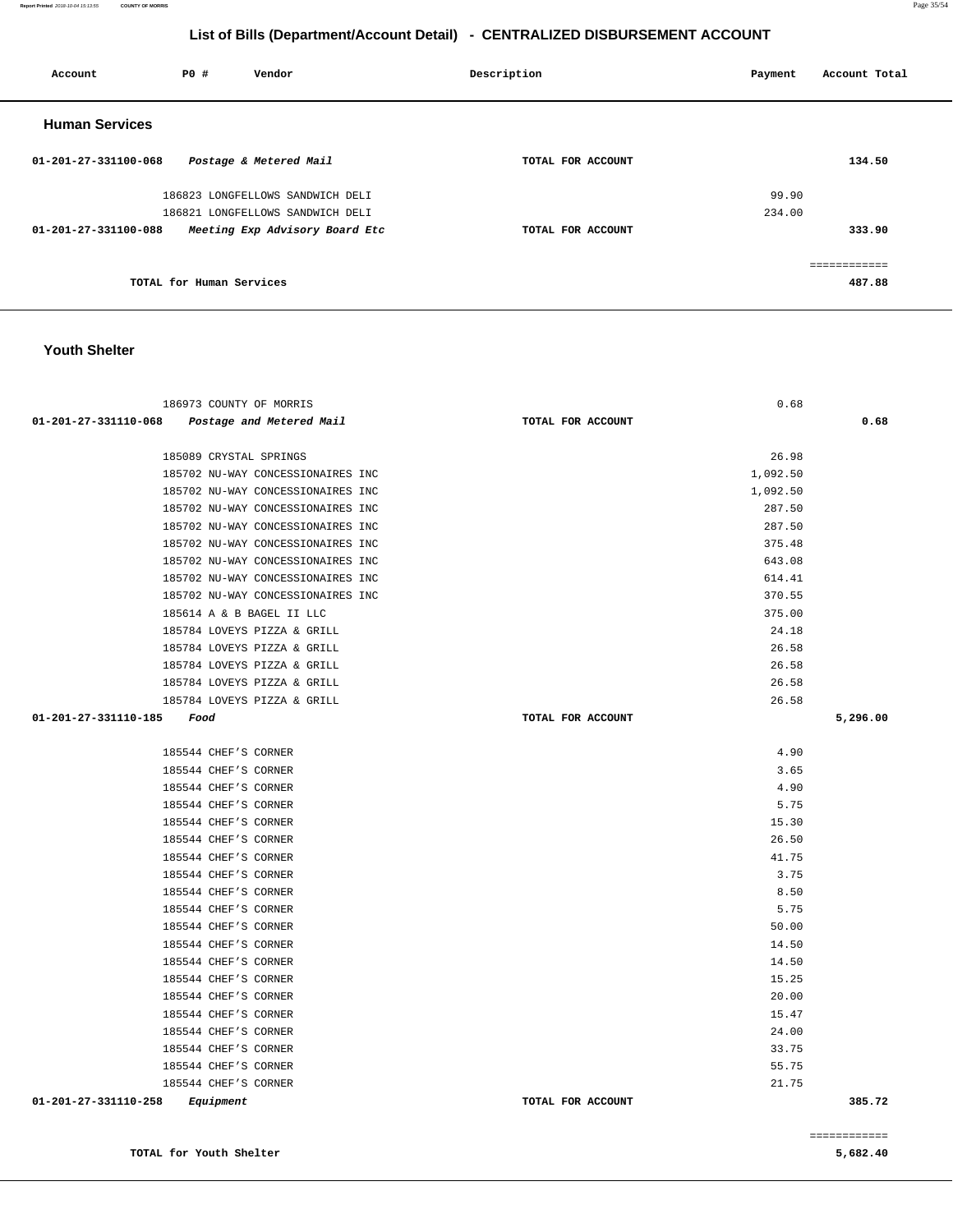**Report Printed** 2018-10-04 15:13:55 **COUNTY OF MORRIS** Page 35/54

# **List of Bills (Department/Account Detail) - CENTRALIZED DISBURSEMENT ACCOUNT**

| Account               | P0 #                     | Vendor                           | Description       | Payment | Account Total |
|-----------------------|--------------------------|----------------------------------|-------------------|---------|---------------|
| <b>Human Services</b> |                          |                                  |                   |         |               |
| 01-201-27-331100-068  |                          | Postage & Metered Mail           | TOTAL FOR ACCOUNT |         | 134.50        |
|                       |                          | 186823 LONGFELLOWS SANDWICH DELI |                   | 99.90   |               |
|                       |                          | 186821 LONGFELLOWS SANDWICH DELI |                   | 234.00  |               |
| 01-201-27-331100-088  |                          | Meeting Exp Advisory Board Etc   | TOTAL FOR ACCOUNT |         | 333.90        |
|                       |                          |                                  |                   |         | ============  |
|                       | TOTAL for Human Services |                                  |                   |         | 487.88        |

#### **Youth Shelter**

| 186973 COUNTY OF MORRIS                       | 0.68              |          |
|-----------------------------------------------|-------------------|----------|
| 01-201-27-331110-068 Postage and Metered Mail | TOTAL FOR ACCOUNT | 0.68     |
|                                               |                   |          |
| 185089 CRYSTAL SPRINGS                        | 26.98             |          |
| 185702 NU-WAY CONCESSIONAIRES INC             | 1,092.50          |          |
| 185702 NU-WAY CONCESSIONAIRES INC             | 1,092.50          |          |
| 185702 NU-WAY CONCESSIONAIRES INC             | 287.50            |          |
| 185702 NU-WAY CONCESSIONAIRES INC             | 287.50            |          |
| 185702 NU-WAY CONCESSIONAIRES INC             | 375.48            |          |
| 185702 NU-WAY CONCESSIONAIRES INC             | 643.08            |          |
| 185702 NU-WAY CONCESSIONAIRES INC             | 614.41            |          |
| 185702 NU-WAY CONCESSIONAIRES INC             | 370.55            |          |
| 185614 A & B BAGEL II LLC                     | 375.00            |          |
| 185784 LOVEYS PIZZA & GRILL                   | 24.18             |          |
| 185784 LOVEYS PIZZA & GRILL                   | 26.58             |          |
| 185784 LOVEYS PIZZA & GRILL                   | 26.58             |          |
| 185784 LOVEYS PIZZA & GRILL                   | 26.58             |          |
| 185784 LOVEYS PIZZA & GRILL                   | 26.58             |          |
| 01-201-27-331110-185 Food                     | TOTAL FOR ACCOUNT | 5,296.00 |
|                                               |                   |          |
| 185544 CHEF'S CORNER                          | 4.90              |          |
| 185544 CHEF'S CORNER                          | 3.65              |          |
| 185544 CHEF'S CORNER                          | 4.90              |          |
| 185544 CHEF'S CORNER                          | 5.75              |          |
| 185544 CHEF'S CORNER                          | 15.30             |          |
| 185544 CHEF'S CORNER                          | 26.50             |          |
| 185544 CHEF'S CORNER                          | 41.75             |          |
| 185544 CHEF'S CORNER                          | 3.75              |          |
| 185544 CHEF'S CORNER                          | 8.50              |          |
| 185544 CHEF'S CORNER                          | 5.75              |          |
| 185544 CHEF'S CORNER                          | 50.00             |          |
| 185544 CHEF'S CORNER                          | 14.50             |          |
| 185544 CHEF'S CORNER                          | 14.50             |          |
| 185544 CHEF'S CORNER                          | 15.25             |          |
| 185544 CHEF'S CORNER                          | 20.00             |          |
| 185544 CHEF'S CORNER                          | 15.47             |          |
| 185544 CHEF'S CORNER                          | 24.00             |          |
| 185544 CHEF'S CORNER                          | 33.75             |          |
| 185544 CHEF'S CORNER                          | 55.75             |          |
| 185544 CHEF'S CORNER                          | 21.75             |          |
| 01-201-27-331110-258<br>Equipment             | TOTAL FOR ACCOUNT | 385.72   |

**TOTAL for Youth Shelter 5,682.40**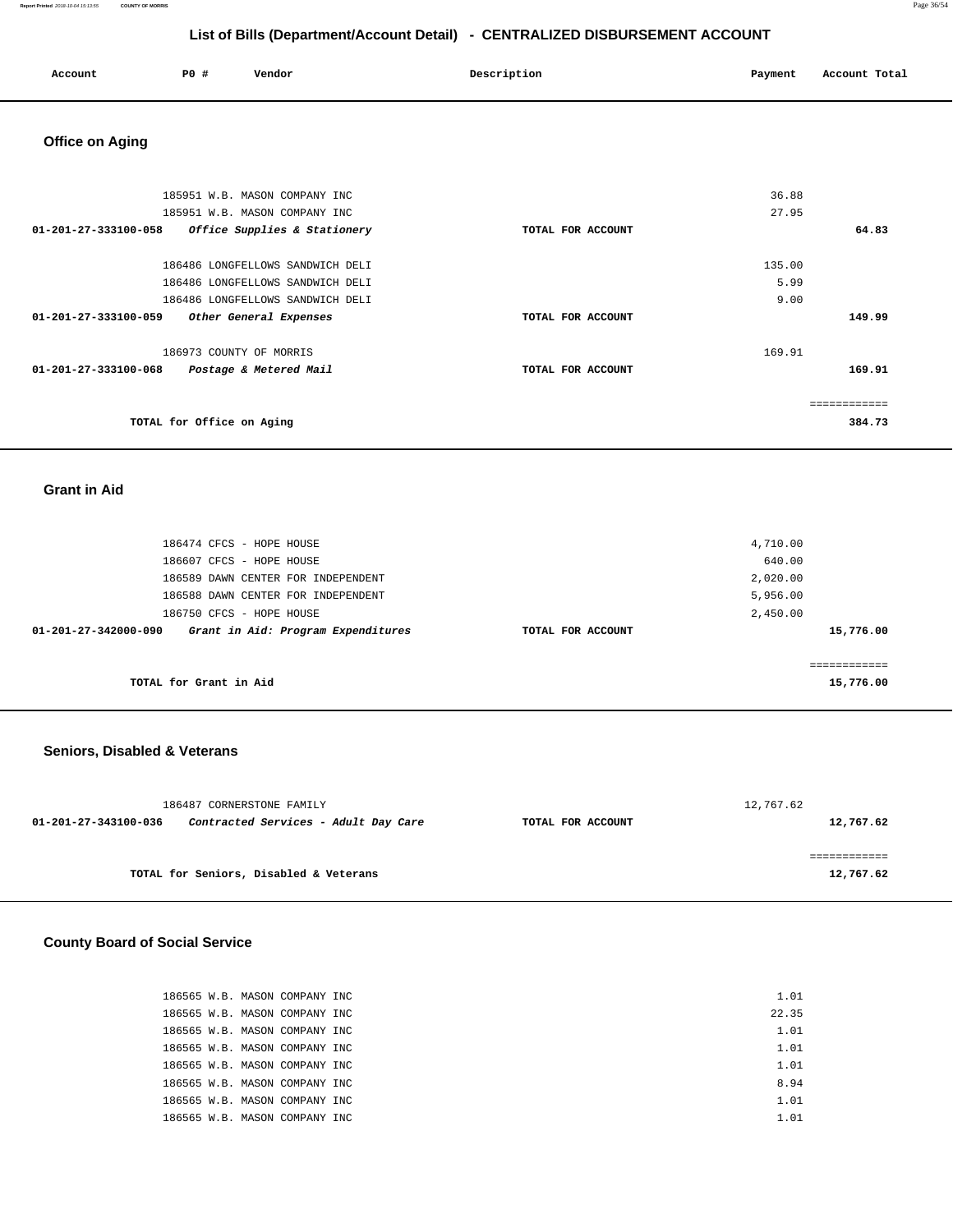#### **Report Printed** 2018-10-04 15:13:55 **COUNTY OF MORRIS** Page 36/54

# **List of Bills (Department/Account Detail) - CENTRALIZED DISBURSEMENT ACCOUNT**

| Account<br>. | <b>PO #</b> | Vendor<br>. | Description<br>. | Payment | Account Total |
|--------------|-------------|-------------|------------------|---------|---------------|
|              |             |             |                  |         |               |

# **Office on Aging**

| 185951 W.B. MASON COMPANY INC                        |                   | 36.88  |              |
|------------------------------------------------------|-------------------|--------|--------------|
| 185951 W.B. MASON COMPANY INC                        |                   | 27.95  |              |
| 01-201-27-333100-058<br>Office Supplies & Stationery | TOTAL FOR ACCOUNT |        | 64.83        |
| 186486 LONGFELLOWS SANDWICH DELI                     |                   | 135.00 |              |
| 186486 LONGFELLOWS SANDWICH DELI                     |                   | 5.99   |              |
| 186486 LONGFELLOWS SANDWICH DELI                     |                   | 9.00   |              |
| 01-201-27-333100-059<br>Other General Expenses       | TOTAL FOR ACCOUNT |        | 149.99       |
| 186973 COUNTY OF MORRIS                              |                   | 169.91 |              |
| 01-201-27-333100-068<br>Postage & Metered Mail       | TOTAL FOR ACCOUNT |        | 169.91       |
|                                                      |                   |        | ============ |
| TOTAL for Office on Aging                            |                   |        | 384.73       |

#### **Grant in Aid**

| 186474 CFCS - HOPE HOUSE                                   |                   | 4,710.00  |
|------------------------------------------------------------|-------------------|-----------|
| 186607 CFCS - HOPE HOUSE                                   |                   | 640.00    |
| 186589 DAWN CENTER FOR INDEPENDENT                         |                   | 2,020.00  |
| 186588 DAWN CENTER FOR INDEPENDENT                         |                   | 5,956.00  |
| 186750 CFCS - HOPE HOUSE                                   |                   | 2,450.00  |
| Grant in Aid: Program Expenditures<br>01-201-27-342000-090 | TOTAL FOR ACCOUNT | 15,776.00 |
|                                                            |                   |           |
|                                                            |                   |           |
| TOTAL for Grant in Aid                                     |                   | 15,776.00 |

# **Seniors, Disabled & Veterans**

|                      | 186487 CORNERSTONE FAMILY              |                   | 12,767.62 |  |
|----------------------|----------------------------------------|-------------------|-----------|--|
| 01-201-27-343100-036 | Contracted Services - Adult Day Care   | TOTAL FOR ACCOUNT | 12,767.62 |  |
|                      |                                        |                   |           |  |
|                      |                                        |                   |           |  |
|                      | TOTAL for Seniors, Disabled & Veterans |                   | 12,767.62 |  |

### **County Board of Social Service**

| 186565 W.B. MASON COMPANY INC | 1.01  |
|-------------------------------|-------|
| 186565 W.B. MASON COMPANY INC | 22.35 |
| 186565 W.B. MASON COMPANY INC | 1.01  |
| 186565 W.B. MASON COMPANY INC | 1.01  |
| 186565 W.B. MASON COMPANY INC | 1.01  |
| 186565 W.B. MASON COMPANY INC | 8.94  |
| 186565 W.B. MASON COMPANY INC | 1.01  |
| 186565 W.B. MASON COMPANY INC | 1.01  |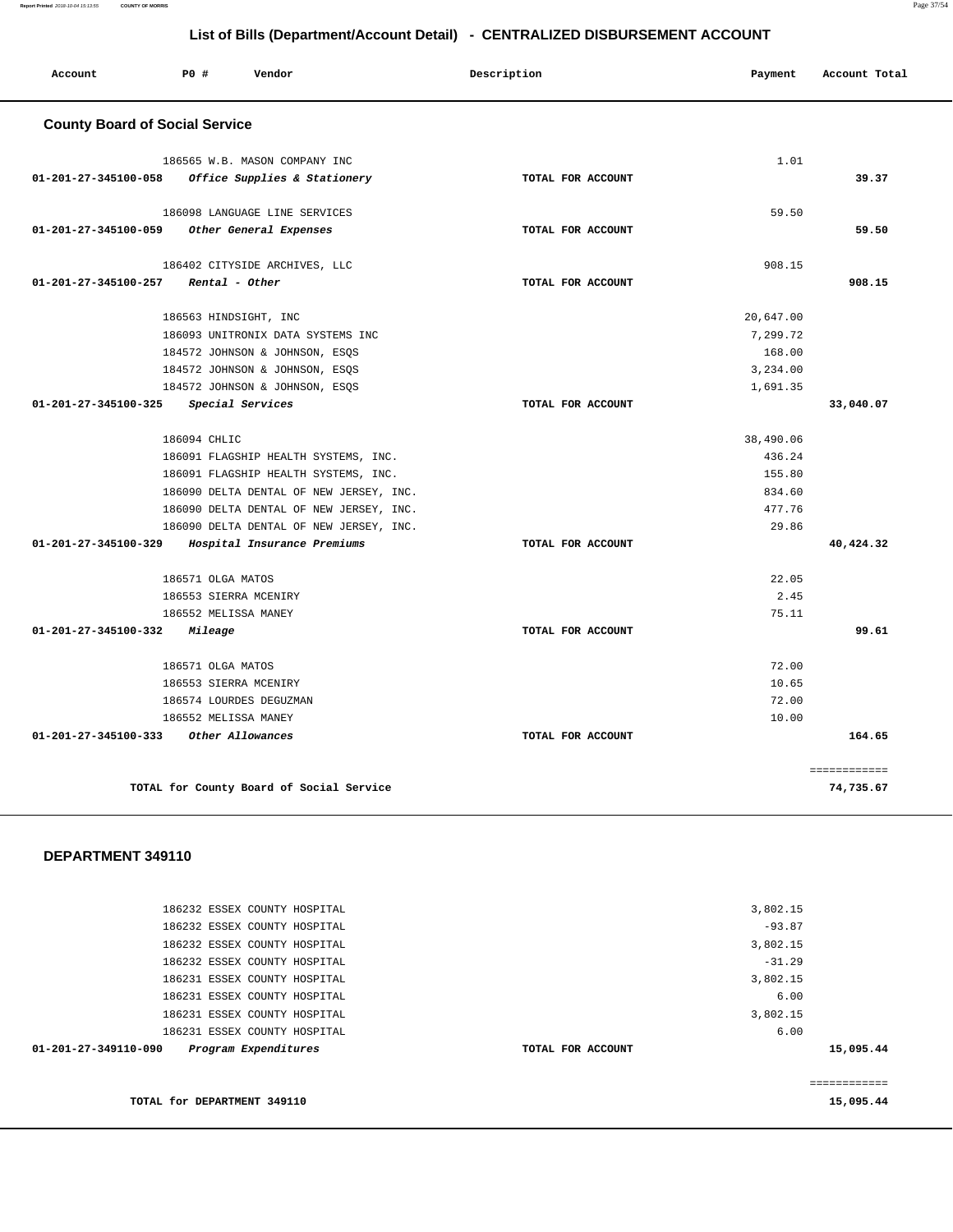186232 ESSEX COUNTY HOSPITAL 186232 ESSEX COUNTY HOSPITAL 186232 ESSEX COUNTY HOSPITAL 186232 ESSEX COUNTY HOSPITAL 186231 ESSEX COUNTY HOSPITAL 186231 ESSEX COUNTY HOSPITAL 186231 ESSEX COUNTY HOSPITAL 186231 ESSEX COUNTY HOSPITAL **01-201-27-349110-090 Program Expenditures TOTAL FOR ACCOUNT**  3,802.15 -93.87 3,802.15 -31.29 3,802.15 6.00 3,802.15 6.00 **15,095.44 TOTAL for DEPARTMENT 349110**  ============ **15,095.44** 

| Account                               | PO#                  | Vendor                                                        |                                         | Description       | Payment   | Account Total |  |
|---------------------------------------|----------------------|---------------------------------------------------------------|-----------------------------------------|-------------------|-----------|---------------|--|
| <b>County Board of Social Service</b> |                      |                                                               |                                         |                   |           |               |  |
| 01-201-27-345100-058                  |                      | 186565 W.B. MASON COMPANY INC<br>Office Supplies & Stationery |                                         | TOTAL FOR ACCOUNT | 1.01      | 39.37         |  |
|                                       |                      | 186098 LANGUAGE LINE SERVICES                                 |                                         |                   | 59.50     |               |  |
| 01-201-27-345100-059                  |                      | Other General Expenses                                        |                                         | TOTAL FOR ACCOUNT |           | 59.50         |  |
|                                       |                      | 186402 CITYSIDE ARCHIVES, LLC                                 |                                         |                   | 908.15    |               |  |
| 01-201-27-345100-257                  |                      | Rental - Other                                                |                                         | TOTAL FOR ACCOUNT |           | 908.15        |  |
|                                       |                      | 186563 HINDSIGHT, INC                                         |                                         |                   | 20,647.00 |               |  |
|                                       |                      | 186093 UNITRONIX DATA SYSTEMS INC                             |                                         |                   | 7,299.72  |               |  |
|                                       |                      | 184572 JOHNSON & JOHNSON, ESQS                                |                                         |                   | 168.00    |               |  |
|                                       |                      | 184572 JOHNSON & JOHNSON, ESQS                                |                                         |                   | 3,234.00  |               |  |
|                                       |                      | 184572 JOHNSON & JOHNSON, ESQS                                |                                         |                   | 1,691.35  |               |  |
| 01-201-27-345100-325                  |                      | Special Services                                              |                                         | TOTAL FOR ACCOUNT |           | 33,040.07     |  |
|                                       | 186094 CHLIC         |                                                               |                                         |                   | 38,490.06 |               |  |
|                                       |                      | 186091 FLAGSHIP HEALTH SYSTEMS, INC.                          |                                         |                   | 436.24    |               |  |
|                                       |                      | 186091 FLAGSHIP HEALTH SYSTEMS, INC.                          |                                         |                   | 155.80    |               |  |
|                                       |                      |                                                               | 186090 DELTA DENTAL OF NEW JERSEY, INC. |                   | 834.60    |               |  |
|                                       |                      |                                                               | 186090 DELTA DENTAL OF NEW JERSEY, INC. |                   | 477.76    |               |  |
|                                       |                      |                                                               | 186090 DELTA DENTAL OF NEW JERSEY, INC. |                   | 29.86     |               |  |
| 01-201-27-345100-329                  |                      | Hospital Insurance Premiums                                   |                                         | TOTAL FOR ACCOUNT |           | 40,424.32     |  |
|                                       | 186571 OLGA MATOS    |                                                               |                                         |                   | 22.05     |               |  |
|                                       |                      | 186553 SIERRA MCENIRY                                         |                                         |                   | 2.45      |               |  |
|                                       | 186552 MELISSA MANEY |                                                               |                                         |                   | 75.11     |               |  |
| 01-201-27-345100-332                  | Mileage              |                                                               |                                         | TOTAL FOR ACCOUNT |           | 99.61         |  |
|                                       | 186571 OLGA MATOS    |                                                               |                                         |                   | 72.00     |               |  |
|                                       |                      | 186553 SIERRA MCENIRY                                         |                                         |                   | 10.65     |               |  |
|                                       |                      | 186574 LOURDES DEGUZMAN                                       |                                         |                   | 72.00     |               |  |
|                                       | 186552 MELISSA MANEY |                                                               |                                         |                   | 10.00     |               |  |
| 01-201-27-345100-333                  |                      | Other Allowances                                              |                                         | TOTAL FOR ACCOUNT |           | 164.65        |  |
|                                       |                      |                                                               |                                         |                   |           | ============  |  |
|                                       |                      | TOTAL for County Board of Social Service                      |                                         |                   |           | 74,735.67     |  |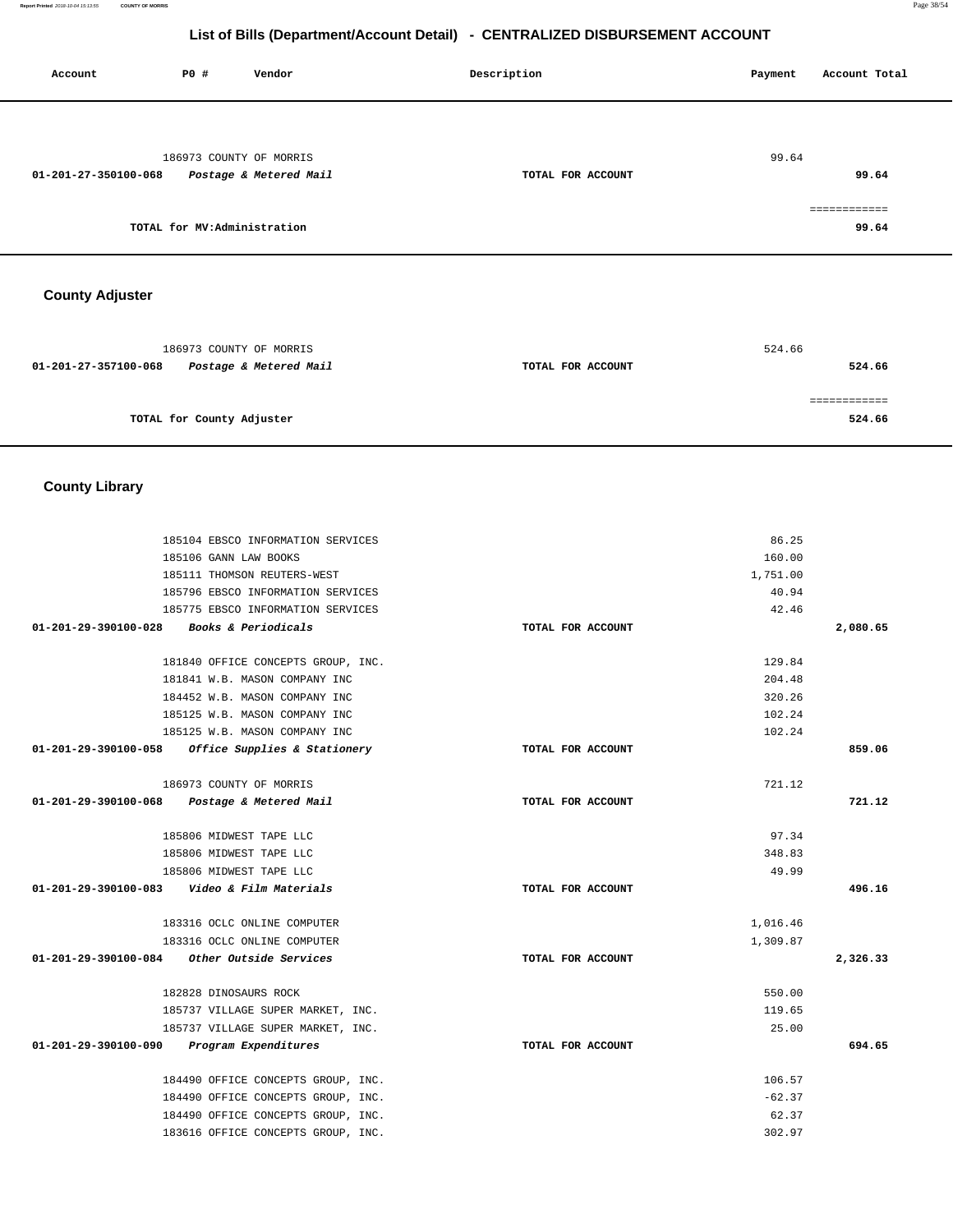**Account P0 # Vendor Description Payment Account Total** 186973 COUNTY OF MORRIS **01-201-27-350100-068 Postage & Metered Mail TOTAL FOR ACCOUNT**  99.64 **99.64 TOTAL for MV:Administration**  ============ **99.64 County Adjuster**  186973 COUNTY OF MORRIS 524.66  **01-201-27-357100-068 Postage & Metered Mail TOTAL FOR ACCOUNT 524.66** ============ **TOTAL for County Adjuster 524.66 County Library**  185104 EBSCO INFORMATION SERVICES 185106 GANN LAW BOOKS 185111 THOMSON REUTERS-WEST 185796 EBSCO INFORMATION SERVICES 185775 EBSCO INFORMATION SERVICES **01-201-29-390100-028 Books & Periodicals TOTAL FOR ACCOUNT**  86.25 160.00 1,751.00 40.94 42.46 **2,080.65** 181840 OFFICE CONCEPTS GROUP, INC. 181841 W.B. MASON COMPANY INC 184452 W.B. MASON COMPANY INC 185125 W.B. MASON COMPANY INC 185125 W.B. MASON COMPANY INC **01-201-29-390100-058 Office Supplies & Stationery TOTAL FOR ACCOUNT**  129.84 204.48 320.26 102.24 102.24 **859.06** 186973 COUNTY OF MORRIS **01-201-29-390100-068 Postage & Metered Mail TOTAL FOR ACCOUNT**  721.12 **721.12** 185806 MIDWEST TAPE LLC 185806 MIDWEST TAPE LLC 185806 MIDWEST TAPE LLC **01-201-29-390100-083 Video & Film Materials TOTAL FOR ACCOUNT**  97.34 348.83 49.99 **496.16** 183316 OCLC ONLINE COMPUTER 183316 OCLC ONLINE COMPUTER **01-201-29-390100-084 Other Outside Services TOTAL FOR ACCOUNT**  1,016.46 1,309.87 **2,326.33** 182828 DINOSAURS ROCK 185737 VILLAGE SUPER MARKET, INC. 185737 VILLAGE SUPER MARKET, INC. **01-201-29-390100-090 Program Expenditures TOTAL FOR ACCOUNT**  550.00 119.65 25.00 **694.65** 184490 OFFICE CONCEPTS GROUP, INC. 184490 OFFICE CONCEPTS GROUP, INC. 184490 OFFICE CONCEPTS GROUP, INC. 183616 OFFICE CONCEPTS GROUP, INC. 106.57 -62.37 62.37 302.97

**List of Bills (Department/Account Detail) - CENTRALIZED DISBURSEMENT ACCOUNT**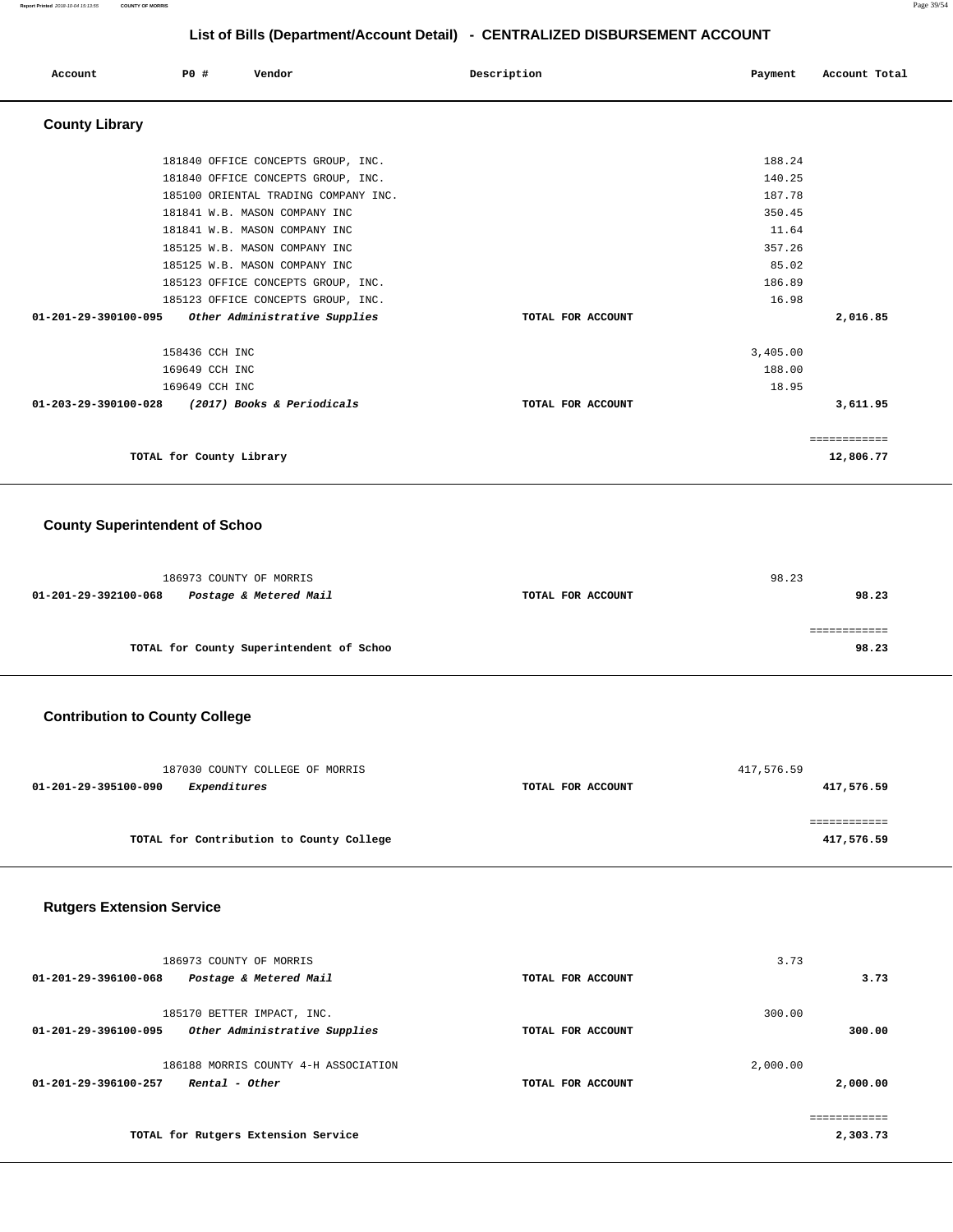**Report Printed** 2018-10-04 15:13:55 **COUNTY OF MORRIS** Page 39/54

# **List of Bills (Department/Account Detail) - CENTRALIZED DISBURSEMENT ACCOUNT**

| Account                        | PO#                      |                | Vendor                               | Description |                   | Payment  | Account Total |  |
|--------------------------------|--------------------------|----------------|--------------------------------------|-------------|-------------------|----------|---------------|--|
| <b>County Library</b>          |                          |                |                                      |             |                   |          |               |  |
|                                |                          |                | 181840 OFFICE CONCEPTS GROUP, INC.   |             |                   | 188.24   |               |  |
|                                |                          |                | 181840 OFFICE CONCEPTS GROUP, INC.   |             |                   | 140.25   |               |  |
|                                |                          |                | 185100 ORIENTAL TRADING COMPANY INC. |             |                   | 187.78   |               |  |
|                                |                          |                | 181841 W.B. MASON COMPANY INC        |             |                   | 350.45   |               |  |
|                                |                          |                | 181841 W.B. MASON COMPANY INC        |             |                   | 11.64    |               |  |
|                                |                          |                | 185125 W.B. MASON COMPANY INC        |             |                   | 357.26   |               |  |
|                                |                          |                | 185125 W.B. MASON COMPANY INC        |             |                   | 85.02    |               |  |
|                                |                          |                | 185123 OFFICE CONCEPTS GROUP, INC.   |             |                   | 186.89   |               |  |
|                                |                          |                | 185123 OFFICE CONCEPTS GROUP, INC.   |             |                   | 16.98    |               |  |
| 01-201-29-390100-095           |                          |                | Other Administrative Supplies        |             | TOTAL FOR ACCOUNT |          | 2,016.85      |  |
|                                |                          | 158436 CCH INC |                                      |             |                   | 3,405.00 |               |  |
|                                |                          | 169649 CCH INC |                                      |             |                   | 188.00   |               |  |
|                                |                          | 169649 CCH INC |                                      |             |                   | 18.95    |               |  |
| $01 - 203 - 29 - 390100 - 028$ |                          |                | (2017) Books & Periodicals           |             | TOTAL FOR ACCOUNT |          | 3,611.95      |  |
|                                |                          |                |                                      |             |                   |          | ============  |  |
|                                | TOTAL for County Library |                |                                      |             |                   |          | 12,806.77     |  |

### **County Superintendent of Schoo**

|                      | 186973 COUNTY OF MORRIS                  |                   | 98.23 |       |
|----------------------|------------------------------------------|-------------------|-------|-------|
| 01-201-29-392100-068 | Postage & Metered Mail                   | TOTAL FOR ACCOUNT |       | 98.23 |
|                      |                                          |                   |       |       |
|                      |                                          |                   |       |       |
|                      | TOTAL for County Superintendent of Schoo |                   |       | 98.23 |

# **Contribution to County College**

| 187030 COUNTY COLLEGE OF MORRIS          |                   | 417,576.59 |
|------------------------------------------|-------------------|------------|
| Expenditures<br>01-201-29-395100-090     | TOTAL FOR ACCOUNT | 417,576.59 |
|                                          |                   |            |
|                                          |                   |            |
| TOTAL for Contribution to County College |                   | 417,576.59 |

### **Rutgers Extension Service**

| 186973 COUNTY OF MORRIS<br>01-201-29-396100-068<br>Postage & Metered Mail           | TOTAL FOR ACCOUNT | 3.73<br>3.73         |
|-------------------------------------------------------------------------------------|-------------------|----------------------|
| 185170 BETTER IMPACT, INC.<br>01-201-29-396100-095<br>Other Administrative Supplies | TOTAL FOR ACCOUNT | 300.00<br>300.00     |
| 186188 MORRIS COUNTY 4-H ASSOCIATION<br>01-201-29-396100-257<br>Rental - Other      | TOTAL FOR ACCOUNT | 2,000.00<br>2,000.00 |
| TOTAL for Rutgers Extension Service                                                 |                   | 2,303.73             |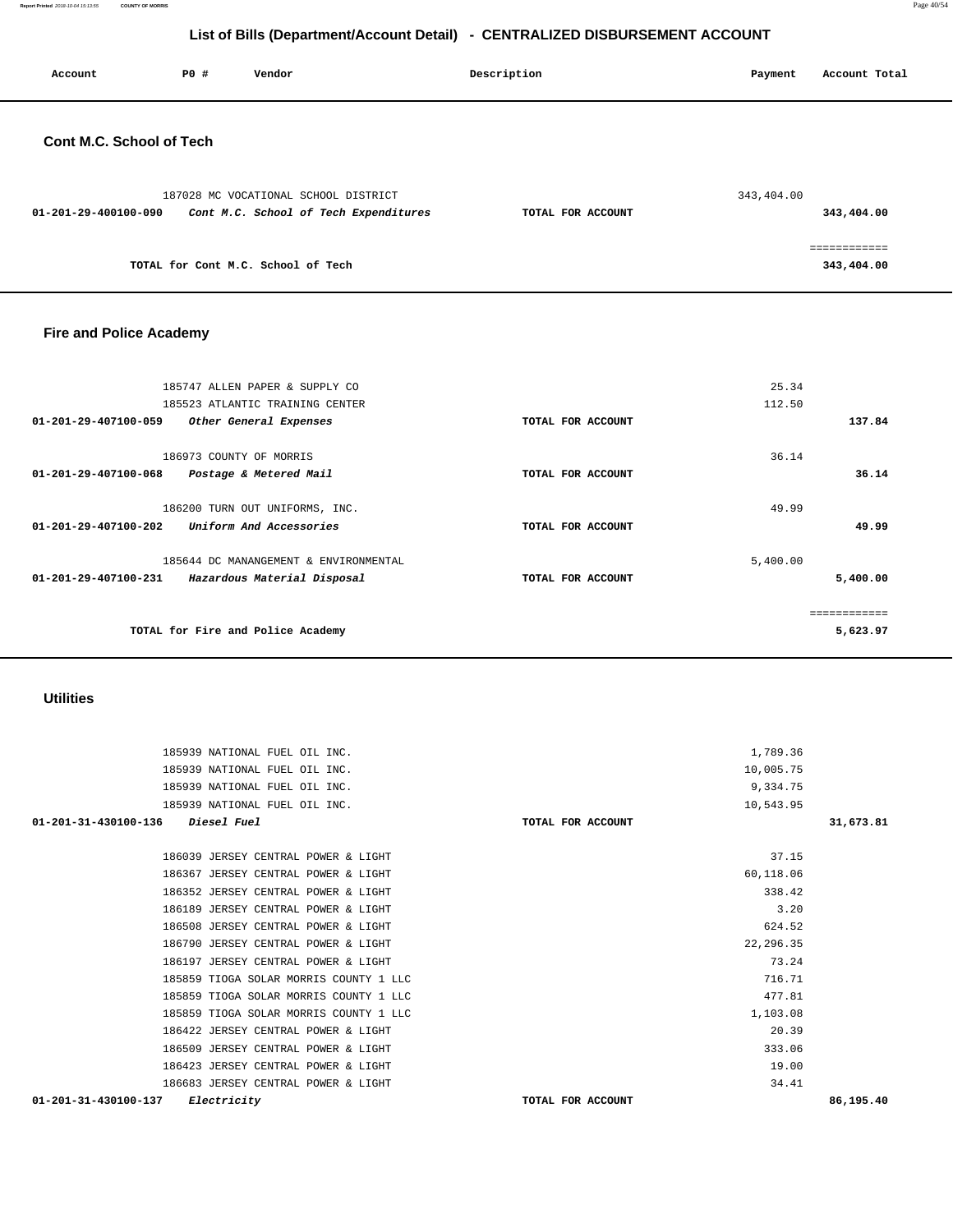**Report Printed** 2018-10-04 15:13:55 **COUNTY OF MORRIS** Page 40/54

# **List of Bills (Department/Account Detail) - CENTRALIZED DISBURSEMENT ACCOUNT**

| Account                         | PO# | Vendor                                                                        | Description       | Payment    | Account Total |
|---------------------------------|-----|-------------------------------------------------------------------------------|-------------------|------------|---------------|
| <b>Cont M.C. School of Tech</b> |     |                                                                               |                   |            |               |
| 01-201-29-400100-090            |     | 187028 MC VOCATIONAL SCHOOL DISTRICT<br>Cont M.C. School of Tech Expenditures | TOTAL FOR ACCOUNT | 343,404.00 | 343,404.00    |
|                                 |     |                                                                               |                   |            | ============  |

**TOTAL for Cont M.C. School of Tech 343,404.00** 

### **Fire and Police Academy**

| 185747 ALLEN PAPER & SUPPLY CO<br>185523 ATLANTIC TRAINING CENTER                            |                   | 25.34<br>112.50 |                          |
|----------------------------------------------------------------------------------------------|-------------------|-----------------|--------------------------|
| $01 - 201 - 29 - 407100 - 059$<br>Other General Expenses                                     | TOTAL FOR ACCOUNT |                 | 137.84                   |
| 186973 COUNTY OF MORRIS                                                                      |                   | 36.14           |                          |
| 01-201-29-407100-068<br>Postage & Metered Mail                                               | TOTAL FOR ACCOUNT |                 | 36.14                    |
| 186200 TURN OUT UNIFORMS, INC.                                                               |                   | 49.99           |                          |
| $01 - 201 - 29 - 407100 - 202$<br>Uniform And Accessories                                    | TOTAL FOR ACCOUNT |                 | 49.99                    |
| 185644 DC MANANGEMENT & ENVIRONMENTAL<br>01-201-29-407100-231<br>Hazardous Material Disposal | TOTAL FOR ACCOUNT | 5,400.00        | 5,400.00                 |
| TOTAL for Fire and Police Academy                                                            |                   |                 | ============<br>5,623.97 |

### **Utilities**

| 185939 NATIONAL FUEL OIL INC.                 |                   | 1,789.36  |           |
|-----------------------------------------------|-------------------|-----------|-----------|
| 185939 NATIONAL FUEL OIL INC.                 |                   | 10,005.75 |           |
| 185939 NATIONAL FUEL OIL INC.                 |                   | 9,334.75  |           |
| 185939 NATIONAL FUEL OIL INC.                 |                   | 10,543.95 |           |
| 01-201-31-430100-136<br><i>Diesel Fuel</i>    | TOTAL FOR ACCOUNT |           | 31,673.81 |
|                                               |                   |           |           |
| 186039 JERSEY CENTRAL POWER & LIGHT           |                   | 37.15     |           |
| 186367 JERSEY CENTRAL POWER & LIGHT           |                   | 60,118.06 |           |
| 186352 JERSEY CENTRAL POWER & LIGHT           |                   | 338.42    |           |
| 186189 JERSEY CENTRAL POWER & LIGHT           |                   | 3.20      |           |
| 186508 JERSEY CENTRAL POWER & LIGHT           |                   | 624.52    |           |
| 186790 JERSEY CENTRAL POWER & LIGHT           |                   | 22,296.35 |           |
| 186197 JERSEY CENTRAL POWER & LIGHT           |                   | 73.24     |           |
| 185859 TIOGA SOLAR MORRIS COUNTY 1 LLC        |                   | 716.71    |           |
| 185859 TIOGA SOLAR MORRIS COUNTY 1 LLC        |                   | 477.81    |           |
| 185859 TIOGA SOLAR MORRIS COUNTY 1 LLC        |                   | 1,103.08  |           |
| 186422 JERSEY CENTRAL POWER & LIGHT           |                   | 20.39     |           |
| 186509 JERSEY CENTRAL POWER & LIGHT           |                   | 333.06    |           |
| 186423 JERSEY CENTRAL POWER & LIGHT           |                   | 19.00     |           |
| 186683 JERSEY CENTRAL POWER & LIGHT           |                   | 34.41     |           |
| $01 - 201 - 31 - 430100 - 137$<br>Electricity | TOTAL FOR ACCOUNT |           | 86,195.40 |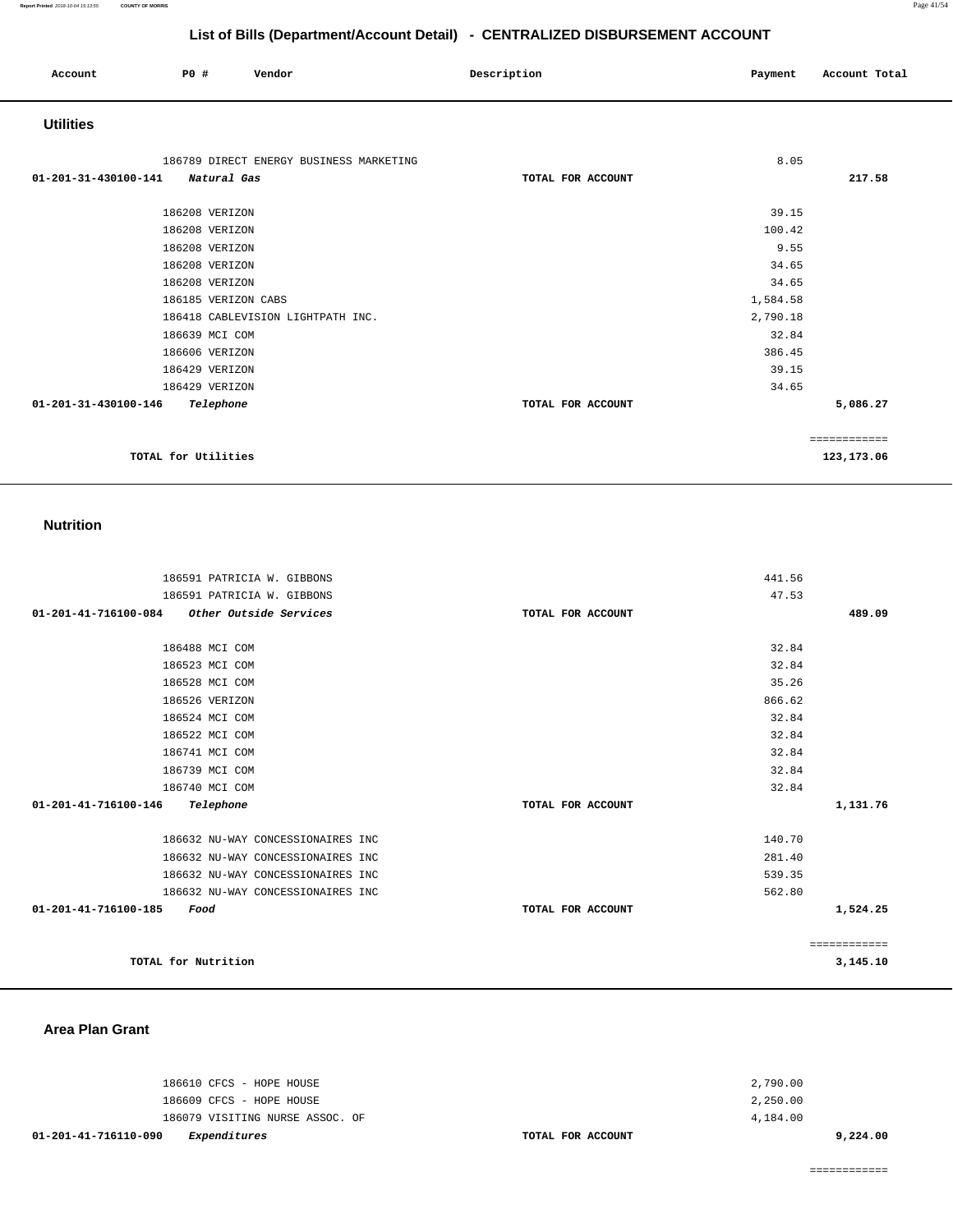| Account              | P0 #                | Vendor                                  | Description       | Payment  | Account Total |
|----------------------|---------------------|-----------------------------------------|-------------------|----------|---------------|
| <b>Utilities</b>     |                     |                                         |                   |          |               |
|                      |                     | 186789 DIRECT ENERGY BUSINESS MARKETING |                   | 8.05     |               |
| 01-201-31-430100-141 | Natural Gas         |                                         | TOTAL FOR ACCOUNT |          | 217.58        |
|                      | 186208 VERIZON      |                                         |                   | 39.15    |               |
|                      | 186208 VERIZON      |                                         |                   | 100.42   |               |
|                      | 186208 VERIZON      |                                         |                   | 9.55     |               |
|                      |                     |                                         |                   |          |               |
|                      | 186208 VERIZON      |                                         |                   | 34.65    |               |
|                      | 186208 VERIZON      |                                         |                   | 34.65    |               |
|                      | 186185 VERIZON CABS |                                         |                   | 1,584.58 |               |
|                      |                     | 186418 CABLEVISION LIGHTPATH INC.       |                   | 2,790.18 |               |
|                      | 186639 MCI COM      |                                         |                   | 32.84    |               |
|                      | 186606 VERIZON      |                                         |                   | 386.45   |               |
|                      | 186429 VERIZON      |                                         |                   | 39.15    |               |
|                      | 186429 VERIZON      |                                         |                   | 34.65    |               |
| 01-201-31-430100-146 | Telephone           |                                         | TOTAL FOR ACCOUNT |          | 5,086.27      |
|                      |                     |                                         |                   |          | ============  |
|                      | TOTAL for Utilities |                                         |                   |          | 123,173.06    |

### **Nutrition**

| 186591 PATRICIA W. GIBBONS                     |                   | 441.56       |
|------------------------------------------------|-------------------|--------------|
| 186591 PATRICIA W. GIBBONS                     |                   | 47.53        |
| Other Outside Services<br>01-201-41-716100-084 | TOTAL FOR ACCOUNT | 489.09       |
|                                                |                   |              |
| 186488 MCI COM                                 |                   | 32.84        |
| 186523 MCI COM                                 |                   | 32.84        |
| 186528 MCI COM                                 |                   | 35.26        |
| 186526 VERIZON                                 |                   | 866.62       |
| 186524 MCI COM                                 |                   | 32.84        |
| 186522 MCI COM                                 |                   | 32.84        |
| 186741 MCI COM                                 |                   | 32.84        |
| 186739 MCI COM                                 |                   | 32.84        |
| 186740 MCI COM                                 |                   | 32.84        |
| 01-201-41-716100-146<br>Telephone              | TOTAL FOR ACCOUNT | 1,131.76     |
|                                                |                   |              |
| 186632 NU-WAY CONCESSIONAIRES INC              |                   | 140.70       |
| 186632 NU-WAY CONCESSIONAIRES INC              |                   | 281.40       |
| 186632 NU-WAY CONCESSIONAIRES INC              |                   | 539.35       |
| 186632 NU-WAY CONCESSIONAIRES INC              |                   | 562.80       |
| 01-201-41-716100-185<br>Food                   | TOTAL FOR ACCOUNT | 1,524.25     |
|                                                |                   |              |
|                                                |                   | ============ |
| TOTAL for Nutrition                            |                   | 3,145.10     |

### **Area Plan Grant**

| 01-201-41-716110-090<br>Expenditures | TOTAL FOR ACCOUNT | 9,224,00 |
|--------------------------------------|-------------------|----------|
| 186079 VISITING NURSE ASSOC. OF      |                   | 4,184.00 |
| 186609 CFCS - HOPE HOUSE             |                   | 2,250.00 |
| 186610 CFCS - HOPE HOUSE             |                   | 2,790.00 |
|                                      |                   |          |

============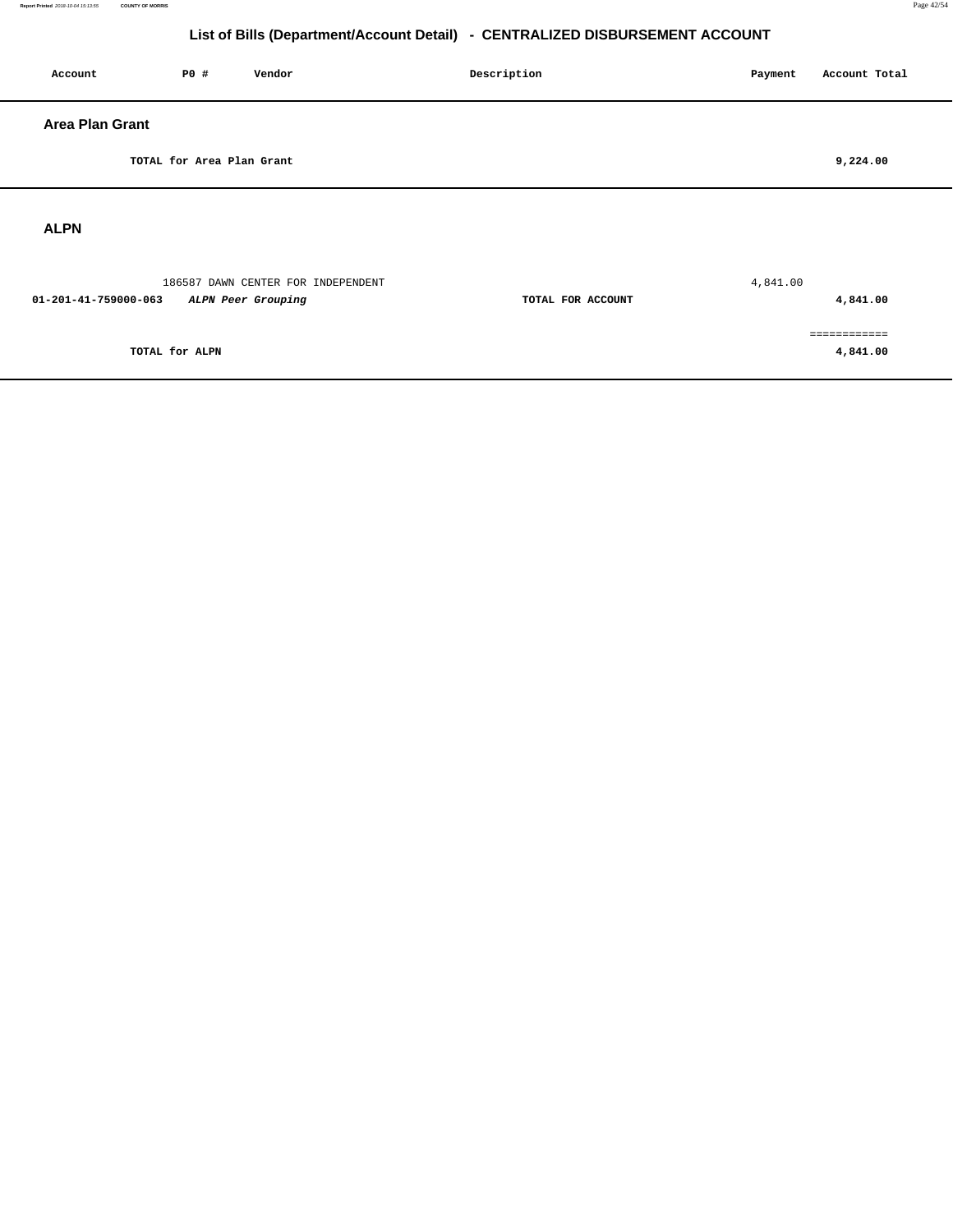**4,841.00** 

# **List of Bills (Department/Account Detail) - CENTRALIZED DISBURSEMENT ACCOUNT**

| Account                | P0 #                      | Vendor                                                   | Description       | Account Total<br>Payment |
|------------------------|---------------------------|----------------------------------------------------------|-------------------|--------------------------|
| <b>Area Plan Grant</b> |                           |                                                          |                   |                          |
|                        | TOTAL for Area Plan Grant |                                                          |                   | 9,224.00                 |
| <b>ALPN</b>            |                           |                                                          |                   |                          |
| 01-201-41-759000-063   |                           | 186587 DAWN CENTER FOR INDEPENDENT<br>ALPN Peer Grouping | TOTAL FOR ACCOUNT | 4,841.00<br>4,841.00     |
|                        |                           |                                                          |                   | ------------             |

**TOTAL for ALPN**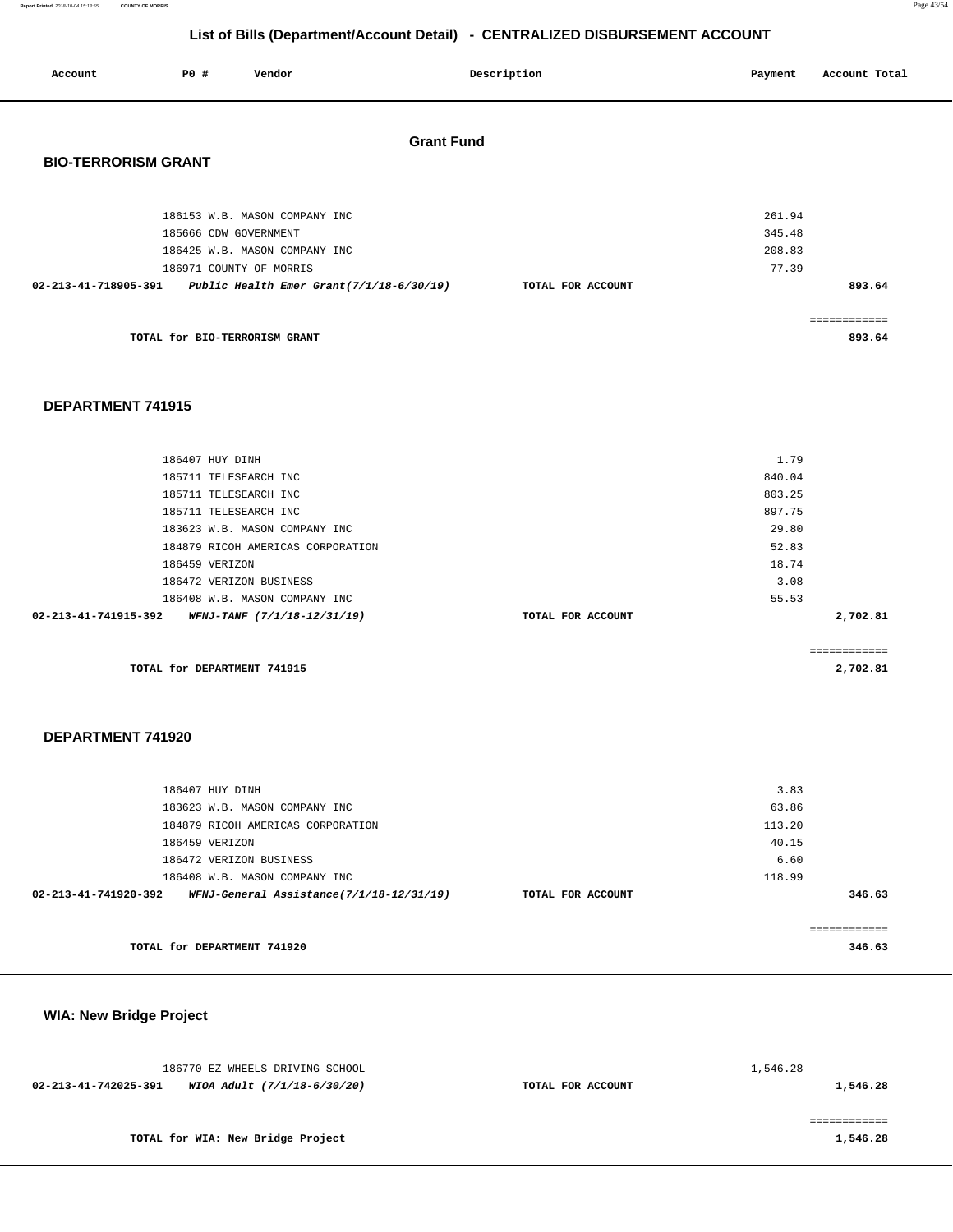**Report Printed** 2018-10-04 15:13:55 **COUNTY OF MORRIS** Page 43/54

# **List of Bills (Department/Account Detail) - CENTRALIZED DISBURSEMENT ACCOUNT**

| Account                                                       | P0 #                  | Vendor                        |                   | Description       | Payment | Account Total |
|---------------------------------------------------------------|-----------------------|-------------------------------|-------------------|-------------------|---------|---------------|
|                                                               |                       |                               | <b>Grant Fund</b> |                   |         |               |
| <b>BIO-TERRORISM GRANT</b>                                    |                       |                               |                   |                   |         |               |
|                                                               |                       | 186153 W.B. MASON COMPANY INC |                   |                   | 261.94  |               |
|                                                               | 185666 CDW GOVERNMENT |                               |                   |                   | 345.48  |               |
|                                                               |                       | 186425 W.B. MASON COMPANY INC |                   |                   | 208.83  |               |
|                                                               |                       | 186971 COUNTY OF MORRIS       |                   |                   | 77.39   |               |
| 02-213-41-718905-391 Public Health Emer Grant(7/1/18-6/30/19) |                       |                               |                   | TOTAL FOR ACCOUNT |         | 893.64        |
|                                                               |                       |                               |                   |                   |         |               |
|                                                               |                       |                               |                   |                   |         |               |
|                                                               |                       | TOTAL for BIO-TERRORISM GRANT |                   |                   |         | 893.64        |

### **DEPARTMENT 741915**

| 186407 HUY DINH                                     |                   | 1.79     |
|-----------------------------------------------------|-------------------|----------|
|                                                     |                   |          |
| 185711 TELESEARCH INC                               |                   | 840.04   |
| 185711 TELESEARCH INC                               |                   | 803.25   |
| 185711 TELESEARCH INC                               |                   | 897.75   |
| 183623 W.B. MASON COMPANY INC                       |                   | 29.80    |
| 184879 RICOH AMERICAS CORPORATION                   |                   | 52.83    |
| 186459 VERIZON                                      |                   | 18.74    |
| 186472 VERIZON BUSINESS                             |                   | 3.08     |
| 186408 W.B. MASON COMPANY INC                       |                   | 55.53    |
| 02-213-41-741915-392<br>WFNJ-TANF (7/1/18-12/31/19) | TOTAL FOR ACCOUNT | 2,702.81 |
|                                                     |                   |          |
|                                                     |                   |          |
| TOTAL for DEPARTMENT 741915                         |                   | 2,702.81 |
|                                                     |                   |          |

#### **DEPARTMENT 741920**

| 186407 HUY DINH                                                  |                   | 3.83   |        |
|------------------------------------------------------------------|-------------------|--------|--------|
| 183623 W.B. MASON COMPANY INC                                    |                   | 63.86  |        |
| 184879 RICOH AMERICAS CORPORATION                                |                   | 113.20 |        |
| 186459 VERIZON                                                   |                   | 40.15  |        |
| 186472 VERIZON BUSINESS                                          |                   | 6.60   |        |
| 186408 W.B. MASON COMPANY INC                                    |                   | 118.99 |        |
| 02-213-41-741920-392<br>WFNJ-General Assistance(7/1/18-12/31/19) | TOTAL FOR ACCOUNT |        | 346.63 |
|                                                                  |                   |        |        |
| TOTAL for DEPARTMENT 741920                                      |                   |        | 346.63 |

# **WIA: New Bridge Project**

|                      | 186770 EZ WHEELS DRIVING SCHOOL   |                   | 1,546.28 |
|----------------------|-----------------------------------|-------------------|----------|
| 02-213-41-742025-391 | WIOA Adult (7/1/18-6/30/20)       | TOTAL FOR ACCOUNT | 1,546.28 |
|                      |                                   |                   |          |
|                      |                                   |                   |          |
|                      | TOTAL for WIA: New Bridge Project |                   | 1,546.28 |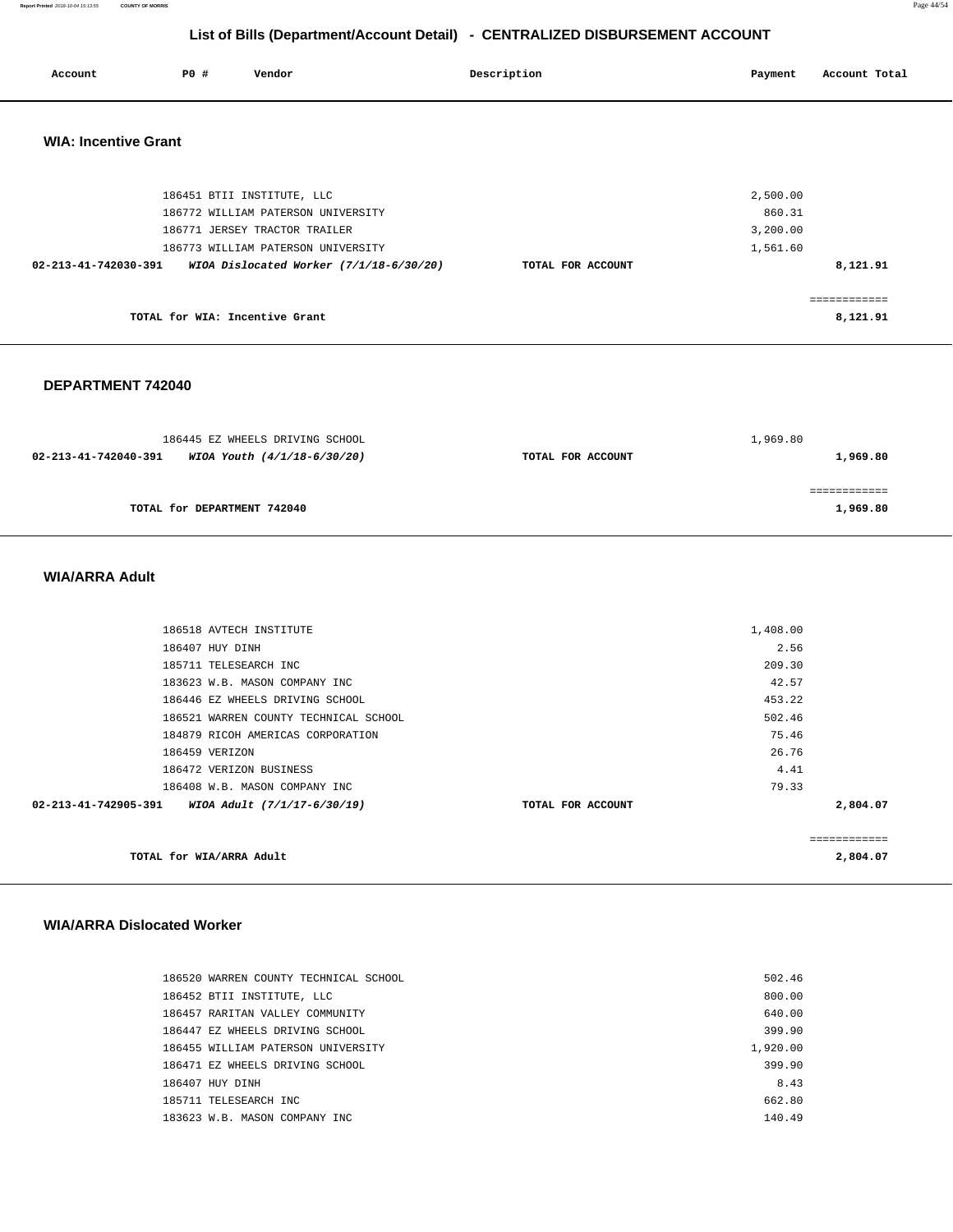**Report Printed** 2018-10-04 15:13:55 **COUNTY OF MORRIS** Page 44/54

# **List of Bills (Department/Account Detail) - CENTRALIZED DISBURSEMENT ACCOUNT**

|                             |             |                                           | LIST OF DIRECT MICHIGAGOURD DETAILS - CLIVITALIZED DISDONSEMENT ACCOUNT |          |               |
|-----------------------------|-------------|-------------------------------------------|-------------------------------------------------------------------------|----------|---------------|
| Account                     | <b>PO #</b> | Vendor                                    | Description                                                             | Payment  | Account Total |
| <b>WIA: Incentive Grant</b> |             |                                           |                                                                         |          |               |
|                             |             | 186451 BTII INSTITUTE, LLC                |                                                                         | 2,500.00 |               |
|                             |             | 186772 WILLIAM PATERSON UNIVERSITY        |                                                                         | 860.31   |               |
|                             |             | 186771 JERSEY TRACTOR TRAILER             |                                                                         | 3,200.00 |               |
|                             |             | 186773 WILLIAM PATERSON UNIVERSITY        |                                                                         | 1,561.60 |               |
| 02-213-41-742030-391        |             | WIOA Dislocated Worker $(7/1/18-6/30/20)$ | TOTAL FOR ACCOUNT                                                       |          | 8,121.91      |
|                             |             |                                           |                                                                         |          | ============  |

**TOTAL for WIA: Incentive Grant** 

#### **DEPARTMENT 742040**

| 186445 EZ WHEELS DRIVING SCHOOL |                             |                   | 1,969.80 |
|---------------------------------|-----------------------------|-------------------|----------|
| 02-213-41-742040-391            | WIOA Youth (4/1/18-6/30/20) | TOTAL FOR ACCOUNT | 1,969.80 |
|                                 |                             |                   |          |
|                                 |                             |                   |          |
| TOTAL for DEPARTMENT 742040     |                             |                   | 1,969.80 |

### **WIA/ARRA Adult**

| TOTAL for WIA/ARRA Adult                            |                   |          | ============<br>2,804.07 |
|-----------------------------------------------------|-------------------|----------|--------------------------|
| 02-213-41-742905-391<br>WIOA Adult (7/1/17-6/30/19) | TOTAL FOR ACCOUNT |          | 2,804.07                 |
| 186408 W.B. MASON COMPANY INC                       |                   | 79.33    |                          |
| 186472 VERIZON BUSINESS                             |                   | 4.41     |                          |
| 186459 VERIZON                                      |                   | 26.76    |                          |
| 184879 RICOH AMERICAS CORPORATION                   |                   | 75.46    |                          |
| 186521 WARREN COUNTY TECHNICAL SCHOOL               |                   | 502.46   |                          |
| 186446 EZ WHEELS DRIVING SCHOOL                     |                   | 453.22   |                          |
| 183623 W.B. MASON COMPANY INC                       |                   | 42.57    |                          |
| 185711 TELESEARCH INC                               |                   | 209.30   |                          |
| 186407 HUY DINH                                     |                   | 2.56     |                          |
| 186518 AVTECH INSTITUTE                             |                   | 1,408.00 |                          |
|                                                     |                   |          |                          |

#### **WIA/ARRA Dislocated Worker**

| 186520 WARREN COUNTY TECHNICAL SCHOOL | 502.46   |
|---------------------------------------|----------|
| 186452 BTII INSTITUTE, LLC            | 800.00   |
| 186457 RARITAN VALLEY COMMUNITY       | 640.00   |
| 186447 EZ WHEELS DRIVING SCHOOL       | 399.90   |
| 186455 WILLIAM PATERSON UNIVERSITY    | 1,920.00 |
| 186471 EZ WHEELS DRIVING SCHOOL       | 399.90   |
| 186407 HUY DINH                       | 8.43     |
| 185711 TELESEARCH INC                 | 662.80   |
| 183623 W.B. MASON COMPANY INC.        | 140.49   |

**8,121.91**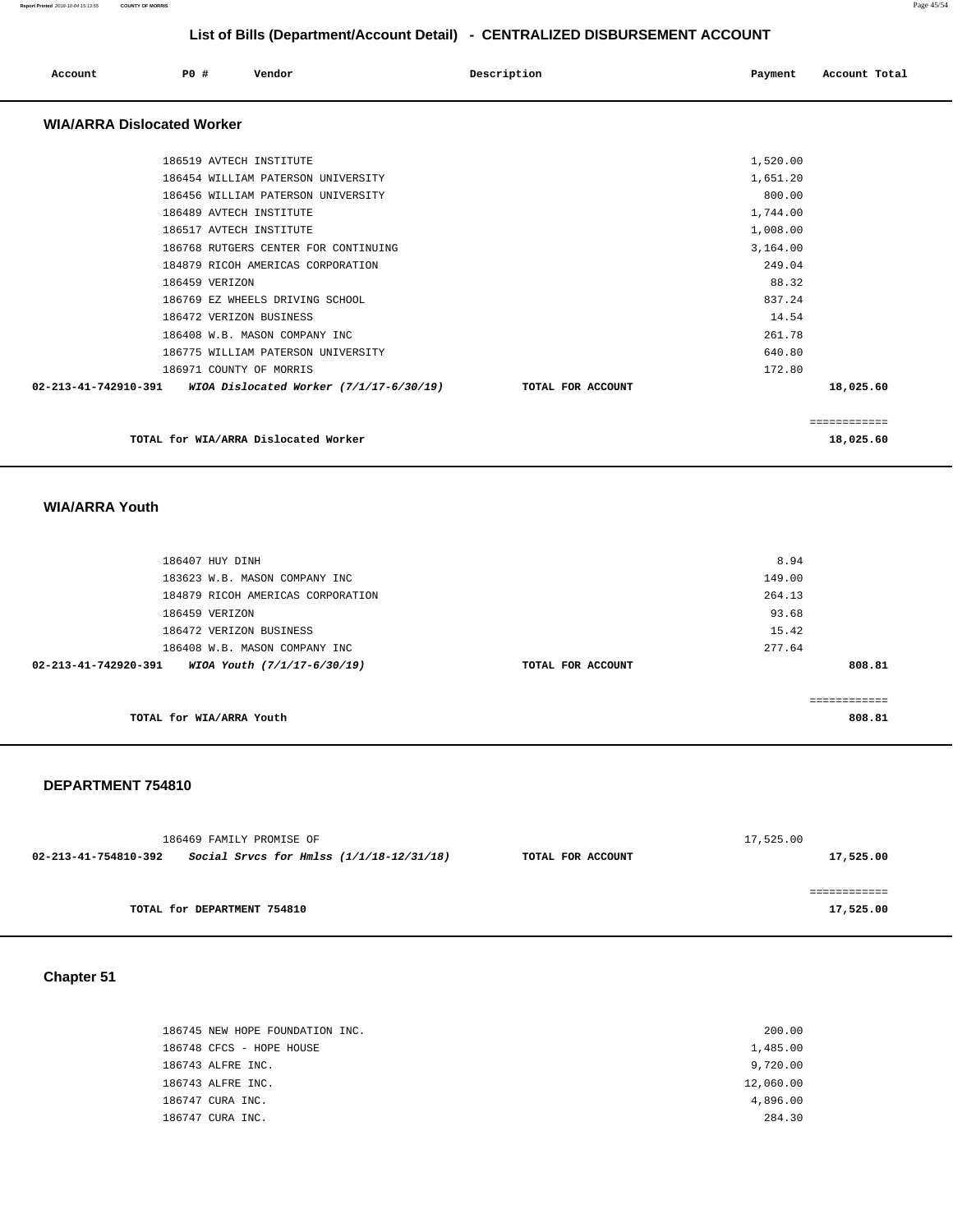| Account                           | PO# |                | Vendor                                                                                                                                                                                                                                                                                                                                                                                                 |                                           | Description |                   | Payment                                                                                                                                | Account Total             |
|-----------------------------------|-----|----------------|--------------------------------------------------------------------------------------------------------------------------------------------------------------------------------------------------------------------------------------------------------------------------------------------------------------------------------------------------------------------------------------------------------|-------------------------------------------|-------------|-------------------|----------------------------------------------------------------------------------------------------------------------------------------|---------------------------|
| <b>WIA/ARRA Dislocated Worker</b> |     |                |                                                                                                                                                                                                                                                                                                                                                                                                        |                                           |             |                   |                                                                                                                                        |                           |
|                                   |     | 186459 VERIZON | 186519 AVTECH INSTITUTE<br>186454 WILLIAM PATERSON UNIVERSITY<br>186456 WILLIAM PATERSON UNIVERSITY<br>186489 AVTECH INSTITUTE<br>186517 AVTECH INSTITUTE<br>186768 RUTGERS CENTER FOR CONTINUING<br>184879 RICOH AMERICAS CORPORATION<br>186769 EZ WHEELS DRIVING SCHOOL<br>186472 VERIZON BUSINESS<br>186408 W.B. MASON COMPANY INC<br>186775 WILLIAM PATERSON UNIVERSITY<br>186971 COUNTY OF MORRIS |                                           |             |                   | 1,520.00<br>1,651.20<br>800.00<br>1,744.00<br>1,008.00<br>3,164.00<br>249.04<br>88.32<br>837.24<br>14.54<br>261.78<br>640.80<br>172.80 |                           |
| 02-213-41-742910-391              |     |                |                                                                                                                                                                                                                                                                                                                                                                                                        | WIOA Dislocated Worker $(7/1/17-6/30/19)$ |             | TOTAL FOR ACCOUNT |                                                                                                                                        | 18,025.60                 |
|                                   |     |                | TOTAL for WIA/ARRA Dislocated Worker                                                                                                                                                                                                                                                                                                                                                                   |                                           |             |                   |                                                                                                                                        | ============<br>18,025.60 |

#### **WIA/ARRA Youth**

| 186407 HUY DINH                                     |                   | 8.94   |
|-----------------------------------------------------|-------------------|--------|
| 183623 W.B. MASON COMPANY INC                       |                   | 149.00 |
| 184879 RICOH AMERICAS CORPORATION                   |                   | 264.13 |
| 186459 VERIZON                                      |                   | 93.68  |
| 186472 VERIZON BUSINESS                             |                   | 15.42  |
| 186408 W.B. MASON COMPANY INC                       |                   | 277.64 |
| 02-213-41-742920-391<br>WIOA Youth (7/1/17-6/30/19) | TOTAL FOR ACCOUNT | 808.81 |
|                                                     |                   |        |
|                                                     |                   |        |
| TOTAL for WIA/ARRA Youth                            |                   | 808.81 |

#### **DEPARTMENT 754810**

|                      | 186469 FAMILY PROMISE OF                   |                   | 17,525.00 |
|----------------------|--------------------------------------------|-------------------|-----------|
| 02-213-41-754810-392 | Social Srvcs for Hmlss $(1/1/18-12/31/18)$ | TOTAL FOR ACCOUNT | 17,525.00 |
|                      |                                            |                   |           |
|                      |                                            |                   |           |
|                      | TOTAL for DEPARTMENT 754810                |                   | 17,525.00 |

**Chapter 51** 

| 186745 NEW HOPE FOUNDATION INC. | 200.00    |
|---------------------------------|-----------|
| 186748 CFCS - HOPE HOUSE        | 1,485.00  |
| 186743 ALFRE INC.               | 9,720.00  |
| 186743 ALFRE INC.               | 12,060.00 |
| 186747 CURA INC.                | 4,896.00  |
| 186747 CURA INC.                | 284.30    |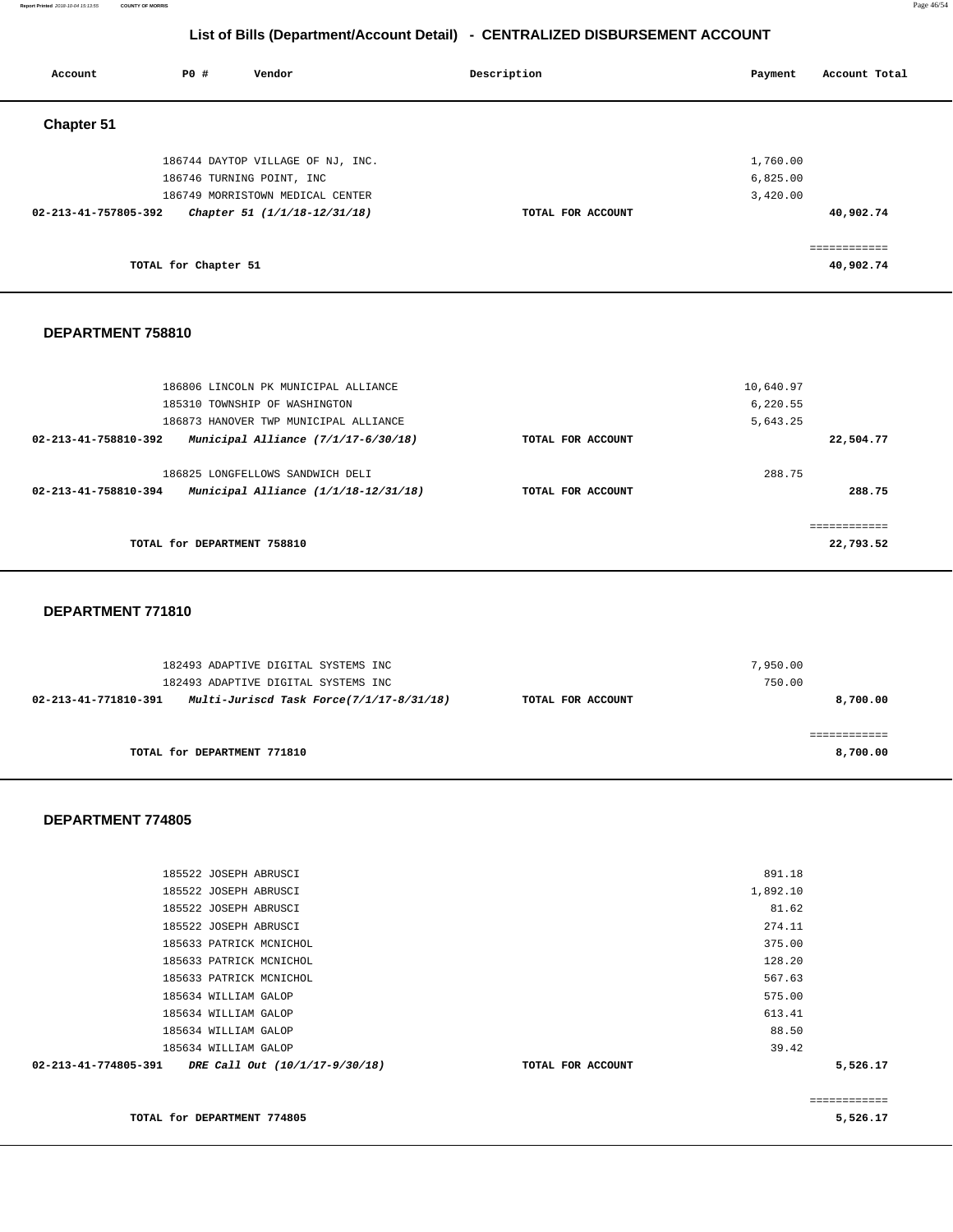**Report Printed** 2018-10-04 15:13:55 **COUNTY OF MORRIS** Page 46/54

# **List of Bills (Department/Account Detail) - CENTRALIZED DISBURSEMENT ACCOUNT**

| Account              | P0 #                 | Vendor                            | Description       | Account Total<br>Payment |
|----------------------|----------------------|-----------------------------------|-------------------|--------------------------|
| <b>Chapter 51</b>    |                      |                                   |                   |                          |
|                      |                      | 186744 DAYTOP VILLAGE OF NJ, INC. |                   | 1,760.00                 |
|                      |                      | 186746 TURNING POINT, INC         |                   | 6,825.00                 |
|                      |                      | 186749 MORRISTOWN MEDICAL CENTER  |                   | 3,420.00                 |
| 02-213-41-757805-392 |                      | Chapter 51 (1/1/18-12/31/18)      | TOTAL FOR ACCOUNT | 40,902.74                |
|                      |                      |                                   |                   | eeeeeeeeee               |
|                      | TOTAL for Chapter 51 |                                   |                   | 40,902.74                |
|                      |                      |                                   |                   |                          |

#### **DEPARTMENT 758810**

| 186806 LINCOLN PK MUNICIPAL ALLIANCE                          |                   | 10,640.97 |
|---------------------------------------------------------------|-------------------|-----------|
| 185310 TOWNSHIP OF WASHINGTON                                 |                   | 6.220.55  |
| 186873 HANOVER TWP MUNICIPAL ALLIANCE                         |                   | 5,643.25  |
| Municipal Alliance $(7/1/17-6/30/18)$<br>02-213-41-758810-392 | TOTAL FOR ACCOUNT | 22,504.77 |
|                                                               |                   |           |
| 186825 LONGFELLOWS SANDWICH DELI                              |                   | 288.75    |
| Municipal Alliance (1/1/18-12/31/18)<br>02-213-41-758810-394  | TOTAL FOR ACCOUNT | 288.75    |
|                                                               |                   |           |
|                                                               |                   |           |
| TOTAL for DEPARTMENT 758810                                   |                   | 22,793.52 |
|                                                               |                   |           |

#### **DEPARTMENT 771810**

| 182493 ADAPTIVE DIGITAL SYSTEMS INC                              |                   | 7,950.00 |
|------------------------------------------------------------------|-------------------|----------|
| 182493 ADAPTIVE DIGITAL SYSTEMS INC                              |                   | 750.00   |
| Multi-Juriscd Task Force(7/1/17-8/31/18)<br>02-213-41-771810-391 | TOTAL FOR ACCOUNT | 8,700.00 |
|                                                                  |                   |          |
|                                                                  |                   |          |
| TOTAL for DEPARTMENT 771810                                      |                   | 8,700.00 |

#### **DEPARTMENT 774805**

| 185522 JOSEPH ABRUSCI                                  | 891.18            |          |
|--------------------------------------------------------|-------------------|----------|
| 185522 JOSEPH ABRUSCI                                  | 1,892.10          |          |
| 185522 JOSEPH ABRUSCI                                  | 81.62             |          |
| 185522 JOSEPH ABRUSCI                                  | 274.11            |          |
| 185633 PATRICK MCNICHOL                                | 375.00            |          |
| 185633 PATRICK MCNICHOL                                | 128.20            |          |
| 185633 PATRICK MCNICHOL                                | 567.63            |          |
| 185634 WILLIAM GALOP                                   | 575.00            |          |
| 185634 WILLIAM GALOP                                   | 613.41            |          |
| 185634 WILLIAM GALOP                                   | 88.50             |          |
| 185634 WILLIAM GALOP                                   | 39.42             |          |
| 02-213-41-774805-391<br>DRE Call Out (10/1/17-9/30/18) | TOTAL FOR ACCOUNT | 5,526.17 |
|                                                        |                   |          |

**TOTAL for DEPARTMENT 774805** 

============

**5,526.17**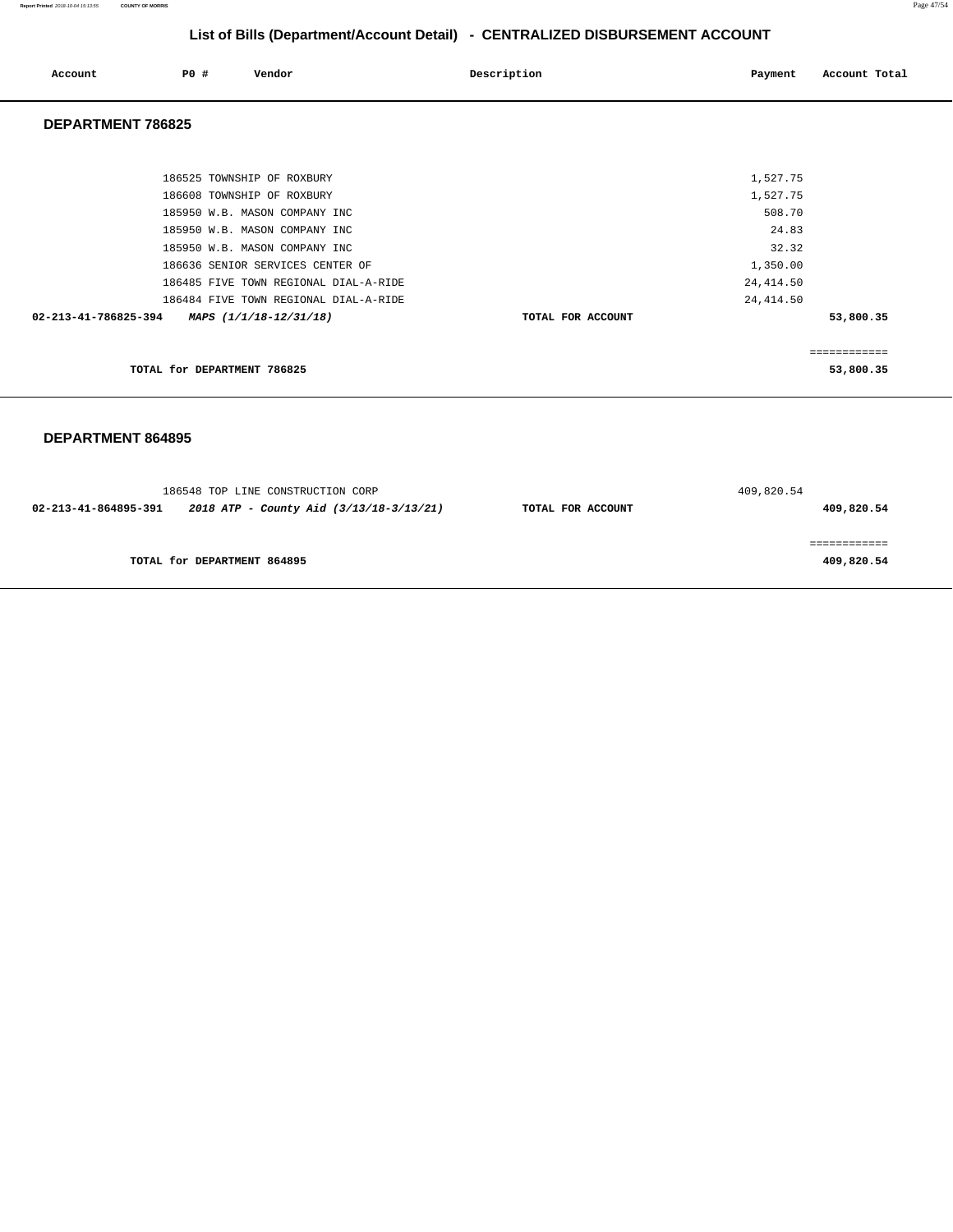**Report Printed** 2018-10-04 15:13:55 **COUNTY OF MORRIS** Page 47/54

# **List of Bills (Department/Account Detail) - CENTRALIZED DISBURSEMENT ACCOUNT**

| Account              | P0 #                        | Vendor                                | Description       | Payment    | Account Total |
|----------------------|-----------------------------|---------------------------------------|-------------------|------------|---------------|
| DEPARTMENT 786825    |                             |                                       |                   |            |               |
|                      |                             |                                       |                   |            |               |
|                      |                             | 186525 TOWNSHIP OF ROXBURY            |                   | 1,527.75   |               |
|                      |                             | 186608 TOWNSHIP OF ROXBURY            |                   | 1,527.75   |               |
|                      |                             | 185950 W.B. MASON COMPANY INC         |                   | 508.70     |               |
|                      |                             | 185950 W.B. MASON COMPANY INC         |                   | 24.83      |               |
|                      |                             | 185950 W.B. MASON COMPANY INC         |                   | 32.32      |               |
|                      |                             | 186636 SENIOR SERVICES CENTER OF      |                   | 1,350.00   |               |
|                      |                             | 186485 FIVE TOWN REGIONAL DIAL-A-RIDE |                   | 24, 414.50 |               |
|                      |                             | 186484 FIVE TOWN REGIONAL DIAL-A-RIDE |                   | 24, 414.50 |               |
| 02-213-41-786825-394 |                             | MAPS (1/1/18-12/31/18)                | TOTAL FOR ACCOUNT |            | 53,800.35     |
|                      |                             |                                       |                   |            | ============  |
|                      | TOTAL for DEPARTMENT 786825 |                                       |                   |            | 53,800.35     |

|                      | 186548 TOP LINE CONSTRUCTION CORP       |                   | 409,820.54 |
|----------------------|-----------------------------------------|-------------------|------------|
| 02-213-41-864895-391 | 2018 ATP - County Aid (3/13/18-3/13/21) | TOTAL FOR ACCOUNT | 409,820.54 |
|                      |                                         |                   |            |
|                      |                                         |                   |            |
|                      | TOTAL for DEPARTMENT 864895             |                   | 409,820.54 |
|                      |                                         |                   |            |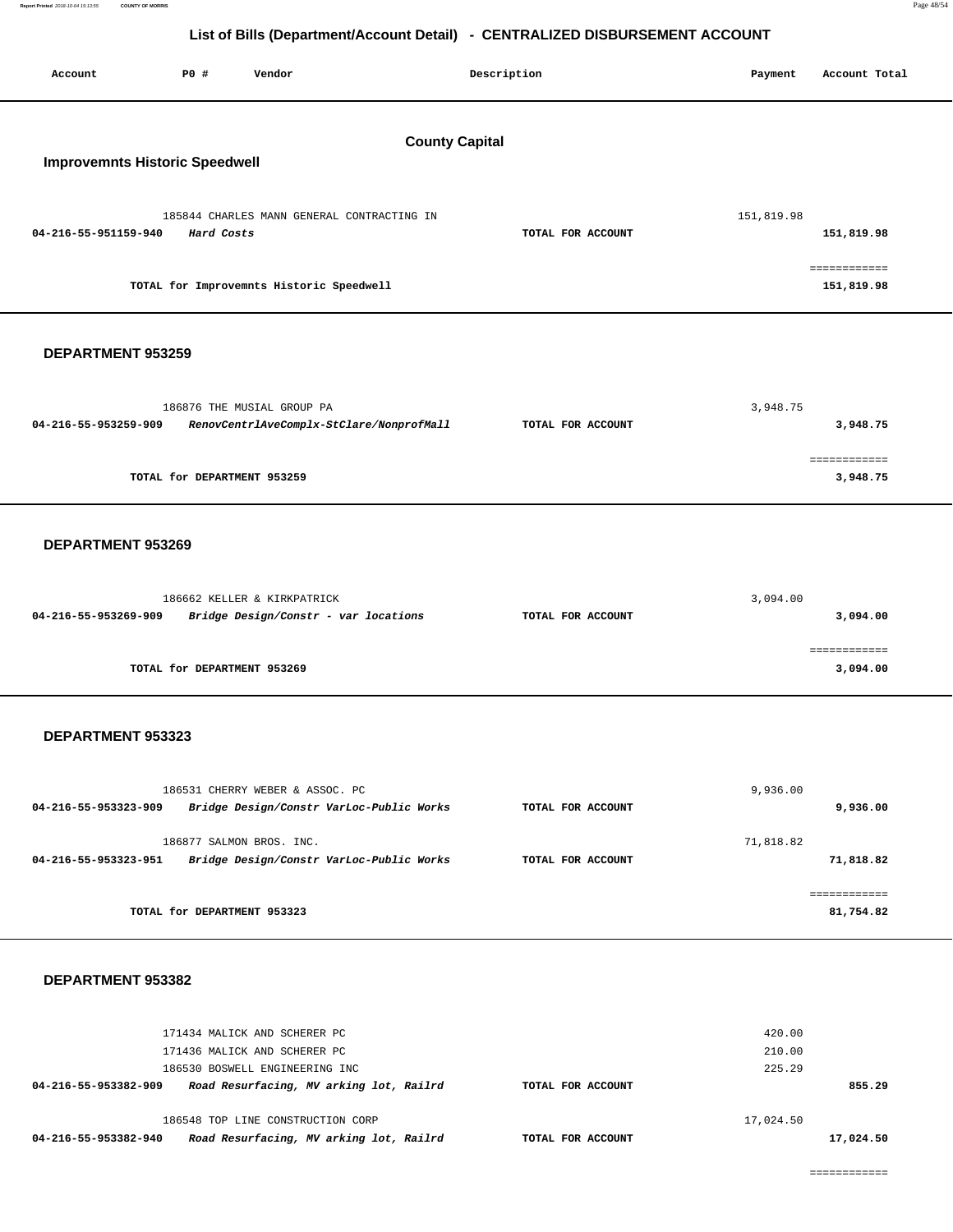| Report Printed 2018-10-04 15:13:55 COUNTY OF MORRIS | Page 48/54 |
|-----------------------------------------------------|------------|
|                                                     |            |

| Account              | P0 #                                                           | Vendor                                                                      |  | Description       |  | Payment    | Account Total              |  |
|----------------------|----------------------------------------------------------------|-----------------------------------------------------------------------------|--|-------------------|--|------------|----------------------------|--|
|                      | <b>County Capital</b><br><b>Improvemnts Historic Speedwell</b> |                                                                             |  |                   |  |            |                            |  |
| 04-216-55-951159-940 | Hard Costs                                                     | 185844 CHARLES MANN GENERAL CONTRACTING IN                                  |  | TOTAL FOR ACCOUNT |  | 151,819.98 | 151,819.98                 |  |
|                      |                                                                | TOTAL for Improvemnts Historic Speedwell                                    |  |                   |  |            | ============<br>151,819.98 |  |
| DEPARTMENT 953259    |                                                                |                                                                             |  |                   |  |            |                            |  |
| 04-216-55-953259-909 |                                                                | 186876 THE MUSIAL GROUP PA<br>RenovCentrlAveComplx-StClare/NonprofMall      |  | TOTAL FOR ACCOUNT |  | 3,948.75   | 3,948.75                   |  |
|                      | TOTAL for DEPARTMENT 953259                                    |                                                                             |  |                   |  |            | ============<br>3,948.75   |  |
| DEPARTMENT 953269    |                                                                |                                                                             |  |                   |  |            |                            |  |
| 04-216-55-953269-909 |                                                                | 186662 KELLER & KIRKPATRICK<br>Bridge Design/Constr - var locations         |  | TOTAL FOR ACCOUNT |  | 3,094.00   | 3,094.00                   |  |
|                      | TOTAL for DEPARTMENT 953269                                    |                                                                             |  |                   |  |            | ============<br>3,094.00   |  |
| DEPARTMENT 953323    |                                                                |                                                                             |  |                   |  |            |                            |  |
| 04-216-55-953323-909 |                                                                | 186531 CHERRY WEBER & ASSOC. PC<br>Bridge Design/Constr VarLoc-Public Works |  | TOTAL FOR ACCOUNT |  | 9,936.00   | 9,936.00                   |  |
| 04-216-55-953323-951 |                                                                | 186877 SALMON BROS. INC.<br>Bridge Design/Constr VarLoc-Public Works        |  | TOTAL FOR ACCOUNT |  | 71,818.82  | 71,818.82                  |  |
|                      | TOTAL for DEPARTMENT 953323                                    |                                                                             |  |                   |  |            | ============<br>81,754.82  |  |
|                      |                                                                |                                                                             |  |                   |  |            |                            |  |

| Road Resurfacing, MV arking lot, Railrd<br>04-216-55-953382-940 | TOTAL FOR ACCOUNT |           | 17,024.50 |
|-----------------------------------------------------------------|-------------------|-----------|-----------|
| 186548 TOP LINE CONSTRUCTION CORP                               |                   | 17,024.50 |           |
| Road Resurfacing, MV arking lot, Railrd<br>04-216-55-953382-909 | TOTAL FOR ACCOUNT |           | 855.29    |
| 186530 BOSWELL ENGINEERING INC                                  |                   | 225.29    |           |
| 171436 MALICK AND SCHERER PC                                    |                   | 210.00    |           |
| 171434 MALICK AND SCHERER PC                                    |                   | 420.00    |           |
|                                                                 |                   |           |           |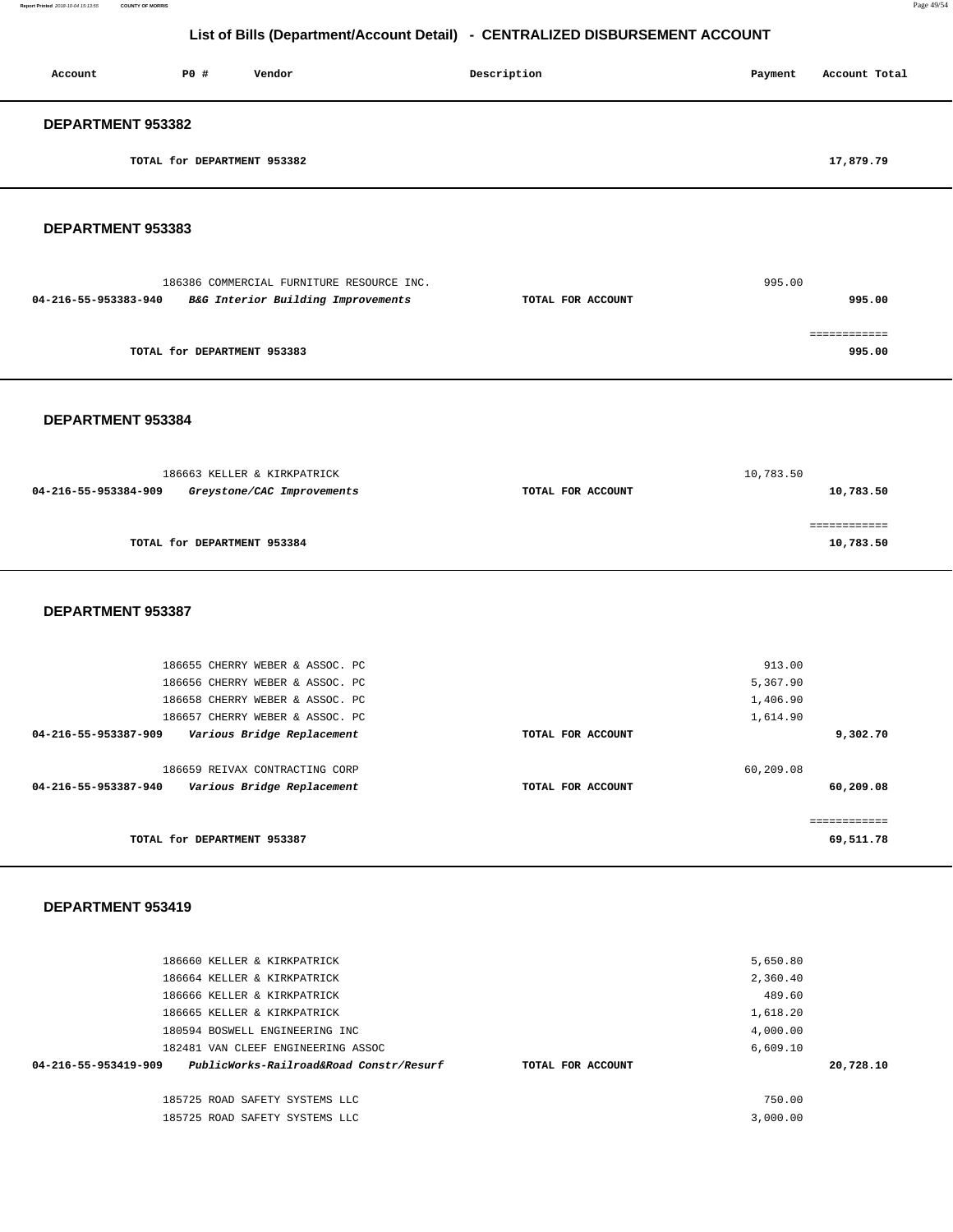| Account                  | PO#                         | Vendor | Description | Account Total<br>Payment |  |  |
|--------------------------|-----------------------------|--------|-------------|--------------------------|--|--|
| <b>DEPARTMENT 953382</b> |                             |        |             |                          |  |  |
|                          | TOTAL for DEPARTMENT 953382 |        |             | 17,879.79                |  |  |

#### **DEPARTMENT 953383**

|                      | 186386 COMMERCIAL FURNITURE RESOURCE INC. |                   | 995.00 |
|----------------------|-------------------------------------------|-------------------|--------|
| 04-216-55-953383-940 | B&G Interior Building Improvements        | TOTAL FOR ACCOUNT | 995.00 |
|                      |                                           |                   |        |
|                      |                                           |                   |        |
|                      | TOTAL for DEPARTMENT 953383               |                   | 995.00 |

**DEPARTMENT 953384** 

| 186663 KELLER & KIRKPATRICK                        |                   | 10,783.50 |
|----------------------------------------------------|-------------------|-----------|
| 04-216-55-953384-909<br>Greystone/CAC Improvements | TOTAL FOR ACCOUNT | 10,783.50 |
|                                                    |                   |           |
|                                                    |                   |           |
| TOTAL for DEPARTMENT 953384                        |                   | 10,783.50 |
|                                                    |                   |           |

#### **DEPARTMENT 953387**

| 186655 CHERRY WEBER & ASSOC. PC                                                      | 913.00                         |                |
|--------------------------------------------------------------------------------------|--------------------------------|----------------|
| 186656 CHERRY WEBER & ASSOC. PC                                                      | 5,367.90                       |                |
| 186658 CHERRY WEBER & ASSOC. PC                                                      | 1,406.90                       |                |
| 186657 CHERRY WEBER & ASSOC. PC                                                      | 1,614.90                       |                |
| 04-216-55-953387-909<br>Various Bridge Replacement                                   | TOTAL FOR ACCOUNT              | 9,302.70       |
| 186659 REIVAX CONTRACTING CORP<br>Various Bridge Replacement<br>04-216-55-953387-940 | 60,209.08<br>TOTAL FOR ACCOUNT | 60,209.08      |
| TOTAL for DEPARTMENT 953387                                                          |                                | .<br>69,511.78 |

| 186660 KELLER & KIRKPATRICK                                     |                   | 5,650.80 |           |
|-----------------------------------------------------------------|-------------------|----------|-----------|
| 186664 KELLER & KIRKPATRICK                                     |                   | 2,360.40 |           |
| 186666 KELLER & KIRKPATRICK                                     |                   | 489.60   |           |
| 186665 KELLER & KIRKPATRICK                                     |                   | 1,618.20 |           |
| 180594 BOSWELL ENGINEERING INC                                  |                   | 4,000.00 |           |
| 182481 VAN CLEEF ENGINEERING ASSOC                              |                   | 6,609.10 |           |
| PublicWorks-Railroad&Road Constr/Resurf<br>04-216-55-953419-909 | TOTAL FOR ACCOUNT |          | 20,728.10 |
| 185725 ROAD SAFETY SYSTEMS LLC                                  |                   | 750.00   |           |
| 185725 ROAD SAFETY SYSTEMS LLC                                  |                   | 3,000.00 |           |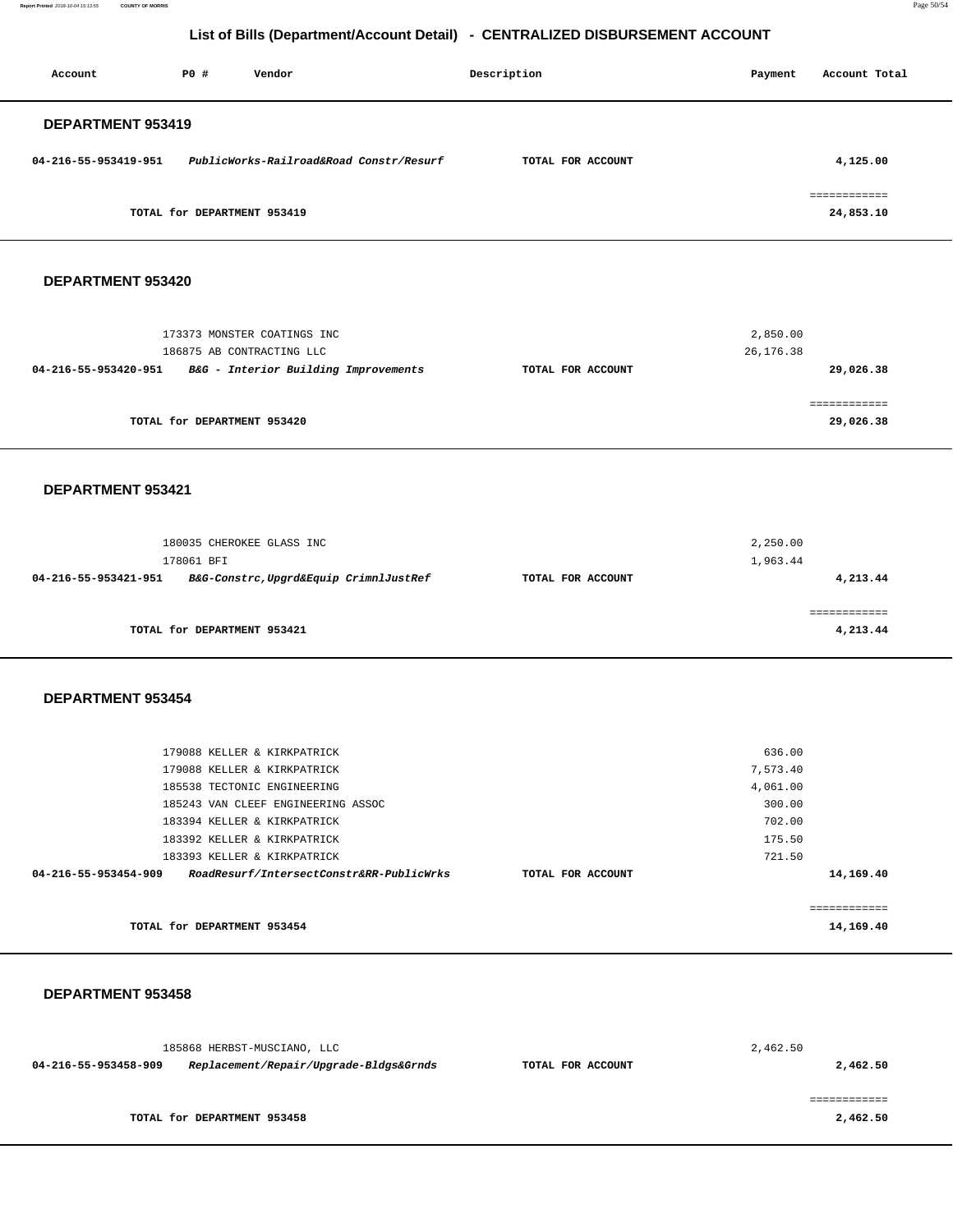**Report Printed** 2018-10-04 15:13:55 **COUNTY OF MORRIS** Page 50/54

# **List of Bills (Department/Account Detail) - CENTRALIZED DISBURSEMENT ACCOUNT**

| Account                  | PO#                         | Vendor                                  | Description       | Payment | Account Total             |
|--------------------------|-----------------------------|-----------------------------------------|-------------------|---------|---------------------------|
| <b>DEPARTMENT 953419</b> |                             |                                         |                   |         |                           |
| 04-216-55-953419-951     |                             | PublicWorks-Railroad&Road Constr/Resurf | TOTAL FOR ACCOUNT |         | 4,125.00                  |
|                          | TOTAL for DEPARTMENT 953419 |                                         |                   |         | ------------<br>24,853.10 |

#### **DEPARTMENT 953420**

| 173373 MONSTER COATINGS INC                                  |                   | 2,850.00  |
|--------------------------------------------------------------|-------------------|-----------|
| 186875 AB CONTRACTING LLC                                    |                   | 26,176.38 |
| B&G - Interior Building Improvements<br>04-216-55-953420-951 | TOTAL FOR ACCOUNT | 29,026.38 |
|                                                              |                   |           |
|                                                              |                   |           |
| TOTAL for DEPARTMENT 953420                                  |                   | 29,026.38 |
|                                                              |                   |           |

#### **DEPARTMENT 953421**

|                      | 180035 CHEROKEE GLASS INC<br>178061 BFI |                   | 2,250.00<br>1,963.44 |
|----------------------|-----------------------------------------|-------------------|----------------------|
| 04-216-55-953421-951 | B&G-Constrc, Upgrd&Equip CrimnlJustRef  | TOTAL FOR ACCOUNT | 4,213.44             |
|                      | TOTAL for DEPARTMENT 953421             |                   | 4,213.44             |

#### **DEPARTMENT 953454**

| 179088 KELLER & KIRKPATRICK                                      |                   | 636.00   |           |
|------------------------------------------------------------------|-------------------|----------|-----------|
|                                                                  |                   |          |           |
| 179088 KELLER & KIRKPATRICK                                      |                   | 7,573.40 |           |
| 185538 TECTONIC ENGINEERING                                      |                   | 4,061.00 |           |
| 185243 VAN CLEEF ENGINEERING ASSOC                               |                   | 300.00   |           |
| 183394 KELLER & KIRKPATRICK                                      |                   | 702.00   |           |
| 183392 KELLER & KIRKPATRICK                                      |                   | 175.50   |           |
| 183393 KELLER & KIRKPATRICK                                      |                   | 721.50   |           |
| RoadResurf/IntersectConstr&RR-PublicWrks<br>04-216-55-953454-909 | TOTAL FOR ACCOUNT |          | 14,169.40 |
|                                                                  |                   |          |           |
|                                                                  |                   |          |           |
| TOTAL for DEPARTMENT 953454                                      |                   |          | 14,169.40 |

|                      | 185868 HERBST-MUSCIANO, LLC            |                   | 2,462.50 |
|----------------------|----------------------------------------|-------------------|----------|
| 04-216-55-953458-909 | Replacement/Repair/Upgrade-Bldgs&Grnds | TOTAL FOR ACCOUNT | 2,462.50 |
|                      |                                        |                   |          |
|                      |                                        |                   |          |
|                      | TOTAL for DEPARTMENT 953458            |                   | 2,462.50 |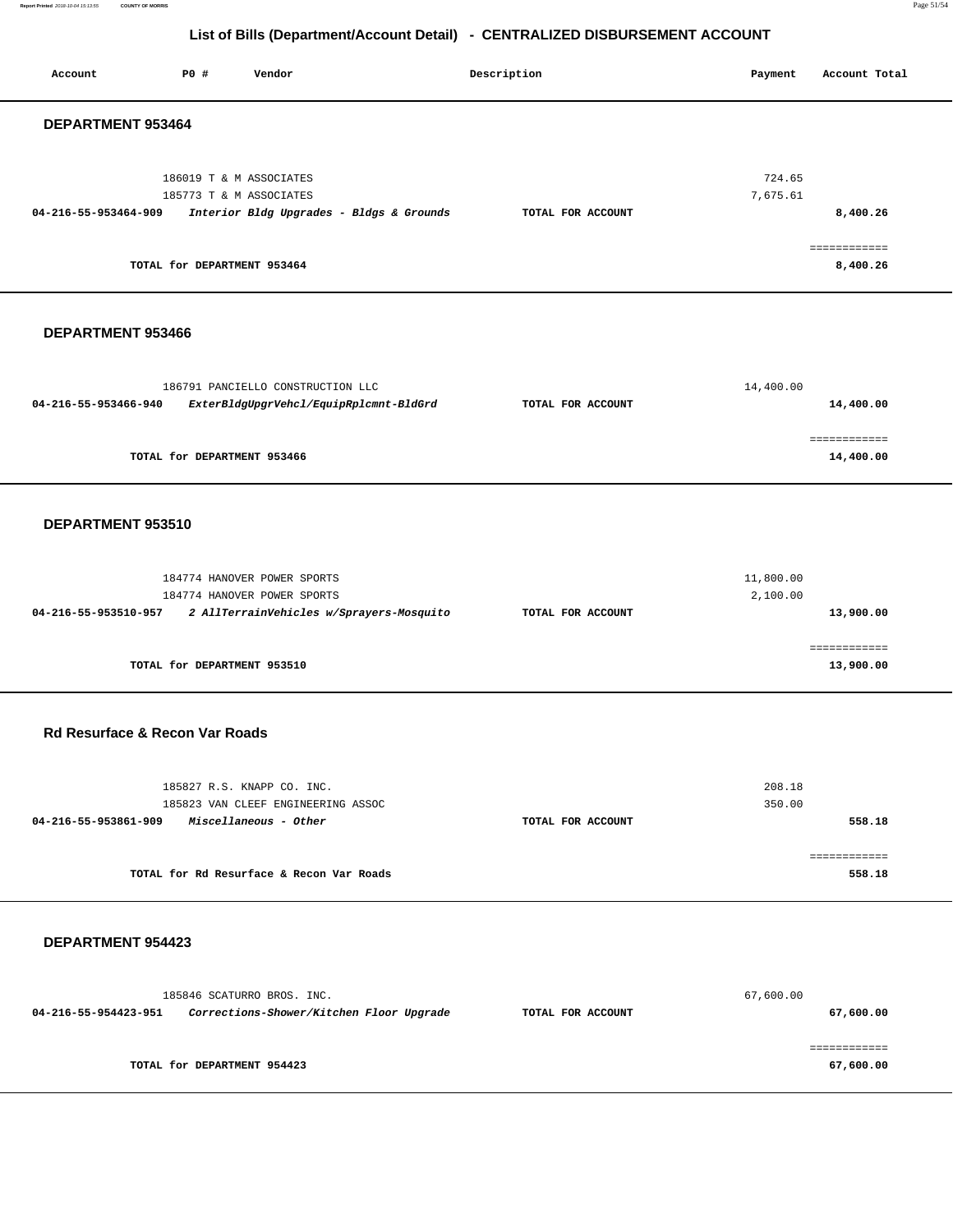**Report Printed** 2018-10-04 15:13:55 **COUNTY OF MORRIS** Page 51/54

# **List of Bills (Department/Account Detail) - CENTRALIZED DISBURSEMENT ACCOUNT**

| Account                                   | P0 #                                                                              | Vendor                                                                                    |                                          | Description       | Payment               | Account Total                        |
|-------------------------------------------|-----------------------------------------------------------------------------------|-------------------------------------------------------------------------------------------|------------------------------------------|-------------------|-----------------------|--------------------------------------|
| DEPARTMENT 953464                         |                                                                                   |                                                                                           |                                          |                   |                       |                                      |
| 04-216-55-953464-909                      | 186019 T & M ASSOCIATES<br>185773 T & M ASSOCIATES<br>TOTAL for DEPARTMENT 953464 |                                                                                           | Interior Bldg Upgrades - Bldgs & Grounds | TOTAL FOR ACCOUNT | 724.65<br>7,675.61    | 8,400.26<br>============<br>8,400.26 |
| DEPARTMENT 953466                         |                                                                                   |                                                                                           |                                          |                   |                       |                                      |
| 04-216-55-953466-940                      |                                                                                   | 186791 PANCIELLO CONSTRUCTION LLC                                                         | ExterBldgUpgrVehcl/EquipRplcmnt-BldGrd   | TOTAL FOR ACCOUNT | 14,400.00             | 14,400.00                            |
|                                           | TOTAL for DEPARTMENT 953466                                                       |                                                                                           |                                          |                   |                       | ============<br>14,400.00            |
| DEPARTMENT 953510                         |                                                                                   |                                                                                           |                                          |                   |                       |                                      |
| 04-216-55-953510-957                      |                                                                                   | 184774 HANOVER POWER SPORTS<br>184774 HANOVER POWER SPORTS                                | 2 AllTerrainVehicles w/Sprayers-Mosquito | TOTAL FOR ACCOUNT | 11,800.00<br>2,100.00 | 13,900.00                            |
|                                           | TOTAL for DEPARTMENT 953510                                                       |                                                                                           |                                          |                   |                       | 13,900.00                            |
| <b>Rd Resurface &amp; Recon Var Roads</b> |                                                                                   |                                                                                           |                                          |                   |                       |                                      |
| 04-216-55-953861-909                      |                                                                                   | 185827 R.S. KNAPP CO. INC.<br>185823 VAN CLEEF ENGINEERING ASSOC<br>Miscellaneous - Other |                                          | TOTAL FOR ACCOUNT | 208.18<br>350.00      | 558.18                               |
|                                           |                                                                                   | TOTAL for Rd Resurface & Recon Var Roads                                                  |                                          |                   |                       | ============<br>558.18               |
| <b>DEPARTMENT 954423</b>                  |                                                                                   |                                                                                           |                                          |                   |                       |                                      |
| 04-216-55-954423-951                      |                                                                                   | 185846 SCATURRO BROS. INC.                                                                | Corrections-Shower/Kitchen Floor Upgrade | TOTAL FOR ACCOUNT | 67,600.00             | 67,600.00                            |
|                                           | TOTAL for DEPARTMENT 954423                                                       |                                                                                           |                                          |                   |                       | 67,600.00                            |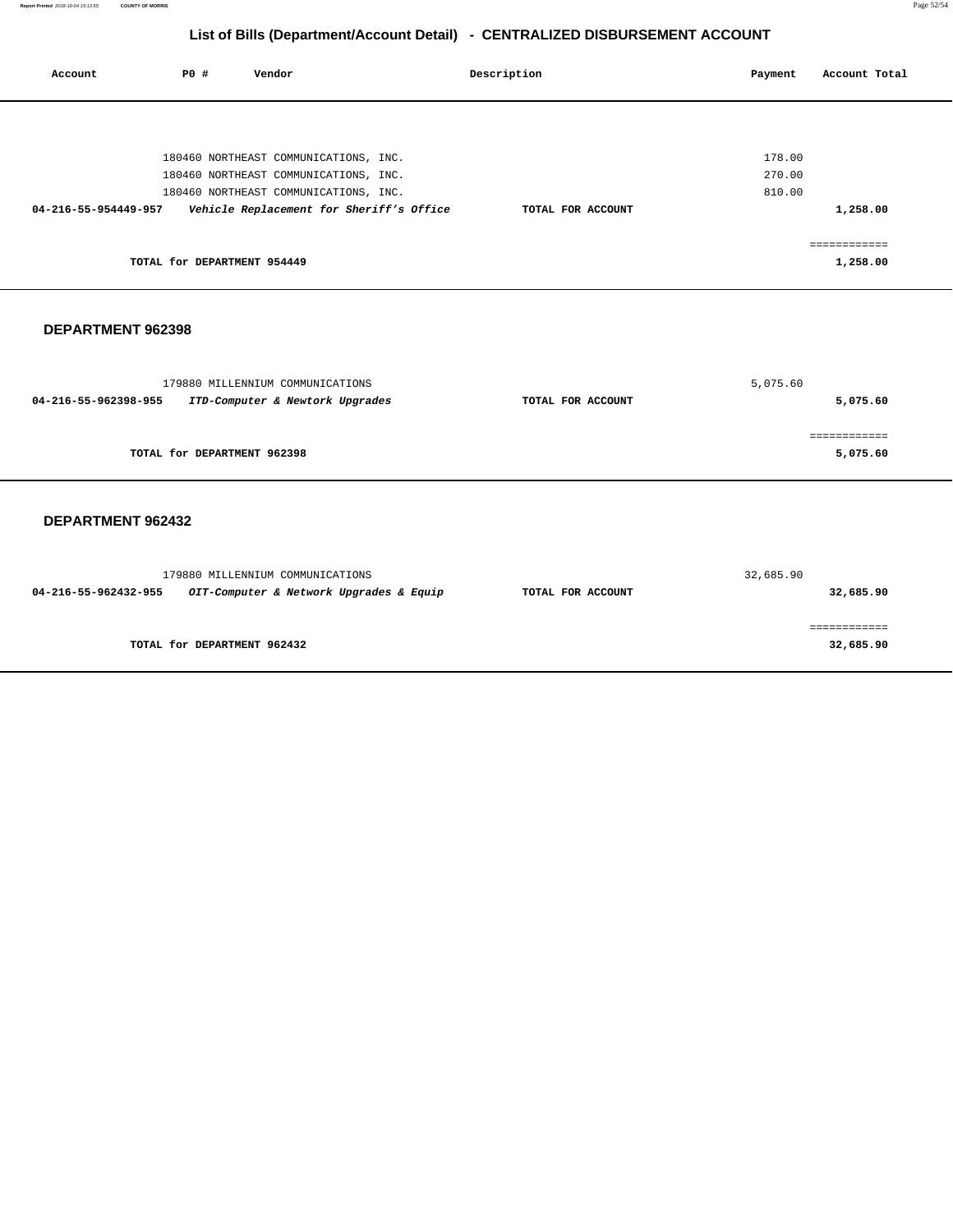**Report Printed** 2018-10-04 15:13:55 **COUNTY OF MORRIS** Page 52/54

# **List of Bills (Department/Account Detail) - CENTRALIZED DISBURSEMENT ACCOUNT**

| Account              | P0 #                        | Vendor                                   | Description       | Payment | Account Total |
|----------------------|-----------------------------|------------------------------------------|-------------------|---------|---------------|
|                      |                             |                                          |                   |         |               |
|                      |                             | 180460 NORTHEAST COMMUNICATIONS, INC.    |                   | 178.00  |               |
|                      |                             | 180460 NORTHEAST COMMUNICATIONS, INC.    |                   | 270.00  |               |
|                      |                             | 180460 NORTHEAST COMMUNICATIONS, INC.    |                   | 810.00  |               |
| 04-216-55-954449-957 |                             | Vehicle Replacement for Sheriff's Office | TOTAL FOR ACCOUNT |         | 1,258.00      |
|                      |                             |                                          |                   |         |               |
|                      | TOTAL for DEPARTMENT 954449 |                                          |                   |         | 1,258.00      |
|                      |                             |                                          |                   |         |               |

#### **DEPARTMENT 962398**

| 179880 MILLENNIUM COMMUNICATIONS                        |                   | 5,075.60 |
|---------------------------------------------------------|-------------------|----------|
| ITD-Computer & Newtork Upgrades<br>04-216-55-962398-955 | TOTAL FOR ACCOUNT | 5,075.60 |
|                                                         |                   |          |
| TOTAL for DEPARTMENT 962398                             |                   | 5,075.60 |
|                                                         |                   |          |

|                      | 179880 MILLENNIUM COMMUNICATIONS        |                   | 32,685.90 |
|----------------------|-----------------------------------------|-------------------|-----------|
| 04-216-55-962432-955 | OIT-Computer & Network Upgrades & Equip | TOTAL FOR ACCOUNT | 32,685.90 |
|                      | TOTAL for DEPARTMENT 962432             |                   | 32,685.90 |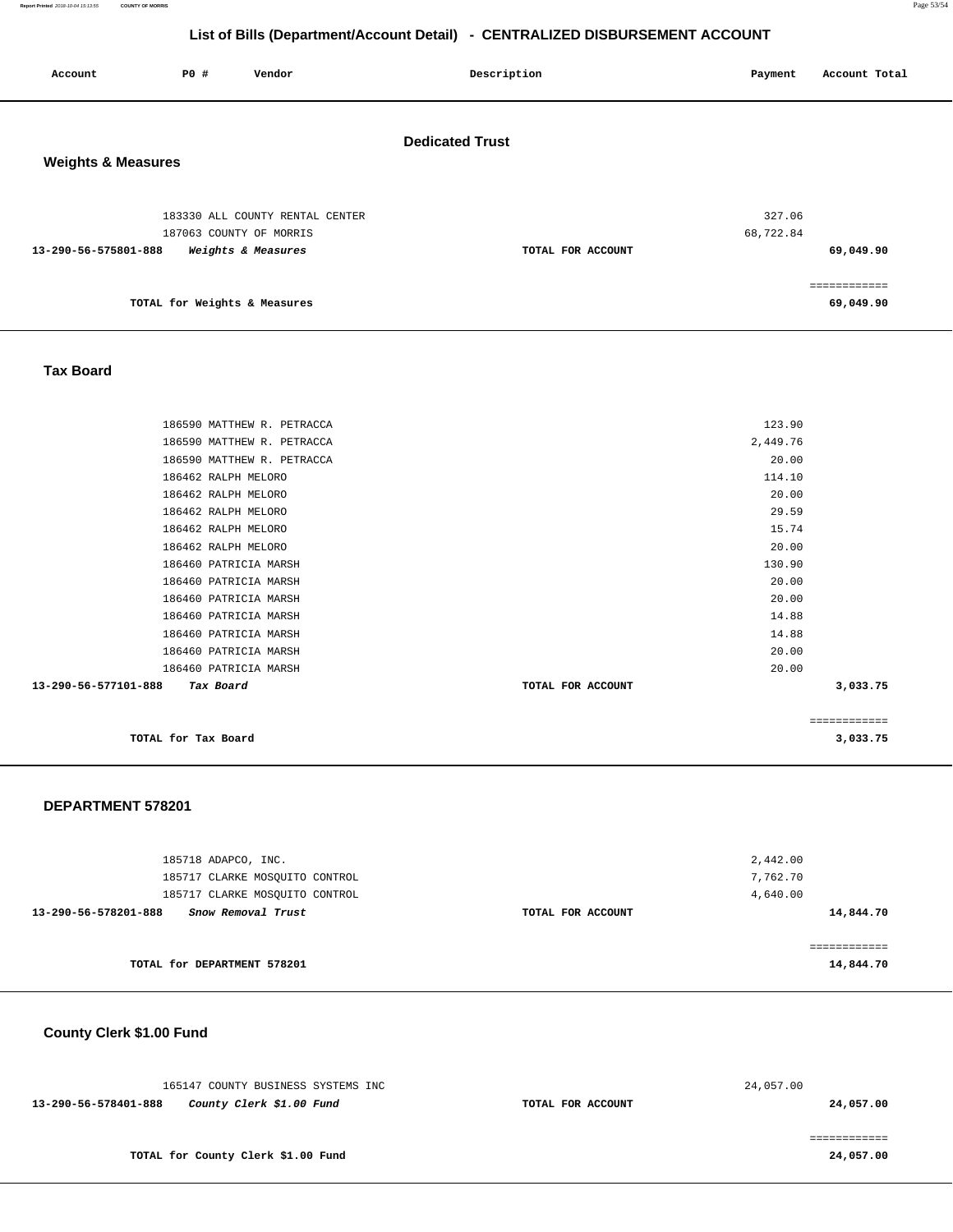**Report Printed** 2018-10-04 15:13:55 **COUNTY OF MORRIS** Page 53/54

# **List of Bills (Department/Account Detail) - CENTRALIZED DISBURSEMENT ACCOUNT**

| Account                       | P0 #                         | Vendor                                                     | Description            | Payment             | Account Total |
|-------------------------------|------------------------------|------------------------------------------------------------|------------------------|---------------------|---------------|
| <b>Weights &amp; Measures</b> |                              |                                                            | <b>Dedicated Trust</b> |                     |               |
|                               |                              | 183330 ALL COUNTY RENTAL CENTER<br>187063 COUNTY OF MORRIS |                        | 327.06<br>68,722.84 |               |
| 13-290-56-575801-888          |                              | Weights & Measures                                         | TOTAL FOR ACCOUNT      |                     | 69,049.90     |
|                               | TOTAL for Weights & Measures |                                                            |                        |                     | 69,049.90     |

#### **Tax Board**

| 20.00<br>14.88<br>14.88<br>20.00<br>20.00<br>3,033.75 |
|-------------------------------------------------------|
|                                                       |
|                                                       |
|                                                       |
|                                                       |
|                                                       |
|                                                       |
| 20.00                                                 |
| 130.90                                                |
| 20.00                                                 |
| 15.74                                                 |
| 29.59                                                 |
| 20.00                                                 |
| 114.10                                                |
| 20.00                                                 |
| 2,449.76                                              |
| 123.90                                                |
|                                                       |

#### **DEPARTMENT 578201**

| 185718 ADAPCO, INC.<br>185717 CLARKE MOSOUITO CONTROL                        |                   | 2,442.00<br>7,762.70  |
|------------------------------------------------------------------------------|-------------------|-----------------------|
| 185717 CLARKE MOSOUITO CONTROL<br>13-290-56-578201-888<br>Snow Removal Trust | TOTAL FOR ACCOUNT | 4,640.00<br>14,844.70 |
| TOTAL for DEPARTMENT 578201                                                  |                   | 14,844.70             |

# **County Clerk \$1.00 Fund**

|                      | 165147 COUNTY BUSINESS SYSTEMS INC |                   | 24,057.00 |
|----------------------|------------------------------------|-------------------|-----------|
| 13-290-56-578401-888 | County Clerk \$1.00 Fund           | TOTAL FOR ACCOUNT | 24,057.00 |
|                      |                                    |                   |           |
|                      |                                    |                   |           |
|                      | TOTAL for County Clerk \$1.00 Fund |                   | 24,057.00 |